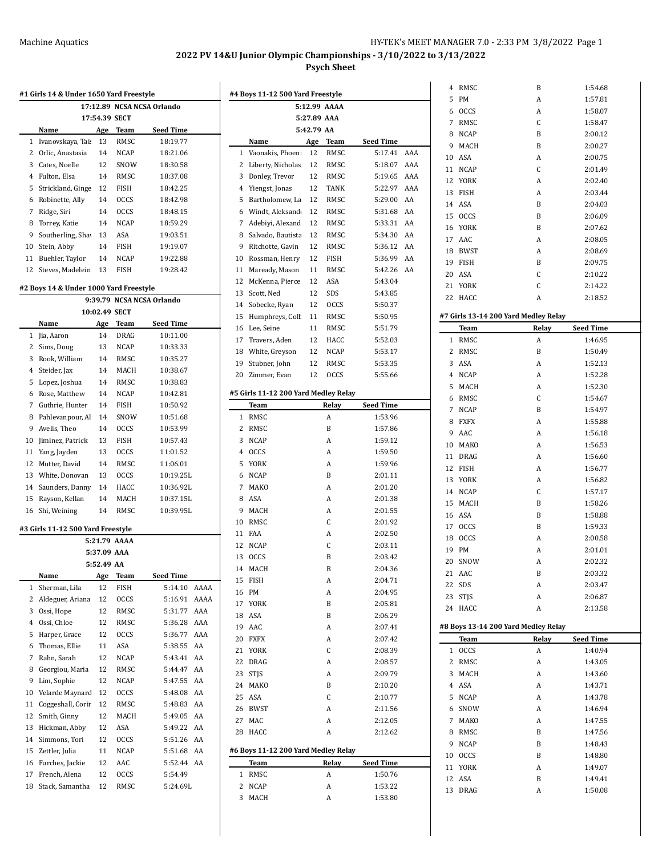l,

 $\ddot{\phantom{a}}$ 

|          |                                        |             |                     | 17:12.89 NCSA NCSA Orlando |        |                                      |             | 5:12.99 AAAA |                   |
|----------|----------------------------------------|-------------|---------------------|----------------------------|--------|--------------------------------------|-------------|--------------|-------------------|
|          |                                        |             | 17:54.39 SECT       |                            |        |                                      | 5:27.89 AAA |              |                   |
|          | Name                                   | Age         | Team                | <b>Seed Time</b>           |        |                                      | 5:42.79 AA  |              |                   |
|          | 1 Ivanovskaya, Tai:                    | 13          | RMSC                | 18:19.77                   |        | Name                                 | Age         | Team         | Seed Time         |
|          | 2 Orlic, Anastasia                     | 14          | <b>NCAP</b>         | 18:21.06                   |        | 1 Vaonakis, Phoeni                   | 12          | RMSC         | 5:17.4            |
| 3        | Cates, Noelle                          | 12          | SNOW                | 18:30.58                   |        | 2 Liberty, Nicholas                  | 12          | RMSC         | $5:18.0^{\circ}$  |
| 4        | Fulton, Elsa                           | 14          | RMSC                | 18:37.08                   | 3      | Donley, Trevor                       | 12          | RMSC         | 5:19.6            |
| 5        | Strickland, Ginge                      | 12          | <b>FISH</b>         | 18:42.25                   |        | 4 Yiengst, Jonas                     | 12          | <b>TANK</b>  | 5:22.9'           |
| 6        | Robinette, Ally                        | 14          | <b>OCCS</b>         | 18:42.98                   | 5      | Bartholomew, La                      | 12          | RMSC         | 5:29.0            |
| 7        | Ridge, Siri<br>Torrey, Katie           | 14          | <b>OCCS</b>         | 18:48.15                   | 6      | Windt, Aleksand<br>Adebiyi, Alexand  | 12          | RMSC         | 5:31.6            |
| 8<br>9   | Southerling, Sha                       | 14<br>13    | <b>NCAP</b><br>ASA  | 18:59.29                   | 7<br>8 | Salvado, Bautista                    | 12<br>12    | RMSC<br>RMSC | 5:33.3            |
| 10       | Stein, Abby                            | 14          | <b>FISH</b>         | 19:03.51<br>19:19.07       | 9      | Ritchotte, Gavin                     | 12          | RMSC         | 5:34.3<br>5:36.1. |
| 11       | Buehler, Taylor                        | 14          | <b>NCAP</b>         | 19:22.88                   | 10     | Rossman, Henry                       | 12          | FISH         | 5:36.9            |
| 12       | Steves, Madelein                       | 13          | FISH                | 19:28.42                   | 11     | Maready, Mason                       | 11          | RMSC         | 5:42.2            |
|          |                                        |             |                     |                            | 12     | McKenna, Pierce                      | 12          | ASA          | 5.43.0            |
|          | #2 Boys 14 & Under 1000 Yard Freestyle |             |                     |                            | 13     | Scott, Ned                           | 12          | SDS          | 5:43.8            |
|          |                                        |             |                     | 9:39.79 NCSA NCSA Orlando  |        | 14 Sobecke, Ryan                     | 12          | <b>OCCS</b>  | 5:50.3'           |
|          |                                        |             | 10:02.49 SECT       |                            | 15     | Humphreys, Coll                      | 11          | RMSC         | 5:50.9            |
|          | Name                                   | Age         | <b>Team</b>         | <b>Seed Time</b>           |        | 16 Lee, Seine                        | 11          | RMSC         | 5:51.7            |
|          | 1 Jia, Aaron                           | 14          | DRAG                | 10:11.00                   | 17     | Travers, Aden                        | 12          | HACC         | 5:52.0            |
|          | 2 Sims, Doug                           | 13          | <b>NCAP</b>         | 10:33.33                   | 18     | White, Greyson                       | 12          | <b>NCAP</b>  | 5:53.1            |
| 3        | Rook, William                          | 14          | RMSC                | 10:35.27                   | 19     | Stubner, John                        | 12          | RMSC         | 5:53.3            |
| 4        | Steider, Jax                           | 14          | MACH                | 10:38.67                   | 20     | Zimmer, Evan                         | 12          | <b>OCCS</b>  | 5:55.6            |
| 5        | Lopez, Joshua                          | 14          | RMSC                | 10:38.83                   |        |                                      |             |              |                   |
| 6        | Rose, Matthew                          | 14          | <b>NCAP</b>         | 10:42.81                   |        | #5 Girls 11-12 200 Yard Medley Relay |             |              |                   |
| 7        | Guthrie, Hunter                        | 14          | <b>FISH</b>         | 10:50.92                   |        | Team                                 |             | Relay        | Seed Tim          |
| 8        | Pahlevanpour, Al                       | 14          | SNOW                | 10:51.68                   |        | 1 RMSC                               |             | A            | 1:53.9            |
| 9        | Avelis, Theo                           | 14          | <b>OCCS</b>         | 10:53.99                   |        | 2 RMSC                               |             | B            | 1:57.8            |
| 10       | Jiminez, Patrick                       | 13          | <b>FISH</b>         | 10:57.43                   |        | 3 NCAP                               |             | A            | 1:59.1.           |
| 11       | Yang, Jayden                           | 13<br>14    | <b>OCCS</b>         | 11:01.52                   | 4      | <b>OCCS</b><br>5 YORK                |             | A            | 1:59.5<br>1:59.9  |
| 13       | 12 Mutter, David<br>White, Donovan     | 13          | RMSC<br><b>OCCS</b> | 11:06.01<br>10:19.25L      |        | 6 NCAP                               |             | A<br>B       | 2:01.1            |
| 14       | Saunders, Danny                        | 14          | HACC                | 10:36.92L                  |        | 7 MAKO                               |             | A            | 2:01.2            |
| 15       | Rayson, Kellan                         | 14          | MACH                | 10:37.15L                  | 8      | ASA                                  |             | A            | 2:01.35           |
| 16       | Shi, Weining                           | 14          | RMSC                | 10:39.95L                  | 9      | MACH                                 |             | A            | 2:01.5            |
|          |                                        |             |                     |                            | 10     | RMSC                                 |             | С            | 2:01.9            |
|          | #3 Girls 11-12 500 Yard Freestyle      |             |                     |                            |        | 11 FAA                               |             | A            | 2:02.5            |
|          |                                        |             | 5:21.79 AAAA        |                            |        | 12 NCAP                              |             | C            | 2:03.1            |
|          |                                        | 5:37.09 AAA |                     |                            |        | 13 OCCS                              |             | B            | 2:03.4            |
|          |                                        | 5:52.49 AA  |                     |                            |        | 14 MACH                              |             | B            | 2:04.3            |
|          | Name                                   | Age         | <b>Team</b>         | <b>Seed Time</b>           |        | 15 FISH                              |             | A            | 2:04.7            |
|          | 1 Sherman, Lila                        | 12          | FISH                | 5:14.10 AAAA               |        | 16 PM                                |             | A            | 2:04.9            |
|          | 2 Aldeguer, Ariana                     | 12          | OCCS                | 5:16.91 AAAA               |        | 17 YORK                              |             | B            | 2:05.8            |
| 3        | Ossi, Hope                             | 12          | RMSC                | 5:31.77 AAA                |        | 18 ASA                               |             | B            | 2:06.2            |
| 4        | Ossi, Chloe                            | 12          | RMSC                | 5:36.28 AAA                |        | 19 AAC                               |             | A            | 2:07.4            |
| 5        | Harper, Grace                          | 12          | <b>OCCS</b>         | 5:36.77 AAA                |        | 20 FXFX                              |             | A            | 2:07.4            |
| 6        | Thomas, Ellie                          | 11          | ASA                 | 5:38.55 AA                 |        | 21 YORK                              |             | С            | 2:08.3            |
| 7        | Rahn, Sarah                            | 12          | <b>NCAP</b>         | 5:43.41 AA                 |        | 22 DRAG                              |             | A            | 2:08.5            |
| 8<br>9   | Georgiou, Maria<br>Lim, Sophie         | 12<br>12    | RMSC<br><b>NCAP</b> | 5:44.47 AA                 |        | 23 STJS                              |             | A            | 2:09.7            |
|          | Velarde Maynard                        |             |                     | 5:47.55 AA                 |        | 24 MAKO                              |             | B            | 2:10.2            |
| 10<br>11 | Coggeshall, Corir                      | 12<br>12    | <b>OCCS</b><br>RMSC | 5:48.08 AA<br>5:48.83 AA   |        | 25 ASA                               |             | С            | 2:10.7            |
| 12       | Smith, Ginny                           | 12          | MACH                | 5:49.05 AA                 |        | 26 BWST                              |             | A            | 2:11.5            |
| 13       | Hickman, Abby                          |             |                     | 5:49.22 AA                 |        | 27 MAC                               |             | A            | 2:12.0            |
| 14       | Simmons, Tori                          | 12<br>12    | ASA<br><b>OCCS</b>  | 5:51.26 AA                 |        | 28 HACC                              |             | A            | 2:12.6            |
| 15       |                                        | 11          |                     |                            |        | #6 Boys 11-12 200 Yard Medley Relay  |             |              |                   |
| 16       | Zettler, Julia<br>Furches, Jackie      |             | NCAP<br>AAC         | 5:51.68 AA                 |        |                                      |             |              | Seed Time         |
| 17       | French, Alena                          | 12<br>12    | OCCS                | 5:52.44 AA<br>5:54.49      |        | <b>Team</b><br>1 RMSC                |             | Relay<br>A   | 1:50.7            |
| 18       | Stack, Samantha                        | 12          | RMSC                | 5:24.69L                   |        | 2 NCAP                               |             |              | 1:53.2.           |
|          |                                        |             |                     |                            |        | 3 MACH                               |             | A<br>A       | 1:53.8            |
|          |                                        |             |                     |                            |        |                                      |             |              |                   |

|     |             |                          |                  |     |    | 4 RMSC      | B                                    | 1:54.68          |  |
|-----|-------------|--------------------------|------------------|-----|----|-------------|--------------------------------------|------------------|--|
|     |             | <b>Yard Freestyle</b>    |                  |     | 5  | PM          | A                                    | 1:57.81          |  |
|     |             | 5:12.99 AAAA             |                  |     | 6  | <b>OCCS</b> | A                                    | 1:58.07          |  |
|     | 5:27.89 AAA |                          |                  |     | 7  | RMSC        | C                                    | 1:58.47          |  |
|     | 5:42.79 AA  |                          |                  |     |    | 8 NCAP      | B                                    | 2:00.12          |  |
|     | Age         | Team                     | <b>Seed Time</b> |     |    |             |                                      |                  |  |
| eni | 12          | RMSC                     | 5:17.41 AAA      |     | 9  | MACH        | B                                    | 2:00.27          |  |
| las | 12          | RMSC                     | 5:18.07          | AAA |    | 10 ASA      | A                                    | 2:00.75          |  |
| ŗ.  | 12          | RMSC                     | 5:19.65          | AAA |    | 11 NCAP     | C                                    | 2:01.49          |  |
|     | 12          | TANK                     | 5:22.97          | AAA |    | 12 YORK     | A                                    | 2:02.40          |  |
|     |             | <b>RMSC</b>              |                  | AA  |    | 13 FISH     | A                                    | 2:03.44          |  |
| La  | 12          |                          | 5:29.00          |     |    | 14 ASA      | B                                    | 2:04.03          |  |
| nd  | 12          | RMSC                     | 5:31.68          | AA  |    | 15 OCCS     | B                                    | 2:06.09          |  |
| nd  | 12          | RMSC                     | 5:33.31 AA       |     |    | 16 YORK     | B                                    | 2:07.62          |  |
| sta | 12          | RMSC                     | 5:34.30          | AA  |    | 17 AAC      | A                                    | 2:08.05          |  |
| in  | 12          | RMSC                     | 5:36.12          | AA  |    | 18 BWST     | A                                    | 2:08.69          |  |
| ry  | 12          | <b>FISH</b>              | 5:36.99          | AA  |    | 19 FISH     | B                                    | 2:09.75          |  |
| on  | 11          | RMSC                     | 5:42.26          | AA  |    | 20 ASA      | C                                    | 2:10.22          |  |
| ce: | 12          | ASA                      | 5:43.04          |     |    | 21 YORK     | C                                    | 2:14.22          |  |
|     | 12          | SDS                      | 5:43.85          |     |    | 22 HACC     | A                                    |                  |  |
|     | 12          | <b>OCCS</b>              | 5:50.37          |     |    |             |                                      | 2:18.52          |  |
| olt | 11          | RMSC                     | 5:50.95          |     |    |             | #7 Girls 13-14 200 Yard Medley Relay |                  |  |
|     | 11          | RMSC                     | 5:51.79          |     |    | Team        | Relay                                | Seed Time        |  |
|     | 12          | HACC                     | 5:52.03          |     |    | 1 RMSC      | A                                    | 1:46.95          |  |
|     | 12          | <b>NCAP</b>              | 5:53.17          |     |    | 2 RMSC      | B                                    | 1:50.49          |  |
| n   |             |                          |                  |     |    |             | A                                    |                  |  |
|     | 12          | RMSC                     | 5:53.35          |     | 3  | ASA         |                                      | 1:52.13          |  |
|     | 12          | <b>OCCS</b>              | 5:55.66          |     |    | 4 NCAP      | A                                    | 1:52.28          |  |
|     |             | <b>Yard Medley Relay</b> |                  |     | 5  | MACH        | A                                    | 1:52.30          |  |
|     |             | Relay                    | <b>Seed Time</b> |     | 6  | RMSC        | C                                    | 1:54.67          |  |
|     |             | A                        | 1:53.96          |     |    | 7 NCAP      | B                                    | 1:54.97          |  |
|     |             |                          |                  |     | 8  | <b>FXFX</b> | A                                    | 1:55.88          |  |
|     |             | B                        | 1:57.86          |     | 9  | AAC         | A                                    | 1:56.18          |  |
|     |             | A                        | 1:59.12          |     | 10 | MAKO        | A                                    | 1:56.53          |  |
|     |             | A                        | 1:59.50          |     |    | 11 DRAG     | A                                    | 1:56.60          |  |
|     |             | A                        | 1:59.96          |     |    | 12 FISH     | A                                    | 1:56.77          |  |
|     |             | B                        | 2:01.11          |     |    | 13 YORK     | A                                    | 1:56.82          |  |
|     |             | Α                        | 2:01.20          |     |    | 14 NCAP     | C                                    | 1:57.17          |  |
|     |             | A                        | 2:01.38          |     |    | 15 MACH     | B                                    | 1:58.26          |  |
|     |             | A                        | 2:01.55          |     |    | 16 ASA      | B                                    | 1:58.88          |  |
|     |             | C                        | 2:01.92          |     |    | 17 OCCS     | B                                    |                  |  |
|     |             | A                        | 2:02.50          |     |    |             |                                      | 1:59.33          |  |
|     |             | C                        | 2:03.11          |     | 18 | <b>OCCS</b> | A                                    | 2:00.58          |  |
|     |             | B                        | 2:03.42          |     |    | 19 PM       | A                                    | 2:01.01          |  |
|     |             | B                        | 2:04.36          |     |    | 20 SNOW     | A                                    | 2:02.32          |  |
|     |             |                          |                  |     |    | 21 AAC      | B                                    | 2:03.32          |  |
|     |             | A                        | 2:04.71          |     |    | 22 SDS      | A                                    | 2:03.47          |  |
|     |             | A                        | 2:04.95          |     |    | 23 STJS     | A                                    | 2:06.87          |  |
|     |             | B                        | 2:05.81          |     |    | 24 HACC     | A                                    | 2:13.58          |  |
|     |             | B                        | 2:06.29          |     |    |             |                                      |                  |  |
|     |             | A                        | 2:07.41          |     |    |             | #8 Boys 13-14 200 Yard Medley Relay  |                  |  |
|     |             | A                        | 2:07.42          |     |    | Team        | Relay                                | <b>Seed Time</b> |  |
|     |             | С                        | 2:08.39          |     |    | 1 OCCS      | A                                    | 1:40.94          |  |
|     |             | A                        | 2:08.57          |     |    | 2 RMSC      | A                                    | 1:43.05          |  |
|     |             | A                        | 2:09.79          |     |    | 3 MACH      | A                                    | 1:43.60          |  |
|     |             | B                        | 2:10.20          |     |    | 4 ASA       | A                                    | 1:43.71          |  |
|     |             | С                        | 2:10.77          |     |    | 5 NCAP      | A                                    | 1:43.78          |  |
|     |             | A                        | 2:11.56          |     |    | 6 SNOW      | A                                    | 1:46.94          |  |
|     |             | A                        | 2:12.05          |     |    | 7 MAKO      | A                                    | 1:47.55          |  |
|     |             | A                        | 2:12.62          |     |    | 8 RMSC      | B                                    | 1:47.56          |  |
|     |             |                          |                  |     |    | 9 NCAP      | B                                    | 1:48.43          |  |
|     |             | <b>Yard Medley Relay</b> |                  |     |    | 10 OCCS     | B                                    |                  |  |
|     |             | Relay                    | <b>Seed Time</b> |     |    |             |                                      | 1:48.80          |  |
|     |             | A                        | 1:50.76          |     |    | 11 YORK     | A                                    | 1:49.07          |  |
|     |             | A                        | 1:53.22          |     |    | 12 ASA      | B                                    | 1:49.41          |  |
|     |             | A                        | 1:53.80          |     |    | 13 DRAG     | A                                    | 1:50.08          |  |
|     |             |                          |                  |     |    |             |                                      |                  |  |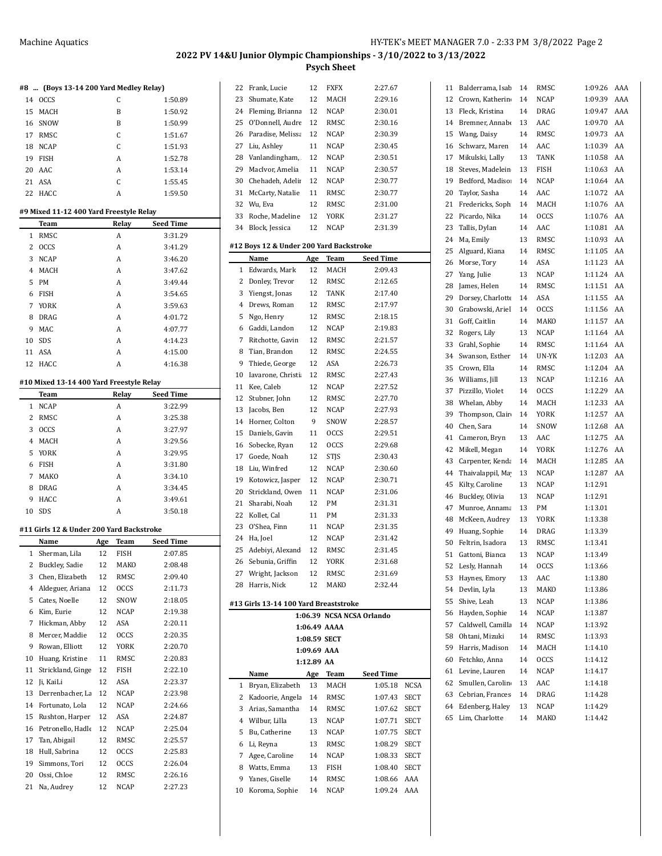|                | #8  (Boys 13-14 200 Yard Medley Relay)   |     |             |                      |
|----------------|------------------------------------------|-----|-------------|----------------------|
|                | 14 OCCS                                  |     | C           | 1:50.89              |
| 15             | MACH                                     |     | B           | 1:50.92              |
| 16             | SNOW                                     |     | B           | 1:50.99              |
| 17             | RMSC                                     |     | C           | 1:51.67              |
| 18             | <b>NCAP</b>                              |     | C           | 1:51.93              |
| 19             | FISH                                     |     | A           | 1:52.78              |
| 20             | AAC                                      |     | A           | 1:53.14              |
| 21             | <b>ASA</b>                               |     | C           | 1:55.45              |
| 22             | HACC                                     |     | A           | 1:59.50              |
|                |                                          |     |             |                      |
|                | #9 Mixed 11-12 400 Yard Freestyle Relay  |     |             |                      |
|                | Team                                     |     | Relay       | <b>Seed Time</b>     |
| 1              | RMSC                                     |     | A           | 3:31.29              |
| $\overline{2}$ | <b>OCCS</b>                              |     | A           | 3:41.29              |
| 3              | <b>NCAP</b>                              |     | A           | 3:46.20              |
| 4              | MACH                                     |     | A           | 3:47.62              |
| 5              | <b>PM</b>                                |     | A           | 3:49.44              |
| 6              | <b>FISH</b>                              |     | A           | 3:54.65              |
| $\overline{7}$ | YORK                                     |     | A           | 3:59.63              |
| 8              | DRAG                                     |     | A           | 4:01.72              |
| 9              | MAC                                      |     | A           | 4:07.77              |
| 10             | SDS                                      |     | A           | 4:14.23              |
| 11             | ASA                                      |     | A           | 4:15.00              |
| 12             | HACC                                     |     | A           | 4:16.38              |
|                |                                          |     |             |                      |
|                | #10 Mixed 13-14 400 Yard Freestyle Relay |     |             |                      |
| 1              | Team<br><b>NCAP</b>                      |     | Relay<br>A  | Seed Time<br>3:22.99 |
| 2              | RMSC                                     |     | A           | 3:25.38              |
| 3              | <b>OCCS</b>                              |     | A           | 3:27.97              |
| 4              | MACH                                     |     | A           | 3:29.56              |
| 5              | YORK                                     |     | Α           | 3:29.95              |
|                |                                          |     |             |                      |
| 6<br>7         | <b>FISH</b><br>MAKO                      |     | A<br>A      | 3:31.80<br>3:34.10   |
|                |                                          |     | A           |                      |
| 8<br>9         | DRAG                                     |     | A           | 3:34.45<br>3:49.61   |
|                | HACC<br><b>SDS</b>                       |     | A           |                      |
| 10             |                                          |     |             | 3:50.18              |
|                |                                          |     |             |                      |
|                | #11 Girls 12 & Under 200 Yard Backstroke |     |             |                      |
|                | Name                                     | Age | Team        | <b>Seed Time</b>     |
| 1              | Sherman, Lila                            | 12  | FISH        | 2:07.85              |
|                | 2 Buckley, Sadie                         | 12  | MAKO        | 2:08.48              |
| 3              | Chen, Elizabeth                          | 12  | RMSC        | 2:09.40              |
| 4              | Aldeguer, Ariana                         | 12  | <b>OCCS</b> | 2:11.73              |
| 5              | Cates, Noelle                            | 12  | SNOW        | 2:18.05              |
| 6              | Kim, Eurie                               | 12  | <b>NCAP</b> | 2:19.38              |
| 7              | Hickman, Abby                            | 12  | ASA         | 2:20.11              |
| 8              | Mercer, Maddie                           | 12  | OCCS        | 2:20.35              |
| 9              | Rowan, Elliott                           | 12  | YORK        | 2:20.70              |
| 10             | Huang, Kristine                          | 11  | RMSC        | 2:20.83              |
| 11             | Strickland, Ginge                        | 12  | FISH        | 2:22.10              |
| 12             | Ji, KaiLi                                | 12  | ASA         | 2:23.37              |
| 13             | Derrenbacher, La                         | 12  | NCAP        | 2:23.98              |
| 14             | Fortunato, Lola                          | 12  | NCAP        | 2:24.66              |
| 15             | Rushton, Harper                          | 12  | ASA         | 2:24.87              |
| 16             | Petronello, Hadle                        | 12  | NCAP        | 2:25.04              |
| 17             | Tan, Abigail                             | 12  | RMSC        | 2:25.57              |
| 18             | Hull, Sabrina                            | 12  | OCCS        | 2:25.83              |
| 19             | Simmons, Tori                            | 12  | OCCS        | 2:26.04              |
| 20             | Ossi, Chloe                              | 12  | RMSC        | 2:26.16              |

| 22 | Frank, Lucie                            | 12          | <b>FXFX</b>  | 2:27.67                   |             |
|----|-----------------------------------------|-------------|--------------|---------------------------|-------------|
| 23 | Shumate, Kate                           | 12          | MACH         | 2:29.16                   |             |
| 24 | Fleming, Brianna                        | 12          | NCAP         | 2:30.01                   |             |
| 25 | O'Donnell, Audre                        | 12          | RMSC         | 2:30.16                   |             |
| 26 | Paradise, Melissa                       | 12          | NCAP         | 2:30.39                   |             |
| 27 | Liu, Ashley                             | 11          | NCAP         | 2:30.45                   |             |
| 28 | Vanlandingham,                          | 12          | NCAP         | 2:30.51                   |             |
| 29 | MacIvor, Amelia                         | 11          | NCAP         | 2:30.57                   |             |
| 30 | Chehadeh, Adelii                        | 12          | NCAP         | 2:30.77                   |             |
| 31 | McCarty, Natalie                        | 11          | <b>RMSC</b>  | 2:30.77                   |             |
| 32 | Wu, Eva                                 | 12          | RMSC         | 2:31.00                   |             |
| 33 | Roche, Madeline                         | 12          | YORK         | 2:31.27                   |             |
| 34 | Block, Jessica                          | 12          | <b>NCAP</b>  | 2:31.39                   |             |
|    |                                         |             |              |                           |             |
|    | #12 Boys 12 & Under 200 Yard Backstroke |             |              |                           |             |
|    | Name                                    | Age         | Team         | Seed Time                 |             |
| 1  | Edwards, Mark                           | 12          | MACH         | 2:09.43                   |             |
| 2  | Donley, Trevor                          | 12          | RMSC         | 2:12.65                   |             |
| 3  | Yiengst, Jonas                          | 12          | TANK         | 2:17.40                   |             |
| 4  | Drews, Roman                            | 12          | RMSC         | 2:17.97                   |             |
| 5  | Ngo, Henry                              | 12          | <b>RMSC</b>  | 2:18.15                   |             |
| 6  | Gaddi, Landon                           | 12          | NCAP         | 2:19.83                   |             |
| 7  | Ritchotte, Gavin                        | 12          | <b>RMSC</b>  | 2:21.57                   |             |
| 8  | Tian, Brandon                           | 12          | RMSC         | 2:24.55                   |             |
| 9  | Thiede, George                          | 12          | ASA          | 2:26.73                   |             |
| 10 | Iavarone, Christi                       | 12          | <b>RMSC</b>  | 2:27.43                   |             |
| 11 | Kee, Caleb                              | 12          | NCAP         | 2:27.52                   |             |
| 12 | Stubner, John                           | 12          | RMSC         | 2:27.70                   |             |
| 13 | Jacobs, Ben                             | 12          | NCAP         | 2:27.93                   |             |
| 14 | Horner, Colton                          | 9           | SNOW         | 2:28.57                   |             |
| 15 | Daniels, Gavin                          | 11          | <b>OCCS</b>  | 2:29.51                   |             |
| 16 | Sobecke, Ryan                           | 12          | <b>OCCS</b>  | 2:29.68                   |             |
| 17 | Goede, Noah                             | 12          |              | 2:30.43                   |             |
|    |                                         |             | STJS         |                           |             |
| 18 | Liu, Winfred                            | 12          | NCAP         | 2:30.60                   |             |
| 19 | Kotowicz, Jasper                        | 12          | NCAP         | 2:30.71                   |             |
| 20 | Strickland, Owen                        | 11          | <b>NCAP</b>  | 2:31.06<br>2:31.31        |             |
| 21 | Sharabi, Noah                           | 12          | PM           |                           |             |
| 22 | Kollet, Cal                             | 11          | PМ           | 2:31.33                   |             |
| 23 | O'Shea, Finn                            | 11          | NCAP         | 2:31.35                   |             |
| 24 | Ha, Joel                                | 12          | <b>NCAP</b>  | 2:31.42                   |             |
| 25 | Adebiyi, Alexand                        | 12          | RMSC         | 2:31.45                   |             |
|    | 26 Sebunia, Griffin                     | 12          | YORK         | 2:31.68                   |             |
|    | 27 Wright, Jackson                      | 12          | RMSC         | 2:31.69                   |             |
| 28 | Harris, Nick                            | 12          | MAKO         | 2:32.44                   |             |
|    | #13 Girls 13-14 100 Yard Breaststroke   |             |              |                           |             |
|    |                                         |             |              | 1:06.39 NCSA NCSA Orlando |             |
|    |                                         |             | 1:06.49 AAAA |                           |             |
|    |                                         |             | 1:08.59 SECT |                           |             |
|    |                                         | 1:09.69 AAA |              |                           |             |
|    |                                         | 1:12.89 AA  |              |                           |             |
|    | Name                                    | Age         | <b>Team</b>  | <u>Seed Time</u>          |             |
| 1  | Bryan, Elizabeth                        | 13          | MACH         | 1:05.18                   | <b>NCSA</b> |
| 2  | Kadoorie, Angela                        | 14          | RMSC         | 1:07.43                   | SECT        |
| 3  | Arias, Samantha                         | 14          | RMSC         | 1:07.62                   | SECT        |
| 4  | Wilbur, Lilla                           | 13          | NCAP         | 1:07.71                   | SECT        |
| 5  | Bu, Catherine                           | 13          | NCAP         | 1:07.75                   | SECT        |
| 6  | Li, Reyna                               | 13          | RMSC         | 1:08.29                   | SECT        |
| 7  | Agee, Caroline                          | 14          | NCAP         | 1:08.33                   | SECT        |
| 8  | Watts, Emma                             | 13          | FISH         | 1:08.40                   | SECT        |
| 9  | Yanes, Giselle                          | 14          | RMSC         | 1:08.66                   | AAA         |
| 10 | Koroma, Sophie                          | 14          | <b>NCAP</b>  | 1:09.24                   | AAA         |
|    |                                         |             |              |                           |             |

 $\overline{\phantom{a}}$ 

| 11       | Balderrama, Isab  | 14       | RMSC        | 1:09.26 | AAA |
|----------|-------------------|----------|-------------|---------|-----|
| 12       | Crown, Katherin   | 14       | NCAP        | 1:09.39 | AAA |
| 13       | Fleck, Kristina   | 14       | <b>DRAG</b> | 1:09.47 | AAA |
| 14       | Bremner, Annabe   | 13       | AAC         | 1:09.70 | AA  |
| 15       | Wang, Daisy       | 14       | RMSC        | 1:09.73 | AA  |
| 16       | Schwarz, Maren    | 14       | AAC         | 1:10.39 | AA  |
| 17       | Mikulski, Lally   | 13       | <b>TANK</b> | 1:10.58 | AA  |
| 18       | Steves, Madelein  | 13       | FISH        | 1:10.63 | AA  |
| 19       | Bedford, Madiso   | 14       | NCAP        | 1:10.64 | AA  |
| 20       | Taylor, Sasha     | 14       | AAC         | 1:10.72 | AA  |
| 21       | Fredericks, Soph  | 14       | MACH        | 1:10.76 | AA  |
| 22       | Picardo, Nika     | 14       | <b>OCCS</b> | 1:10.76 | AA  |
| 23       | Tallis, Dylan     | 14       | AAC         | 1:10.81 | AA  |
| 24       | Ma, Emily         | 13       | RMSC        | 1:10.93 | AA  |
| 25       | Alguard, Kiana    | 14       | RMSC        | 1:11.05 | AA  |
| 26       | Morse, Tory       | 14       | ASA         | 1:11.23 | AA  |
| 27       | Yang, Julie       | 13       | <b>NCAP</b> | 1:11.24 | AA  |
| 28       | James, Helen      | 14       | RMSC        | 1:11.51 | AA  |
| 29       | Dorsey, Charlotte | 14       | ASA         | 1:11.55 | AA  |
| 30       | Grabowski, Ariel  | 14       | <b>OCCS</b> | 1:11.56 | AA  |
| 31       | Goff, Caitlin     | 14       | MAKO        | 1:11.57 | AA  |
| 32       | Rogers, Lily      | 13       | NCAP        | 1:11.64 | AA  |
| 33       | Grahl, Sophie     | 14       | RMSC        | 1:11.64 | AA  |
| 34       | Swanson, Esther   | 14       | UN-YK       | 1:12.03 | AA  |
| 35       | Crown, Ella       | 14       | RMSC        | 1:12.04 | AA  |
| 36       | Williams, Jill    | 13       | NCAP        | 1:12.16 | AA  |
| 37       | Pizzillo, Violet  | 14       | <b>OCCS</b> | 1:12.29 | AA  |
| 38       | Whelan, Abby      | 14       | MACH        | 1:12.33 | AA  |
| 39       | Thompson, Clair   | 14       | YORK        | 1:12.57 | AA  |
| 40       | Chen, Sara        | 14       | SNOW        | 1:12.68 | AA  |
|          |                   |          | AAC         | 1:12.75 | AA  |
| 41<br>42 | Cameron, Bryn     | 13<br>14 | <b>YORK</b> | 1:12.76 | AA  |
|          | Mikell, Megan     |          |             |         |     |
| 43       | Carpenter, Kenda  | 14       | MACH        | 1:12.85 | AA  |
| 44       | Thaivalappil, Ma  | 13       | NCAP        | 1:12.87 | AA  |
| 45       | Kilty, Caroline   | 13       | NCAP        | 1:12.91 |     |
| 46       | Buckley, Olivia   | 13       | <b>NCAP</b> | 1:12.91 |     |
| 47       | Munroe, Annama    | 13       | PМ          | 1:13.01 |     |
| 48       | McKeen, Audrey    | 13       | YORK        | 1:13.38 |     |
| 49       | Huang, Sophie     | 14       | DRAG        | 1:13.39 |     |
| 50       | Feltrin, Isadora  | 13       | RMSC        | 1:13.41 |     |
| 51       | Gattoni, Bianca   | 13       | <b>NCAP</b> | 1:13.49 |     |
|          | 52 Lesly, Hannah  | 14       | <b>OCCS</b> | 1:13.66 |     |
| 53       | Haynes, Emory     | 13       | AAC         | 1:13.80 |     |
| 54       | Devlin, Lyla      | 13       | MAKO        | 1:13.86 |     |
| 55       | Shive, Leah       | 13       | NCAP        | 1:13.86 |     |
| 56       | Hayden, Sophie    | 14       | NCAP        | 1:13.87 |     |
| 57       | Caldwell, Camilla | 14       | NCAP        | 1:13.92 |     |
| 58       | Ohtani, Mizuki    | 14       | RMSC        | 1:13.93 |     |
| 59       | Harris, Madison   | 14       | MACH        | 1:14.10 |     |
| 60       | Fetchko, Anna     | 14       | <b>OCCS</b> | 1:14.12 |     |
| 61       | Levine, Lauren    | 14       | NCAP        | 1:14.17 |     |
| 62       | Smullen, Carolin  | 13       | AAC         | 1:14.18 |     |
| 63       | Cebrian, Frances  | 14       | DRAG        | 1:14.28 |     |
| 64       | Edenberg, Haley   | 13       | NCAP        | 1:14.29 |     |
| 65       | Lim, Charlotte    | 14       | MAKO        | 1:14.42 |     |
|          |                   |          |             |         |     |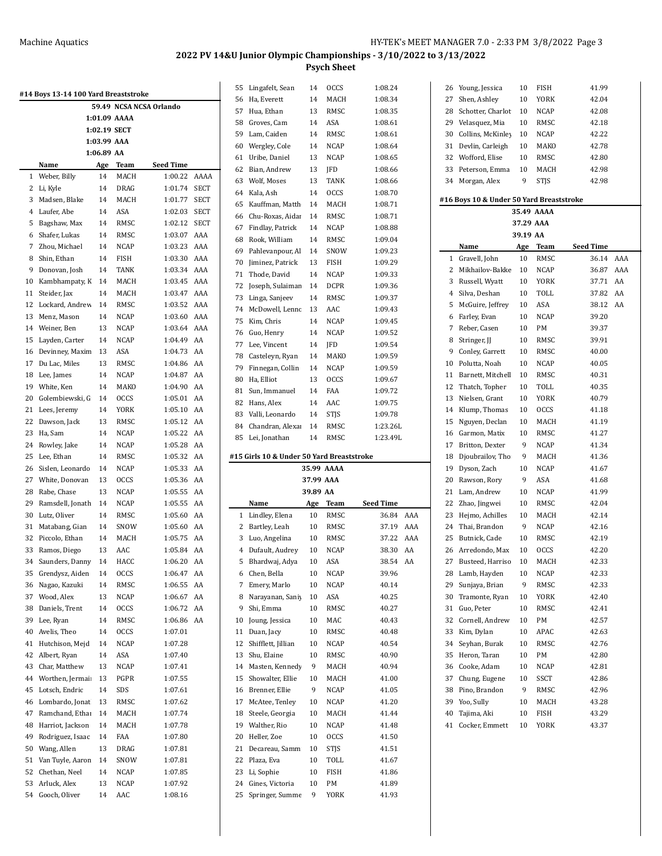|    | #14 Boys 13-14 100 Yard Breaststroke |              |             |                         |             |
|----|--------------------------------------|--------------|-------------|-------------------------|-------------|
|    |                                      |              |             | 59.49 NCSA NCSA Orlando |             |
|    |                                      | 1:01.09 AAAA |             |                         |             |
|    |                                      | 1:02.19 SECT |             |                         |             |
|    |                                      | 1:03.99 AAA  |             |                         |             |
|    |                                      | 1:06.89 AA   |             |                         |             |
|    | Name                                 |              | Age Team    | <b>Seed Time</b>        |             |
| 1  | Weber, Billy                         | 14           | MACH        | 1:00.22                 | AAAA        |
| 2  | Li, Kyle                             | 14           | DRAG        | 1:01.74                 | <b>SECT</b> |
| 3  | Madsen, Blake                        | 14           | MACH        | 1:01.77                 | SECT        |
| 4  | Laufer, Abe                          | 14           | ASA         | 1:02.03                 | <b>SECT</b> |
| 5  | Bagshaw, Max                         | 14           | RMSC        | 1:02.12                 | SECT        |
| 6  | Shafer, Lukas                        | 14           | RMSC        | 1:03.07                 | AAA         |
| 7  | Zhou, Michael                        | 14           | <b>NCAP</b> | 1:03.23                 | AAA         |
| 8  | Shin, Ethan                          | 14           | FISH        | 1:03.30                 | AAA         |
| 9  | Donovan, Josh                        | 14           | <b>TANK</b> | 1:03.34                 | AAA         |
| 10 | Kambhampaty, K                       | 14           | MACH        | 1:03.45                 | AAA         |
| 11 | Steider, Jax                         | 14           | MACH        | 1:03.47                 | AAA         |
| 12 | Lockard, Andrew                      | 14           | RMSC        | 1:03.52                 | AAA         |
| 13 | Menz, Mason                          | 14           | <b>NCAP</b> | 1:03.60                 | AAA         |
| 14 | Weiner, Ben                          | 13           | <b>NCAP</b> | 1:03.64                 | AAA         |
| 15 | Layden, Carter                       | 14           | <b>NCAP</b> | 1:04.49                 | AA          |
| 16 | Devinney, Maxim                      | 13           | ASA         | 1:04.73                 | AA          |
| 17 | Du Lac, Miles                        | 13           | RMSC        | 1:04.86                 | AA          |
| 18 | Lee, James                           | 14           | <b>NCAP</b> | 1:04.87                 | AA          |
| 19 | White, Ken                           | 14           | MAKO        | 1:04.90                 | AA          |
| 20 | Golembiewski, G                      | 14           | <b>OCCS</b> | 1:05.01                 | AA          |
| 21 | Lees, Jeremy                         | 14           | YORK        | 1:05.10                 | AA          |
| 22 | Dawson, Jack                         | 13           | RMSC        | 1:05.12                 | AA          |
| 23 | Ha, Sam                              | 14           | NCAP        | 1:05.22                 | AA          |
| 24 | Rowley, Jake                         | 14           | <b>NCAP</b> | 1:05.28                 | AA          |
| 25 | Lee, Ethan                           | 14           | RMSC        | 1:05.32                 | AA          |
| 26 | Sislen, Leonardo                     | 14           | <b>NCAP</b> | 1:05.33                 | AA          |
| 27 | White, Donovan                       | 13           | <b>OCCS</b> | 1:05.36                 | AA          |
| 28 | Rabe, Chase                          | 13           | NCAP        | 1:05.55                 | AA          |
| 29 | Ramsdell, Jonath                     | 14           | NCAP        | 1:05.55                 | AA          |
| 30 | Lutz, Oliver                         | 14           | RMSC        | 1:05.60                 | AA          |
| 31 | Matabang, Gian                       | 14           | SNOW        | 1:05.60                 | AA          |
| 32 | Piccolo, Ethan                       | 14           | MACH        | 1:05.75                 | AA          |
| 33 | Ramos, Diego                         | 13           | AAC         | 1:05.84                 | AA          |
| 34 | Saunders, Danny                      | 14           | HACC        | 1:06.20                 | AA          |
| 35 | Grendysz, Aiden                      | 14           | OCCS        | 1:06.47                 | AA          |
| 36 | Nagao, Kazuki                        | 14           | RMSC        | 1:06.55                 | AA          |
| 37 | Wood, Alex                           | 13           | NCAP        | 1:06.67                 | AA          |
| 38 | Daniels, Trent                       | 14           | OCCS        | 1:06.72                 | AA          |
| 39 | Lee, Ryan                            | 14           | RMSC        | 1:06.86                 | AA          |
| 40 | Avelis, Theo                         | 14           | <b>OCCS</b> | 1:07.01                 |             |
| 41 | Hutchison, Mejd                      | 14           | NCAP        | 1:07.28                 |             |
| 42 | Albert, Ryan                         | 14           | ASA         | 1:07.40                 |             |
| 43 | Char, Matthew                        | 13           | NCAP        | 1:07.41                 |             |
| 44 | Worthen, Jermai                      | 13           | PGPR        | 1:07.55                 |             |
| 45 | Lotsch, Endric                       | 14           | SDS         | 1:07.61                 |             |
| 46 | Lombardo, Jonat                      | 13           | RMSC        | 1:07.62                 |             |
| 47 | Ramchand, Ethai                      | 14           | MACH        | 1:07.74                 |             |
| 48 | Harriot, Jackson                     | 14           | MACH        | 1:07.78                 |             |
| 49 | Rodriguez, Isaac                     | 14           | FAA         | 1:07.80                 |             |
| 50 | Wang, Allen                          | 13           | DRAG        | 1:07.81                 |             |
| 51 | Van Tuyle, Aaron                     | 14           | SNOW        | 1:07.81                 |             |
| 52 | Chethan, Neel                        | 14           | NCAP        | 1:07.85                 |             |
| 53 | Arluck, Alex                         | 13           | NCAP        | 1:07.92                 |             |
| 54 | Gooch, Oliver                        | 14           | AAC         | 1:08.16                 |             |

| 55       | Lingafelt, Sean                           | 14        | <b>OCCS</b> | 1:08.24            |     |
|----------|-------------------------------------------|-----------|-------------|--------------------|-----|
| 56       | Ha, Everett                               | 14        | MACH        | 1:08.34            |     |
| 57       | Hua, Ethan                                | 13        | RMSC        | 1:08.35            |     |
| 58       | Groves, Cam                               | 14        | ASA         | 1:08.61            |     |
|          |                                           |           |             |                    |     |
| 59       | Lam, Caiden                               | 14        | RMSC        | 1:08.61            |     |
| 60       | Wergley, Cole                             | 14        | NCAP        | 1:08.64            |     |
| 61       | Uribe, Daniel                             | 13        | <b>NCAP</b> | 1:08.65            |     |
| 62       | Bian, Andrew                              | 13        | JFD         | 1:08.66            |     |
| 63       | Wolf, Moses                               | 13        | TANK        | 1:08.66            |     |
| 64       | Kala, Ash                                 | 14        | <b>OCCS</b> | 1:08.70            |     |
| 65       | Kauffman, Matth                           | 14        | MACH        | 1:08.71            |     |
| 66       | Chu-Roxas, Aidai                          | 14        | RMSC        | 1:08.71            |     |
| 67       | Findlay, Patrick                          | 14        | <b>NCAP</b> | 1:08.88            |     |
| 68       | Rook, William                             | 14        | RMSC        | 1:09.04            |     |
| 69       | Pahlevanpour, Al                          | 14        | SNOW        | 1:09.23            |     |
| 70       | Jiminez, Patrick                          | 13        | FISH        | 1:09.29            |     |
| 71       | Thode, David                              | 14        | NCAP        | 1:09.33            |     |
| 72       | Joseph, Sulaiman                          | 14        | <b>DCPR</b> | 1:09.36            |     |
|          |                                           |           |             |                    |     |
| 73       | Linga, Sanjeev                            | 14        | RMSC        | 1:09.37            |     |
| 74       | McDowell, Lenno                           | 13        | AAC         | 1:09.43            |     |
| 75       | Kim, Chris                                | 14        | NCAP        | 1:09.45            |     |
| 76       | Guo, Henry                                | 14        | <b>NCAP</b> | 1:09.52            |     |
| 77       | Lee, Vincent                              | 14        | JFD         | 1:09.54            |     |
| 78       | Casteleyn, Ryan                           | 14        | <b>MAKO</b> | 1:09.59            |     |
| 79       | Finnegan, Collin                          | 14        | <b>NCAP</b> | 1:09.59            |     |
| 80       | Ha, Elliot                                | 13        | <b>OCCS</b> | 1:09.67            |     |
| 81       | Sun, Immanuel                             | 14        | FAA         | 1:09.72            |     |
| 82       | Hans, Alex                                | 14        | AAC         | 1:09.75            |     |
| 83       | Valli, Leonardo                           | 14        | STJS        | 1:09.78            |     |
| 84       | Chandran, Alexan                          | 14        | RMSC        | 1:23.26L           |     |
| 85       | Lei, Jonathan                             | 14        | RMSC        | 1:23.49L           |     |
|          |                                           |           |             |                    |     |
|          |                                           |           |             |                    |     |
|          | #15 Girls 10 & Under 50 Yard Breaststroke |           |             |                    |     |
|          |                                           |           | 35.99 AAAA  |                    |     |
|          |                                           | 37.99 AAA |             |                    |     |
|          |                                           | 39.89 AA  |             |                    |     |
|          | Name                                      | Age       | Team        |                    |     |
| 1        |                                           | 10        | RMSC        | Seed Time<br>36.84 | AAA |
|          | Lindley, Elena                            |           |             |                    |     |
| 2        | Bartley, Leah                             | 10        | RMSC        | 37.19              | AAA |
| 3        | Luo, Angelina                             | 10        | RMSC        | 37.22              | AAA |
| 4        | Dufault, Audrey                           | 10        | NCAP        | 38.30              | AA  |
| 5        | Bhardwaj, Adya                            | 10        | ASA         | 38.54              | AA  |
| 6        | Chen, Bella                               | 10        | <b>NCAP</b> | 39.96              |     |
| 7        | Emery, Marlo                              | 10        | NCAP        | 40.14              |     |
| 8        | Narayanan, Saniy                          | 10        | ASA         | 40.25              |     |
| 9        | Shi, Emma                                 | 10        | RMSC        | 40.27              |     |
| 10       | Joung, Jessica                            | 10        | MAC         | 40.43              |     |
| 11       | Duan, Jacy                                | 10        | RMSC        | 40.48              |     |
| 12       | Shifflett, Jillian                        | 10        | NCAP        | 40.54              |     |
| 13       | Shu, Elaine                               | 10        | RMSC        | 40.90              |     |
| 14       | Masten, Kennedy                           | 9         | MACH        | 40.94              |     |
| 15       | Showalter, Ellie                          | 10        | MACH        | 41.00              |     |
| 16       | Brenner, Ellie                            | 9         | NCAP        | 41.05              |     |
| 17       | McAtee, Tenley                            | 10        | NCAP        | 41.20              |     |
|          |                                           | 10        | MACH        | 41.44              |     |
| 18       | Steele, Georgia                           |           |             |                    |     |
| 19       | Walther, Rio                              | 10        | NCAP        | 41.48              |     |
| 20       | Heller, Zoe                               | 10        | <b>OCCS</b> | 41.50              |     |
| 21       | Decareau, Samm                            | 10        | <b>STJS</b> | 41.51              |     |
| 22       | Plaza, Eva                                | 10        | TOLL        | 41.67              |     |
| 23       | Li, Sophie                                | 10        | FISH        | 41.86              |     |
| 24<br>25 | Gines, Victoria<br>Springer, Summe        | 10<br>9   | PM<br>YORK  | 41.89<br>41.93     |     |

| 26 | Young, Jessica                           | 10                    | FISH        | 41.99     |     |
|----|------------------------------------------|-----------------------|-------------|-----------|-----|
| 27 | Shen, Ashley                             | 10                    | YORK        | 42.04     |     |
| 28 | Schotter, Charlot                        | 10                    | NCAP        | 42.08     |     |
| 29 | Velasquez, Mia                           | 10                    | RMSC        | 42.18     |     |
| 30 | Collins, McKinley                        | 10                    | NCAP        | 42.22     |     |
| 31 | Devlin, Carleigh                         | 10                    | MAKO        | 42.78     |     |
| 32 | Wofford, Elise                           | 10                    | RMSC        | 42.80     |     |
| 33 | Peterson, Emma                           | 10                    | MACH        | 42.98     |     |
| 34 | Morgan, Alex                             | 9                     | STJS        | 42.98     |     |
|    |                                          |                       |             |           |     |
|    | #16 Boys 10 & Under 50 Yard Breaststroke |                       |             |           |     |
|    |                                          |                       | 35.49 AAAA  |           |     |
|    |                                          | 37.29 AAA<br>39.19 AA |             |           |     |
|    | Name                                     | Age                   | Team        | Seed Time |     |
| 1  | Gravell, John                            | 10                    | RMSC        | 36.14     | AAA |
| 2  | Mikhailov-Bakke                          | 10                    | NCAP        | 36.87     | AAA |
| 3  | Russell, Wyatt                           | 10                    | YORK        | 37.71     | AA  |
| 4  | Silva, Deshan                            | 10                    | TOLL        | 37.82     | AA  |
| 5  | McGuire, Jeffrey                         | 10                    | ASA         | 38.12     | AA  |
| 6  | Farley, Evan                             | 10                    | NCAP        | 39.20     |     |
| 7  | Reber, Casen                             | 10                    | PM          | 39.37     |     |
| 8  | Stringer, JJ                             | 10                    | RMSC        | 39.91     |     |
| 9  | Conley, Garrett                          | 10                    | RMSC        | 40.00     |     |
| 10 | Polutta, Noah                            | 10                    | NCAP        | 40.05     |     |
| 11 | Barnett, Mitchell                        | 10                    | RMSC        | 40.31     |     |
| 12 | Thatch, Topher                           | 10                    | TOLL        | 40.35     |     |
| 13 | Nielsen, Grant                           | 10                    | YORK        | 40.79     |     |
| 14 | Klump, Thomas                            | 10                    | <b>OCCS</b> | 41.18     |     |
| 15 | Nguyen, Declan                           | 10                    | MACH        | 41.19     |     |
| 16 | Garmon, Matix                            | 10                    | RMSC        | 41.27     |     |
| 17 | Britton, Dexter                          | 9                     | NCAP        | 41.34     |     |
| 18 | Djoubrailov, Tho                         | 9                     | MACH        | 41.36     |     |
| 19 | Dyson, Zach                              | 10                    | NCAP        | 41.67     |     |
| 20 | Rawson, Rory                             | 9                     | ASA         | 41.68     |     |
| 21 | Lam, Andrew                              | 10                    | NCAP        | 41.99     |     |
| 22 | Zhao, Jingwei                            | 10                    | RMSC        | 42.04     |     |
| 23 | Hejmo, Achilles                          | 10                    | MACH        | 42.14     |     |
| 24 | Thai, Brandon                            | 9                     | NCAP        | 42.16     |     |
| 25 | Butnick, Cade                            | 10                    | RMSC        | 42.19     |     |
| 26 | Arredondo, Max                           | 10                    | <b>OCCS</b> | 42.20     |     |
| 27 | Busteed, Harriso                         | 10                    | MACH        | 42.33     |     |
| 28 | Lamb, Hayden                             | 10                    | NCAP        | 42.33     |     |
| 29 | Sunjaya, Brian                           | 9                     | RMSC        | 42.33     |     |
| 30 | Tramonte, Ryan                           | 10                    | YORK        | 42.40     |     |
| 31 | Guo, Peter                               | 10                    | RMSC        | 42.41     |     |
| 32 | Cornell, Andrew                          | 10                    | PМ          | 42.57     |     |
| 33 | Kim, Dylan                               | 10                    | APAC        | 42.63     |     |
| 34 | Seyhan, Burak                            | 10                    | RMSC        | 42.76     |     |
| 35 | Heron, Taran                             | 10                    | PМ          | 42.80     |     |
| 36 | Cooke, Adam                              | 10                    | NCAP        | 42.81     |     |
| 37 | Chung, Eugene                            | 10                    | SSCT        | 42.86     |     |
| 38 | Pino, Brandon                            | 9                     | RMSC        | 42.96     |     |
| 39 | Yoo, Sully                               | 10                    | MACH        | 43.28     |     |
| 40 | Tajima, Aki                              | 10                    | FISH        | 43.29     |     |
| 41 | Cocker, Emmett                           | 10                    | YORK        | 43.37     |     |
|    |                                          |                       |             |           |     |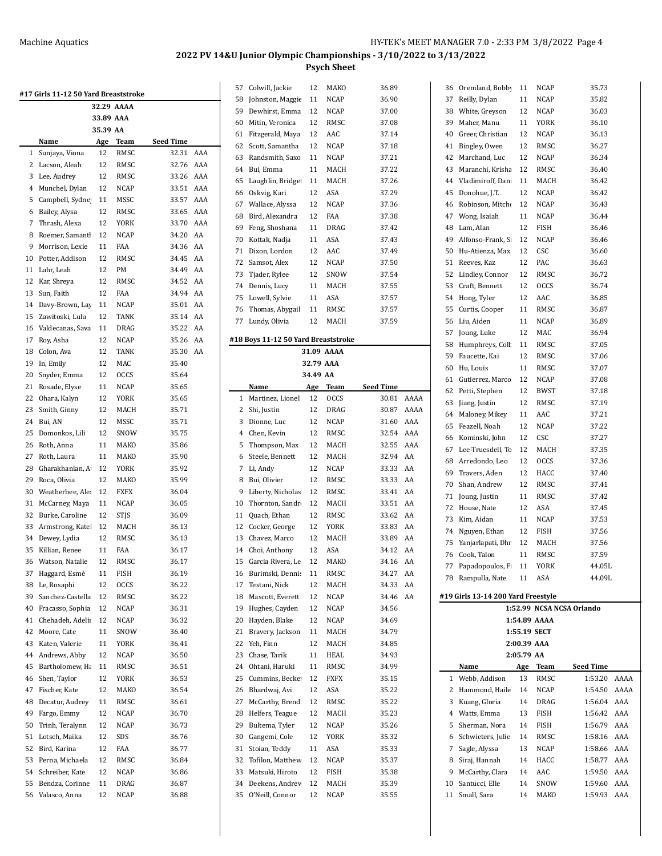|    | #17 Girls 11-12 50 Yard Breaststroke |            |             |           |     |
|----|--------------------------------------|------------|-------------|-----------|-----|
|    |                                      | 32.29 AAAA |             |           |     |
|    |                                      | 33.89 AAA  |             |           |     |
|    |                                      | 35.39 AA   |             |           |     |
|    | Name                                 | Age        | Team        | Seed Time |     |
| 1  | Sunjaya, Viona                       | 12         | RMSC        | 32.31     | AAA |
| 2  | Lacson, Aleah                        | 12         | RMSC        | 32.76     | AAA |
| 3  | Lee, Audrey                          | 12         | RMSC        | 33.26     | AAA |
| 4  | Munchel, Dylan                       | 12         | NCAP        | 33.51     | AAA |
| 5  | Campbell, Sydne                      | 11         | MSSC        | 33.57     | AAA |
| 6  | Bailey, Alysa                        | 12         | RMSC        | 33.65     | AAA |
| 7  | Thrash, Alexa                        | 12         | YORK        | 33.70     | AAA |
| 8  | Roemer, Samantl                      | 12         | <b>NCAP</b> | 34.20     | AA  |
| 9  | Morrison, Lexie                      | 11         | <b>FAA</b>  | 34.36     | AA  |
| 10 | Potter, Addison                      | 12         | RMSC        | 34.45     | AA  |
| 11 | Lahr, Leah                           | 12         | PM          | 34.49     | AA  |
| 12 | Kar, Shreya                          | 12         | RMSC        | 34.52     | AA  |
| 13 | Sun. Faith                           | 12         | FAA         | 34.94     | AA  |
| 14 | Davy-Brown, Lay                      | 11         | <b>NCAP</b> | 35.01     | AA  |
| 15 | Zawitoski, Lulu                      | 12         | TANK        | 35.14     | AA  |
| 16 | Valdecanas, Sava                     | 11         | DRAG        | 35.22     | AA  |
| 17 | Roy, Asha                            | 12         | <b>NCAP</b> | 35.26     | AA  |
| 18 | Colon, Ava                           | 12         | TANK        | 35.30     | AA  |
|    |                                      |            |             |           |     |
| 19 | In, Emily                            | 12         | MAC         | 35.40     |     |
| 20 | Snyder, Emma                         | 12         | <b>OCCS</b> | 35.64     |     |
| 21 | Rosade, Elyse                        | 11         | <b>NCAP</b> | 35.65     |     |
| 22 | Ohara, Kalyn                         | 12         | YORK        | 35.65     |     |
| 23 | Smith, Ginny                         | 12         | MACH        | 35.71     |     |
| 24 | Bui, AN                              | 12         | MSSC        | 35.71     |     |
| 25 | Domonkos, Lili                       | 12         | SNOW        | 35.75     |     |
| 26 | Roth, Anna                           | 11         | MAKO        | 35.86     |     |
| 27 | Roth, Laura                          | 11         | MAKO        | 35.90     |     |
| 28 | Gharakhanian, A                      | 12         | YORK        | 35.92     |     |
| 29 | Roca, Olivia                         | 12         | MAKO        | 35.99     |     |
| 30 | Weatherbee, Ale:                     | 12         | FXFX        | 36.04     |     |
| 31 | McCarney, Maya                       | 11         | NCAP        | 36.05     |     |
| 32 | Burke, Caroline                      | 12         | <b>STIS</b> | 36.09     |     |
| 33 | Armstrong, Kate                      | 12         | MACH        | 36.13     |     |
| 34 | Dewey, Lydia                         | 12         | RMSC        | 36.13     |     |
| 35 | Killian, Renee                       | 11         | FAA         | 36.17     |     |
| 36 | Watson, Natalie                      | 12         | RMSC        | 36.17     |     |
| 37 | Haggard, Esmé                        | 11         | <b>FISH</b> | 36.19     |     |
| 38 | Le, Rosaphi                          | 12         | <b>OCCS</b> | 36.22     |     |
| 39 | Sanchez-Castella                     | 12         | RMSC        | 36.22     |     |
| 40 | Fracasso, Sophia                     | 12         | NCAP        | 36.31     |     |
| 41 | Chehadeh, Adelii                     | 12         | <b>NCAP</b> | 36.32     |     |
| 42 | Moore, Cate                          | 11         | SNOW        | 36.40     |     |
| 43 | Katen, Valerie                       | 11         | <b>YORK</b> | 36.41     |     |
| 44 | Andrews, Abby                        | 12         | NCAP        | 36.50     |     |
| 45 | Bartholomew, Ha                      | 11         | RMSC        | 36.51     |     |
| 46 | Shen, Taylor                         | 12         | YORK        | 36.53     |     |
| 47 | Fischer, Kate                        | 12         | MAKO        | 36.54     |     |
| 48 | Decatur, Audrey                      | 11         | RMSC        | 36.61     |     |
| 49 | Fargo, Emmy                          | 12         | NCAP        | 36.70     |     |
|    |                                      |            |             |           |     |
| 50 | Trinh, Teralynn                      | 12         | NCAP        | 36.73     |     |
| 51 | Lotsch, Maika                        | 12         | SDS         | 36.76     |     |
| 52 | Bird, Karina                         | 12         | FAA         | 36.77     |     |
| 53 | Perna, Michaela                      | 12         | RMSC        | 36.84     |     |
| 54 | Schreiber, Kate                      | 12         | NCAP        | 36.86     |     |
| 55 | Bendza, Corinne                      | 11         | DRAG        | 36.87     |     |
| 56 | Valasco, Anna                        | 12         | NCAP        | 36.88     |     |

| 57       | Colwill, Jackie                     | 12        | MAKO         | 36.89            |      |
|----------|-------------------------------------|-----------|--------------|------------------|------|
| 58       | Johnston, Maggie                    | 11        | NCAP         | 36.90            |      |
| 59       | Dewhirst, Emma                      | 12        | NCAP         | 37.00            |      |
| 60       | Mitin, Veronica                     | 12        | RMSC         | 37.08            |      |
| 61       | Fitzgerald, Maya                    | 12        | AAC          | 37.14            |      |
| 62       | Scott, Samantha                     | 12        | NCAP         | 37.18            |      |
| 63       | Randsmith, Saxo                     | 11        | NCAP         | 37.21            |      |
| 64       | Bui, Emma                           | 11        | MACH         | 37.22            |      |
| 65       | Laughlin, Bridge                    | 11        | MACH         | 37.26            |      |
| 66       | Oskvig, Kari                        | 12        | ASA          | 37.29            |      |
| 67       | Wallace, Alyssa                     | 12        | <b>NCAP</b>  | 37.36            |      |
| 68       | Bird, Alexandra                     | 12        | FAA          | 37.38            |      |
| 69       | Feng, Shoshana                      | 11        | DRAG         | 37.42            |      |
| 70       | Kottak, Nadja                       | 11        | ASA          | 37.43            |      |
|          |                                     |           |              |                  |      |
| 71       | Dixon, Lordon                       | 12        | AAC          | 37.49            |      |
| 72       | Samsot, Alex                        | 12        | NCAP         | 37.50            |      |
| 73       | Tjader, Rylee                       | 12        | SNOW         | 37.54            |      |
| 74       | Dennis, Lucy                        | 11        | MACH         | 37.55            |      |
| 75       | Lowell, Sylvie                      | 11        | ASA          | 37.57            |      |
| 76       | Thomas, Abygail                     | 11        | RMSC         | 37.57            |      |
| 77       | Lundy, Olivia                       | 12        | MACH         | 37.59            |      |
|          | #18 Boys 11-12 50 Yard Breaststroke |           |              |                  |      |
|          |                                     |           | 31.09 AAAA   |                  |      |
|          |                                     | 32.79 AAA |              |                  |      |
|          |                                     | 34.49 AA  |              |                  |      |
|          | Name                                | Age       | Team         | <b>Seed Time</b> |      |
| 1        | Martinez, Lionel                    | 12        | <b>OCCS</b>  | 30.81            | AAAA |
| 2        | Shi, Justin                         | 12        | DRAG         | 30.87            | AAAA |
| 3        | Dionne, Luc                         | 12        | NCAP         | 31.60            | AAA  |
| 4        | Chen, Kevin                         | 12        | RMSC         | 32.54            | AAA  |
| 5        | Thompson, Max                       | 12        | MACH         | 32.55            | AAA  |
| 6        | Steele, Bennett                     | 12        | MACH         | 32.94            | AA   |
|          |                                     |           |              |                  |      |
|          |                                     |           |              |                  |      |
| 7        | Li, Andy                            | 12        | NCAP         | 33.33            | AA   |
| 8        | Bui, Olivier                        | 12        | RMSC         | 33.33            | AA   |
| 9        | Liberty, Nicholas                   | 12        | RMSC         | 33.41            | AA   |
| 10       | Thornton, Sandr                     | 12        | MACH         | 33.51            | AA   |
| 11       | Quach, Ethan                        | 12        | RMSC         | 33.62            | AA   |
| 12       | Cocker, George                      | 12        | YORK         | 33.83            | AA   |
| 13       | Chavez, Marco                       | 12        | MACH         | 33.89            | AA   |
| 14       | Choi, Anthony                       | 12        | ASA          | 34.12            | AA   |
| 15       | Garcia Rivera, Le                   | 12        | MAKO         | 34.16            | AA   |
| 16       | Burimski, Dennis                    | 11        | RMSC         | 34.27            | AA   |
| 17       | Testani, Nick                       | 12        | MACH         | 34.33            | AA   |
| 18       | Mascott, Everett                    | 12        | NCAP         | 34.46            | AA   |
| 19       | Hughes, Cayden                      | 12        | NCAP         | 34.56            |      |
| 20       | Hayden, Blake                       | 12        | NCAP         | 34.69            |      |
| 21       | Bravery, Jackson                    | 11        | MACH         | 34.79            |      |
| 22       | Yeh, Finn                           | 12        | MACH         | 34.85            |      |
| 23       | Chase, Tarik                        | 11        | HEAL         | 34.93            |      |
| 24       | Ohtani, Haruki                      | 11        | RMSC         | 34.99            |      |
| 25       | Cummins, Becke                      | 12        | FXFX         | 35.15            |      |
| 26       | Bhardwaj, Avi                       | 12        | ASA          | 35.22            |      |
| 27       | McCarthy, Brend                     | 12        | RMSC         | 35.22            |      |
| 28       | Helfers, Teague                     | 12        | MACH         | 35.23            |      |
| 29       | Bultema, Tyler                      | 12        | NCAP         | 35.26            |      |
| 30       | Gangemi, Cole                       | 12        | YORK         | 35.32            |      |
| 31       | Stoian, Teddy                       | 11        | ASA          | 35.33            |      |
|          |                                     |           |              |                  |      |
| 32       | Tofilon, Matthew                    | 12        | NCAP         | 35.37            |      |
| 33       | Matsuki, Hiroto                     | 12        | FISH         | 35.38            |      |
| 34<br>35 | Deekens, Andrev<br>O'Neill, Connor  | 12<br>12  | MACH<br>NCAP | 35.39<br>35.55   |      |

| 36       | Oremland, Bobby                    | 11           | <b>NCAP</b>         | 35.73                     |            |
|----------|------------------------------------|--------------|---------------------|---------------------------|------------|
| 37       | Reilly, Dylan                      | 11           | <b>NCAP</b>         | 35.82                     |            |
| 38       | White, Greyson                     | 12           | NCAP                | 36.03                     |            |
| 39       | Maher, Manu                        | 11           | <b>YORK</b>         | 36.10                     |            |
| 40       | Greer, Christian                   | 12           | NCAP                | 36.13                     |            |
| 41       | Bingley, Owen                      | 12           | RMSC                | 36.27                     |            |
| 42       | Marchand, Luc                      | 12           | NCAP                | 36.34                     |            |
| 43       | Maranchi, Krisha                   | 12           | RMSC                | 36.40                     |            |
| 44       | Vladimiroff, Dani                  | 11           | MACH                | 36.42                     |            |
| 45       | Donohue, J.T.                      | 12           | <b>NCAP</b>         | 36.42                     |            |
| 46       | Robinson, Mitche                   | 12           | NCAP                | 36.43                     |            |
| 47       | Wong, Isaiah                       | 11           | NCAP                | 36.44                     |            |
| 48       | Lam, Alan                          | 12           | FISH                | 36.46                     |            |
| 49       | Alfonso-Frank, Si                  | 12           | <b>NCAP</b>         | 36.46                     |            |
| 50       | Hu-Atienza, Max                    | 12           | CSC                 | 36.60                     |            |
| 51<br>52 | Reeves, Kaz                        | 12<br>12     | PAC                 | 36.63                     |            |
| 53       | Lindley, Connor<br>Craft, Bennett  | 12           | RMSC<br><b>OCCS</b> | 36.72<br>36.74            |            |
| 54       | Hong, Tyler                        | 12           | AAC                 | 36.85                     |            |
| 55       | Curtis, Cooper                     | 11           | RMSC                | 36.87                     |            |
| 56       | Liu, Aiden                         | 11           | NCAP                | 36.89                     |            |
| 57       | Joung, Luke                        | 12           | MAC                 | 36.94                     |            |
| 58       | Humphreys, Coll                    | 11           | RMSC                | 37.05                     |            |
| 59       | Faucette, Kai                      | 12           | RMSC                | 37.06                     |            |
| 60       | Hu, Louis                          | 11           | RMSC                | 37.07                     |            |
| 61       | Gutierrez, Marco                   | 12           | NCAP                | 37.08                     |            |
| 62       | Petti, Stephen                     | 12           | BWST                | 37.18                     |            |
| 63       | Jiang, Justin                      | 12           | RMSC                | 37.19                     |            |
| 64       | Maloney, Mikey                     | 11           | AAC                 | 37.21                     |            |
| 65       | Feazell, Noah                      | 12           | <b>NCAP</b>         | 37.22                     |            |
| 66       | Kominski, John                     | 12           | CSC                 | 37.27                     |            |
| 67       | Lee-Truesdell, Tc                  | 12           | MACH                | 37.35                     |            |
| 68       | Arredondo, Leo                     | 12           | <b>OCCS</b>         | 37.36                     |            |
| 69       | Travers, Aden                      | 12           | HACC                | 37.40                     |            |
| 70       | Shan, Andrew                       | 12           | RMSC                | 37.41                     |            |
| 71<br>72 | Joung, Justin<br>House, Nate       | 11<br>12     | RMSC<br>ASA         | 37.42<br>37.45            |            |
| 73       | Kim, Aidan                         | 11           | <b>NCAP</b>         | 37.53                     |            |
| 74       | Nguyen, Ethan                      | 12           | FISH                | 37.56                     |            |
| 75       | Yanjarlapati, Dhr                  | 12           | MACH                | 37.56                     |            |
| 76       | Cook, Talon                        | 11           | RMSC                | 37.59                     |            |
| 77       | Papadopoulos, F                    | 11           | YORK                | 44.05L                    |            |
| 78       | Rampulla, Nate                     | 11           | ASA                 | 44.09L                    |            |
|          | #19 Girls 13-14 200 Yard Freestyle |              |                     |                           |            |
|          |                                    |              |                     | 1:52.99 NCSA NCSA Orlando |            |
|          |                                    |              | 1:54.89 AAAA        |                           |            |
|          |                                    | 1:55.19 SECT |                     |                           |            |
|          |                                    | 2:00.39 AAA  |                     |                           |            |
|          |                                    | 2:05.79 AA   |                     |                           |            |
|          | Name                               | Age          | Team                | <b>Seed Time</b>          |            |
| 1        | Webb, Addison                      | 13           | RMSC                | 1:53.20                   | AAAA       |
| 2        | Hammond, Haile                     | 14           | NCAP                | 1:54.50                   | AAAA       |
| 3        | Kuang, Gloria                      | 14           | DRAG                | 1:56.04                   | AAA        |
| 4        | Watts, Emma                        | 13           | FISH                | 1:56.42                   | AAA        |
| 5<br>6   | Sherman, Nora<br>Schwieters, Julie | 14<br>14     | FISH<br>RMSC        | 1:56.79<br>1:58.16        | AAA<br>AAA |
| 7        | Sagle, Alyssa                      | 13           | NCAP                | 1:58.66 AAA               |            |
| 8        | Siraj, Hannah                      | 14           | HACC                | 1:58.77                   | AAA        |
| 9        | McCarthy, Clara                    | 14           | AAC                 | 1:59.50                   | AAA        |
| 10       | Santucci, Elle                     | 14           | SNOW                | 1:59.60                   | AAA        |
| 11       | Small, Sara                        | 14           | MAKO                | 1:59.93                   | AAA        |
|          |                                    |              |                     |                           |            |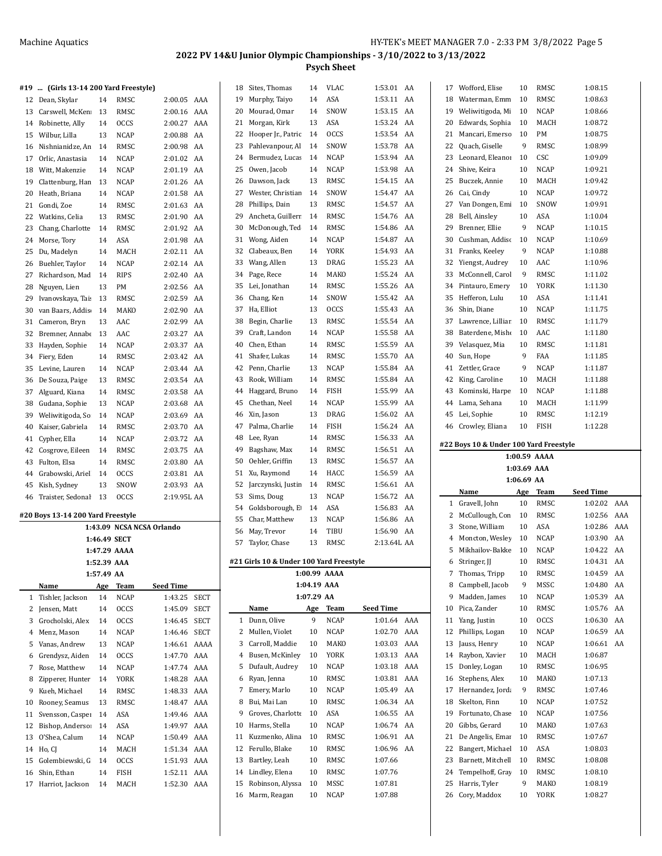|    | #19  (Girls 13-14 200 Yard Freestyle) |              |                           |                  |      |    | 18 Sites, Thomas                        | 14          | VLAC         | 1:53.01 AA         |    | 17 | Wofford, Elise                         | 10          | RMSC         | 1:08.15            |  |
|----|---------------------------------------|--------------|---------------------------|------------------|------|----|-----------------------------------------|-------------|--------------|--------------------|----|----|----------------------------------------|-------------|--------------|--------------------|--|
|    | 12 Dean, Skylar                       | 14           | RMSC                      | 2:00.05 AAA      |      |    | 19 Murphy, Taiyo                        | 14          | ASA          | 1:53.11 AA         |    | 18 | Waterman, Emm                          | 10          | RMSC         | 1:08.63            |  |
|    | 13 Carswell, McKen                    | 13           | RMSC                      | 2:00.16 AAA      |      | 20 | Mourad, Omar                            | 14          | SNOW         | 1:53.15 AA         |    | 19 | Weliwitigoda, Mi                       | 10          | <b>NCAP</b>  | 1:08.66            |  |
|    | 14 Robinette, Ally                    | 14           | <b>OCCS</b>               | 2:00.27 AAA      |      | 21 | Morgan, Kirk                            | 13          | ASA          | 1:53.24 AA         |    | 20 | Edwards, Sophia                        | 10          | MACH         | 1:08.72            |  |
| 15 | Wilbur, Lilla                         | 13           | <b>NCAP</b>               | 2:00.88 AA       |      | 22 | Hooper Jr., Patric                      | 14          | <b>OCCS</b>  | 1:53.54            | AA | 21 | Mancari, Emerso                        | 10          | PМ           | 1:08.75            |  |
| 16 | Nishnianidze, An                      | 14           | RMSC                      | 2:00.98 AA       |      | 23 | Pahlevanpour, Al                        | 14          | SNOW         | 1:53.78            | AA | 22 | Quach, Giselle                         | 9           | RMSC         | 1:08.99            |  |
| 17 | Orlic, Anastasia                      | 14           | <b>NCAP</b>               | 2:01.02 AA       |      | 24 | Bermudez, Lucas 14                      |             | <b>NCAP</b>  | 1:53.94 AA         |    | 23 | Leonard, Eleanoı                       | 10          | CSC          | 1:09.09            |  |
|    |                                       |              |                           |                  |      | 25 | Owen, Jacob                             | 14          | <b>NCAP</b>  | 1:53.98            | AA | 24 | Shive, Keira                           | 10          | <b>NCAP</b>  | 1:09.21            |  |
| 18 | Witt, Makenzie                        | 14           | <b>NCAP</b>               | 2:01.19 AA       |      |    |                                         |             | RMSC         |                    |    | 25 |                                        |             |              |                    |  |
| 19 | Clattenburg, Han                      | 13           | <b>NCAP</b>               | 2:01.26 AA       |      | 26 | Dawson, Jack                            | 13          |              | 1:54.15            | AA |    | Buczek, Annie                          | 10          | MACH         | 1:09.42            |  |
| 20 | Heath, Briana                         | 14           | <b>NCAP</b>               | 2:01.58 AA       |      | 27 | Wester, Christian                       | 14          | SNOW         | 1:54.47            | AA | 26 | Cai, Cindy                             | 10          | <b>NCAP</b>  | 1:09.72            |  |
| 21 | Gondi, Zoe                            | 14           | RMSC                      | 2:01.63 AA       |      | 28 | Phillips, Dain                          | 13          | RMSC         | 1:54.57            | AA | 27 | Van Dongen, Emi                        | 10          | SNOW         | 1:09.91            |  |
|    | 22 Watkins, Celia                     | 13           | RMSC                      | 2:01.90 AA       |      | 29 | Ancheta, Guillerr 14                    |             | RMSC         | 1:54.76            | AA | 28 | Bell, Ainsley                          | 10          | ASA          | 1:10.04            |  |
| 23 | Chang, Charlotte                      | 14           | RMSC                      | 2:01.92 AA       |      | 30 | McDonough, Ted                          | 14          | RMSC         | 1:54.86 AA         |    | 29 | Brenner, Ellie                         | 9           | <b>NCAP</b>  | 1:10.15            |  |
|    | 24 Morse, Tory                        | 14           | ASA                       | 2:01.98 AA       |      | 31 | Wong, Aiden                             | 14          | <b>NCAP</b>  | 1:54.87            | AA | 30 | Cushman, Addisc                        | 10          | <b>NCAP</b>  | 1:10.69            |  |
| 25 | Du, Madelyn                           | 14           | MACH                      | 2:02.11 AA       |      | 32 | Clabeaux, Ben                           | 14          | <b>YORK</b>  | 1:54.93            | AA | 31 | Franks, Keeley                         | 9           | <b>NCAP</b>  | 1:10.88            |  |
| 26 | Buehler, Taylor                       | 14           | <b>NCAP</b>               | 2:02.14 AA       |      | 33 | Wang, Allen                             | 13          | DRAG         | 1:55.23            | AA | 32 | Yiengst, Audrey                        | 10          | AAC          | 1:10.96            |  |
| 27 | Richardson, Mad                       | 14           | <b>RIPS</b>               | 2:02.40 AA       |      |    | 34 Page, Rece                           | 14          | MAKO         | 1:55.24 AA         |    | 33 | McConnell, Carol                       | 9           | RMSC         | 1:11.02            |  |
| 28 | Nguyen, Lien                          | 13           | PM                        | 2:02.56 AA       |      | 35 | Lei, Jonathan                           | 14          | RMSC         | 1:55.26            | AA |    | 34 Pintauro, Emery                     | 10          | YORK         | 1:11.30            |  |
| 29 | Ivanovskava, Tai:                     | 13           | RMSC                      | 2:02.59 AA       |      | 36 | Chang, Ken                              | 14          | SNOW         | 1:55.42            | AA | 35 | Hefferon, Lulu                         | 10          | ASA          | 1:11.41            |  |
| 30 | van Baars, Addis                      | 14           | MAKO                      | 2:02.90 AA       |      | 37 | Ha, Elliot                              | 13          | <b>OCCS</b>  | 1:55.43            | AA | 36 | Shin, Diane                            | 10          | <b>NCAP</b>  | 1:11.75            |  |
| 31 | Cameron, Bryn                         | 13           | AAC                       | 2:02.99          | AA   | 38 | Begin, Charlie                          | 13          | RMSC         | 1:55.54 AA         |    | 37 | Lawrence, Lilliar                      | 10          | RMSC         | 1:11.79            |  |
| 32 | Bremner, Annabe                       | 13           | AAC                       | 2:03.27 AA       |      | 39 | Craft, Landon                           | 14          | <b>NCAP</b>  | 1:55.58 AA         |    | 38 | Baterdene, Misho                       | 10          | AAC          | 1:11.80            |  |
| 33 | Hayden, Sophie                        | 14           | <b>NCAP</b>               | 2:03.37 AA       |      | 40 | Chen, Ethan                             | 14          | RMSC         | 1:55.59            | AA | 39 | Velasquez, Mia                         | 10          | RMSC         | 1:11.81            |  |
|    | 34 Fiery, Eden                        | 14           | RMSC                      | 2:03.42 AA       |      | 41 | Shafer, Lukas                           | 14          | RMSC         | 1:55.70            | AA | 40 | Sun, Hope                              | 9           | FAA          | 1:11.85            |  |
| 35 | Levine, Lauren                        | 14           | <b>NCAP</b>               | 2:03.44 AA       |      | 42 | Penn, Charlie                           | 13          | <b>NCAP</b>  | 1:55.84            | AA | 41 | Zettler, Grace                         | 9           | <b>NCAP</b>  | 1:11.87            |  |
| 36 | De Souza, Paige                       | 13           | RMSC                      | 2:03.54 AA       |      | 43 | Rook, William                           | 14          | RMSC         | 1:55.84            | AA | 42 | King, Caroline                         | 10          | MACH         | 1:11.88            |  |
|    | Alguard, Kiana                        | 14           | RMSC                      | 2:03.58 AA       |      |    | 44 Haggard, Bruno                       | 14          | <b>FISH</b>  | 1:55.99            | AA |    | 43 Kominski, Harpe                     | 10          | <b>NCAP</b>  | 1:11.88            |  |
| 37 |                                       |              |                           |                  |      | 45 | Chethan, Neel                           | 14          | <b>NCAP</b>  | 1:55.99            | AA | 44 | Lama, Sehana                           | 10          | MACH         | 1:11.99            |  |
| 38 | Gudana, Sophie                        | 13           | NCAP                      | 2:03.68 AA       |      |    |                                         | 13          | <b>DRAG</b>  | 1:56.02            | AA |    |                                        | 10          | RMSC         | 1:12.19            |  |
| 39 | Weliwitigoda, So                      | 14           | <b>NCAP</b>               | 2:03.69 AA       |      | 46 | Xin, Jason                              |             |              |                    |    | 45 | Lei, Sophie                            |             |              |                    |  |
| 40 | Kaiser, Gabriela                      | 14           | RMSC                      | 2:03.70 AA       |      | 47 | Palma, Charlie                          | 14          | <b>FISH</b>  | 1:56.24 AA         |    |    | 46 Crowley, Eliana                     | 10          | <b>FISH</b>  | 1:12.28            |  |
|    |                                       |              |                           |                  |      |    |                                         |             |              |                    |    |    |                                        |             |              |                    |  |
| 41 | Cypher, Ella                          | 14           | <b>NCAP</b>               | 2:03.72 AA       |      | 48 | Lee, Ryan                               | 14          | RMSC         | 1:56.33 AA         |    |    | #22 Boys 10 & Under 100 Yard Freestyle |             |              |                    |  |
|    | 42 Cosgrove, Eileen                   | 14           | RMSC                      | 2:03.75 AA       |      | 49 | Bagshaw, Max                            | 14          | RMSC         | 1:56.51 AA         |    |    |                                        |             | 1:00.59 AAAA |                    |  |
|    | 43 Fulton, Elsa                       | 14           | RMSC                      | 2:03.80 AA       |      | 50 | Oehler, Griffin                         | 13          | RMSC         | 1:56.57 AA         |    |    |                                        |             |              |                    |  |
| 44 | Grabowski, Ariel                      | 14           | <b>OCCS</b>               | 2:03.81 AA       |      |    | 51 Xu, Raymond                          | 14          | HACC         | 1:56.59 AA         |    |    |                                        | 1:03.69 AAA |              |                    |  |
|    | 45 Kish, Sydney                       | 13           | SNOW                      | 2:03.93 AA       |      | 52 | Jarczynski, Justin                      | 14          | RMSC         | 1:56.61 AA         |    |    |                                        | 1:06.69 AA  |              |                    |  |
|    | 46 Traister, Sedonal                  | 13           | <b>OCCS</b>               | 2:19.95L AA      |      | 53 | Sims, Doug                              | 13          | <b>NCAP</b>  | 1:56.72 AA         |    |    | Name                                   | Age         | Team         | <b>Seed Time</b>   |  |
|    |                                       |              |                           |                  |      |    | 54 Goldsborough, E                      | 14          | ASA          | 1:56.83 AA         |    |    | 1 Gravell, John                        | 10          | RMSC         | 1:02.02 AAA        |  |
|    | #20 Boys 13-14 200 Yard Freestyle     |              |                           |                  |      | 55 | Char, Matthew                           | 13          | <b>NCAP</b>  | 1:56.86 AA         |    |    | 2 McCullough, Con                      | 10          | RMSC         | 1:02.56 AAA        |  |
|    |                                       |              | 1:43.09 NCSA NCSA Orlando |                  |      | 56 | May, Trevor                             | 14          | TIBU         | 1:56.90 AA         |    |    | 3 Stone, William                       | 10          | ASA          | 1:02.86 AAA        |  |
|    |                                       | 1:46.49 SECT |                           |                  |      | 57 | Taylor, Chase                           | 13          | RMSC         | 2:13.64L AA        |    |    | 4 Moncton, Wesley                      | 10          | <b>NCAP</b>  | 1:03.90 AA         |  |
|    |                                       |              | 1:47.29 AAAA              |                  |      |    |                                         |             |              |                    |    |    | 5 Mikhailov-Bakke                      | - 10        | <b>NCAP</b>  | 1:04.22 AA         |  |
|    |                                       | 1:52.39 AAA  |                           |                  |      |    | #21 Girls 10 & Under 100 Yard Freestyle |             |              |                    |    |    | 6 Stringer, JJ                         | 10          | RMSC         | 1:04.31 AA         |  |
|    |                                       | 1:57.49 AA   |                           |                  |      |    |                                         |             | 1:00.99 AAAA |                    |    |    | 7 Thomas, Tripp                        | 10          | RMSC         | 1:04.59 AA         |  |
|    | Name                                  | Age          | <b>Team</b>               | <b>Seed Time</b> |      |    |                                         | 1:04.19 AAA |              |                    |    | 8  | Campbell, Jacob                        | 9           | MSSC         | 1:04.80 AA         |  |
|    | 1 Tishler, Jackson                    | 14           | <b>NCAP</b>               | 1:43.25 SECT     |      |    |                                         | 1:07.29 AA  |              |                    |    | 9  | Madden, James                          | 10          | <b>NCAP</b>  | 1:05.39 AA         |  |
| 2  | Jensen, Matt                          | 14           | OCCS                      | 1:45.09          | SECT |    | Name                                    | Age         | Team         | <b>Seed Time</b>   |    |    | 10 Pica, Zander                        | 10          | RMSC         | 1:05.76 AA         |  |
| 3  | Grocholski, Alex                      | 14           | OCCS                      | 1:46.45          | SECT |    | 1 Dunn, Olive                           | 9           | <b>NCAP</b>  | 1:01.64 AAA        |    |    | 11 Yang, Justin                        | 10          | <b>OCCS</b>  | 1:06.30 AA         |  |
| 4  | Menz, Mason                           | 14           | NCAP                      | 1:46.46 SECT     |      |    | 2 Mullen, Violet                        | 10          | <b>NCAP</b>  | 1:02.70 AAA        |    |    | 12 Phillips, Logan                     | 10          | <b>NCAP</b>  | 1:06.59 AA         |  |
| 5  | Vanas, Andrew                         | 13           | <b>NCAP</b>               | 1:46.61 AAAA     |      | 3  | Carroll, Maddie                         | 10          | MAKO         | 1:03.03 AAA        |    |    | 13 Jauss, Henry                        | 10          | <b>NCAP</b>  | 1:06.61 AA         |  |
| 6  | Grendysz, Aiden                       | 14           | <b>OCCS</b>               | 1:47.70 AAA      |      | 4  | Busen, McKinley                         | 10          | YORK         | 1:03.13 AAA        |    |    | 14 Raybon, Xavier                      | 10          | MACH         | 1:06.87            |  |
| 7  | Rose, Matthew                         | 14           | <b>NCAP</b>               | 1:47.74 AAA      |      | 5  | Dufault, Audrey                         | 10          | <b>NCAP</b>  | 1:03.18 AAA        |    |    | 15 Donley, Logan                       | 10          | RMSC         | 1:06.95            |  |
| 8  | Zipperer, Hunter                      | 14           | YORK                      | 1:48.28 AAA      |      | 6  | Ryan, Jenna                             | 10          | RMSC         | 1:03.81 AAA        |    | 16 | Stephens, Alex                         | 10          | MAKO         | 1:07.13            |  |
| 9  | Kueh, Michael                         | 14           | RMSC                      | 1:48.33 AAA      |      | 7  | Emery, Marlo                            | 10          | NCAP         | 1:05.49 AA         |    | 17 | Hernandez, Jorda                       | 9           | RMSC         | 1:07.46            |  |
| 10 | Rooney, Seamus                        | 13           | RMSC                      | 1:48.47 AAA      |      | 8  | Bui, Mai Lan                            | 10          | RMSC         | 1:06.34 AA         |    | 18 | Skelton, Finn                          | 10          | <b>NCAP</b>  | 1:07.52            |  |
| 11 | Svensson, Casper                      | 14           | ASA                       | 1:49.46 AAA      |      | 9  | Groves, Charlotte                       | 10          | ASA          | 1:06.55 AA         |    | 19 | Fortunato, Chase                       | 10          | <b>NCAP</b>  | 1:07.56            |  |
| 12 | Bishop, Anderso:                      | 14           | ASA                       | 1:49.97 AAA      |      | 10 | Harms, Stella                           | 10          | <b>NCAP</b>  | 1:06.74 AA         |    | 20 | Gibbs, Gerard                          | 10          | MAKO         | 1:07.63            |  |
| 13 | O'Shea, Calum                         | 14           | <b>NCAP</b>               | 1:50.49 AAA      |      | 11 | Kuzmenko, Alina                         | 10          | RMSC         | 1:06.91 AA         |    | 21 | De Angelis, Emar                       | 10          | RMSC         | 1:07.67            |  |
|    | 14 Ho, CJ                             | 14           | MACH                      | 1:51.34 AAA      |      |    | 12 Ferullo, Blake                       | 10          | RMSC         | 1:06.96 AA         |    | 22 | Bangert, Michael                       | 10          | ASA          | 1:08.03            |  |
|    | 15 Golembiewski, G                    | 14           |                           |                  |      |    | 13 Bartley, Leah                        | 10          | RMSC         | 1:07.66            |    | 23 | Barnett, Mitchell                      | 10          | RMSC         | 1:08.08            |  |
|    |                                       |              | <b>OCCS</b>               | 1:51.93 AAA      |      |    | 14 Lindley, Elena                       | 10          | RMSC         | 1:07.76            |    | 24 | Tempelhoff, Gray                       | 10          | RMSC         | 1:08.10            |  |
| 16 | Shin, Ethan                           | 14           | FISH                      | 1:52.11 AAA      |      |    |                                         |             |              |                    |    |    |                                        |             |              |                    |  |
|    | 17 Harriot, Jackson                   | 14           | MACH                      | 1:52.30 AAA      |      |    | 15 Robinson, Alyssa<br>16 Marm, Reagan  | 10<br>10    | MSSC<br>NCAP | 1:07.81<br>1:07.88 |    |    | 25 Harris, Tyler<br>26 Cory, Maddox    | 9<br>10     | MAKO<br>YORK | 1:08.19<br>1:08.27 |  |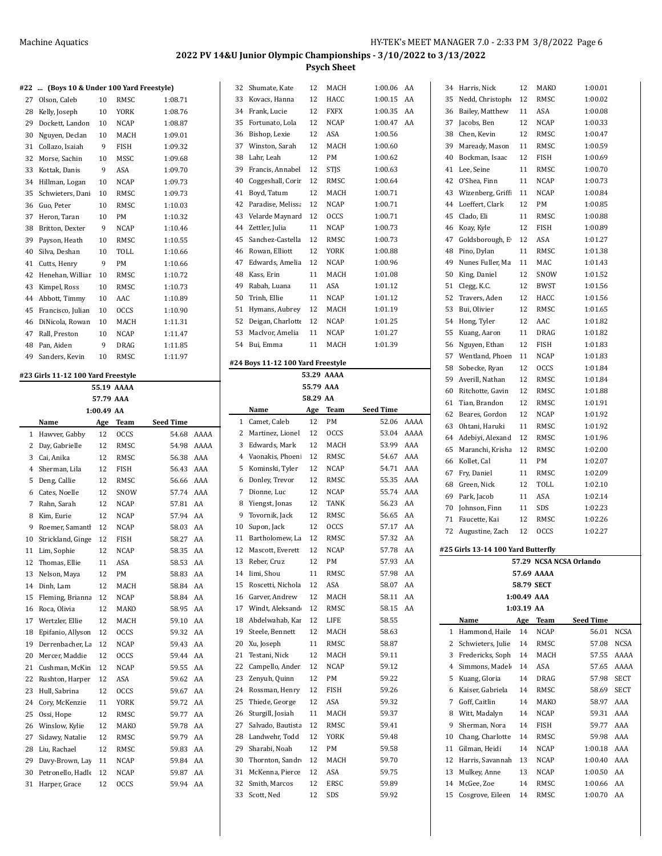#### **#22 ... (Boys 10 & Under 100 Yard Freestyle)**

| #ZZ | (Boys IV & Under IVV rard Freestyle) |    |             |         |
|-----|--------------------------------------|----|-------------|---------|
| 27  | Olson, Caleb                         | 10 | RMSC        | 1:08.71 |
| 28  | Kelly, Joseph                        | 10 | <b>YORK</b> | 1:08.76 |
| 29  | Dockett, Landon                      | 10 | <b>NCAP</b> | 1:08.87 |
| 30  | Nguyen, Declan                       | 10 | MACH        | 1:09.01 |
| 31  | Collazo. Isaiah                      | 9  | <b>FISH</b> | 1:09.32 |
| 32  | Morse, Sachin                        | 10 | MSSC        | 1:09.68 |
| 33  | Kottak, Danis                        | 9  | ASA         | 1:09.70 |
| 34  | Hillman, Logan                       | 10 | <b>NCAP</b> | 1:09.73 |
| 35  | Schwieters, Dani                     | 10 | RMSC        | 1:09.73 |
| 36  | Guo, Peter                           | 10 | RMSC        | 1:10.03 |
| 37  | Heron, Taran                         | 10 | PM          | 1:10.32 |
| 38  | Britton, Dexter                      | 9  | <b>NCAP</b> | 1:10.46 |
| 39  | Payson, Heath                        | 10 | <b>RMSC</b> | 1:10.55 |
| 40  | Silva, Deshan                        | 10 | TOLL        | 1:10.66 |
| 41  | Cutts, Henry                         | 9  | PM          | 1:10.66 |
| 42  | Henehan, Williar                     | 10 | RMSC        | 1:10.72 |
| 43  | Kimpel, Ross                         | 10 | RMSC        | 1:10.73 |
| 44  | Abbott, Timmy                        | 10 | AAC         | 1:10.89 |
| 45  | Francisco, Julian                    | 10 | <b>OCCS</b> | 1:10.90 |
| 46  | DiNicola, Rowan                      | 10 | MACH        | 1:11.31 |
| 47  | Rall, Preston                        | 10 | <b>NCAP</b> | 1:11.47 |
| 48  | Pan, Aiden                           | 9  | <b>DRAG</b> | 1:11.85 |
| 49  | Sanders, Kevin                       | 10 | RMSC        | 1:11.97 |
|     |                                      |    |             |         |

## **#23 Girls 11-12 100 Yard Freestyle 55.19 AAAA**

|                | 57.79 AAA         |            |             |                  |      |  |  |  |  |  |  |  |
|----------------|-------------------|------------|-------------|------------------|------|--|--|--|--|--|--|--|
|                |                   | 1:00.49 AA |             |                  |      |  |  |  |  |  |  |  |
|                | Name              | Age        | Team        | <b>Seed Time</b> |      |  |  |  |  |  |  |  |
| 1              | Hawver, Gabby     | 12         | <b>OCCS</b> | 54.68            | AAAA |  |  |  |  |  |  |  |
| 2              | Day, Gabrielle    | 12         | RMSC        | 54.98            | AAAA |  |  |  |  |  |  |  |
| 3              | Cai. Anika        | 12         | RMSC        | 56.38            | AAA  |  |  |  |  |  |  |  |
| $\overline{4}$ | Sherman, Lila     | 12         | <b>FISH</b> | 56.43            | AAA  |  |  |  |  |  |  |  |
| 5              | Deng, Callie      | 12         | RMSC        | 56.66            | AAA  |  |  |  |  |  |  |  |
| 6              | Cates, Noelle     | 12         | SNOW        | 57.74            | AAA  |  |  |  |  |  |  |  |
| 7              | Rahn, Sarah       | 12         | <b>NCAP</b> | 57.81            | AA   |  |  |  |  |  |  |  |
| 8              | Kim, Eurie        | 12         | <b>NCAP</b> | 57.94            | AA   |  |  |  |  |  |  |  |
| 9              | Roemer, Samantl   | 12         | <b>NCAP</b> | 58.03            | AA   |  |  |  |  |  |  |  |
| 10             | Strickland, Ginge | 12         | <b>FISH</b> | 58.27            | AA   |  |  |  |  |  |  |  |
| 11             | Lim, Sophie       | 12         | <b>NCAP</b> | 58.35            | AA   |  |  |  |  |  |  |  |
| 12             | Thomas, Ellie     | 11         | ASA         | 58.53            | AA   |  |  |  |  |  |  |  |
| 13             | Nelson, Maya      | 12         | PM          | 58.83            | AA   |  |  |  |  |  |  |  |
| 14             | Dinh. Lam         | 12         | MACH        | 58.84            | AA   |  |  |  |  |  |  |  |
| 15             | Fleming, Brianna  | 12         | <b>NCAP</b> | 58.84            | AA   |  |  |  |  |  |  |  |
| 16             | Roca, Olivia      | 12         | <b>MAKO</b> | 58.95            | AA   |  |  |  |  |  |  |  |
| 17             | Wertzler, Ellie   | 12         | MACH        | 59.10            | AA   |  |  |  |  |  |  |  |
| 18             | Epifanio, Allyson | 12         | <b>OCCS</b> | 59.32            | AA   |  |  |  |  |  |  |  |
| 19             | Derrenbacher, La  | 12         | <b>NCAP</b> | 59.43            | AA   |  |  |  |  |  |  |  |
| 20             | Mercer, Maddie    | 12         | <b>OCCS</b> | 59.44            | AA   |  |  |  |  |  |  |  |
| 21             | Cushman, McKin    | 12         | <b>NCAP</b> | 59.55            | AA   |  |  |  |  |  |  |  |
| 22             | Rushton, Harper   | 12         | ASA         | 59.62            | AA   |  |  |  |  |  |  |  |
| 23             | Hull, Sabrina     | 12         | <b>OCCS</b> | 59.67            | AA   |  |  |  |  |  |  |  |
| 24             | Cory, McKenzie    | 11         | YORK        | 59.72            | AA   |  |  |  |  |  |  |  |
| 25             | Ossi, Hope        | 12         | RMSC        | 59.77            | AA   |  |  |  |  |  |  |  |
| 26             | Winslow, Kylie    | 12         | MAKO        | 59.78            | AA   |  |  |  |  |  |  |  |
| 27             | Sidawy, Natalie   | 12         | RMSC        | 59.79            | AA   |  |  |  |  |  |  |  |
| 28             | Liu, Rachael      | 12         | RMSC        | 59.83            | AA   |  |  |  |  |  |  |  |
| 29             | Davy-Brown, Lay   | 11         | <b>NCAP</b> | 59.84            | AA   |  |  |  |  |  |  |  |
| 30             | Petronello, Hadle | 12         | <b>NCAP</b> | 59.87            | AA   |  |  |  |  |  |  |  |
| 31             | Harper, Grace     | 12         | <b>OCCS</b> | 59.94            | AA   |  |  |  |  |  |  |  |
|                |                   |            |             |                  |      |  |  |  |  |  |  |  |

| 32       | Shumate, Kate                     | 12        | MACH        | 1:00.06        | AA   |
|----------|-----------------------------------|-----------|-------------|----------------|------|
| 33       | Kovacs, Hanna                     | 12        | HACC        | 1:00.15        | AA   |
| 34       | Frank, Lucie                      | 12        | FXFX        | 1:00.35        | AA   |
| 35       | Fortunato, Lola                   | 12        | NCAP        | 1:00.47        | AA   |
| 36       | Bishop, Lexie                     | 12        | ASA         | 1:00.56        |      |
| 37       | Winston, Sarah                    | 12        | MACH        | 1:00.60        |      |
| 38       | Lahr, Leah                        | 12        | PМ          | 1:00.62        |      |
| 39       | Francis, Annabel                  | 12        | STJS        | 1:00.63        |      |
| 40       | Coggeshall, Corir                 | 12        | RMSC        | 1:00.64        |      |
| 41       | Boyd, Tatum                       | 12        | MACH        | 1:00.71        |      |
| 42       | Paradise, Melissa                 | 12        |             | 1:00.71        |      |
|          |                                   |           | NCAP        |                |      |
| 43       | Velarde Maynard                   | 12        | <b>OCCS</b> | 1:00.71        |      |
| 44       | Zettler, Julia                    | 11        | NCAP        | 1:00.73        |      |
| 45       | Sanchez-Castella                  | 12        | RMSC        | 1:00.73        |      |
| 46       | Rowan, Elliott                    | 12        | YORK        | 1:00.88        |      |
| 47       | Edwards, Amelia                   | 12        | NCAP        | 1:00.96        |      |
| 48       | Kass, Erin                        | 11        | MACH        | 1:01.08        |      |
| 49       | Rabah, Luana                      | 11        | ASA         | 1:01.12        |      |
| 50       | Trinh, Ellie                      | 11        | NCAP        | 1:01.12        |      |
| 51       | Hymans, Aubrey                    | 12        | MACH        | 1:01.19        |      |
| 52       | Deigan, Charlotte                 | 12        | NCAP        | 1:01.25        |      |
| 53       | MacIvor, Amelia                   | 11        | <b>NCAP</b> | 1:01.27        |      |
| 54       | Bui, Emma                         | 11        | MACH        | 1:01.39        |      |
|          |                                   |           |             |                |      |
|          | #24 Boys 11-12 100 Yard Freestyle |           |             |                |      |
|          |                                   |           | 53.29 AAAA  |                |      |
|          |                                   | 55.79 AAA |             |                |      |
|          |                                   | 58.29 AA  |             |                |      |
|          | Name                              | Age       | Team        | Seed Time      |      |
| 1        | Camet, Caleb                      | 12        | PM          | 52.06          | AAAA |
| 2        | Martinez, Lionel                  | 12        | <b>OCCS</b> | 53.04          | AAAA |
| 3        | Edwards, Mark                     | 12        | MACH        | 53.99          | AAA  |
| 4        | Vaonakis, Phoeni                  | 12        | RMSC        | 54.67          | AAA  |
| 5        | Kominski, Tyler                   | 12        | NCAP        | 54.71          | AAA  |
| 6        | Donley, Trevor                    | 12        | RMSC        | 55.35          | AAA  |
| 7        | Dionne, Luc                       | 12        | NCAP        | 55.74          | AAA  |
| 8        | Yiengst, Jonas                    | 12        | TANK        | 56.23          | AA   |
| 9        | Tovornik, Jack                    | 12        | RMSC        | 56.65          | AA   |
| 10       | Supon, Jack                       | 12        | OCCS        | 57.17          | AA   |
| 11       | Bartholomew, La                   | 12        | RMSC        | 57.32          | AA   |
| 12       | Mascott, Everett                  | 12        | NCAP        |                |      |
| 13       |                                   |           |             |                |      |
|          |                                   |           |             | 57.78          | AA   |
| 14       | Reber, Cruz                       | 12        | PМ          | 57.93          | AA   |
|          | Iimi, Shou                        | 11        | RMSC        | 57.98          | AA   |
| 15       | Roscetti, Nichola                 | 12        | ASA         | 58.07          | AA   |
| 16       | Garver, Andrew                    | 12        | MACH        | 58.11          | AA   |
| 17       | Windt, Aleksand                   | 12        | RMSC        | 58.15          | AA   |
| 18       | Abdelwahab, Kar                   | 12        | LIFE        | 58.55          |      |
| 19       | Steele, Bennett                   | 12        | MACH        | 58.63          |      |
| 20       | Xu, Joseph                        | 11        | RMSC        | 58.87          |      |
| 21       | Testani, Nick                     | 12        | MACH        | 59.11          |      |
| 22       | Campello, Ander                   | 12        | NCAP        | 59.12          |      |
| 23       | Zenyuh, Quinn                     | 12        | PM          | 59.22          |      |
| 24       | Rossman, Henry                    | 12        | FISH        | 59.26          |      |
| 25       | Thiede, George                    | 12        | ASA         | 59.32          |      |
|          |                                   |           |             |                |      |
| 26       | Sturgill, Josiah                  | 11        | MACH        | 59.37          |      |
| 27       | Salvado, Bautista                 | 12        | RMSC        | 59.41          |      |
| 28       | Landwehr, Todd                    | 12        | YORK        | 59.48          |      |
| 29       | Sharabi, Noah                     | 12        | PМ          | 59.58          |      |
| 30       | Thornton, Sandr                   | 12        | MACH        | 59.70          |      |
| 31       | McKenna, Pierce                   | 12        | ASA         | 59.75          |      |
| 32<br>33 | Smith, Marcos<br>Scott, Ned       | 12<br>12  | ERSC<br>SDS | 59.89<br>59.92 |      |

| 34 | Harris, Nick                       | 12          | MAKO        | 1:00.01                 |             |
|----|------------------------------------|-------------|-------------|-------------------------|-------------|
| 35 | Nedd, Christophe                   | 12          | RMSC        | 1:00.02                 |             |
| 36 | Bailey, Matthew                    | 11          | ASA         | 1:00.08                 |             |
| 37 | Jacobs, Ben                        | 12          | NCAP        | 1:00.33                 |             |
| 38 | Chen, Kevin                        | 12          | RMSC        | 1:00.47                 |             |
| 39 | Maready, Mason                     | 11          | RMSC        | 1:00.59                 |             |
| 40 | Bockman, Isaac                     | 12          | FISH        | 1:00.69                 |             |
| 41 | Lee, Seine                         | 11          | RMSC        | 1:00.70                 |             |
| 42 | O'Shea, Finn                       | 11          | NCAP        | 1:00.73                 |             |
| 43 | Wizenberg, Griff                   | 11          | NCAP        | 1:00.84                 |             |
| 44 | Loeffert, Clark                    | 12          | PM          | 1:00.85                 |             |
| 45 | Clado, Eli                         | 11          | RMSC        | 1:00.88                 |             |
| 46 | Koay, Kyle                         | 12          | FISH        | 1:00.89                 |             |
| 47 | Goldsborough, E                    | 12          | ASA         | 1:01.27                 |             |
| 48 | Pino, Dylan                        | 11          | RMSC        | 1:01.38                 |             |
| 49 | Nunes Fuller, Ma                   | 11          | MAC         | 1:01.43                 |             |
| 50 | King, Daniel                       | 12          | SNOW        | 1:01.52                 |             |
| 51 | Clegg, K.C.                        | 12          | BWST        | 1:01.56                 |             |
| 52 | Travers, Aden                      | 12          | HACC        | 1:01.56                 |             |
| 53 | Bui, Olivier                       | 12          | RMSC        | 1:01.65                 |             |
| 54 | Hong, Tyler                        | 12          | AAC         | 1:01.82                 |             |
| 55 |                                    | 11          | DRAG        | 1:01.82                 |             |
| 56 | Kuang, Aaron                       | 12          |             | 1:01.83                 |             |
| 57 | Nguyen, Ethan                      |             | FISH        |                         |             |
|    | Wentland, Phoen                    | 11          | NCAP        | 1:01.83                 |             |
| 58 | Sobecke, Ryan                      | 12          | <b>OCCS</b> | 1:01.84                 |             |
| 59 | Averill, Nathan                    | 12          | RMSC        | 1:01.84                 |             |
| 60 | Ritchotte, Gavin                   | 12          | RMSC        | 1:01.88                 |             |
| 61 | Tian, Brandon                      | 12          | RMSC        | 1:01.91                 |             |
| 62 | Beares, Gordon                     | 12          | NCAP        | 1:01.92                 |             |
| 63 | Ohtani, Haruki                     | 11          | RMSC        | 1:01.92                 |             |
| 64 | Adebiyi, Alexand                   | 12          | RMSC        | 1:01.96                 |             |
| 65 | Maranchi, Krisha                   | 12          | RMSC        | 1:02.00                 |             |
| 66 | Kollet, Cal                        | 11          | PM          | 1:02.07                 |             |
| 67 | Fry, Daniel                        | 11          | RMSC        | 1:02.09                 |             |
| 68 | Green, Nick                        | 12          | TOLL        | 1:02.10                 |             |
| 69 | Park, Jacob                        | 11          | ASA         | 1:02.14                 |             |
| 70 | Johnson, Finn                      | 11          | SDS         | 1:02.23                 |             |
| 71 | Faucette, Kai                      | 12          | RMSC        | 1:02.26                 |             |
| 72 | Augustine, Zach                    | 12          | OCCS        | 1:02.27                 |             |
|    | #25 Girls 13-14 100 Yard Butterfly |             |             |                         |             |
|    |                                    |             |             | 57.29 NCSA NCSA Orlando |             |
|    |                                    |             | 57.69 AAAA  |                         |             |
|    |                                    | 58.79 SECT  |             |                         |             |
|    |                                    | 1:00.49 AAA |             |                         |             |
|    |                                    | 1:03.19 AA  |             |                         |             |
|    | Name                               | Age         | Team        | Seed Time               |             |
| 1  | Hammond, Haile                     | 14          | NCAP        | 56.01                   | <b>NCSA</b> |
| 2  | Schwieters, Julie                  | 14          | RMSC        | 57.08                   | NCSA        |
| 3  | Fredericks, Soph                   | 14          | MACH        | 57.55                   | AAAA        |
| 4  | Simmons, Madel                     | 14          | ASA         | 57.65                   | AAAA        |
| 5  | Kuang, Gloria                      | 14          | DRAG        | 57.98                   | <b>SECT</b> |
| 6  | Kaiser, Gabriela                   | 14          | RMSC        | 58.69                   | <b>SECT</b> |
| 7  | Goff, Caitlin                      | 14          | MAKO        | 58.97                   | AAA         |
| 8  | Witt, Madalyn                      | 14          | NCAP        | 59.31                   | AAA         |
| 9  | Sherman, Nora                      | 14          | FISH        | 59.77                   | AAA         |
| 10 | Chang, Charlotte                   | 14          | RMSC        | 59.98                   | AAA         |
| 11 | Gilman, Heidi                      | 14          | NCAP        | 1:00.18                 | AAA         |
| 12 | Harris, Savannah                   | 13          | NCAP        | 1:00.40                 | AAA         |
| 13 | Mulkey, Anne                       | 13          | NCAP        | 1:00.50                 | AA          |
| 14 | McGee, Zoe                         | 14          | RMSC        | 1:00.66                 | AA          |

Cosgrove, Eileen 14 RMSC 1:00.70 AA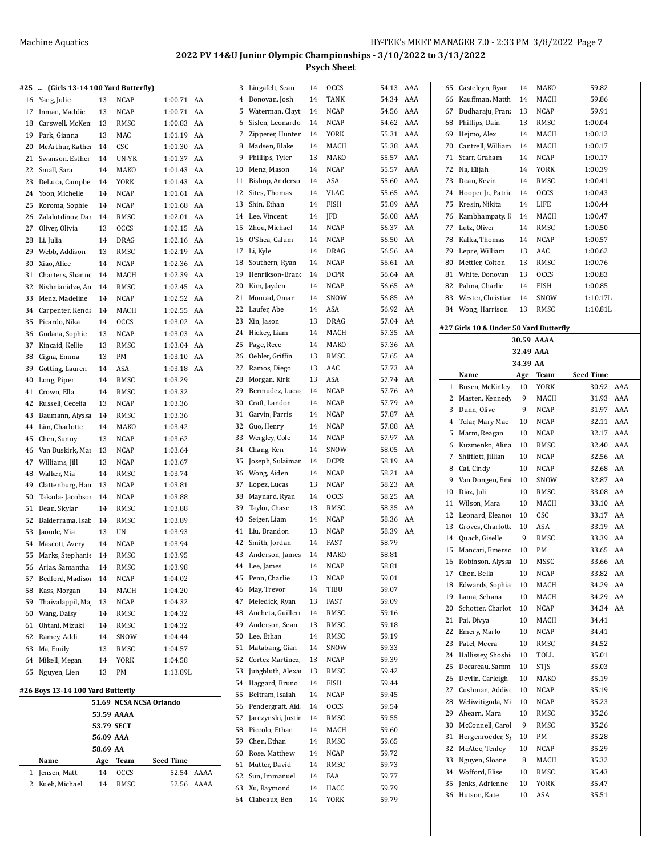| #25 | (Girls 13-14 100 Yard Butterfly)  |            |                         |                  |            | 3  | Lingafelt, Sean     | 14 | <b>OCCS</b> | 54.13 AAA |     |    | 65 Casteleyn, Ryan                     | 14        | MAKO        | 59.82            |  |
|-----|-----------------------------------|------------|-------------------------|------------------|------------|----|---------------------|----|-------------|-----------|-----|----|----------------------------------------|-----------|-------------|------------------|--|
|     | 16 Yang, Julie                    | 13         | <b>NCAP</b>             | 1:00.71 AA       |            | 4  | Donovan, Josh       | 14 | TANK        | 54.34 AAA |     | 66 | Kauffman, Matth                        | 14        | MACH        | 59.86            |  |
|     | 17 Inman, Maddie                  | 13         | <b>NCAP</b>             | 1:00.71 AA       |            | 5  | Waterman, Clayt     | 14 | <b>NCAP</b> | 54.56     | AAA | 67 | Budharaju, Prana                       | 13        | <b>NCAP</b> | 59.91            |  |
|     |                                   |            |                         |                  |            |    |                     |    |             |           |     |    |                                        |           |             |                  |  |
| 18  | Carswell, McKen                   | 13         | RMSC                    | 1:00.83 AA       |            | 6  | Sislen, Leonardo    | 14 | <b>NCAP</b> | 54.62     | AAA | 68 | Phillips, Dain                         | 13        | RMSC        | 1:00.04          |  |
| 19  | Park. Gianna                      | 13         | MAC                     | 1:01.19 AA       |            | 7  | Zipperer, Hunter    | 14 | YORK        | 55.31 AAA |     | 69 | Hejmo, Alex                            | 14        | MACH        | 1:00.12          |  |
|     | 20 McArthur, Kathe                | 14         | CSC                     | 1:01.30 AA       |            | 8  | Madsen, Blake       | 14 | MACH        | 55.38     | AAA | 70 | Cantrell, William                      | 14        | MACH        | 1:00.17          |  |
| 21  | Swanson, Esther                   | 14         | UN-YK                   | 1:01.37 AA       |            | 9  | Phillips, Tyler     | 13 | MAKO        | 55.57     | AAA | 71 | Starr, Graham                          | 14        | <b>NCAP</b> | 1:00.17          |  |
| 22  | Small, Sara                       | 14         | MAKO                    | 1:01.43 AA       |            | 10 | Menz, Mason         | 14 | <b>NCAP</b> | 55.57     | AAA | 72 | Na, Elijah                             | 14        | <b>YORK</b> | 1:00.39          |  |
| 23  | DeLuca, Campbe                    | 14         | YORK                    | 1:01.43 AA       |            | 11 | Bishop, Anderso:    | 14 | ASA         | 55.60     | AAA |    | 73 Doan, Kevin                         | 14        | RMSC        | 1:00.41          |  |
|     | 24 Yoon, Michelle                 | 14         | NCAP                    | 1:01.61 AA       |            |    | 12 Sites, Thomas    | 14 | <b>VLAC</b> | 55.65     | AAA |    | 74 Hooper Jr., Patric                  | 14        | <b>OCCS</b> | 1:00.43          |  |
|     | 25 Koroma, Sophie                 | 14         | NCAP                    | 1:01.68 AA       |            |    | 13 Shin, Ethan      | 14 | <b>FISH</b> | 55.89     | AAA | 75 | Kresin, Nikita                         | 14        | LIFE        | 1:00.44          |  |
| 26  | Zalalutdinov, Dar                 | 14         | RMSC                    | 1:02.01 AA       |            | 14 | Lee, Vincent        | 14 | JFD         | 56.08 AAA |     | 76 | Kambhampaty, K                         | 14        | MACH        | 1:00.47          |  |
| 27  | Oliver, Olivia                    | 13         | <b>OCCS</b>             | 1:02.15 AA       |            | 15 | Zhou, Michael       | 14 | <b>NCAP</b> | 56.37     | AA  | 77 | Lutz, Oliver                           | 14        | RMSC        | 1:00.50          |  |
| 28  | Li, Julia                         | 14         | <b>DRAG</b>             | 1:02.16 AA       |            | 16 | O'Shea, Calum       | 14 | <b>NCAP</b> | 56.50     | AA  | 78 | Kalka, Thomas                          | 14        | <b>NCAP</b> | 1:00.57          |  |
| 29  | Webb, Addison                     | 13         | RMSC                    | 1:02.19 AA       |            |    | 17 Li, Kyle         | 14 | DRAG        | 56.56 AA  |     | 79 | Lepre, William                         | 13        | AAC         | 1:00.62          |  |
|     | 30 Xiao, Alice                    | 14         | NCAP                    | 1:02.36 AA       |            | 18 | Southern, Ryan      | 14 | <b>NCAP</b> | 56.61 AA  |     | 80 | Mettler, Colton                        | 13        | RMSC        | 1:00.76          |  |
| 31  | Charters, Shanno                  | 14         | MACH                    | 1:02.39 AA       |            | 19 | Henrikson-Branc     | 14 | <b>DCPR</b> | 56.64 AA  |     | 81 | White, Donovan                         | 13        | <b>OCCS</b> | 1:00.83          |  |
| 32  | Nishnianidze, An                  | 14         | RMSC                    | 1:02.45 AA       |            | 20 | Kim, Jayden         | 14 | <b>NCAP</b> | 56.65     | AA  | 82 | Palma, Charlie                         | 14        | <b>FISH</b> | 1:00.85          |  |
| 33  | Menz, Madeline                    | 14         | NCAP                    | 1:02.52 AA       |            | 21 | Mourad, Omar        | 14 | SNOW        | 56.85 AA  |     | 83 | Wester, Christian                      | 14        | SNOW        | 1:10.17L         |  |
| 34  | Carpenter, Kenda                  | 14         | MACH                    | 1:02.55 AA       |            |    | 22 Laufer, Abe      | 14 | ASA         | 56.92 AA  |     |    | 84 Wong, Harrison                      | 13        | RMSC        | 1:10.81L         |  |
|     | 35 Picardo, Nika                  | 14         | <b>OCCS</b>             | 1:03.02 AA       |            |    | 23 Xin, Jason       | 13 | DRAG        | 57.04 AA  |     |    |                                        |           |             |                  |  |
| 36  | Gudana, Sophie                    | 13         | <b>NCAP</b>             | 1:03.03 AA       |            |    | 24 Hickey, Liam     | 14 | MACH        | 57.35     | AA  |    | #27 Girls 10 & Under 50 Yard Butterfly |           |             |                  |  |
| 37  | Kincaid, Kellie                   | 13         | RMSC                    | 1:03.04 AA       |            | 25 | Page, Rece          | 14 | MAKO        | 57.36     | AA  |    |                                        |           | 30.59 AAAA  |                  |  |
|     |                                   |            |                         |                  |            | 26 | Oehler, Griffin     | 13 | RMSC        | 57.65 AA  |     |    |                                        | 32.49 AAA |             |                  |  |
| 38  | Cigna, Emma                       | 13         | PM                      | 1:03.10 AA       |            |    |                     |    |             | 57.73 AA  |     |    |                                        | 34.39 AA  |             |                  |  |
| 39  | Gotting, Lauren                   | 14         | ASA                     | 1:03.18 AA       |            | 27 | Ramos, Diego        | 13 | AAC         |           |     |    | Name                                   | Age       | Team        | <b>Seed Time</b> |  |
| 40  | Long, Piper                       | 14         | RMSC                    | 1:03.29          |            | 28 | Morgan, Kirk        | 13 | ASA         | 57.74 AA  |     |    | 1 Busen, McKinley                      | 10        | <b>YORK</b> | 30.92 AAA        |  |
| 41  | Crown, Ella                       | 14         | RMSC                    | 1:03.32          |            | 29 | Bermudez, Lucas     | 14 | <b>NCAP</b> | 57.76     | AA  |    | 2 Masten, Kennedy                      | 9         | MACH        | 31.93 AAA        |  |
| 42  | Russell, Cecelia                  | 13         | <b>NCAP</b>             | 1:03.36          |            | 30 | Craft, Landon       | 14 | <b>NCAP</b> | 57.79     | AA  | 3  | Dunn, Olive                            | 9         | <b>NCAP</b> | 31.97 AAA        |  |
| 43  | Baumann, Alyssa                   | 14         | RMSC                    | 1:03.36          |            | 31 | Garvin, Parris      | 14 | <b>NCAP</b> | 57.87 AA  |     | 4  | Tolar, Mary Mac                        | 10        | <b>NCAP</b> | 32.11 AAA        |  |
|     | 44 Lim, Charlotte                 | 14         | MAKO                    | 1:03.42          |            |    | 32 Guo, Henry       | 14 | <b>NCAP</b> | 57.88 AA  |     |    | 5 Marm, Reagan                         | 10        | <b>NCAP</b> | 32.17 AAA        |  |
|     | 45 Chen, Sunny                    | 13         | NCAP                    | 1:03.62          |            | 33 | Wergley, Cole       | 14 | <b>NCAP</b> | 57.97 AA  |     | 6  | Kuzmenko, Alina                        | 10        | RMSC        | 32.40 AAA        |  |
| 46  | Van Buskirk, Mai                  | 13         | <b>NCAP</b>             | 1:03.64          |            | 34 | Chang, Ken          | 14 | SNOW        | 58.05     | AA  |    | 7 Shifflett, Jillian                   | 10        | <b>NCAP</b> | 32.56 AA         |  |
| 47  | Williams, Jill                    | 13         | <b>NCAP</b>             | 1:03.67          |            | 35 | Joseph, Sulaiman    | 14 | <b>DCPR</b> | 58.19     | AA  | 8  | Cai, Cindy                             | 10        | <b>NCAP</b> | 32.68 AA         |  |
| 48  | Walker, Mia                       | 14         | RMSC                    | 1:03.74          |            | 36 | Wong, Aiden         | 14 | <b>NCAP</b> | 58.21 AA  |     | 9  | Van Dongen, Emi                        | 10        | SNOW        | 32.87 AA         |  |
| 49  | Clattenburg, Han                  | 13         | NCAP                    | 1:03.81          |            | 37 | Lopez, Lucas        | 13 | <b>NCAP</b> | 58.23 AA  |     |    | 10 Diaz, Juli                          | 10        | RMSC        | 33.08 AA         |  |
| 50  | Takada-Jacobsor                   | 14         | NCAP                    | 1:03.88          |            | 38 | Maynard, Ryan       | 14 | <b>OCCS</b> | 58.25     | AA  |    | 11 Wilson, Mara                        | 10        | MACH        | 33.10 AA         |  |
| 51  | Dean, Skylar                      | 14         | RMSC                    | 1:03.88          |            | 39 | Taylor, Chase       | 13 | RMSC        | 58.35     | AA  |    | 12 Leonard, Eleanoi                    | 10        | CSC         | 33.17 AA         |  |
| 52  | Balderrama, Isab                  | 14         | RMSC                    | 1:03.89          |            | 40 | Seiger, Liam        | 14 | <b>NCAP</b> | 58.36     | AA  |    |                                        |           |             |                  |  |
| 53  | Jaoude, Mia                       | 13         | UN                      | 1:03.93          |            | 41 | Liu, Brandon        | 13 | <b>NCAP</b> | 58.39 AA  |     |    | 13 Groves, Charlotte                   | 10        | ASA         | 33.19 AA         |  |
|     | 54 Mascott, Avery                 | 14         | <b>NCAP</b>             | 1:03.94          |            |    | 42 Smith, Jordan    | 14 | FAST        | 58.79     |     | 14 | Quach, Giselle                         | 9         | RMSC        | 33.39 AA         |  |
|     | 55 Marks, Stephanie 14            |            | RMSC                    | 1:03.95          |            |    | 43 Anderson, James  | 14 | MAKO        | 58.81     |     |    | 15 Mancari, Emerso                     | 10        | PM          | 33.65 AA         |  |
| 56  | Arias, Samantha                   | 14         | RMSC                    | 1:03.98          |            | 44 | Lee, James          | 14 | <b>NCAP</b> | 58.81     |     |    | 16 Robinson, Alyssa                    | 10        | MSSC        | 33.66 AA         |  |
| 57  | Bedford, Madiso                   | 14         | NCAP                    | 1:04.02          |            | 45 | Penn, Charlie       | 13 | <b>NCAP</b> | 59.01     |     |    | 17 Chen, Bella                         | 10        | <b>NCAP</b> | 33.82 AA         |  |
| 58  | Kass, Morgan                      | 14         | MACH                    | 1:04.20          |            | 46 | May, Trevor         | 14 | TIBU        | 59.07     |     |    | 18 Edwards, Sophia                     | 10        | MACH        | 34.29 AA         |  |
| 59  | Thaivalappil, Ma                  | 13         | NCAP                    | 1:04.32          |            | 47 | Meledick, Ryan      | 13 | FAST        | 59.09     |     | 19 | Lama, Sehana                           | 10        | MACH        | 34.29 AA         |  |
| 60  | Wang, Daisy                       | 14         | RMSC                    | 1:04.32          |            | 48 | Ancheta, Guillerr   | 14 | RMSC        | 59.16     |     |    | 20 Schotter, Charlot                   | 10        | <b>NCAP</b> | 34.34 AA         |  |
| 61  | Ohtani, Mizuki                    | 14         | RMSC                    | 1:04.32          |            | 49 | Anderson, Sean      | 13 | RMSC        | 59.18     |     |    | 21 Pai, Divya                          | 10        | MACH        | 34.41            |  |
| 62  | Ramey, Addi                       | 14         | SNOW                    | 1:04.44          |            | 50 | Lee, Ethan          | 14 | RMSC        | 59.19     |     |    | 22 Emery, Marlo                        | 10        | NCAP        | 34.41            |  |
| 63  | Ma, Emily                         | 13         | RMSC                    | 1:04.57          |            | 51 | Matabang, Gian      | 14 | SNOW        | 59.33     |     |    | 23 Patel, Meera                        | 10        | RMSC        | 34.52            |  |
| 64  | Mikell, Megan                     | 14         | YORK                    | 1:04.58          |            |    | 52 Cortez Martinez, | 13 | NCAP        | 59.39     |     | 24 | Hallissey, Shoshi                      | 10        | TOLL        | 35.01            |  |
|     | 65 Nguyen, Lien                   | 13         | PM                      | 1:13.89L         |            | 53 | Jungbluth, Alexar   | 13 | RMSC        | 59.42     |     |    | 25 Decareau, Samm                      | 10        | <b>STJS</b> | 35.03            |  |
|     |                                   |            |                         |                  |            | 54 | Haggard, Bruno      | 14 | FISH        | 59.44     |     | 26 | Devlin, Carleigh                       | 10        | MAKO        | 35.19            |  |
|     | #26 Boys 13-14 100 Yard Butterfly |            |                         |                  |            | 55 | Beltram, Isaiah     | 14 | <b>NCAP</b> | 59.45     |     | 27 | Cushman, Addisc                        | 10        | NCAP        | 35.19            |  |
|     |                                   |            | 51.69 NCSA NCSA Orlando |                  |            |    |                     |    |             |           |     | 28 | Weliwitigoda, Mi 10                    |           | <b>NCAP</b> | 35.23            |  |
|     |                                   |            | 53.59 AAAA              |                  |            | 56 | Pendergraft, Aid.   | 14 | <b>OCCS</b> | 59.54     |     | 29 | Ahearn, Mara                           | 10        | RMSC        | 35.26            |  |
|     |                                   | 53.79 SECT |                         |                  |            | 57 | Jarczynski, Justin  | 14 | RMSC        | 59.55     |     | 30 | McConnell, Carol                       | 9         | RMSC        | 35.26            |  |
|     |                                   | 56.09 AAA  |                         |                  |            | 58 | Piccolo, Ethan      | 14 | MACH        | 59.60     |     |    | 31 Hergenroeder, Sy                    | 10        | PМ          | 35.28            |  |
|     |                                   | 58.69 AA   |                         |                  |            | 59 | Chen, Ethan         | 14 | RMSC        | 59.65     |     |    | 32 McAtee, Tenley                      | 10        | NCAP        | 35.29            |  |
|     | Name                              | Age        | Team                    | <b>Seed Time</b> |            | 60 | Rose, Matthew       | 14 | NCAP        | 59.72     |     | 33 | Nguyen, Sloane                         | 8         | MACH        | 35.32            |  |
|     | 1 Jensen, Matt                    | 14         | OCCS                    |                  | 52.54 AAAA |    | 61 Mutter, David    | 14 | RMSC        | 59.73     |     | 34 | Wofford, Elise                         | 10        | RMSC        | 35.43            |  |
|     | 2 Kueh, Michael                   | 14         | RMSC                    |                  | 52.56 AAAA |    | 62 Sun, Immanuel    | 14 | FAA         | 59.77     |     |    | 35 Jenks, Adrienne                     | 10        | YORK        | 35.47            |  |
|     |                                   |            |                         |                  |            |    | 63 Xu, Raymond      | 14 | HACC        | 59.79     |     |    | 36 Hutson, Kate                        | 10        | ASA         | 35.51            |  |
|     |                                   |            |                         |                  |            |    | 64 Clabeaux, Ben    |    | 14 YORK     | 59.79     |     |    |                                        |           |             |                  |  |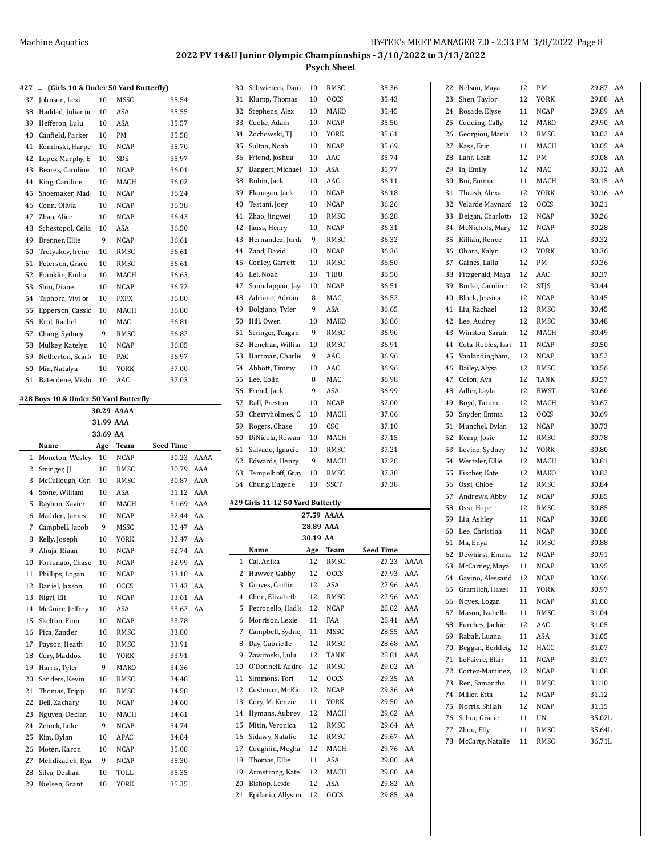|    | #27  (Girls 10 & Under 50 Yard Butterfly) |           |             |                  |      | 30 | Schwieters, Dani                      | 10        | RMSC               | 35.36                |      |    | 22 Nelson, Maya     | 12 | PM          | 29.87 AA |    |
|----|-------------------------------------------|-----------|-------------|------------------|------|----|---------------------------------------|-----------|--------------------|----------------------|------|----|---------------------|----|-------------|----------|----|
| 37 | Johnson, Lexi                             | 10        | MSSC        | 35.54            |      | 31 | Klump, Thomas                         | 10        | <b>OCCS</b>        | 35.43                |      | 23 | Shen, Taylor        | 12 | <b>YORK</b> | 29.88    | AA |
|    | 38 Haddad, Julianne                       | 10        | ASA         | 35.55            |      | 32 | Stephens, Alex                        | 10        | MAKO               | 35.45                |      | 24 | Rosade, Elyse       | 11 | <b>NCAP</b> | 29.89 AA |    |
|    | 39 Hefferon, Lulu                         | 10        | ASA         | 35.57            |      | 33 | Cooke, Adam                           | 10        | <b>NCAP</b>        | 35.50                |      | 25 | Codding, Cally      | 12 | MAKO        | 29.90 AA |    |
| 40 | Canfield, Parker                          | 10        | PM          | 35.58            |      | 34 | Zochowski, TJ                         | 10        | YORK               | 35.61                |      | 26 | Georgiou, Maria     | 12 | RMSC        | 30.02 AA |    |
|    | 41 Kominski, Harpe                        | 10        | <b>NCAP</b> | 35.70            |      | 35 | Sultan, Noah                          | 10        | <b>NCAP</b>        | 35.69                |      | 27 | Kass, Erin          | 11 | MACH        | 30.05 AA |    |
|    | 42 Lopez Murphy, E                        | 10        | SDS         | 35.97            |      | 36 | Friend, Joshua                        | 10        | AAC                | 35.74                |      | 28 | Lahr, Leah          | 12 | PM          | 30.08    | AA |
|    | 43 Beares, Caroline                       | 10        | <b>NCAP</b> | 36.01            |      | 37 | Bangert, Michael                      | 10        | ASA                | 35.77                |      | 29 | In, Emily           | 12 | MAC         | 30.12 AA |    |
|    | 44 King, Caroline                         | 10        | MACH        | 36.02            |      | 38 | Rubin, Jack                           | 10        | AAC                | 36.11                |      | 30 | Bui, Emma           | 11 | MACH        | 30.15 AA |    |
|    | 45 Shoemaker, Mad                         | 10        | <b>NCAP</b> | 36.24            |      | 39 | Flanagan, Jack                        | 10        | <b>NCAP</b>        | 36.18                |      | 31 | Thrash, Alexa       | 12 | YORK        | 30.16 AA |    |
|    | 46 Conn. Olivia                           | 10        | <b>NCAP</b> | 36.38            |      | 40 | Testani, Joey                         | 10        | <b>NCAP</b>        | 36.26                |      | 32 | Velarde Maynard     | 12 | <b>OCCS</b> | 30.21    |    |
|    | 47 Zhao, Alice                            | 10        | <b>NCAP</b> | 36.43            |      | 41 | Zhao, Jingwei                         | 10        | RMSC               | 36.28                |      | 33 | Deigan, Charlotte   | 12 | <b>NCAP</b> | 30.26    |    |
|    | 48 Schestopol, Celia                      | 10        | ASA         | 36.50            |      | 42 | Jauss, Henry                          | 10        | <b>NCAP</b>        | 36.31                |      | 34 | McNichols, Mary     | 12 | <b>NCAP</b> | 30.28    |    |
|    | 49 Brenner, Ellie                         | 9         | <b>NCAP</b> | 36.61            |      | 43 | Hernandez, Jorda                      | 9         | RMSC               | 36.32                |      | 35 | Killian, Renee      | 11 | FAA         | 30.32    |    |
|    | 50 Tretyakov, Irene                       | 10        | RMSC        | 36.61            |      | 44 | Zand, David                           | 10        | <b>NCAP</b>        | 36.36                |      | 36 | Ohara, Kalyn        | 12 | YORK        | 30.36    |    |
|    | 51 Peterson, Grace                        | 10        | RMSC        | 36.61            |      | 45 | Conley, Garrett                       | 10        | RMSC               | 36.50                |      | 37 | Gaines, Laila       | 12 | PM          | 30.36    |    |
|    | 52 Franklin, Emha                         | 10        | MACH        | 36.63            |      | 46 | Lei, Noah                             | 10        | TIBU               | 36.50                |      | 38 | Fitzgerald, Maya    | 12 | AAC         | 30.37    |    |
|    | 53 Shin, Diane                            | 10        | <b>NCAP</b> | 36.72            |      | 47 | Soundappan, Jay                       | 10        | <b>NCAP</b>        | 36.51                |      | 39 | Burke, Caroline     | 12 | <b>STJS</b> | 30.44    |    |
|    | 54 Taphorn, Vivi or                       | 10        | <b>FXFX</b> | 36.80            |      | 48 | Adriano, Adrian                       | 8         | MAC                | 36.52                |      | 40 | Block, Jessica      | 12 | <b>NCAP</b> | 30.45    |    |
|    | 55 Epperson, Cassic                       | 10        | MACH        | 36.80            |      | 49 | Bolgiano, Tyler                       | 9         | ASA                | 36.65                |      |    | 41 Liu, Rachael     | 12 | RMSC        | 30.45    |    |
|    | 56 Krol, Rachel                           | 10        | MAC         | 36.81            |      | 50 | Hill, Owen                            | 10        | MAKO               | 36.86                |      | 42 | Lee, Audrey         | 12 | RMSC        | 30.48    |    |
|    | 57 Chang, Sydney                          | 9         | RMSC        | 36.82            |      | 51 | Stringer, Teagan                      | 9         | RMSC               | 36.90                |      | 43 | Winston, Sarah      | 12 | MACH        | 30.49    |    |
|    | 58 Mulkey, Katelyn                        | 10        | <b>NCAP</b> | 36.85            |      | 52 | Henehan, Williar                      | 10        | RMSC               | 36.91                |      | 44 | Cota-Robles, Isal   | 11 | <b>NCAP</b> | 30.50    |    |
|    | 59 Netherton, Scarle                      | 10        | PAC         | 36.97            |      | 53 | Hartman, Charlie                      | 9         | AAC                | 36.96                |      | 45 | Vanlandingham,      | 12 | <b>NCAP</b> | 30.52    |    |
|    | 60 Min, Natalya                           | 10        | <b>YORK</b> | 37.00            |      | 54 | Abbott, Timmy                         | 10        | AAC                | 36.96                |      | 46 | Bailey, Alysa       | 12 | RMSC        | 30.56    |    |
|    | 61 Baterdene, Misho                       | 10        | AAC         | 37.03            |      | 55 | Lee, Colin                            | 8         | MAC                | 36.98                |      | 47 | Colon, Ava          | 12 | TANK        | 30.57    |    |
|    |                                           |           |             |                  |      | 56 | Frend, Jack                           | 9         | ASA                | 36.99                |      | 48 | Adler, Layla        | 12 | <b>BWST</b> | 30.60    |    |
|    | #28 Boys 10 & Under 50 Yard Butterfly     |           |             |                  |      | 57 | Rall, Preston                         | 10        | <b>NCAP</b>        | 37.00                |      | 49 | Boyd, Tatum         | 12 | MACH        | 30.67    |    |
|    |                                           |           | 30.29 AAAA  |                  |      | 58 | Cherryholmes, C                       | 10        | MACH               | 37.06                |      | 50 | Snyder, Emma        | 12 | <b>OCCS</b> | 30.69    |    |
|    |                                           | 31.99 AAA |             |                  |      | 59 | Rogers, Chase                         | 10        | CSC                | 37.10                |      | 51 | Munchel, Dylan      | 12 | <b>NCAP</b> | 30.73    |    |
|    |                                           | 33.69 AA  |             |                  |      | 60 | DiNicola, Rowan                       | 10        | MACH               | 37.15                |      | 52 | Kemp, Josie         | 12 | RMSC        | 30.78    |    |
|    | Name                                      | Age       | <b>Team</b> | <b>Seed Time</b> |      | 61 | Salvado, Ignacio                      | 10        | RMSC               | 37.21                |      | 53 | Levine, Sydney      | 12 | <b>YORK</b> | 30.80    |    |
|    | 1 Moncton, Wesley                         | 10        | <b>NCAP</b> | 30.23            | AAAA | 62 | Edwards, Henry                        | 9         | MACH               | 37.28                |      | 54 | Wertzler, Ellie     | 12 | MACH        | 30.81    |    |
| 2  | Stringer, JJ                              | 10        | <b>RMSC</b> | 30.79            | AAA  | 63 | Tempelhoff, Gray                      | 10        | RMSC               | 37.38                |      |    | 55 Fischer, Kate    | 12 | MAKO        | 30.82    |    |
|    | 3 McCullough, Con                         | 10        | RMSC        | 30.87            | AAA  |    | 64 Chung, Eugene                      | 10        | SSCT               | 37.38                |      | 56 | Ossi, Chloe         | 12 | RMSC        | 30.84    |    |
|    | 4 Stone, William                          | 10        | ASA         | 31.12 AAA        |      |    |                                       |           |                    |                      |      | 57 | Andrews, Abby       | 12 | NCAP        | 30.85    |    |
| 5  | Raybon, Xavier                            | 10        | MACH        | 31.69            | AAA  |    | #29 Girls 11-12 50 Yard Butterfly     |           |                    |                      |      | 58 | Ossi, Hope          | 12 | RMSC        | 30.85    |    |
| 6  | Madden, James                             | 10        | <b>NCAP</b> | 32.44 AA         |      |    |                                       |           | 27.59 AAAA         |                      |      | 59 | Liu, Ashley         | 11 | <b>NCAP</b> | 30.88    |    |
|    | 7 Campbell, Jacob                         | 9         | MSSC        | 32.47            | AA   |    |                                       | 28.89 AAA |                    |                      |      |    | 60 Lee, Christina   | 11 | <b>NCAP</b> | 30.88    |    |
|    | 8 Kelly, Joseph                           | 10        | <b>YORK</b> | 32.47            | AA   |    |                                       | 30.19 AA  |                    |                      |      |    | 61 Ma, Enya         | 12 | RMSC        | 30.88    |    |
|    | 9 Ahuja, Riaan                            | 10        | <b>NCAP</b> | 32.74 AA         |      |    | Name                                  | Age       | Team               | <b>Seed Time</b>     |      |    | 62 Dewhirst, Emma   | 12 | <b>NCAP</b> | 30.91    |    |
| 10 | Fortunato, Chase                          | 10        | NCAP        | 32.99            | AA   | 1  | Cai, Anika                            | 12        | RMSC               | 27.23                | AAAA | 63 | McCarney, Maya      | 11 | <b>NCAP</b> | 30.95    |    |
|    | 11 Phillips, Logan                        | 10        | NCAP        | 33.18 AA         |      | 2  | Hawver, Gabby                         | 12        | OCCS               | 27.93 AAA            |      | 64 | Gavino, Alessand    | 12 | <b>NCAP</b> | 30.96    |    |
|    | 12 Daniel, Jaxson                         | 10        | <b>OCCS</b> | 33.43 AA         |      | 3  | Groves, Caitlin                       | 12        | ASA                | 27.96 AAA            |      | 65 | Gramlich, Hazel     | 11 | YORK        | 30.97    |    |
|    | 13 Nigri, Eli                             | 10        | <b>NCAP</b> | 33.61 AA         |      | 4  | Chen, Elizabeth                       | 12        | RMSC               | 27.96 AAA            |      | 66 | Noyes, Logan        | 11 | <b>NCAP</b> | 31.00    |    |
|    | 14 McGuire, Jeffrey                       | 10        | ASA         | 33.62 AA         |      | 5  | Petronello, Hadle                     | 12        | NCAP               | 28.02 AAA            |      | 67 | Mason, Izabella     | 11 | RMSC        | 31.04    |    |
|    | 15 Skelton, Finn                          | 10        | NCAP        | 33.78            |      | 6  | Morrison, Lexie                       | 11        | FAA                | 28.41 AAA            |      | 68 | Furches, Jackie     | 12 | AAC         | 31.05    |    |
|    | 16 Pica, Zander                           | 10        | RMSC        | 33.80            |      | 7  | Campbell, Sydne                       | 11        | MSSC               | 28.55 AAA            |      | 69 | Rabah, Luana        | 11 | ASA         | 31.05    |    |
| 17 | Payson, Heath                             | 10        | RMSC        | 33.91            |      | 8  | Day, Gabrielle                        | 12        | RMSC               | 28.68 AAA            |      |    | 70 Beggan, Berkleig | 12 | HACC        | 31.07    |    |
|    | 18 Cory, Maddox                           | 10        | YORK        | 33.91            |      | 9  | Zawitoski, Lulu                       | 12        | TANK               | 28.81 AAA            |      |    | 71 LeFaivre, Blair  | 11 | NCAP        | 31.07    |    |
|    | 19 Harris, Tyler                          | 9         | MAKO        | 34.36            |      | 10 | O'Donnell, Audre 12                   |           | RMSC               | 29.02 AA             |      | 72 | Cortez-Martinez,    | 12 | <b>NCAP</b> | 31.08    |    |
|    | 20 Sanders, Kevin                         | 10        | RMSC        | 34.48            |      | 11 | Simmons, Tori                         | 12        | <b>OCCS</b>        | 29.35 AA             |      | 73 | Ren, Samantha       | 11 | RMSC        | 31.10    |    |
|    | 21 Thomas, Tripp                          | 10        | RMSC        | 34.58            |      | 12 | Cushman, McKin                        | 12        | <b>NCAP</b>        | 29.36 AA             |      |    | 74 Miller, Etta     | 12 | <b>NCAP</b> | 31.12    |    |
|    | 22 Bell, Zachary                          | 10        | NCAP        | 34.60            |      | 13 | Cory, McKenzie                        | 11        | YORK               | 29.50 AA             |      |    | 75 Norris, Shilah   | 12 | NCAP        | 31.15    |    |
|    | 23 Nguyen, Declan                         | 10        | MACH        | 34.61            |      | 14 | Hymans, Aubrey                        | 12        | MACH               | 29.62 AA             |      |    | 76 Schur, Gracie    | 11 | UN          | 35.02L   |    |
|    | 24 Zemek, Luke                            | 9         | NCAP        | 34.74            |      |    | 15 Mitin, Veronica                    | 12        | RMSC               | 29.64 AA             |      | 77 | Zhou, Elly          | 11 | RMSC        | 35.64L   |    |
|    | 25 Kim, Dylan                             | 10        | APAC        | 34.84            |      | 16 | Sidawy, Natalie                       | 12        | RMSC               | 29.67 AA             |      |    | 78 McCarty, Natalie | 11 | RMSC        | 36.71L   |    |
|    | 26 Moten, Karon                           | 10        | <b>NCAP</b> | 35.08            |      | 17 | Coughlin, Megha                       | 12        | MACH               | 29.76 AA             |      |    |                     |    |             |          |    |
|    |                                           |           |             |                  |      |    |                                       |           |                    |                      |      |    |                     |    |             |          |    |
| 27 | Mehdizadeh, Rya                           | 9         | NCAP        | 35.30            |      | 18 | Thomas, Ellie                         | 11        | ASA                | 29.80 AA             |      |    |                     |    |             |          |    |
|    | 28 Silva, Deshan                          | 10        | TOLL        | 35.35            |      | 19 | Armstrong, Katel                      | 12        | MACH               | 29.80 AA             |      |    |                     |    |             |          |    |
|    | 29 Nielsen, Grant                         | 10        | YORK        | 35.35            |      | 20 | Bishop, Lexie<br>21 Epifanio, Allyson | 12<br>12  | ASA<br><b>OCCS</b> | 29.82 AA<br>29.85 AA |      |    |                     |    |             |          |    |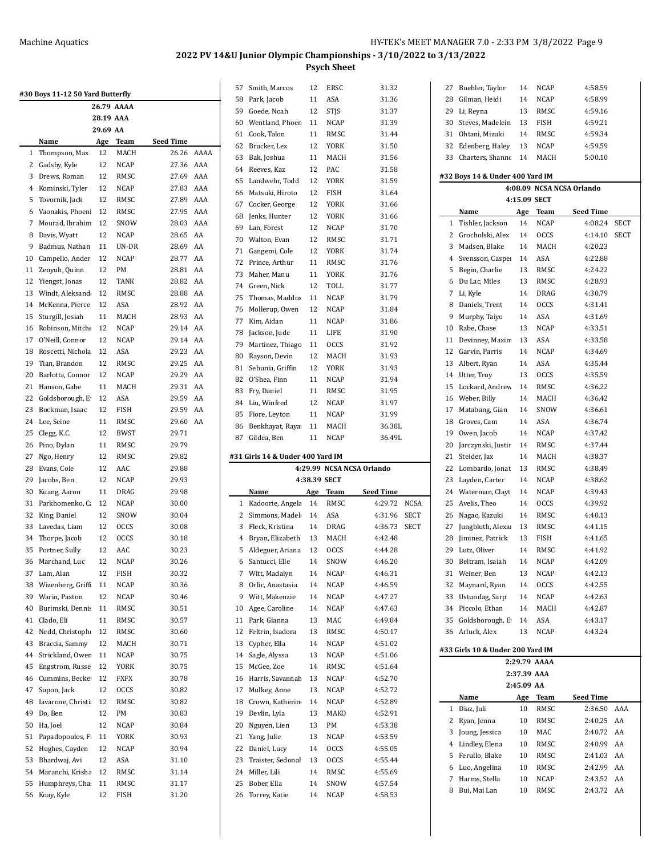|    | #30 Boys 11-12 50 Yard Butterfly |           |             |           |      |
|----|----------------------------------|-----------|-------------|-----------|------|
|    |                                  |           | 26.79 AAAA  |           |      |
|    |                                  | 28.19 AAA |             |           |      |
|    |                                  | 29.69 AA  |             |           |      |
|    | Name                             | Age       | Team        | Seed Time |      |
| 1  | Thompson, Max                    | 12        | MACH        | 26.26     | AAAA |
| 2  | Gadsby, Kyle                     | 12        | <b>NCAP</b> | 27.36     | AAA  |
| 3  | Drews, Roman                     | 12        | RMSC        | 27.69     | AAA  |
| 4  | Kominski, Tyler                  | 12        | <b>NCAP</b> | 27.83     | AAA  |
| 5  | Tovornik, Jack                   | 12        | RMSC        | 27.89     | AAA  |
| 6  | Vaonakis, Phoen                  | 12        | RMSC        | 27.95     | AAA  |
| 7  | Mourad, Ibrahim                  | 12        | SNOW        | 28.03     | AAA  |
| 8  | Davis, Wyatt                     | 12        | <b>NCAP</b> | 28.65     | AA   |
| 9  | Badmus, Nathan                   | 11        | UN-DR       | 28.69     | AA   |
| 10 | Campello, Ander                  | 12        | <b>NCAP</b> | 28.77     | AA   |
| 11 | Zenyuh, Quinn                    | 12        | PМ          | 28.81     | AA   |
| 12 | Yiengst, Jonas                   | 12        | TANK        | 28.82     | AA   |
| 13 | Windt, Aleksand                  | 12        | RMSC        | 28.88     | AA   |
| 14 | McKenna, Pierce                  | 12        | ASA         | 28.92     | AA   |
| 15 | Sturgill, Josiah                 | 11        | MACH        | 28.93     | AA   |
| 16 | Robinson, Mitche                 | 12        | NCAP        | 29.14     | AA   |
| 17 | O'Neill, Connor                  | 12        | <b>NCAP</b> | 29.14     | AA   |
| 18 | Roscetti, Nichola                | 12        | ASA         | 29.23     | AA   |
| 19 |                                  | 12        |             | 29.25     | AA   |
| 20 | Tian, Brandon                    | 12        | RMSC        |           | AA   |
|    | Barlotta, Connor                 |           | NCAP        | 29.29     |      |
| 21 | Hanson, Gabe                     | 11        | MACH        | 29.31     | AA   |
| 22 | Goldsborough, E                  | 12        | ASA         | 29.59     | AA   |
| 23 | Bockman, Isaac                   | 12        | FISH        | 29.59     | AA   |
| 24 | Lee, Seine                       | 11        | RMSC        | 29.60     | AA   |
| 25 | Clegg, K.C.                      | 12        | <b>BWST</b> | 29.71     |      |
| 26 | Pino, Dylan                      | 11        | RMSC        | 29.79     |      |
| 27 | Ngo, Henry                       | 12        | RMSC        | 29.82     |      |
| 28 | Evans, Cole                      | 12        | AAC         | 29.88     |      |
| 29 | Jacobs, Ben                      | 12        | <b>NCAP</b> | 29.93     |      |
| 30 | Kuang, Aaron                     | 11        | DRAG        | 29.98     |      |
| 31 | Parkhomenko, C:                  | 12        | NCAP        | 30.00     |      |
| 32 | King, Daniel                     | 12        | SNOW        | 30.04     |      |
| 33 | Lavedas, Liam                    | 12        | <b>OCCS</b> | 30.08     |      |
| 34 | Thorpe, Jacob                    | 12        | <b>OCCS</b> | 30.18     |      |
| 35 | Portner, Sully                   | 12        | AAC         | 30.23     |      |
| 36 | Marchand, Luc                    | 12        | <b>NCAP</b> | 30.26     |      |
| 37 | Lam, Alan                        | 12        | FISH        | 30.32     |      |
| 38 | Wizenberg, Griff                 | 11        | NCAP        | 30.36     |      |
| 39 | Warin, Paxton                    | 12        | NCAP        | 30.46     |      |
| 40 | Burimski, Denni:                 | 11        | RMSC        | 30.51     |      |
| 41 | Clado, Eli                       | 11        | RMSC        | 30.57     |      |
| 42 | Nedd, Christophe                 | 12        | RMSC        | 30.60     |      |
| 43 | Braccia, Sammy                   | 12        | MACH        | 30.71     |      |
| 44 | Strickland, Owen                 | 11        | <b>NCAP</b> | 30.75     |      |
| 45 | Engstrom, Russe                  | 12        | YORK        | 30.75     |      |
| 46 | Cummins, Becke                   | 12        | FXFX        | 30.78     |      |
| 47 | Supon, Jack                      | 12        | <b>OCCS</b> | 30.82     |      |
| 48 | Iavarone, Christi                | 12        | RMSC        | 30.82     |      |
| 49 | Do, Ben                          | 12        | PM          |           |      |
|    |                                  |           |             | 30.83     |      |
| 50 | Ha, Joel                         | 12        | NCAP        | 30.84     |      |
| 51 | Papadopoulos, F                  | 11        | YORK        | 30.93     |      |
| 52 | Hughes, Cayden                   | 12        | <b>NCAP</b> | 30.94     |      |
| 53 | Bhardwaj, Avi                    | 12        | ASA         | 31.10     |      |
| 54 | Maranchi, Krisha                 | 12        | RMSC        | 31.14     |      |
| 55 | Humphreys, Cha                   | 11        | RMSC        | 31.17     |      |
| 56 | Koay, Kyle                       | 12        | FISH        | 31.20     |      |

| 57       | Smith, Marcos                    | 12       | ERSC         | 31.32                     |             |
|----------|----------------------------------|----------|--------------|---------------------------|-------------|
| 58       | Park, Jacob                      | 11       | ASA          | 31.36                     |             |
| 59       | Goede, Noah                      | 12       | <b>STJS</b>  | 31.37                     |             |
| 60       | Wentland, Phoen                  | 11       | <b>NCAP</b>  | 31.39                     |             |
| 61       | Cook, Talon                      | 11       | RMSC         | 31.44                     |             |
| 62       | Brucker, Lex                     | 12       | YORK         | 31.50                     |             |
| 63       | Bak, Joshua                      | 11       | MACH         | 31.56                     |             |
| 64       | Reeves, Kaz                      | 12       | PAC          | 31.58                     |             |
| 65       | Landwehr, Todd                   | 12       | YORK         | 31.59                     |             |
| 66       | Matsuki, Hiroto                  | 12       | FISH         | 31.64                     |             |
| 67       | Cocker, George                   | 12       | YORK         | 31.66                     |             |
| 68       | Jenks, Hunter                    | 12       | <b>YORK</b>  | 31.66                     |             |
| 69       | Lan, Forest                      | 12       | <b>NCAP</b>  | 31.70                     |             |
| 70       | Walton, Evan                     | 12       | RMSC         | 31.71                     |             |
| 71       | Gangemi, Cole                    | 12       | YORK         | 31.74                     |             |
| 72       | Prince, Arthur                   | 11       | RMSC         | 31.76                     |             |
|          |                                  |          |              |                           |             |
| 73       | Maher, Manu                      | 11       | YORK         | 31.76                     |             |
| 74       | Green, Nick                      | 12       | TOLL         | 31.77                     |             |
| 75       | Thomas, Maddox                   | 11       | NCAP         | 31.79                     |             |
| 76       | Mollerup, Owen                   | 12       | <b>NCAP</b>  | 31.84                     |             |
| 77       | Kim, Aidan                       | 11       | <b>NCAP</b>  | 31.86                     |             |
| 78       | Jackson, Jude                    | 11       | LIFE         | 31.90                     |             |
| 79       | Martinez, Thiago                 | 11       | <b>OCCS</b>  | 31.92                     |             |
| 80       | Rayson, Devin                    | 12       | MACH         | 31.93                     |             |
| 81       | Sebunia, Griffin                 | 12       | YORK         | 31.93                     |             |
| 82       | O'Shea, Finn                     | 11       | <b>NCAP</b>  | 31.94                     |             |
| 83       | Fry, Daniel                      | 11       | RMSC         | 31.95                     |             |
| 84       | Liu, Winfred                     | 12       | NCAP         | 31.97                     |             |
| 85       | Fiore, Leyton                    | 11       | NCAP         | 31.99                     |             |
| 86       | Benkhayat, Raya                  | 11       | MACH         | 36.38L                    |             |
| 87       | Gildea, Ben                      | 11       | NCAP         | 36.49L                    |             |
|          |                                  |          |              |                           |             |
|          |                                  |          |              |                           |             |
|          | #31 Girls 14 & Under 400 Yard IM |          |              |                           |             |
|          |                                  |          |              | 4:29.99 NCSA NCSA Orlando |             |
|          |                                  |          | 4:38.39 SECT |                           |             |
|          | Name                             | Age      | Team         | <b>Seed Time</b>          |             |
| 1        | Kadoorie, Angela                 | 14       | RMSC         | 4.29.72                   | <b>NCSA</b> |
| 2        | Simmons, Madel                   | 14       | ASA          | 4:31.96                   | <b>SECT</b> |
| 3        | Fleck, Kristina                  | 14       | DRAG         | 4:36.73                   | <b>SECT</b> |
| 4        | Bryan, Elizabeth                 | 13       | MACH         | 4:42.48                   |             |
|          |                                  | 12       | <b>OCCS</b>  | 4.44.28                   |             |
| 5        | Aldeguer, Ariana                 | 14       |              | 4:46.20                   |             |
| 6        | Santucci, Elle                   |          | SNOW         |                           |             |
| 7        | Witt, Madalyn                    | 14       | NCAP         | 4:46.31                   |             |
| 8        | Orlic, Anastasia                 | 14       | NCAP         | 4:46.59                   |             |
| 9        | Witt, Makenzie                   | 14       | NCAP         | 4:47.27                   |             |
| 10       | Agee, Caroline                   | 14       | NCAP         | 4:47.63                   |             |
| 11       | Park, Gianna                     | 13       | MAC          | 4:49.84                   |             |
| 12       | Feltrin, Isadora                 | 13       | RMSC         | 4:50.17                   |             |
| 13       | Cypher, Ella                     | 14       | NCAP         | 4:51.02                   |             |
| 14       | Sagle, Alyssa                    | 13       | NCAP         | 4.51.06                   |             |
| 15       | McGee, Zoe                       | 14       | RMSC         | 4:51.64                   |             |
| 16       | Harris, Savannah                 | 13       | <b>NCAP</b>  | 4:52.70                   |             |
| 17       | Mulkey, Anne                     | 13       | NCAP         | 4:52.72                   |             |
| 18       | Crown, Katherin                  | 14       | NCAP         | 4:52.89                   |             |
| 19       | Devlin, Lyla                     | 13       | MAKO         | 4:52.91                   |             |
| 20       | Nguyen, Lien                     | 13       | PM           | 4:53.38                   |             |
| 21       | Yang, Julie                      | 13       | NCAP         | 4:53.59                   |             |
| 22       | Daniel, Lucy                     | 14       | OCCS         | 4:55.05                   |             |
| 23       | Traister, Sedonal                | 13       | OCCS         | 4:55.44                   |             |
| 24       | Miller, Lili                     | 14       | RMSC         | 4:55.69                   |             |
|          |                                  |          |              |                           |             |
| 25<br>26 | Bober, Ella<br>Torrey, Katie     | 14<br>14 | SNOW<br>NCAP | 4.57.54<br>4:58.53        |             |

| 27 |                                  | 14          | <b>NCAP</b>  | 4:58.59                   |             |
|----|----------------------------------|-------------|--------------|---------------------------|-------------|
|    | Buehler, Taylor                  |             |              |                           |             |
| 28 | Gilman, Heidi                    | 14          | NCAP         | 4:58.99                   |             |
| 29 | Li, Reyna                        | 13          | RMSC         | 4:59.16                   |             |
| 30 | Steves, Madelein                 | 13          | FISH         | 4:59.21                   |             |
| 31 | Ohtani, Mizuki                   | 14          | <b>RMSC</b>  | 4:59.34                   |             |
| 32 | Edenberg, Haley                  | 13          | NCAP         | 4:59.59                   |             |
| 33 | Charters, Shannc                 | 14          | MACH         | 5:00.10                   |             |
|    |                                  |             |              |                           |             |
|    | #32 Boys 14 & Under 400 Yard IM  |             |              |                           |             |
|    |                                  |             |              | 4:08.09 NCSA NCSA Orlando |             |
|    |                                  |             | 4:15.09 SECT |                           |             |
|    | Name                             |             | Age Team     | <b>Seed Time</b>          |             |
| 1  | Tishler, Jackson                 | 14          | <b>NCAP</b>  | 4:08.24                   | <b>SECT</b> |
| 2  | Grocholski, Alex                 | 14          | <b>OCCS</b>  | 4:14.10                   | SECT        |
| 3  | Madsen, Blake                    | 14          | MACH         | 4:20.23                   |             |
|    |                                  |             |              |                           |             |
| 4  | Svensson, Casper                 | 14          | ASA          | 4:22.88                   |             |
| 5  | Begin, Charlie                   | 13          | RMSC         | 4:24.22                   |             |
| 6  | Du Lac, Miles                    | 13          | RMSC         | 4:28.93                   |             |
| 7  | Li, Kyle                         | 14          | DRAG         | 4:30.79                   |             |
| 8  | Daniels, Trent                   | 14          | <b>OCCS</b>  | 4:31.41                   |             |
| 9  | Murphy, Taiyo                    | 14          | ASA          | 4:31.69                   |             |
| 10 | Rabe, Chase                      | 13          | NCAP         | 4:33.51                   |             |
| 11 | Devinney, Maxim                  | 13          | ASA          | 4:33.58                   |             |
| 12 | Garvin, Parris                   | 14          | <b>NCAP</b>  | 4:34.69                   |             |
| 13 | Albert, Ryan                     | 14          | ASA          | 4:35.44                   |             |
| 14 | Utter, Troy                      | 13          | <b>OCCS</b>  | 4:35.59                   |             |
|    |                                  |             |              | 4:36.22                   |             |
| 15 | Lockard, Andrew                  | 14          | RMSC         |                           |             |
| 16 | Weber, Billy                     | 14          | MACH         | 4:36.42                   |             |
| 17 | Matabang, Gian                   | 14          | SNOW         | 4:36.61                   |             |
| 18 | Groves, Cam                      | 14          | ASA          | 4:36.74                   |             |
| 19 | Owen, Jacob                      | 14          | NCAP         | 4:37.42                   |             |
| 20 | Jarczynski, Justir               | 14          | RMSC         | 4:37.44                   |             |
| 21 | Steider, Jax                     | 14          | MACH         | 4:38.37                   |             |
| 22 | Lombardo, Jonat                  | 13          | RMSC         | 4:38.49                   |             |
| 23 | Layden, Carter                   | 14          | NCAP         | 4:38.62                   |             |
| 24 | Waterman, Clayt                  | 14          | NCAP         | 4:39.43                   |             |
| 25 | Avelis, Theo                     | 14          | <b>OCCS</b>  | 4:39.92                   |             |
| 26 | Nagao, Kazuki                    | 14          | RMSC         | 4:40.13                   |             |
| 27 | Jungbluth, Alexa                 | 13          | RMSC         | 4:41.15                   |             |
| 28 | Jiminez, Patrick                 | 13          | FISH         | 4:41.65                   |             |
| 29 | Lutz, Oliver                     | 14          | RMSC         | 4:41.92                   |             |
|    |                                  |             |              |                           |             |
|    | 30 Beltram, Isaiah               | 14          | NCAP         | 4:42.09                   |             |
| 31 | Weiner, Ben                      | 13          | NCAP         | 4:42.13                   |             |
| 32 | Maynard, Ryan                    | 14          | <b>OCCS</b>  | 4:42.55                   |             |
|    | 33 Ustundag, Sarp                | 14          | NCAP         | 4:42.63                   |             |
| 34 | Piccolo, Ethan                   | 14          | MACH         | 4:42.87                   |             |
| 35 | Goldsborough, E                  | 14          | ASA          | 4:43.17                   |             |
| 36 | Arluck, Alex                     | 13          | <b>NCAP</b>  | 4:43.24                   |             |
|    | #33 Girls 10 & Under 200 Yard IM |             |              |                           |             |
|    |                                  |             | 2:29.79 AAAA |                           |             |
|    |                                  | 2:37.39 AAA |              |                           |             |
|    |                                  | 2:45.09 AA  |              |                           |             |
|    | Name                             | Age         | Team         | <b>Seed Time</b>          |             |
| 1  | Diaz, Juli                       | 10          | RMSC         | 2:36.50                   | AAA         |
| 2  | Ryan, Jenna                      | 10          | RMSC         | 2:40.25                   | AA          |
| 3  | Joung, Jessica                   | 10          | MAC          | 2:40.72                   | AA          |
| 4  | Lindley, Elena                   | 10          | RMSC         | 2:40.99                   | AA          |
| 5  | Ferullo, Blake                   | 10          | RMSC         | 2:41.03                   | AA          |
| 6  | Luo, Angelina                    | 10          |              | 2:42.99                   | AA          |
|    |                                  |             | RMSC         |                           |             |
| 7  | Harms, Stella                    | 10          | NCAP         | 2:43.52                   | AA          |
| 8  | Bui, Mai Lan                     | 10          | RMSC         | 2:43.72                   | AA          |
|    |                                  |             |              |                           |             |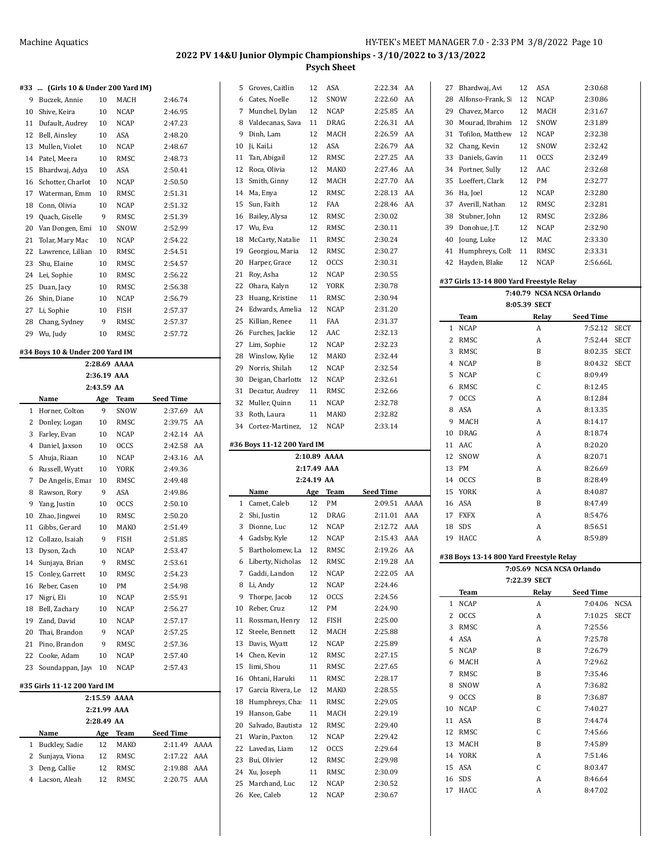|  | #33  (Girls 10 & Under 200 Yard IM) |  |  |  |  |
|--|-------------------------------------|--|--|--|--|
|  |                                     |  |  |  |  |

| 133 | (Girls 10 & Under 200 Yard IM) |    |             |         |
|-----|--------------------------------|----|-------------|---------|
| 9   | Buczek, Annie                  | 10 | <b>MACH</b> | 2:46.74 |
| 10  | Shive, Keira                   | 10 | <b>NCAP</b> | 2:46.95 |
| 11  | Dufault, Audrey                | 10 | <b>NCAP</b> | 2:47.23 |
| 12  | Bell, Ainsley                  | 10 | ASA         | 2:48.20 |
| 13  | Mullen, Violet                 | 10 | <b>NCAP</b> | 2:48.67 |
| 14  | Patel, Meera                   | 10 | RMSC        | 2:48.73 |
| 15  | Bhardwaj, Adya                 | 10 | ASA         | 2:50.41 |
| 16  | Schotter, Charlot              | 10 | <b>NCAP</b> | 2:50.50 |
| 17  | Waterman, Emm                  | 10 | <b>RMSC</b> | 2:51.31 |
| 18  | Conn, Olivia                   | 10 | <b>NCAP</b> | 2:51.32 |
| 19  | Quach, Giselle                 | 9  | RMSC        | 2:51.39 |
| 20  | Van Dongen, Emi                | 10 | SNOW        | 2:52.99 |
| 21  | Tolar, Mary Mac                | 10 | <b>NCAP</b> | 2:54.22 |
| 22  | Lawrence, Lilliar              | 10 | RMSC        | 2:54.51 |
| 23  | Shu. Elaine                    | 10 | RMSC        | 2:54.57 |
| 24  | Lei, Sophie                    | 10 | RMSC        | 2:56.22 |
| 25  | Duan, Jacy                     | 10 | RMSC        | 2:56.38 |
| 26  | Shin, Diane                    | 10 | <b>NCAP</b> | 2:56.79 |
| 27  | Li, Sophie                     | 10 | <b>FISH</b> | 2:57.37 |
| 28  | Chang, Sydney                  | 9  | RMSC        | 2:57.37 |
| 29  | Wu, Judy                       | 10 | RMSC        | 2:57.72 |
|     |                                |    |             |         |

#### **#34 Boys 10 & Under 200 Yard IM**

|    | 2:28.69 AAAA                |                 |             |                  |    |  |  |  |  |  |  |  |
|----|-----------------------------|-----------------|-------------|------------------|----|--|--|--|--|--|--|--|
|    |                             | 2:36.19 AAA     |             |                  |    |  |  |  |  |  |  |  |
|    |                             | 2:43.59 AA      |             |                  |    |  |  |  |  |  |  |  |
|    | Name                        | Age             | <b>Team</b> | <b>Seed Time</b> |    |  |  |  |  |  |  |  |
| 1  | Horner, Colton              | 9               | SNOW        | 2:37.69          | AA |  |  |  |  |  |  |  |
| 2  | Donley, Logan               | 10 <sup>1</sup> | RMSC        | 2:39.75          | AA |  |  |  |  |  |  |  |
| 3  | Farley, Evan                | 10 <sup>1</sup> | <b>NCAP</b> | 2:42.14          | AA |  |  |  |  |  |  |  |
| 4  | Daniel, Jaxson              | 10              | <b>OCCS</b> | 2:42.58          | AA |  |  |  |  |  |  |  |
| 5  | Ahuja, Riaan                | 10              | <b>NCAP</b> | 2:43.16          | AA |  |  |  |  |  |  |  |
| 6  | Russell, Wyatt              | 10              | <b>YORK</b> | 2:49.36          |    |  |  |  |  |  |  |  |
| 7  | De Angelis, Emar            | 10 <sup>1</sup> | RMSC        | 2:49.48          |    |  |  |  |  |  |  |  |
| 8  | Rawson, Rory                | 9               | ASA         | 2:49.86          |    |  |  |  |  |  |  |  |
| 9  | Yang, Justin                | 10              | <b>OCCS</b> | 2:50.10          |    |  |  |  |  |  |  |  |
| 10 | Zhao, Jingwei               | 10              | RMSC        | 2:50.20          |    |  |  |  |  |  |  |  |
| 11 | Gibbs, Gerard               | 10              | MAKO        | 2:51.49          |    |  |  |  |  |  |  |  |
| 12 | Collazo, Isaiah             | 9               | <b>FISH</b> | 2:51.85          |    |  |  |  |  |  |  |  |
| 13 | Dyson, Zach                 | 10 <sup>1</sup> | <b>NCAP</b> | 2:53.47          |    |  |  |  |  |  |  |  |
| 14 | Sunjaya, Brian              | 9               | RMSC        | 2:53.61          |    |  |  |  |  |  |  |  |
| 15 | Conley, Garrett             | 10              | RMSC        | 2:54.23          |    |  |  |  |  |  |  |  |
| 16 | Reber, Casen                | 10              | PM          | 2:54.98          |    |  |  |  |  |  |  |  |
| 17 | Nigri, Eli                  | 10 <sup>1</sup> | <b>NCAP</b> | 2:55.91          |    |  |  |  |  |  |  |  |
| 18 | Bell, Zachary               | 10              | <b>NCAP</b> | 2:56.27          |    |  |  |  |  |  |  |  |
| 19 | Zand. David                 | 10              | <b>NCAP</b> | 2:57.17          |    |  |  |  |  |  |  |  |
| 20 | Thai, Brandon               | 9               | <b>NCAP</b> | 2:57.25          |    |  |  |  |  |  |  |  |
| 21 | Pino, Brandon               | 9               | RMSC        | 2:57.36          |    |  |  |  |  |  |  |  |
| 22 | Cooke, Adam                 | 10 <sup>1</sup> | <b>NCAP</b> | 2:57.40          |    |  |  |  |  |  |  |  |
| 23 | Soundappan, Jay             | 10              | NCAP        | 2:57.43          |    |  |  |  |  |  |  |  |
|    | #35 Girls 11-12 200 Yard IM |                 |             |                  |    |  |  |  |  |  |  |  |

|    | 2:15.59 AAAA     |            |      |                  |      |  |  |  |  |  |  |  |
|----|------------------|------------|------|------------------|------|--|--|--|--|--|--|--|
|    | $2:21.99$ AAA    |            |      |                  |      |  |  |  |  |  |  |  |
|    |                  | 2:28.49 AA |      |                  |      |  |  |  |  |  |  |  |
|    | Name             | Age        | Team | <b>Seed Time</b> |      |  |  |  |  |  |  |  |
| 1. | Buckley, Sadie   | 12         | MAKO | 2:11.49          | AAAA |  |  |  |  |  |  |  |
|    | 2 Sunjaya, Viona | 12         | RMSC | $2.1722$ AAA     |      |  |  |  |  |  |  |  |
| 3  | Deng, Callie     | 12         | RMSC | 2:19.88          | AAA  |  |  |  |  |  |  |  |
| 4  | Lacson, Aleah    | 12         | RMSC | 2.2075           | AAA  |  |  |  |  |  |  |  |
|    |                  |            |      |                  |      |  |  |  |  |  |  |  |

| 5  | Groves, Caitlin            | 12          | ASA                 | 2:22.34   | AA   |
|----|----------------------------|-------------|---------------------|-----------|------|
| 6  | Cates, Noelle              | 12          | SNOW                | 2:22.60   | AA   |
| 7  | Munchel, Dylan             | 12          | NCAP                | 2:25.85   | AA   |
| 8  | Valdecanas, Sava           | 11          | DRAG                | 2:26.31   | AA   |
| 9  | Dinh, Lam                  | 12          | MACH                | 2:26.59   | AA   |
| 10 | Ji, KaiLi                  | 12          | ASA                 | 2:26.79   | AA   |
| 11 | Tan, Abigail               | 12          | RMSC                | 2:27.25   | AA   |
| 12 | Roca, Olivia               | 12          | MAKO                | 2:27.46   | AA   |
| 13 | Smith, Ginny               | 12          | MACH                | 2:27.70   | AA   |
| 14 | Ma, Enya                   | 12          | RMSC                | 2:28.13   | AA   |
| 15 | Sun, Faith                 | 12          | FAA                 | 2:28.46   | AA   |
| 16 | Bailey, Alysa              | 12          | RMSC                | 2:30.02   |      |
| 17 | Wu, Eva                    | 12          | RMSC                | 2:30.11   |      |
| 18 | McCarty, Natalie           | 11          | RMSC                | 2:30.24   |      |
|    |                            |             |                     |           |      |
| 19 | Georgiou, Maria            | 12          | RMSC                | 2:30.27   |      |
| 20 | Harper, Grace              | 12          | <b>OCCS</b>         | 2:30.31   |      |
| 21 | Roy, Asha                  | 12          | <b>NCAP</b>         | 2:30.55   |      |
| 22 | Ohara, Kalyn               | 12          | YORK                | 2:30.78   |      |
| 23 | Huang, Kristine            | 11          | RMSC                | 2:30.94   |      |
| 24 | Edwards, Amelia            | 12          | NCAP                | 2:31.20   |      |
| 25 | Killian, Renee             | 11          | FAA                 | 2:31.37   |      |
| 26 | Furches, Jackie            | 12          | AAC                 | 2:32.13   |      |
| 27 | Lim, Sophie                | 12          | NCAP                | 2:32.23   |      |
| 28 | Winslow, Kylie             | 12          | MAKO                | 2:32.44   |      |
| 29 | Norris, Shilah             | 12          | NCAP                | 2:32.54   |      |
| 30 | Deigan, Charlotte          | 12          | <b>NCAP</b>         | 2:32.61   |      |
| 31 | Decatur, Audrey            | 11          | RMSC                | 2:32.66   |      |
| 32 | Muller, Quinn              | 11          | NCAP                | 2:32.78   |      |
| 33 | Roth, Laura                | 11          | MAKO                | 2:32.82   |      |
| 34 | Cortez-Martinez,           | 12          | NCAP                | 2:33.14   |      |
|    |                            |             |                     |           |      |
|    |                            |             |                     |           |      |
|    | #36 Boys 11-12 200 Yard IM |             |                     |           |      |
|    |                            |             | 2:10.89 AAAA        |           |      |
|    |                            | 2:17.49 AAA |                     |           |      |
|    |                            | 2:24.19 AA  |                     |           |      |
|    | Name                       | Age         | Team                | Seed Time |      |
| 1  | Camet, Caleb               | 12          | PM                  | 2:09.51   | AAAA |
| 2  | Shi, Justin                | 12          | DRAG                | 2:11.01   | AAA  |
| 3  | Dionne, Luc                | 12          | <b>NCAP</b>         | 2:12.72   | AAA  |
| 4  |                            | 12          |                     | 2:15.43   | AAA  |
| 5  | Gadsby, Kyle               | 12          | <b>NCAP</b><br>RMSC | 2:19.26   | AA   |
|    | Bartholomew, La            |             |                     |           |      |
| 6  | Liberty, Nicholas          | 12          | RMSC                | 2:19.28   | AA   |
| 7  | Gaddi, Landon              | 12          | NCAP                | 2:22.05   | AA   |
| 8  | Li, Andy                   | 12          | <b>NCAP</b>         | 2:24.46   |      |
| 9  | Thorpe, Jacob              | 12          | <b>OCCS</b>         | 2:24.56   |      |
| 10 | Reber, Cruz                | 12          | PM                  | 2:24.90   |      |
| 11 | Rossman, Henry             | 12          | <b>FISH</b>         | 2:25.00   |      |
| 12 | Steele, Bennett            | 12          | MACH                | 2:25.88   |      |
| 13 | Davis, Wyatt               | 12          | <b>NCAP</b>         | 2:25.89   |      |
| 14 | Chen, Kevin                | 12          | RMSC                | 2:27.15   |      |
| 15 | Iimi, Shou                 | 11          | RMSC                | 2:27.65   |      |
| 16 | Ohtani, Haruki             | 11          | RMSC                | 2:28.17   |      |
| 17 | Garcia Rivera, Le          | 12          | MAKO                | 2:28.55   |      |
| 18 | Humphreys, Cha             | 11          | RMSC                | 2:29.05   |      |
| 19 | Hanson, Gabe               | 11          | MACH                | 2:29.19   |      |
| 20 | Salvado, Bautista          | 12          | RMSC                | 2:29.40   |      |
| 21 | Warin, Paxton              | 12          | NCAP                | 2:29.42   |      |
| 22 | Lavedas, Liam              | 12          | <b>OCCS</b>         | 2:29.64   |      |
| 23 | Bui, Olivier               | 12          | RMSC                | 2:29.98   |      |
| 24 | Xu, Joseph                 | 11          | RMSC                | 2:30.09   |      |
| 25 | Marchand, Luc              | 12          | NCAP                | 2:30.52   |      |
| 26 | Kee, Caleb                 | 12          | NCAP                | 2:30.67   |      |

| 27           | Bhardwaj, Avi                            | 12 | ASA          | 2:30.68                   |             |
|--------------|------------------------------------------|----|--------------|---------------------------|-------------|
| 28           | Alfonso-Frank, Si                        | 12 | NCAP         | 2:30.86                   |             |
|              | 29 Chavez, Marco                         | 12 | MACH         | 2:31.67                   |             |
| 30           | Mourad, Ibrahim                          | 12 | SNOW         | 2:31.89                   |             |
| 31           | Tofilon, Matthew                         | 12 | NCAP         | 2:32.38                   |             |
| 32           | Chang, Kevin                             | 12 | SNOW         | 2:32.42                   |             |
| 33           | Daniels, Gavin                           | 11 | <b>OCCS</b>  | 2:32.49                   |             |
| 34           | Portner, Sully                           | 12 | AAC          | 2:32.68                   |             |
| 35           | Loeffert, Clark                          | 12 | PM           | 2:32.77                   |             |
| 36           | Ha, Joel                                 | 12 | NCAP         | 2:32.80                   |             |
| 37           | Averill, Nathan                          | 12 | RMSC         | 2:32.81                   |             |
|              | 38 Stubner, John                         | 12 | RMSC         | 2:32.86                   |             |
|              | 39 Donohue, J.T.                         | 12 | NCAP         | 2:32.90                   |             |
| 40           | Joung, Luke                              | 12 | MAC          | 2:33.30                   |             |
|              | 41 Humphreys, Coll                       | 11 | RMSC         | 2:33.31                   |             |
|              | 42 Hayden, Blake                         | 12 | NCAP         | 2:56.66L                  |             |
|              |                                          |    |              |                           |             |
|              | #37 Girls 13-14 800 Yard Freestyle Relay |    |              |                           |             |
|              |                                          |    |              | 7:40.79 NCSA NCSA Orlando |             |
|              |                                          |    | 8:05.39 SECT |                           |             |
|              | Team                                     |    | Relay        | <b>Seed Time</b>          |             |
| $\mathbf{1}$ | <b>NCAP</b>                              |    | A            | 7:52.12                   | SECT        |
|              | 2 RMSC                                   |    | A            | 7:52.44                   | SECT        |
|              | 3 RMSC                                   |    | B            | 8:02.35                   | SECT        |
|              | 4 NCAP                                   |    | B            | 8:04.32                   | <b>SECT</b> |
| 5            | NCAP                                     |    | C            | 8:09.49                   |             |
| 6            | RMSC                                     |    | C            | 8:12.45                   |             |
|              | 7 OCCS                                   |    | A            | 8:12.84                   |             |
| 8            | ASA                                      |    | A            | 8:13.35                   |             |
| 9            | MACH                                     |    | A            | 8:14.17                   |             |
|              | 10 DRAG                                  |    | A            | 8:18.74                   |             |
|              | 11 AAC                                   |    | Α            | 8:20.20                   |             |
|              | 12 SNOW                                  |    | A            | 8:20.71                   |             |
| 13           | PM                                       |    | A            | 8:26.69                   |             |
|              | 14 OCCS                                  |    | B            | 8:28.49                   |             |
| 15           | YORK                                     |    | A            | 8:40.87                   |             |
|              | 16 ASA                                   |    | B            | 8:47.49                   |             |
|              | 17 FXFX                                  |    | A            | 8:54.76                   |             |
| 18           | SDS                                      |    | A            | 8:56.51                   |             |
| 19           | HACC                                     |    | A            | 8:59.89                   |             |
|              |                                          |    |              |                           |             |
|              | #38 Boys 13-14 800 Yard Freestyle Relay  |    |              | 7:05.69 NCSA NCSA Orlando |             |
|              |                                          |    | 7:22.39 SECT |                           |             |
|              | Team                                     |    | Relay        | <b>Seed Time</b>          |             |
| 1            | <b>NCAP</b>                              |    | A            | 7:04.06                   | <b>NCSA</b> |
| 2            | <b>OCCS</b>                              |    | A            | 7:10.25                   | <b>SECT</b> |
| 3            | RMSC                                     |    | A            | 7:25.56                   |             |
| 4            | ASA                                      |    | A            | 7:25.78                   |             |
| 5            | <b>NCAP</b>                              |    | B            | 7:26.79                   |             |
| 6            | MACH                                     |    | A            | 7:29.62                   |             |
| 7            | RMSC                                     |    | B            | 7:35.46                   |             |
| 8            | SNOW                                     |    | A            | 7:36.82                   |             |
| 9            |                                          |    |              |                           |             |
| 10           | <b>OCCS</b><br><b>NCAP</b>               |    | B<br>C       | 7:36.87<br>7:40.27        |             |
| 11           | ASA                                      |    | B            | 7:44.74                   |             |
|              |                                          |    |              |                           |             |
|              |                                          |    |              |                           |             |
| 12<br>13     | RMSC<br>MACH                             |    | C<br>B       | 7:45.66<br>7:45.89        |             |

 YORK A 7:51.46 ASA C 8:03.47 SDS A 8:46.64 HACC A 8:47.02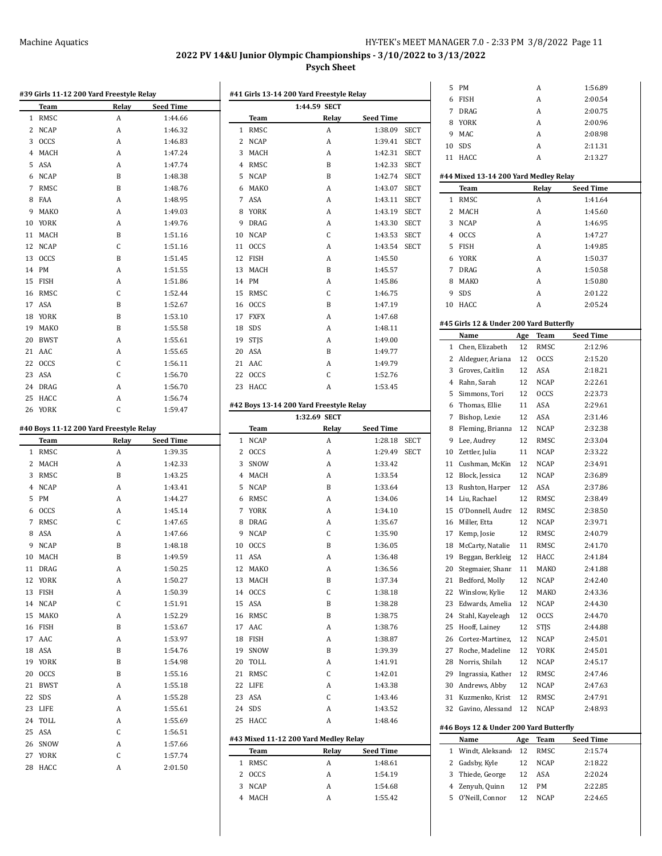## Machine Aquatics MEET MANAGER 7.0 - 2:33 PM 3/8/2022 Page 11

**2022 PV 14&U Junior Olympic Championships - 3/10/2022 to 3/13/2022**

## **Psych Sheet**

|    |                  | #39 Girls 11-12 200 Yard Freestyle Relay |                    |                |                  | #41 Girls 13-14 200 Yard Freestyle Relay |                                  |             | 6      | FISH                                    |          | A                   | 2:00.54            |
|----|------------------|------------------------------------------|--------------------|----------------|------------------|------------------------------------------|----------------------------------|-------------|--------|-----------------------------------------|----------|---------------------|--------------------|
|    | Team             | Relay                                    | <b>Seed Time</b>   |                |                  | 1:44.59 SECT                             |                                  |             |        | 7 DRAG                                  |          | A                   | 2:00.75            |
|    | 1 RMSC           | A                                        | 1:44.66            |                | Team<br>1 RMSC   | Relay<br>$\boldsymbol{A}$                | <b>Seed Time</b>                 |             | 8      | YORK                                    |          | A                   | 2:00.96            |
|    | 2 NCAP<br>3 OCCS | A<br>A                                   | 1:46.32<br>1:46.83 |                | 2 NCAP           | A                                        | 1:38.09 SECT<br>1:39.41 SECT     |             | 9      | MAC                                     |          | A                   | 2:08.98            |
|    | 4 MACH           | A                                        | 1:47.24            |                | 3 MACH           | A                                        | 1:42.31 SECT                     |             | 10     | SDS                                     |          | A                   | 2:11.31            |
|    | 5 ASA            | A                                        | 1:47.74            | $\overline{4}$ | RMSC             | B                                        | 1:42.33 SECT                     |             |        | 11 HACC                                 |          | A                   | 2:13.27            |
| 6  | <b>NCAP</b>      | B                                        | 1:48.38            |                | 5 NCAP           | $\, {\bf B}$                             | 1:42.74 SECT                     |             |        | #44 Mixed 13-14 200 Yard Medley Relay   |          |                     |                    |
|    | 7 RMSC           | $\, {\bf B}$                             | 1:48.76            | 6              | MAKO             | А                                        | 1:43.07 SECT                     |             |        | Team                                    |          | Relay               | <b>Seed Time</b>   |
|    | 8 FAA            | A                                        | 1:48.95            |                | 7 ASA            | A                                        | 1:43.11 SECT                     |             |        | 1 RMSC                                  |          | A                   | 1:41.64            |
| 9  | MAKO             | A                                        | 1:49.03            | 8              | YORK             | A                                        | 1:43.19 SECT                     |             |        | 2 MACH                                  |          | A                   | 1:45.60            |
| 10 | YORK             | A                                        | 1:49.76            | 9              | <b>DRAG</b>      | А                                        | 1:43.30                          | <b>SECT</b> | 3      | <b>NCAP</b>                             |          | A                   | 1:46.95            |
|    | 11 MACH          | B                                        | 1:51.16            | 10             | <b>NCAP</b>      | $\mathsf C$                              | 1:43.53 SECT                     |             | 4      | <b>OCCS</b>                             |          | A                   | 1:47.27            |
|    | 12 NCAP          | C                                        | 1:51.16            |                | 11 OCCS          | А                                        | 1:43.54 SECT                     |             |        | 5 FISH                                  |          | A                   | 1:49.85            |
|    | 13 OCCS          | B                                        | 1:51.45            |                | 12 FISH          | A                                        | 1:45.50                          |             | 6      | YORK                                    |          | A                   | 1:50.37            |
|    | 14 PM            | A                                        | 1:51.55            |                | 13 MACH          | B                                        | 1:45.57                          |             | 7      | DRAG                                    |          | A                   | 1:50.58            |
|    | 15 FISH          | A                                        | 1:51.86            |                | 14 PM            | А                                        | 1:45.86                          |             | 8      | MAKO                                    |          | A                   | 1:50.80            |
|    | 16 RMSC          | C                                        | 1:52.44            |                | 15 RMSC          | $\mathsf C$                              | 1:46.75                          |             | 9      | SDS                                     |          | A                   | 2:01.22            |
|    | 17 ASA           | $\, {\bf B}$                             | 1:52.67            |                | 16 OCCS          | B                                        | 1:47.19                          |             |        | 10 HACC                                 |          | A                   | 2:05.24            |
|    | 18 YORK          | B                                        | 1:53.10            |                | 17 FXFX          | A                                        | 1:47.68                          |             |        |                                         |          |                     |                    |
|    | 19 MAKO          | B                                        | 1:55.58            |                | 18 SDS           | A                                        | 1:48.11                          |             |        | #45 Girls 12 & Under 200 Yard Butterfly |          |                     |                    |
| 20 | <b>BWST</b>      | A                                        | 1:55.61            | 19             | <b>STJS</b>      | А                                        | 1:49.00                          |             |        | Name                                    | Age      | Team                | <b>Seed Time</b>   |
|    | 21 AAC           | A                                        | 1:55.65            | 20             | ASA              | $\, {\bf B}$                             | 1:49.77                          |             |        | 1 Chen, Elizabeth                       | 12       | RMSC                | 2:12.96            |
|    | 22 OCCS          | C                                        | 1:56.11            |                | 21 AAC           | А                                        | 1:49.79                          |             | 2      | Aldeguer, Ariana                        | 12       | <b>OCCS</b>         | 2:15.20            |
|    | 23 ASA           | С                                        | 1:56.70            |                | 22 OCCS          | $\mathsf C$                              | 1:52.76                          |             | 3      | Groves, Caitlin                         | 12       | ASA                 | 2:18.21            |
|    | 24 DRAG          | A                                        | 1:56.70            |                | 23 HACC          | A                                        | 1:53.45                          |             | 4      | Rahn, Sarah                             | 12       | <b>NCAP</b>         | 2:22.61            |
|    | 25 HACC          | A                                        | 1:56.74            |                |                  |                                          |                                  |             | 5      | Simmons, Tori                           | 12       | <b>OCCS</b>         | 2:23.73            |
|    | 26 YORK          | C                                        | 1:59.47            |                |                  | #42 Boys 13-14 200 Yard Freestyle Relay  |                                  |             | 6      | Thomas, Ellie                           | 11       | ASA                 | 2:29.61            |
|    |                  |                                          |                    |                |                  | 1:32.69 SECT                             |                                  |             | 7      | Bishop, Lexie                           | 12       | ASA                 | 2:31.46            |
|    |                  | #40 Boys 11-12 200 Yard Freestyle Relay  | <b>Seed Time</b>   |                | Team             | Relay<br>A                               | <b>Seed Time</b><br>1:28.18 SECT |             | 8<br>9 | Fleming, Brianna<br>Lee, Audrey         | 12<br>12 | <b>NCAP</b><br>RMSC | 2:32.38<br>2:33.04 |
|    | Team<br>1 RMSC   | Relay<br>A                               | 1:39.35            |                | 1 NCAP<br>2 OCCS | A                                        | 1:29.49 SECT                     |             | 10     | Zettler, Julia                          | 11       | <b>NCAP</b>         | 2:33.22            |
|    | 2 MACH           | A                                        | 1:42.33            | 3              | SNOW             | A                                        | 1:33.42                          |             | 11     | Cushman, McKin                          | 12       | <b>NCAP</b>         | 2:34.91            |
|    | 3 RMSC           | B                                        | 1:43.25            | 4              | MACH             | А                                        | 1:33.54                          |             | 12     | Block, Jessica                          | 12       | <b>NCAP</b>         | 2:36.89            |
|    | 4 NCAP           | A                                        | 1:43.41            |                | 5 NCAP           | B                                        | 1:33.64                          |             | 13     | Rushton, Harper                         | 12       | ASA                 | 2:37.86            |
|    | 5 PM             | A                                        | 1:44.27            | 6              | RMSC             | А                                        | 1:34.06                          |             |        | 14 Liu, Rachael                         | 12       | RMSC                | 2:38.49            |
| 6  | <b>OCCS</b>      | A                                        | 1:45.14            |                | 7 YORK           | А                                        | 1:34.10                          |             | 15     | O'Donnell, Audre                        | 12       | RMSC                | 2:38.50            |
| 7  | RMSC             | C                                        | 1:47.65            | 8              | DRAG             | А                                        | 1:35.67                          |             | 16     | Miller, Etta                            | 12       | <b>NCAP</b>         | 2:39.71            |
| 8  | ASA              | A                                        | 1:47.66            | 9              | <b>NCAP</b>      | $\mathsf C$                              | 1:35.90                          |             | 17     | Kemp, Josie                             | 12       | RMSC                | 2:40.79            |
|    | 9 NCAP           | B                                        | 1:48.18            |                | 10 OCCS          | B                                        | 1:36.05                          |             | 18     | McCarty, Natalie                        | 11       | RMSC                | 2:41.70            |
|    | 10 MACH          | B                                        | 1:49.59            |                | 11 ASA           | A                                        | 1:36.48                          |             |        | 19 Beggan, Berkleig 12                  |          | HACC                | 2:41.84            |
|    | 11 DRAG          | A                                        | 1:50.25            |                | 12 MAKO          | A                                        | 1:36.56                          |             |        | 20 Stegmaier, Shanr 11                  |          | MAKO                | 2:41.88            |
|    | 12 YORK          | A                                        | 1:50.27            |                | 13 MACH          | B                                        | 1:37.34                          |             |        | 21 Bedford, Molly                       | 12       | NCAP                | 2:42.40            |
|    | 13 FISH          | A                                        | 1:50.39            |                | 14 OCCS          | С                                        | 1:38.18                          |             | 22     | Winslow, Kylie                          | 12       | MAKO                | 2:43.36            |
|    | 14 NCAP          | С                                        | 1:51.91            |                | 15 ASA           | B                                        | 1:38.28                          |             | 23     | Edwards, Amelia                         | 12       | NCAP                | 2:44.30            |
|    | 15 MAKO          | A                                        | 1:52.29            |                | 16 RMSC          | B                                        | 1:38.75                          |             |        | 24 Stahl, Kayeleagh                     | 12       | <b>OCCS</b>         | 2:44.70            |
|    | 16 FISH          | B                                        | 1:53.67            |                | 17 AAC           | A                                        | 1:38.76                          |             |        | 25 Hooff, Lainey                        | 12       | <b>STJS</b>         | 2:44.88            |
|    | 17 AAC           | A                                        | 1:53.97            |                | 18 FISH          | A                                        | 1:38.87                          |             | 26     | Cortez-Martinez,                        | 12       | <b>NCAP</b>         | 2:45.01            |
|    | 18 ASA           | B                                        | 1:54.76            |                | 19 SNOW          | B                                        | 1:39.39                          |             | 27     | Roche, Madeline                         | 12       | YORK                | 2:45.01            |
|    | 19 YORK          | B                                        | 1:54.98            |                | 20 TOLL          | A                                        | 1:41.91                          |             | 28     | Norris, Shilah                          | 12       | NCAP                | 2:45.17            |
|    | 20 OCCS          | B                                        | 1:55.16            |                | 21 RMSC          | С                                        | 1:42.01                          |             |        | 29 Ingrassia, Kather                    | 12       | RMSC                | 2:47.46            |
|    | 21 BWST          | A                                        | 1:55.18            |                | 22 LIFE          | A                                        | 1:43.38                          |             | 30     | Andrews, Abby                           | 12       | <b>NCAP</b>         | 2:47.63            |
|    | 22 SDS           | A                                        | 1:55.28            |                | 23 ASA           | $\mathsf C$                              | 1:43.46                          |             |        | 31 Kuzmenko, Krist                      | 12       | RMSC                | 2:47.91            |
|    | 23 LIFE          | A                                        | 1:55.61            |                | 24 SDS           | A                                        | 1:43.52                          |             |        | 32 Gavino, Alessand                     | 12       | NCAP                | 2:48.93            |
|    | 24 TOLL          | A                                        | 1:55.69            |                | 25 HACC          | A                                        | 1:48.46                          |             |        |                                         |          |                     |                    |
|    | 25 ASA           | С                                        | 1:56.51            |                |                  |                                          |                                  |             |        | #46 Boys 12 & Under 200 Yard Butterfly  |          |                     |                    |
|    | 26 SNOW          | A                                        | 1:57.66            |                |                  | #43 Mixed 11-12 200 Yard Medley Relay    |                                  |             |        | Name                                    | Age      | Team                | <b>Seed Time</b>   |
|    | 27 YORK          | С                                        | 1:57.74            |                | Team             | Relay                                    | <b>Seed Time</b>                 |             |        | 1 Windt, Aleksand                       | 12       | RMSC                | 2:15.74            |
|    | 28 HACC          | A                                        | 2:01.50            |                | 1 RMSC           | A                                        | 1:48.61                          |             |        | 2 Gadsby, Kyle                          | 12       | <b>NCAP</b>         | 2:18.22            |
|    |                  |                                          |                    |                | 2 OCCS           | A                                        | 1:54.19                          |             | 3      | Thiede, George                          | 12       | ASA                 | 2:20.24            |
|    |                  |                                          |                    |                |                  |                                          |                                  |             |        |                                         |          |                     |                    |
|    |                  |                                          |                    |                | 3 NCAP           | A                                        | 1:54.68                          |             | 4      | Zenyuh, Quinn                           | 12       | PM                  | 2:22.85            |
|    |                  |                                          |                    |                | 4 MACH           | A                                        | 1:55.42                          |             |        | 5 O'Neill, Connor                       |          | 12 NCAP             | 2:24.65            |

| 8  | YORK                                    |     | Α           | 2:00.96          |  |  |  |  |  |
|----|-----------------------------------------|-----|-------------|------------------|--|--|--|--|--|
| 9  | <b>MAC</b>                              |     | A           | 2:08.98          |  |  |  |  |  |
| 10 | SDS                                     |     | A           | 2:11.31          |  |  |  |  |  |
| 11 | HACC                                    |     | A           | 2:13.27          |  |  |  |  |  |
|    |                                         |     |             |                  |  |  |  |  |  |
|    | #44 Mixed 13-14 200 Yard Medley Relay   |     |             |                  |  |  |  |  |  |
|    | Team                                    |     | Relay       | Seed Time        |  |  |  |  |  |
| 1  | RMSC                                    |     | A           | 1:41.64          |  |  |  |  |  |
| 2  | MACH                                    |     | A           | 1:45.60          |  |  |  |  |  |
| 3  | <b>NCAP</b>                             |     | A           | 1:46.95          |  |  |  |  |  |
| 4  | <b>OCCS</b>                             |     | A           | 1:47.27          |  |  |  |  |  |
| 5  | <b>FISH</b>                             |     | A           | 1:49.85          |  |  |  |  |  |
| 6  | YORK                                    |     | A           | 1:50.37          |  |  |  |  |  |
| 7  | <b>DRAG</b>                             |     | A           | 1:50.58          |  |  |  |  |  |
| 8  | MAKO                                    |     | A           | 1:50.80          |  |  |  |  |  |
| 9  | <b>SDS</b>                              |     | A           | 2:01.22          |  |  |  |  |  |
| 10 | HACC                                    |     | A           | 2:05.24          |  |  |  |  |  |
|    | #45 Girls 12 & Under 200 Yard Butterfly |     |             |                  |  |  |  |  |  |
|    | Name                                    | Age | Team        | <b>Seed Time</b> |  |  |  |  |  |
| 1  | Chen, Elizabeth                         | 12  | RMSC        | 2:12.96          |  |  |  |  |  |
| 2  | Aldeguer, Ariana                        | 12  | <b>OCCS</b> | 2:15.20          |  |  |  |  |  |
| 3  | Groves, Caitlin                         | 12  | ASA         | 2:18.21          |  |  |  |  |  |
| 4  | Rahn, Sarah                             | 12  | NCAP        | 2:22.61          |  |  |  |  |  |
| 5  | Simmons, Tori                           | 12  | <b>OCCS</b> | 2:23.73          |  |  |  |  |  |
| 6  | Thomas, Ellie                           | 11  | ASA         | 2:29.61          |  |  |  |  |  |
| 7  | Bishop, Lexie                           | 12  | ASA         | 2:31.46          |  |  |  |  |  |
| 8  | Fleming, Brianna                        | 12  | NCAP        | 2:32.38          |  |  |  |  |  |
| 9  | Lee, Audrey                             | 12  | RMSC        | 2:33.04          |  |  |  |  |  |
| 10 | Zettler, Julia                          | 11  | NCAP        | 2:33.22          |  |  |  |  |  |
| 11 | Cushman, McKin                          | 12  | NCAP        | 2:34.91          |  |  |  |  |  |
| 12 | Block, Jessica                          | 12  | <b>NCAP</b> | 2:36.89          |  |  |  |  |  |
| 13 | Rushton, Harper                         | 12  | ASA         | 2:37.86          |  |  |  |  |  |
| 14 | Liu, Rachael                            | 12  | RMSC        | 2:38.49          |  |  |  |  |  |
| 15 | O'Donnell, Audre                        | 12  | RMSC        | 2:38.50          |  |  |  |  |  |
| 16 | Miller, Etta                            | 12  | NCAP        | 2:39.71          |  |  |  |  |  |
| 17 | Kemp, Josie                             | 12  | RMSC        | 2:40.79          |  |  |  |  |  |
| 18 | McCarty, Natalie                        | 11  | RMSC        | 2:41.70          |  |  |  |  |  |
| 19 | Beggan, Berkleig                        | 12  | HACC        | 2:41.84          |  |  |  |  |  |
| 20 | Stegmaier, Shanr                        | 11  | MAKO        | 2:41.88          |  |  |  |  |  |
| 21 | Bedford, Molly                          | 12  | NCAP        | 2:42.40          |  |  |  |  |  |
| 22 | Winslow, Kylie                          | 12  | MAKO        | 2:43.36          |  |  |  |  |  |
| 23 | Edwards, Amelia                         | 12  | NCAP        | 2:44.30          |  |  |  |  |  |
| 24 | Stahl, Kayeleagh                        | 12  | <b>OCCS</b> | 2:44.70          |  |  |  |  |  |
| 25 | Hooff, Lainey                           | 12  | STJS        | 2:44.88          |  |  |  |  |  |
| 26 | Cortez-Martinez,                        | 12  | NCAP        | 2:45.01          |  |  |  |  |  |
| 27 | Roche, Madeline                         | 12  | YORK        | 2:45.01          |  |  |  |  |  |
| 28 | Norris, Shilah                          | 12  | NCAP        | 2:45.17          |  |  |  |  |  |
| 29 | Ingrassia, Kather                       | 12  | RMSC        | 2:47.46          |  |  |  |  |  |
| 30 | Andrews, Abby                           | 12  | NCAP        | 2:47.63          |  |  |  |  |  |
| 31 | Kuzmenko, Krist                         | 12  | RMSC        | 2:47.91          |  |  |  |  |  |
| 32 | Gavino, Alessand                        | 12  | NCAP        | 2:48.93          |  |  |  |  |  |
|    |                                         |     |             |                  |  |  |  |  |  |
|    | #46 Boys 12 & Under 200 Yard Butterfly  |     |             |                  |  |  |  |  |  |
|    | Name                                    | Age | Team        | <b>Seed Time</b> |  |  |  |  |  |
| 1  | Windt, Aleksand                         | 12  | RMSC        | 2:15.74          |  |  |  |  |  |
| 2  | Gadsby, Kyle                            | 12  | NCAP        | 2:18.22          |  |  |  |  |  |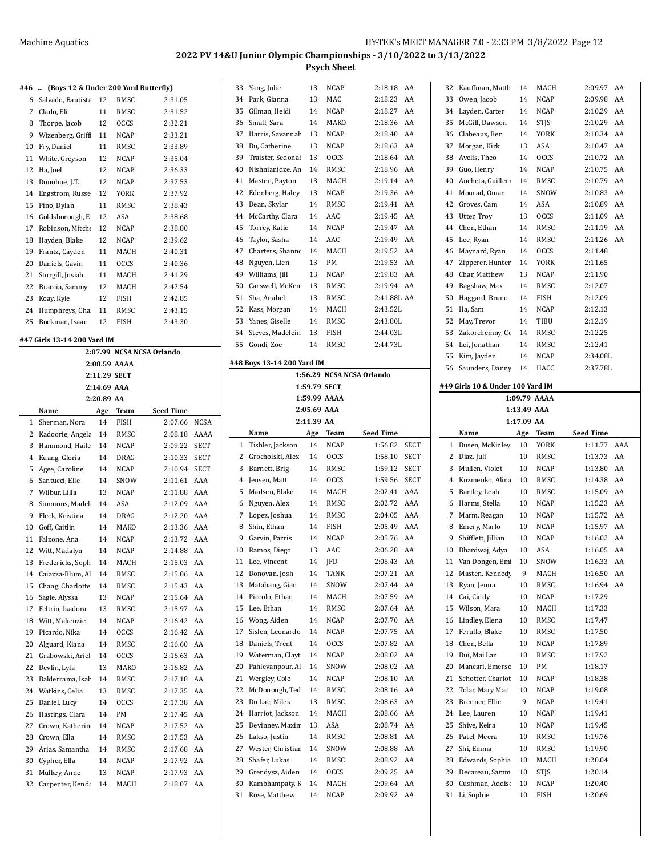#### **#46 ... (Boys 12 & Under 200 Yard Butterfly)**

| 6  | Salvado, Bautista | 12 | RMSC        | 2:31.05 |
|----|-------------------|----|-------------|---------|
| 7  | Clado, Eli        | 11 | RMSC        | 2:31.52 |
| 8  | Thorpe, Jacob     | 12 | <b>OCCS</b> | 2:32.21 |
| 9  | Wizenberg, Griff  | 11 | <b>NCAP</b> | 2:33.21 |
| 10 | Fry, Daniel       | 11 | RMSC        | 2:33.89 |
| 11 | White, Greyson    | 12 | NCAP        | 2:35.04 |
| 12 | Ha, Joel          | 12 | <b>NCAP</b> | 2:36.33 |
| 13 | Donohue, J.T.     | 12 | <b>NCAP</b> | 2:37.53 |
| 14 | Engstrom, Russe   | 12 | <b>YORK</b> | 2:37.92 |
| 15 | Pino, Dylan       | 11 | RMSC        | 2:38.43 |
| 16 | Goldsborough, E   | 12 | <b>ASA</b>  | 2:38.68 |
| 17 | Robinson, Mitche  | 12 | <b>NCAP</b> | 2:38.80 |
| 18 | Hayden, Blake     | 12 | <b>NCAP</b> | 2:39.62 |
| 19 | Frantz, Cayden    | 11 | MACH        | 2:40.31 |
| 20 | Daniels, Gavin    | 11 | <b>OCCS</b> | 2:40.36 |
| 21 | Sturgill, Josiah  | 11 | MACH        | 2:41.29 |
| 22 | Braccia, Sammy    | 12 | MACH        | 2:42.54 |
| 23 | Koay, Kyle        | 12 | <b>FISH</b> | 2:42.85 |
| 24 | Humphreys, Cha    | 11 | RMSC        | 2:43.15 |
| 25 | Bockman, Isaac    | 12 | FISH        | 2:43.30 |
|    |                   |    |             |         |

#### **#47 Girls 13-14 200 Yard IM**

|                | 2:07.99 NCSA NCSA Orlando |             |              |                  |             |  |  |  |  |  |  |  |
|----------------|---------------------------|-------------|--------------|------------------|-------------|--|--|--|--|--|--|--|
|                |                           |             | 2:08.59 AAAA |                  |             |  |  |  |  |  |  |  |
|                |                           |             | 2:11.29 SECT |                  |             |  |  |  |  |  |  |  |
|                |                           | 2:14.69 AAA |              |                  |             |  |  |  |  |  |  |  |
|                |                           | 2:20.89 AA  |              |                  |             |  |  |  |  |  |  |  |
|                | Name                      | Age         | Team         | <b>Seed Time</b> |             |  |  |  |  |  |  |  |
| 1              | Sherman, Nora             | 14          | <b>FISH</b>  | 2:07.66          | <b>NCSA</b> |  |  |  |  |  |  |  |
| 2              | Kadoorie, Angela          | 14          | RMSC         | 2:08.18          | AAAA        |  |  |  |  |  |  |  |
| 3              | Hammond, Haile            | 14          | <b>NCAP</b>  | 2:09.22          | <b>SECT</b> |  |  |  |  |  |  |  |
| $\overline{4}$ | Kuang, Gloria             | 14          | <b>DRAG</b>  | 2:10.33          | <b>SECT</b> |  |  |  |  |  |  |  |
| 5              | Agee, Caroline            | 14          | <b>NCAP</b>  | 2:10.94          | <b>SECT</b> |  |  |  |  |  |  |  |
| 6              | Santucci, Elle            | 14          | SNOW         | 2:11.61          | AAA         |  |  |  |  |  |  |  |
| 7              | Wilbur, Lilla             | 13          | <b>NCAP</b>  | 2:11.88          | AAA         |  |  |  |  |  |  |  |
| 8              | Simmons, Madel            | 14          | ASA          | 2:12.09          | AAA         |  |  |  |  |  |  |  |
| 9              | Fleck, Kristina           | 14          | DRAG         | 2:12.20          | AAA         |  |  |  |  |  |  |  |
| 10             | Goff, Caitlin             | 14          | MAKO         | 2:13.36          | AAA         |  |  |  |  |  |  |  |
| 11             | Falzone, Ana              | 14          | <b>NCAP</b>  | 2:13.72          | AAA         |  |  |  |  |  |  |  |
| 12             | Witt, Madalyn             | 14          | <b>NCAP</b>  | 2:14.88          | AA          |  |  |  |  |  |  |  |
| 13             | Fredericks, Soph          | 14          | MACH         | 2:15.03          | AA          |  |  |  |  |  |  |  |
| 14             | Caiazza-Blum, Al          | 14          | RMSC         | 2:15.06          | AA          |  |  |  |  |  |  |  |
| 15             | Chang, Charlotte          | 14          | RMSC         | 2:15.43          | AA          |  |  |  |  |  |  |  |
| 16             | Sagle, Alyssa             | 13          | <b>NCAP</b>  | 2:15.64          | AA          |  |  |  |  |  |  |  |
| 17             | Feltrin, Isadora          | 13          | RMSC         | 2:15.97          | AA          |  |  |  |  |  |  |  |
| 18             | Witt, Makenzie            | 14          | <b>NCAP</b>  | 2:16.42          | AA          |  |  |  |  |  |  |  |
| 19             | Picardo, Nika             | 14          | <b>OCCS</b>  | 2:16.42          | AA          |  |  |  |  |  |  |  |
| 20             | Alguard, Kiana            | 14          | RMSC         | 2:16.60          | AA          |  |  |  |  |  |  |  |
| 21             | Grabowski, Ariel          | 14          | <b>OCCS</b>  | 2:16.63          | AA          |  |  |  |  |  |  |  |
| 22             | Devlin, Lyla              | 13          | MAKO         | 2:16.82          | AA          |  |  |  |  |  |  |  |
| 23             | Balderrama, Isab          | 14          | RMSC         | 2:17.18          | AA          |  |  |  |  |  |  |  |
| 24             | Watkins, Celia            | 13          | RMSC         | 2:17.35          | AA          |  |  |  |  |  |  |  |
| 25             | Daniel, Lucy              | 14          | <b>OCCS</b>  | 2:17.38          | AA          |  |  |  |  |  |  |  |
| 26             | Hastings, Clara           | 14          | PM           | 2:17.45          | AA          |  |  |  |  |  |  |  |
| 27             | Crown, Katherin           | 14          | NCAP         | 2:17.52          | AA          |  |  |  |  |  |  |  |
| 28             | Crown, Ella               | 14          | RMSC         | 2:17.53          | AA          |  |  |  |  |  |  |  |
| 29             | Arias, Samantha           | 14          | <b>RMSC</b>  | 2:17.68          | AA          |  |  |  |  |  |  |  |
| 30             | Cypher, Ella              | 14          | <b>NCAP</b>  | 2:17.92          | AA          |  |  |  |  |  |  |  |
| 31             | Mulkey, Anne              | 13          | <b>NCAP</b>  | 2:17.93          | AA          |  |  |  |  |  |  |  |
| 32             | Carpenter, Kenda          | 14          | MACH         | 2:18.07          | AA          |  |  |  |  |  |  |  |
|                |                           |             |              |                  |             |  |  |  |  |  |  |  |

| 33       | Yang, Julie                     | 13         | <b>NCAP</b>  | 2:18.18<br>AA                  |
|----------|---------------------------------|------------|--------------|--------------------------------|
| 34       | Park, Gianna                    | 13         | MAC          | 2:18.23<br>AA                  |
| 35       | Gilman, Heidi                   | 14         | <b>NCAP</b>  | 2:18.27<br>AA                  |
| 36       | Small, Sara                     | 14         | MAKO         | 2:18.36<br>AA                  |
| 37       | Harris, Savannah                | 13         | <b>NCAP</b>  | 2:18.40<br>AA                  |
| 38       | Bu, Catherine                   | 13         | <b>NCAP</b>  | AA<br>2:18.63                  |
| 39       | Traister, Sedonal               | 13         | <b>OCCS</b>  | 2:18.64<br>AA                  |
| 40       | Nishnianidze, An                | 14         | RMSC         | AA<br>2:18.96                  |
|          |                                 | 13         |              | 2:19.14<br>AA                  |
| 41       | Masten, Payton                  |            | MACH         |                                |
| 42       | Edenberg, Haley                 | 13         | NCAP         | AA<br>2:19.36                  |
| 43       | Dean, Skylar                    | 14         | RMSC         | 2:19.41<br>AA                  |
| 44       | McCarthy, Clara                 | 14         | AAC          | 2:19.45<br>AA                  |
| 45       | Torrey, Katie                   | 14         | <b>NCAP</b>  | 2:19.47<br>AA                  |
| 46       | Taylor, Sasha                   | 14         | AAC          | 2:19.49<br>AA                  |
| 47       | Charters, Shannc                | 14         | MACH         | 2:19.52<br>AA                  |
| 48       | Nguyen, Lien                    | 13         | PM           | AA<br>2:19.53                  |
| 49       | Williams, Jill                  | 13         | NCAP         | 2:19.83<br>AA                  |
| 50       | Carswell, McKen                 | 13         | RMSC         | 2:19.94<br>AA                  |
| 51       | Sha, Anabel                     | 13         | RMSC         | 2:41.88L AA                    |
| 52       | Kass, Morgan                    | 14         | MACH         | 2:43.52L                       |
| 53       | Yanes, Giselle                  | 14         | RMSC         | 2:43.80L                       |
| 54       | Steves, Madelein                | 13         | FISH         | 2:44.03L                       |
|          |                                 |            | RMSC         |                                |
| 55       | Gondi, Zoe                      | 14         |              | 2:44.73L                       |
|          | #48 Boys 13-14 200 Yard IM      |            |              |                                |
|          |                                 |            |              | 1:56.29 NCSA NCSA Orlando      |
|          |                                 |            | 1:59.79 SECT |                                |
|          |                                 |            | 1:59.99 AAAA |                                |
|          |                                 |            | 2:05.69 AAA  |                                |
|          |                                 | 2:11.39 AA |              |                                |
|          | Name                            | Age        | Team         | Seed Time                      |
|          |                                 |            |              |                                |
|          |                                 |            |              |                                |
| 1        | Tishler, Jackson                | 14         | <b>NCAP</b>  | <b>SECT</b><br>1:56.82         |
| 2        | Grocholski, Alex                | 14         | <b>OCCS</b>  | 1:58.10<br>SECT                |
| 3        | Barnett, Brig                   | 14         | RMSC         | 1:59.12<br><b>SECT</b>         |
| 4        | Jensen, Matt                    | 14         | <b>OCCS</b>  | 1:59.56<br><b>SECT</b>         |
| 5        | Madsen, Blake                   | 14         | MACH         | AAA<br>2:02.41                 |
| 6        | Nguyen, Alex                    | 14         | RMSC         | 2:02.72<br>AAA                 |
| 7        | Lopez, Joshua                   | 14         | RMSC         | 2:04.05<br>AAA                 |
| 8        | Shin, Ethan                     | 14         | <b>FISH</b>  | 2:05.49<br>AAA                 |
| 9        | Garvin, Parris                  | 14         | <b>NCAP</b>  | 2:05.76<br>AA                  |
| 10       | Ramos, Diego                    | 13         | AAC          | 2:06.28<br>AA                  |
| 11       |                                 | 14         | JFD          | 2:06.43<br>AA                  |
| 12       | Lee, Vincent                    | 14         |              | 2:07.21<br>AA                  |
|          | Donovan, Josh                   |            | TANK         |                                |
| 13       | Matabang, Gian                  | 14         | SNOW         | 2:07.44<br>AA                  |
| 14       | Piccolo, Ethan                  | 14         | MACH         | 2:07.59<br>AA                  |
| 15       | Lee, Ethan                      | 14         | RMSC         | 2:07.64<br>AA                  |
| 16       | Wong, Aiden                     | 14         | NCAP         | 2:07.70<br>AA                  |
| 17       | Sislen, Leonardo                | 14         | NCAP         | 2:07.75<br>AA                  |
| 18       | Daniels, Trent                  | 14         | <b>OCCS</b>  | 2:07.82<br>AA                  |
| 19       | Waterman, Clayt                 | 14         | NCAP         | AA<br>2:08.02                  |
| 20       | Pahlevanpour, Al                | 14         | SNOW         | 2:08.02<br>AA                  |
| 21       | Wergley, Cole                   | 14         | NCAP         | 2:08.10<br>AA                  |
| 22       | McDonough, Ted                  | 14         | RMSC         | 2:08.16<br>AA                  |
| 23       | Du Lac, Miles                   | 13         | RMSC         | 2:08.63<br>AA                  |
| 24       | Harriot, Jackson                | 14         | MACH         | 2:08.66<br>AA                  |
| 25       | Devinney, Maxim                 | 13         | ASA          | 2:08.74<br>AA                  |
| 26       | Lakso, Justin                   | 14         | RMSC         | 2:08.81<br>AA                  |
| 27       | Wester, Christian               | 14         | SNOW         | 2:08.88<br>AA                  |
| 28       | Shafer, Lukas                   | 14         | RMSC         | 2:08.92<br>AA                  |
|          |                                 |            |              |                                |
| 29       | Grendysz, Aiden                 | 14         | <b>OCCS</b>  | 2:09.25<br>AA                  |
| 30<br>31 | Kambhampaty, K<br>Rose, Matthew | 14<br>14   | MACH<br>NCAP | 2:09.64<br>AA<br>2:09.92<br>AA |

| 32       | Kauffman, Matth                  | 14          | MACH         | 2:09.97<br>AA      |
|----------|----------------------------------|-------------|--------------|--------------------|
| 33       | Owen, Jacob                      | 14          | NCAP         | 2:09.98<br>AA      |
| 34       | Layden, Carter                   | 14          | <b>NCAP</b>  | 2:10.29<br>AA      |
| 35       | McGill, Dawson                   | 14          | <b>STJS</b>  | 2:10.29<br>AA      |
| 36       | Clabeaux, Ben                    | 14          | YORK         | 2:10.34<br>AA      |
| 37       | Morgan, Kirk                     | 13          | ASA          | 2:10.47<br>AA      |
| 38       | Avelis, Theo                     | 14          | <b>OCCS</b>  | 2:10.72<br>AA      |
|          |                                  |             |              |                    |
| 39       | Guo, Henry                       | 14          | NCAP         | 2:10.75<br>AA      |
| 40       | Ancheta, Guillerr                | 14          | RMSC         | 2:10.79<br>AA      |
| 41       | Mourad, Omar                     | 14          | SNOW         | 2:10.83<br>AA      |
| 42       | Groves, Cam                      | 14          | ASA          | 2:10.89<br>AA      |
| 43       | Utter, Troy                      | 13          | <b>OCCS</b>  | 2:11.09<br>AA      |
| 44       | Chen, Ethan                      | 14          | RMSC         | 2:11.19<br>AA      |
| 45       | Lee, Ryan                        | 14          | RMSC         | 2:11.26<br>AA      |
| 46       | Maynard, Ryan                    | 14          | <b>OCCS</b>  | 2:11.48            |
| 47       | Zipperer, Hunter                 | 14          | YORK         | 2:11.65            |
| 48       | Char, Matthew                    | 13          | NCAP         | 2:11.90            |
| 49       | Bagshaw, Max                     | 14          | RMSC         | 2:12.07            |
| 50       | Haggard, Bruno                   | 14          | <b>FISH</b>  | 2:12.09            |
| 51       | Ha, Sam                          | 14          | NCAP         | 2:12.13            |
|          |                                  |             |              |                    |
| 52       | May, Trevor                      | 14          | TIBU         | 2:12.19            |
| 53       | Zakorchemny, Cc                  | 14          | RMSC         | 2:12.25            |
| 54       | Lei, Jonathan                    | 14          | RMSC         | 2:12.41            |
| 55       | Kim, Jayden                      | 14          | NCAP         | 2:34.08L           |
| 56       | Saunders, Danny                  | 14          | HACC         | 2:37.78L           |
|          | #49 Girls 10 & Under 100 Yard IM |             |              |                    |
|          |                                  |             |              |                    |
|          |                                  |             | 1:09.79 AAAA |                    |
|          |                                  | 1:13.49 AAA |              |                    |
|          |                                  | 1:17.09 AA  |              |                    |
|          | Name                             | Age         | Team         | Seed Time          |
|          |                                  |             |              |                    |
| 1        | Busen, McKinley                  | 10          | YORK         | AAA<br>1:11.77     |
| 2        | Diaz, Juli                       | 10          | RMSC         | 1:13.73<br>AA      |
| 3        | Mullen, Violet                   | 10          | NCAP         | 1:13.80<br>AA      |
| 4        | Kuzmenko, Alina                  | 10          | RMSC         | 1:14.38<br>AA      |
| 5        | Bartley, Leah                    | 10          | RMSC         | 1:15.09<br>AA      |
| 6        | Harms, Stella                    | 10          | NCAP         | 1:15.23<br>AA      |
| 7        | Marm, Reagan                     | 10          | <b>NCAP</b>  | 1:15.72<br>AA      |
| 8        | Emery, Marlo                     | 10          | NCAP         | 1:15.97<br>AA      |
| 9        |                                  |             |              |                    |
|          | Shifflett, Jillian               | 10          | NCAP         | 1:16.02<br>AA      |
| 10       | Bhardwaj, Adya                   | 10          | ASA          | 1:16.05<br>AA      |
| 11       | Van Dongen, Emi                  | 10          | SNOW         | AA<br>1:16.33      |
| 12       | Masten, Kennedy                  | 9           | MACH         | 1:16.50<br>AA      |
| 13       | Ryan, Jenna                      | 10          | RMSC         | 1:16.94<br>AA      |
| 14       | Cai, Cindy                       | 10          | NCAP         | 1:17.29            |
| 15       | Wilson, Mara                     | 10          | MACH         | 1:17.33            |
| 16       | Lindley, Elena                   | 10          | RMSC         | 1:17.47            |
| 17       | Ferullo, Blake                   | 10          | RMSC         | 1:17.50            |
| 18       | Chen, Bella                      | 10          | NCAP         | 1:17.89            |
| 19       | Bui, Mai Lan                     | 10          | RMSC         | 1:17.92            |
| 20       | Mancari, Emerso                  | 10          | PM           | 1:18.17            |
| 21       | Schotter, Charlot                | 10          | NCAP         | 1:18.38            |
| 22       | Tolar, Mary Mac                  | 10          | NCAP         | 1:19.08            |
| 23       | Brenner, Ellie                   | 9           | NCAP         | 1:19.41            |
| 24       | Lee, Lauren                      | 10          | NCAP         | 1:19.41            |
| 25       | Shive, Keira                     | 10          | NCAP         | 1:19.45            |
|          |                                  |             |              |                    |
| 26       | Patel, Meera                     | 10          | RMSC         | 1:19.76            |
| 27       | Shi, Emma                        | 10          | RMSC         | 1:19.90            |
| 28       | Edwards, Sophia                  | 10          | MACH         | 1:20.04            |
| 29       | Decareau, Samm                   | 10          | <b>STJS</b>  | 1:20.14            |
| 30<br>31 | Cushman, Addisc<br>Li, Sophie    | 10<br>10    | NCAP<br>FISH | 1:20.40<br>1:20.69 |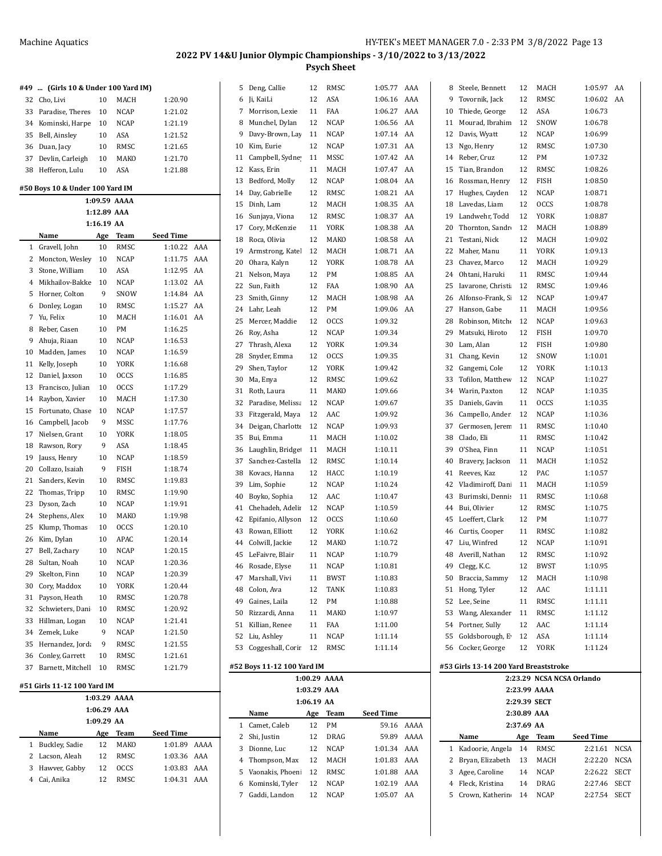| #49                                     | (Girls 10 & Under 100 Yard IM)<br> |             |              |           |      |  |  |  |  |  |  |  |  |  |
|-----------------------------------------|------------------------------------|-------------|--------------|-----------|------|--|--|--|--|--|--|--|--|--|
| 32                                      | Cho, Livi                          | 10          | <b>MACH</b>  | 1:20.90   |      |  |  |  |  |  |  |  |  |  |
| 33                                      | Paradise, Theres                   | 10          | <b>NCAP</b>  | 1:21.02   |      |  |  |  |  |  |  |  |  |  |
| 34                                      | Kominski, Harpe                    | 10          | <b>NCAP</b>  | 1:21.19   |      |  |  |  |  |  |  |  |  |  |
| 35                                      | Bell, Ainsley                      | 10          | ASA          | 1:21.52   |      |  |  |  |  |  |  |  |  |  |
| 36                                      | Duan, Jacy                         | 10          | RMSC         | 1:21.65   |      |  |  |  |  |  |  |  |  |  |
| 37                                      | Devlin, Carleigh                   | 10          | MAKO         | 1:21.70   |      |  |  |  |  |  |  |  |  |  |
| 38                                      | Hefferon, Lulu                     | 10          | ASA          | 1:21.88   |      |  |  |  |  |  |  |  |  |  |
|                                         |                                    |             |              |           |      |  |  |  |  |  |  |  |  |  |
|                                         | #50 Boys 10 & Under 100 Yard IM    |             | 1:09.59 AAAA |           |      |  |  |  |  |  |  |  |  |  |
|                                         |                                    |             |              |           |      |  |  |  |  |  |  |  |  |  |
| 1:12.89 AAA<br>$1:16.19$ AA             |                                    |             |              |           |      |  |  |  |  |  |  |  |  |  |
| Team<br><b>Seed Time</b><br>Name<br>Age |                                    |             |              |           |      |  |  |  |  |  |  |  |  |  |
| 1                                       | Gravell, John                      | 10          | RMSC         | 1:10.22   | AAA  |  |  |  |  |  |  |  |  |  |
| 2                                       | Moncton, Wesley                    | 10          | <b>NCAP</b>  | 1:11.75   | AAA  |  |  |  |  |  |  |  |  |  |
| 3                                       | Stone, William                     | 10          | ASA          | 1:12.95   | AA   |  |  |  |  |  |  |  |  |  |
| $\overline{4}$                          | Mikhailov-Bakke                    | 10          | <b>NCAP</b>  | 1:13.02   | AA   |  |  |  |  |  |  |  |  |  |
| 5                                       | Horner, Colton                     | 9           | SNOW         | 1:14.84   | AA   |  |  |  |  |  |  |  |  |  |
| 6                                       | Donley, Logan                      | 10          | RMSC         | 1:15.27   | AA   |  |  |  |  |  |  |  |  |  |
| 7                                       | Yu, Felix                          | 10          | MACH         | 1:16.01   | AA   |  |  |  |  |  |  |  |  |  |
|                                         |                                    |             | PM           |           |      |  |  |  |  |  |  |  |  |  |
| 8                                       | Reber, Casen                       | 10          |              | 1:16.25   |      |  |  |  |  |  |  |  |  |  |
| 9                                       | Ahuja, Riaan                       | 10          | <b>NCAP</b>  | 1:16.53   |      |  |  |  |  |  |  |  |  |  |
| 10                                      | Madden, James                      | 10          | NCAP         | 1:16.59   |      |  |  |  |  |  |  |  |  |  |
| 11                                      | Kelly, Joseph                      | 10          | YORK         | 1:16.68   |      |  |  |  |  |  |  |  |  |  |
| 12                                      | Daniel, Jaxson                     | 10          | <b>OCCS</b>  | 1:16.85   |      |  |  |  |  |  |  |  |  |  |
| 13                                      | Francisco, Julian                  | 10          | <b>OCCS</b>  | 1:17.29   |      |  |  |  |  |  |  |  |  |  |
| 14                                      | Raybon, Xavier                     | 10          | MACH         | 1:17.30   |      |  |  |  |  |  |  |  |  |  |
| 15                                      | Fortunato, Chase                   | 10          | <b>NCAP</b>  | 1:17.57   |      |  |  |  |  |  |  |  |  |  |
| 16                                      | Campbell, Jacob                    | 9           | MSSC         | 1:17.76   |      |  |  |  |  |  |  |  |  |  |
| 17                                      | Nielsen, Grant                     | 10          | <b>YORK</b>  | 1:18.05   |      |  |  |  |  |  |  |  |  |  |
| 18                                      | Rawson, Rory                       | 9           | ASA          | 1:18.45   |      |  |  |  |  |  |  |  |  |  |
| 19                                      | Jauss, Henry                       | 10          | <b>NCAP</b>  | 1:18.59   |      |  |  |  |  |  |  |  |  |  |
| 20                                      | Collazo, Isaiah                    | 9           | <b>FISH</b>  | 1:18.74   |      |  |  |  |  |  |  |  |  |  |
| 21                                      | Sanders, Kevin                     | 10          | RMSC         | 1:19.83   |      |  |  |  |  |  |  |  |  |  |
| 22                                      | Thomas, Tripp                      | 10          | RMSC         | 1:19.90   |      |  |  |  |  |  |  |  |  |  |
| 23                                      | Dyson, Zach                        | 10          | <b>NCAP</b>  | 1:19.91   |      |  |  |  |  |  |  |  |  |  |
| 24                                      | Stephens, Alex                     | 10          | MAKO         | 1:19.98   |      |  |  |  |  |  |  |  |  |  |
| 25                                      | Klump, Thomas                      | 10          | <b>OCCS</b>  | 1:20.10   |      |  |  |  |  |  |  |  |  |  |
| 26                                      | Kim, Dylan                         | 10          | APAC         | 1:20.14   |      |  |  |  |  |  |  |  |  |  |
| 27                                      | Bell, Zachary                      | 10          | <b>NCAP</b>  | 1:20.15   |      |  |  |  |  |  |  |  |  |  |
| 28                                      | Sultan, Noah                       | 10          | NCAP         | 1:20.36   |      |  |  |  |  |  |  |  |  |  |
| 29                                      | Skelton, Finn                      | 10          | NCAP         | 1:20.39   |      |  |  |  |  |  |  |  |  |  |
| 30                                      | Cory, Maddox                       | 10          | YORK         | 1:20.44   |      |  |  |  |  |  |  |  |  |  |
| 31                                      | Payson, Heath                      | 10          | RMSC         | 1:20.78   |      |  |  |  |  |  |  |  |  |  |
| 32                                      | Schwieters, Dani                   | 10          | RMSC         | 1:20.92   |      |  |  |  |  |  |  |  |  |  |
| 33                                      | Hillman, Logan                     | 10          | <b>NCAP</b>  | 1:21.41   |      |  |  |  |  |  |  |  |  |  |
| 34                                      | Zemek, Luke                        | 9           | NCAP         | 1:21.50   |      |  |  |  |  |  |  |  |  |  |
| 35                                      | Hernandez, Jorda                   | 9           | RMSC         | 1:21.55   |      |  |  |  |  |  |  |  |  |  |
| 36                                      | Conley, Garrett                    | 10          | RMSC         | 1:21.61   |      |  |  |  |  |  |  |  |  |  |
| 37                                      | Barnett, Mitchell                  | 10          | RMSC         | 1:21.79   |      |  |  |  |  |  |  |  |  |  |
|                                         |                                    |             |              |           |      |  |  |  |  |  |  |  |  |  |
|                                         | #51 Girls 11-12 100 Yard IM        |             |              |           |      |  |  |  |  |  |  |  |  |  |
|                                         |                                    |             | 1:03.29 AAAA |           |      |  |  |  |  |  |  |  |  |  |
|                                         |                                    | 1:06.29 AAA |              |           |      |  |  |  |  |  |  |  |  |  |
|                                         |                                    | 1:09.29 AA  |              |           |      |  |  |  |  |  |  |  |  |  |
|                                         | Name                               | <u>Age</u>  | <b>Team</b>  | Seed Time |      |  |  |  |  |  |  |  |  |  |
| 1                                       | Buckley, Sadie                     | 12          | MAKO         | 1:01.89   | AAAA |  |  |  |  |  |  |  |  |  |
| 2                                       | Lacson, Aleah                      | 12          | RMSC         | 1:03.36   | AAA  |  |  |  |  |  |  |  |  |  |
| 3                                       | Hawver, Gabby                      | 12          | OCCS         | 1:03.83   | AAA  |  |  |  |  |  |  |  |  |  |
| $\overline{4}$                          | Cai, Anika                         | 12          | RMSC         | 1:04.31   | AAA  |  |  |  |  |  |  |  |  |  |

| 5  | Deng, Callie                    | 12          | RMSC               | 1:05.77            | AAA        | 8  | Steele, Bennett                       | 12          | MACH         | 1:05.97                   | AA |
|----|---------------------------------|-------------|--------------------|--------------------|------------|----|---------------------------------------|-------------|--------------|---------------------------|----|
| 6  | Ji, KaiLi                       | 12          | ASA                | 1:06.16            | AAA        | 9  | Tovornik, Jack                        | 12          | RMSC         | 1:06.02                   | AA |
| 7  | Morrison, Lexie                 | 11          | FAA                | 1:06.27            | AAA        | 10 | Thiede, George                        | 12          | ASA          | 1:06.73                   |    |
| 8  | Munchel, Dylan                  | 12          | <b>NCAP</b>        | 1:06.56            | AA         | 11 | Mourad, Ibrahim                       | 12          | SNOW         | 1:06.78                   |    |
| 9  | Davy-Brown, Lay                 | 11          | <b>NCAP</b>        | 1:07.14            | AA         | 12 | Davis, Wyatt                          | 12          | NCAP         | 1:06.99                   |    |
| 10 | Kim, Eurie                      | 12          | <b>NCAP</b>        | 1:07.31            | AA         | 13 | Ngo, Henry                            | 12          | RMSC         | 1:07.30                   |    |
| 11 | Campbell, Sydne                 | 11          | MSSC               | 1:07.42            | AA         | 14 | Reber, Cruz                           | 12          | PM           | 1:07.32                   |    |
| 12 | Kass, Erin                      | 11          | MACH               | 1:07.47            | AA         | 15 | Tian, Brandon                         | 12          | RMSC         | 1:08.26                   |    |
| 13 | Bedford, Molly                  | 12          | <b>NCAP</b>        | 1:08.04            | AA         | 16 | Rossman, Henry                        | 12          | FISH         | 1:08.50                   |    |
| 14 | Day, Gabrielle                  | 12          | RMSC               | 1:08.21            | AA         | 17 | Hughes, Cayden                        | 12          | <b>NCAP</b>  | 1:08.71                   |    |
| 15 | Dinh, Lam                       | 12          | MACH               | 1:08.35            | AA         | 18 | Lavedas, Liam                         | 12          | <b>OCCS</b>  | 1:08.78                   |    |
| 16 | Sunjaya, Viona                  | 12          | RMSC               | 1:08.37            | AA         | 19 | Landwehr, Todd                        | 12          | <b>YORK</b>  | 1:08.87                   |    |
| 17 | Cory, McKenzie                  | 11          | YORK               | 1:08.38            | AA         | 20 | Thornton, Sandr                       | 12          | MACH         | 1:08.89                   |    |
| 18 | Roca, Olivia                    | 12          | MAKO               | 1:08.58            | AA         | 21 | Testani, Nick                         | 12          | MACH         | 1:09.02                   |    |
| 19 | Armstrong, Katel                | 12          | MACH               | 1:08.71            | AA         | 22 | Maher, Manu                           | 11          | YORK         | 1:09.13                   |    |
| 20 | Ohara, Kalyn                    | 12          | YORK               | 1:08.78            | AA         | 23 | Chavez, Marco                         | 12          | MACH         | 1:09.29                   |    |
| 21 | Nelson, Maya                    | 12          | PM                 | 1:08.85            | AA         | 24 | Ohtani, Haruki                        | 11          | RMSC         | 1:09.44                   |    |
| 22 | Sun, Faith                      | 12          | FAA                | 1:08.90            | AA         | 25 | Iavarone, Christi                     | 12          | RMSC         | 1:09.46                   |    |
| 23 | Smith, Ginny                    | 12          | MACH               | 1:08.98            | AA         | 26 | Alfonso-Frank, Si                     | 12          | NCAP         | 1:09.47                   |    |
| 24 | Lahr, Leah                      | 12          | PM                 | 1:09.06 AA         |            | 27 | Hanson, Gabe                          | 11          | MACH         | 1:09.56                   |    |
| 25 | Mercer, Maddie                  | 12          | <b>OCCS</b>        | 1:09.32            |            | 28 | Robinson, Mitche                      | 12          | <b>NCAP</b>  | 1:09.63                   |    |
| 26 | Roy, Asha                       | 12          | <b>NCAP</b>        | 1:09.34            |            | 29 | Matsuki, Hiroto                       | 12          | FISH         | 1:09.70                   |    |
| 27 | Thrash, Alexa                   | 12          | YORK               | 1:09.34            |            | 30 | Lam, Alan                             | 12          | FISH         | 1:09.80                   |    |
| 28 | Snyder, Emma                    | 12          | <b>OCCS</b>        | 1:09.35            |            | 31 | Chang, Kevin                          | 12          | SNOW         | 1:10.01                   |    |
| 29 | Shen, Taylor                    | 12          | <b>YORK</b>        | 1:09.42            |            | 32 | Gangemi, Cole                         | 12          | YORK         | 1:10.13                   |    |
| 30 | Ma, Enya                        | 12          | RMSC               | 1:09.62            |            | 33 | Tofilon, Matthew                      | 12          | NCAP         | 1:10.27                   |    |
| 31 | Roth, Laura                     | 11          | MAKO               | 1:09.66            |            | 34 | Warin, Paxton                         | 12          | NCAP         | 1:10.35                   |    |
| 32 | Paradise, Melissa               | 12          | <b>NCAP</b>        | 1:09.67            |            | 35 | Daniels, Gavin                        | 11          | occs         | 1:10.35                   |    |
| 33 | Fitzgerald, Maya                | 12          | AAC                | 1:09.92            |            | 36 | Campello, Ander                       | 12          | NCAP         | 1:10.36                   |    |
| 34 | Deigan, Charlotte               | 12          | <b>NCAP</b>        | 1:09.93            |            | 37 | Germosen, Jerem                       | 11          | RMSC         | 1:10.40                   |    |
| 35 | Bui, Emma                       | 11          | MACH               | 1:10.02            |            | 38 | Clado, Eli                            | 11          | RMSC         | 1:10.42                   |    |
| 36 | Laughlin, Bridget               | 11          | MACH               | 1:10.11            |            | 39 | O'Shea, Finn                          | 11          | NCAP         | 1:10.51                   |    |
| 37 | Sanchez-Castella                | 12          | RMSC               | 1:10.14            |            | 40 | Bravery, Jackson                      | 11          | MACH         | 1:10.52                   |    |
| 38 | Kovacs, Hanna                   | 12          | HACC               | 1:10.19            |            | 41 | Reeves, Kaz                           | 12          | PAC          | 1:10.57                   |    |
| 39 | Lim, Sophie                     | 12          | <b>NCAP</b>        |                    |            | 42 | Vladimiroff, Dani                     | 11          | MACH         | 1:10.59                   |    |
| 40 | Boyko, Sophia                   | 12          | AAC                | 1:10.24<br>1:10.47 |            | 43 | Burimski, Denni:                      | 11          | RMSC         | 1:10.68                   |    |
| 41 | Chehadeh, Adelii                | 12          | <b>NCAP</b>        | 1:10.59            |            | 44 | Bui, Olivier                          | 12          | RMSC         | 1:10.75                   |    |
| 42 | Epifanio, Allyson               | 12          | <b>OCCS</b>        | 1:10.60            |            | 45 | Loeffert, Clark                       | 12          | PМ           | 1:10.77                   |    |
| 43 | Rowan, Elliott                  | 12          | YORK               |                    |            | 46 | Curtis, Cooper                        | 11          | RMSC         |                           |    |
| 44 |                                 | 12          | MAKO               | 1:10.62            |            | 47 | Liu, Winfred                          | 12          | NCAP         | 1:10.82                   |    |
|    | Colwill, Jackie                 | 11          | <b>NCAP</b>        | 1:10.72            |            | 48 | Averill, Nathan                       | 12          | RMSC         | 1:10.91                   |    |
|    | 45 LeFaivre, Blair              | 11          |                    | 1:10.79            |            | 49 |                                       | 12          | <b>BWST</b>  | 1:10.92                   |    |
|    | 46 Rosade, Elyse                |             | <b>NCAP</b>        | 1:10.81            |            |    | Clegg, K.C.                           |             |              | 1:10.95                   |    |
|    | 47 Marshall, Vivi               | 11          | <b>BWST</b>        | 1:10.83            |            |    | 50 Braccia, Sammy                     | 12          | MACH         | 1:10.98                   |    |
| 48 | Colon, Ava                      | 12          | TANK               | 1:10.83            |            |    | 51 Hong, Tyler<br>Lee, Seine          | 12          | AAC          | 1:11.11                   |    |
| 49 | Gaines, Laila<br>Rizzardi, Anna | 12          | PM                 | 1:10.88            |            | 52 |                                       | 11          | RMSC         | 1:11.11                   |    |
| 50 |                                 | 11          | MAKO               | 1:10.97            |            | 53 | Wang, Alexander                       | 11          | RMSC         | 1:11.12                   |    |
| 51 | Killian, Renee                  | 11          | FAA<br><b>NCAP</b> | 1:11.00            |            | 54 | Portner, Sully<br>Goldsborough, E     | 12          | AAC          | 1:11.14                   |    |
|    | 52 Liu, Ashley                  | 11          |                    | 1:11.14            |            | 55 |                                       | 12          | ASA          | 1:11.14                   |    |
|    | 53 Coggeshall, Corir            | 12          | RMSC               | 1:11.14            |            |    | 56 Cocker, George                     | 12          | YORK         | 1:11.24                   |    |
|    | #52 Boys 11-12 100 Yard IM      |             |                    |                    |            |    | #53 Girls 13-14 200 Yard Breaststroke |             |              |                           |    |
|    |                                 |             | 1:00.29 AAAA       |                    |            |    |                                       |             |              | 2:23.29 NCSA NCSA Orlando |    |
|    |                                 | 1:03.29 AAA |                    |                    |            |    |                                       |             | 2:23.99 AAAA |                           |    |
|    |                                 | 1:06.19 AA  |                    |                    |            |    |                                       |             | 2:29.39 SECT |                           |    |
|    | Name                            | Age         | Team               | <b>Seed Time</b>   |            |    |                                       | 2:30.89 AAA |              |                           |    |
|    | 1 Camet, Caleb                  | 12          | PM                 |                    | 59.16 AAAA |    |                                       | 2:37.69 AA  |              |                           |    |
|    | 2 Shi, Justin                   | 12          | DRAG               |                    | 59.89 AAAA |    | Name                                  | Age         | <b>Team</b>  | Seed Time                 |    |
|    | 3 Dionne, Luc                   | 12          | NCAP               | 1:01.34 AAA        |            |    | 1 Kadoorie, Angela                    | 14          | RMSC         | 2:21.61 NCSA              |    |
| 4  | Thompson, Max                   | 12          | MACH               | 1:01.83 AAA        |            | 2  | Bryan, Elizabeth                      | 13          | MACH         | 2:22.20 NCSA              |    |
|    | 5 Vaonakis, Phoeni              | 12          | RMSC               | 1:01.88 AAA        |            | 3  | Agee, Caroline                        | 14          | NCAP         | 2:26.22 SECT              |    |
| 6  | Kominski, Tyler                 | 12          | NCAP               | 1:02.19 AAA        |            | 4  | Fleck, Kristina                       | 14          | DRAG         | 2:27.46 SECT              |    |
|    | 7 Gaddi, Landon                 | 12          | <b>NCAP</b>        | 1:05.07 AA         |            | 5  | Crown, Katherin                       | 14          | NCAP         | 2:27.54 SECT              |    |
|    |                                 |             |                    |                    |            |    |                                       |             |              |                           |    |
|    |                                 |             |                    |                    |            |    |                                       |             |              |                           |    |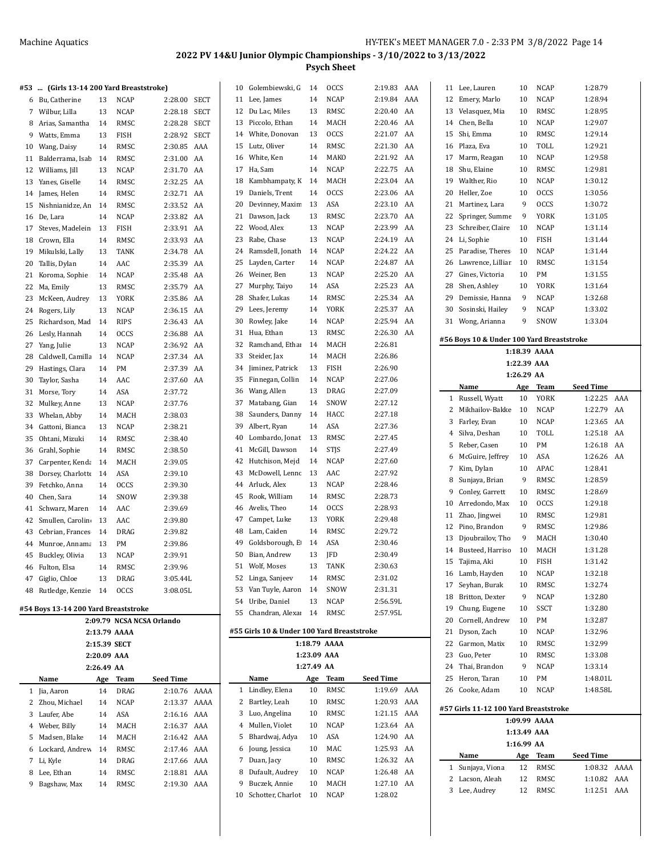| #53 … | (Girls 13-14 200 Yard Breaststroke)  |            |              |                           |             |    | 10 Golembiewski, G                         | 14         | <b>OCCS</b>  | 2:19.83 AAA      |     |    | 11 Lee, Lauren                            | 10          | <b>NCAP</b>  | 1:28.79          |    |
|-------|--------------------------------------|------------|--------------|---------------------------|-------------|----|--------------------------------------------|------------|--------------|------------------|-----|----|-------------------------------------------|-------------|--------------|------------------|----|
|       | 6 Bu, Catherine                      | 13         | <b>NCAP</b>  | 2:28.00                   | <b>SECT</b> |    | 11 Lee, James                              | 14         | <b>NCAP</b>  | 2:19.84          | AAA |    | 12 Emery, Marlo                           | 10          | <b>NCAP</b>  | 1:28.94          |    |
|       | 7 Wilbur, Lilla                      | 13         | <b>NCAP</b>  | 2:28.18                   | <b>SECT</b> |    | 12 Du Lac, Miles                           | 13         | RMSC         | 2:20.40          | AA  |    | 13 Velasquez, Mia                         | 10          | RMSC         | 1:28.95          |    |
| 8     | Arias, Samantha                      | 14         | RMSC         | 2:28.28                   | <b>SECT</b> |    | 13 Piccolo, Ethan                          | 14         | MACH         | 2:20.46          | AA  |    | 14 Chen, Bella                            | 10          | <b>NCAP</b>  | 1:29.07          |    |
|       |                                      |            |              |                           |             |    |                                            |            |              |                  |     |    |                                           |             |              |                  |    |
| 9     | Watts, Emma                          | 13         | <b>FISH</b>  | 2:28.92                   | <b>SECT</b> | 14 | White, Donovan                             | 13         | <b>OCCS</b>  | 2:21.07          | AA  |    | 15 Shi, Emma                              | 10          | <b>RMSC</b>  | 1:29.14          |    |
| 10    | Wang, Daisy                          | 14         | RMSC         | 2:30.85                   | AAA         | 15 | Lutz, Oliver                               | 14         | <b>RMSC</b>  | 2:21.30          | AA  |    | 16 Plaza, Eva                             | 10          | TOLL         | 1:29.21          |    |
|       | 11 Balderrama, Isab                  | 14         | RMSC         | 2:31.00                   | AA          |    | 16 White, Ken                              | 14         | MAKO         | 2:21.92          | AA  |    | 17 Marm, Reagan                           | 10          | <b>NCAP</b>  | 1:29.58          |    |
|       | 12 Williams, Jill                    | 13         | <b>NCAP</b>  | 2:31.70                   | AA          |    | 17 Ha, Sam                                 | 14         | <b>NCAP</b>  | 2:22.75          | AA  |    | 18 Shu, Elaine                            | 10          | RMSC         | 1:29.81          |    |
|       | 13 Yanes, Giselle                    | 14         | RMSC         | 2:32.25                   | AA          | 18 | Kambhampaty, K                             | - 14       | MACH         | 2:23.04          | AA  | 19 | Walther, Rio                              | 10          | <b>NCAP</b>  | 1:30.12          |    |
|       | 14 James, Helen                      | 14         | RMSC         | 2:32.71                   | AA          | 19 | Daniels, Trent                             | 14         | <b>OCCS</b>  | 2:23.06          | AA  | 20 | Heller, Zoe                               | 10          | <b>OCCS</b>  | 1:30.56          |    |
|       | 15 Nishnianidze, An                  | 14         | RMSC         | 2:33.52 AA                |             | 20 | Devinney, Maxim                            | 13         | ASA          | 2:23.10          | AA  | 21 | Martinez, Lara                            | 9           | <b>OCCS</b>  | 1:30.72          |    |
|       | 16 De, Lara                          | 14         | <b>NCAP</b>  | 2:33.82 AA                |             | 21 | Dawson, Jack                               | 13         | RMSC         | 2:23.70          | AA  |    | 22 Springer, Summe                        | 9           | <b>YORK</b>  | 1:31.05          |    |
|       | 17 Steves, Madelein                  | 13         | FISH         | 2:33.91 AA                |             |    | 22 Wood, Alex                              | 13         | <b>NCAP</b>  | 2:23.99          | AA  |    | 23 Schreiber, Claire                      | 10          | <b>NCAP</b>  | 1:31.14          |    |
|       |                                      |            |              |                           |             |    |                                            | 13         |              |                  | AA  |    | 24 Li, Sophie                             | 10          | <b>FISH</b>  |                  |    |
|       | 18 Crown, Ella                       | 14         | RMSC         | 2:33.93                   | AA          | 23 | Rabe, Chase                                |            | <b>NCAP</b>  | 2:24.19          |     |    |                                           |             |              | 1:31.44          |    |
|       | 19 Mikulski, Lally                   | 13         | TANK         | 2:34.78                   | AA          | 24 | Ramsdell, Jonath                           | -14        | <b>NCAP</b>  | 2:24.22          | AA  | 25 | Paradise, Theres                          | 10          | <b>NCAP</b>  | 1:31.44          |    |
| 20    | Tallis, Dylan                        | 14         | AAC          | 2:35.39                   | AA          | 25 | Layden, Carter                             | 14         | <b>NCAP</b>  | 2:24.87          | AA  |    | 26 Lawrence, Lilliar                      | 10          | RMSC         | 1:31.54          |    |
|       | 21 Koroma, Sophie                    | 14         | <b>NCAP</b>  | 2:35.48                   | AA          |    | 26 Weiner, Ben                             | 13         | <b>NCAP</b>  | 2:25.20          | AA  |    | 27 Gines, Victoria                        | 10          | PM           | 1:31.55          |    |
|       | 22 Ma, Emily                         | 13         | RMSC         | 2:35.79                   | AA          |    | 27 Murphy, Taiyo                           | 14         | ASA          | 2:25.23          | AA  |    | 28 Shen, Ashley                           | 10          | <b>YORK</b>  | 1:31.64          |    |
|       | 23 McKeen, Audrey                    | 13         | <b>YORK</b>  | 2:35.86                   | AA          | 28 | Shafer, Lukas                              | 14         | RMSC         | 2:25.34          | AA  | 29 | Demissie, Hanna                           | 9           | <b>NCAP</b>  | 1:32.68          |    |
|       | 24 Rogers, Lily                      | 13         | <b>NCAP</b>  | 2:36.15                   | AA          | 29 | Lees, Jeremy                               | 14         | YORK         | 2:25.37          | AA  | 30 | Sosinski, Hailey                          | 9           | <b>NCAP</b>  | 1:33.02          |    |
|       | 25 Richardson, Mad                   | 14         | <b>RIPS</b>  | 2:36.43                   | AA          | 30 | Rowley, Jake                               | 14         | <b>NCAP</b>  | 2:25.94          | AA  |    | 31 Wong, Arianna                          | 9           | SNOW         | 1:33.04          |    |
|       | 26 Lesly, Hannah                     | 14         | <b>OCCS</b>  | 2:36.88 AA                |             | 31 | Hua, Ethan                                 | 13         | RMSC         | 2:26.30 AA       |     |    |                                           |             |              |                  |    |
|       | 27 Yang, Julie                       | 13         | <b>NCAP</b>  | 2:36.92 AA                |             | 32 | Ramchand, Ethai                            | -14        | MACH         | 2:26.81          |     |    | #56 Boys 10 & Under 100 Yard Breaststroke |             |              |                  |    |
| 28    | Caldwell, Camilla                    | 14         | <b>NCAP</b>  | 2:37.34 AA                |             | 33 | Steider, Jax                               | 14         | MACH         | 2:26.86          |     |    |                                           |             | 1:18.39 AAAA |                  |    |
|       |                                      | 14         | PM           | 2:37.39                   | AA          | 34 | Jiminez, Patrick                           | 13         | FISH         | 2:26.90          |     |    |                                           | 1:22.39 AAA |              |                  |    |
| 29    | Hastings, Clara                      |            |              |                           |             |    |                                            |            | <b>NCAP</b>  | 2:27.06          |     |    |                                           | 1:26.29 AA  |              |                  |    |
| 30    | Taylor, Sasha                        | 14         | AAC          | 2:37.60 AA                |             | 35 | Finnegan, Collin                           | 14         |              |                  |     |    | Name                                      | Age         | Team         | <b>Seed Time</b> |    |
|       | 31 Morse, Tory                       | 14         | ASA          | 2:37.72                   |             | 36 | Wang, Allen                                | 13         | DRAG         | 2:27.09          |     |    | 1 Russell, Wyatt                          | 10          | <b>YORK</b>  | 1:22.25 AAA      |    |
| 32    | Mulkey, Anne                         | 13         | <b>NCAP</b>  | 2:37.76                   |             | 37 | Matabang, Gian                             | 14         | SNOW         | 2:27.12          |     |    | 2 Mikhailov-Bakke                         | 10          | <b>NCAP</b>  | 1:22.79 AA       |    |
| 33    | Whelan, Abby                         | 14         | MACH         | 2:38.03                   |             | 38 | Saunders, Danny                            | -14        | HACC         | 2:27.18          |     | 3  | Farley, Evan                              | 10          | <b>NCAP</b>  | 1:23.65          | AA |
|       | 34 Gattoni, Bianca                   | 13         | <b>NCAP</b>  | 2:38.21                   |             | 39 | Albert, Ryan                               | 14         | ASA          | 2:27.36          |     | 4  | Silva, Deshan                             | 10          | TOLL         | 1:25.18          | AA |
|       | 35 Ohtani, Mizuki                    | 14         | RMSC         | 2:38.40                   |             | 40 | Lombardo, Jonat                            | -13        | RMSC         | 2:27.45          |     |    |                                           |             |              |                  |    |
|       | 36 Grahl, Sophie                     | 14         | RMSC         | 2:38.50                   |             | 41 | McGill, Dawson                             | 14         | <b>STJS</b>  | 2:27.49          |     |    | 5 Reber, Casen                            | 10          | PM           | 1:26.18          | AA |
| 37    | Carpenter, Kenda                     | 14         | MACH         | 2:39.05                   |             | 42 | Hutchison, Mejd                            | 14         | <b>NCAP</b>  | 2:27.60          |     |    | 6 McGuire, Jeffrey                        | 10          | ASA          | 1:26.26 AA       |    |
|       | 38 Dorsey, Charlotte                 | 14         | ASA          | 2:39.10                   |             | 43 | McDowell, Lenn (13                         |            | AAC          | 2:27.92          |     |    | 7 Kim, Dylan                              | 10          | APAC         | 1:28.41          |    |
|       | 39 Fetchko, Anna                     | 14         | <b>OCCS</b>  | 2:39.30                   |             | 44 | Arluck, Alex                               | 13         | <b>NCAP</b>  | 2:28.46          |     | 8  | Sunjaya, Brian                            | 9           | RMSC         | 1:28.59          |    |
| 40    | Chen, Sara                           | 14         | SNOW         | 2:39.38                   |             | 45 | Rook, William                              | 14         | RMSC         | 2:28.73          |     | 9  | Conley, Garrett                           | 10          | RMSC         | 1:28.69          |    |
|       | 41 Schwarz, Maren                    | 14         | AAC          | 2:39.69                   |             | 46 | Avelis, Theo                               | 14         | <b>OCCS</b>  | 2:28.93          |     | 10 | Arredondo, Max                            | 10          | <b>OCCS</b>  | 1:29.18          |    |
|       | 42 Smullen, Carolin                  | 13         | AAC          | 2:39.80                   |             | 47 | Campet, Luke                               | 13         | YORK         | 2:29.48          |     |    | 11 Zhao, Jingwei                          | 10          | RMSC         | 1:29.81          |    |
|       |                                      |            |              |                           |             |    |                                            |            |              |                  |     |    | 12 Pino, Brandon                          | 9           | RMSC         | 1:29.86          |    |
| 43    | Cebrian, Frances                     | 14         | <b>DRAG</b>  | 2:39.82                   |             | 48 | Lam, Caiden                                | 14         | RMSC         | 2:29.72          |     | 13 | Djoubrailov, Tho                          | 9           | MACH         | 1:30.40          |    |
| 44    | Munroe, Annama                       | 13         | PM           | 2:39.86                   |             | 49 | Goldsborough, E                            | 14         | ASA          | 2:30.46          |     |    | 14 Busteed, Harriso                       | 10          | MACH         | 1:31.28          |    |
|       | 45 Buckley, Olivia                   | 13         | NCAP         | 2:39.91                   |             |    | 50 Bian, Andrew                            | 13         | JFD          | 2:30.49          |     |    | 15 Tajima, Aki                            | 10          | <b>FISH</b>  | 1:31.42          |    |
|       | 46 Fulton, Elsa                      | 14         | RMSC         | 2:39.96                   |             |    | 51 Wolf, Moses                             | 13         | TANK         | 2:30.63          |     |    | 16 Lamb, Hayden                           | 10          | NCAP         | 1:32.18          |    |
|       | 47 Giglio, Chloe                     | 13         | DRAG         | 3:05.44L                  |             |    | 52 Linga, Sanjeev                          | 14         | RMSC         | 2.31.02          |     |    | 17 Seyhan, Burak                          | 10          |              | 1:32.74          |    |
|       | 48 Rutledge, Kenzie 14               |            | <b>OCCS</b>  | 3:08.05L                  |             |    | 53 Van Tuyle, Aaron 14                     |            | SNOW         | 2.31.31          |     |    |                                           |             | RMSC         |                  |    |
|       |                                      |            |              |                           |             |    | 54 Uribe, Daniel                           | 13         | NCAP         | 2:56.59L         |     |    | 18 Britton, Dexter                        | 9           | <b>NCAP</b>  | 1:32.80          |    |
|       | #54 Boys 13-14 200 Yard Breaststroke |            |              |                           |             |    | 55 Chandran, Alexai 14                     |            | RMSC         | 2:57.95L         |     |    | 19 Chung, Eugene                          | 10          | SSCT         | 1:32.80          |    |
|       |                                      |            |              | 2:09.79 NCSA NCSA Orlando |             |    |                                            |            |              |                  |     |    | 20 Cornell, Andrew                        | 10          | PM           | 1:32.87          |    |
|       |                                      |            | 2:13.79 AAAA |                           |             |    | #55 Girls 10 & Under 100 Yard Breaststroke |            |              |                  |     |    | 21 Dyson, Zach                            | 10          | <b>NCAP</b>  | 1:32.96          |    |
|       |                                      |            | 2:15.39 SECT |                           |             |    |                                            |            | 1:18.79 AAAA |                  |     |    | 22 Garmon, Matix                          | 10          | RMSC         | 1:32.99          |    |
|       |                                      |            | 2:20.09 AAA  |                           |             |    |                                            |            | 1:23.09 AAA  |                  |     |    | 23 Guo, Peter                             | 10          | RMSC         | 1:33.08          |    |
|       |                                      | 2:26.49 AA |              |                           |             |    |                                            | 1:27.49 AA |              |                  |     |    | 24 Thai, Brandon                          | 9           | <b>NCAP</b>  | 1:33.14          |    |
|       | Name                                 | Age        | Team         | <b>Seed Time</b>          |             |    | Name                                       | Age        | Team         | <b>Seed Time</b> |     |    | 25 Heron, Taran                           | 10          | PM           | 1:48.01L         |    |
|       | 1 Jia, Aaron                         | 14         | DRAG         | 2:10.76 AAAA              |             |    | 1 Lindley, Elena                           | 10         | RMSC         | 1:19.69 AAA      |     |    | 26 Cooke, Adam                            | 10          | NCAP         | 1:48.58L         |    |
|       | 2 Zhou, Michael                      | 14         | NCAP         | 2:13.37 AAAA              |             |    | 2 Bartley, Leah                            | 10         | RMSC         | 1:20.93 AAA      |     |    |                                           |             |              |                  |    |
|       | 3 Laufer, Abe                        | 14         | ASA          | 2:16.16 AAA               |             |    | 3 Luo, Angelina                            | 10         | RMSC         | 1:21.15 AAA      |     |    | #57 Girls 11-12 100 Yard Breaststroke     |             |              |                  |    |
| 4     | Weber, Billy                         | 14         | MACH         | 2:16.37 AAA               |             |    | 4 Mullen, Violet                           | 10         | NCAP         | 1:23.64 AA       |     |    |                                           |             | 1:09.99 AAAA |                  |    |
| 5     | Madsen, Blake                        | 14         | MACH         | 2:16.42 AAA               |             |    | 5 Bhardwaj, Adya                           | 10         | ASA          | 1:24.90 AA       |     |    |                                           | 1:13.49 AAA |              |                  |    |
|       | 6 Lockard, Andrew                    | 14         |              |                           |             |    | 6 Joung, Jessica                           | 10         | MAC          | 1:25.93 AA       |     |    |                                           | 1:16.99 AA  |              |                  |    |
|       |                                      |            | RMSC         | 2:17.46 AAA               |             |    | 7 Duan, Jacy                               | 10         | RMSC         | 1:26.32 AA       |     |    | Name                                      | Age         | Team         | <b>Seed Time</b> |    |
|       | 7 Li, Kyle                           | 14         | DRAG         | 2:17.66 AAA               |             |    |                                            |            |              |                  |     |    | 1 Sunjaya, Viona                          | 12          | RMSC         | 1:08.32 AAAA     |    |
| 8     | Lee, Ethan                           | 14         | RMSC         | 2:18.81 AAA               |             |    | 8 Dufault, Audrey                          | 10         | NCAP         | 1:26.48 AA       |     |    | 2 Lacson, Aleah                           | 12          | RMSC         | 1:10.82 AAA      |    |
|       | 9 Bagshaw, Max                       | 14         | RMSC         | 2:19.30 AAA               |             |    | 9 Buczek, Annie                            | 10         | MACH         | 1:27.10 AA       |     |    | 3 Lee, Audrey                             | 12          | RMSC         | 1:12.51 AAA      |    |
|       |                                      |            |              |                           |             |    | 10 Schotter, Charlot 10                    |            | <b>NCAP</b>  | 1:28.02          |     |    |                                           |             |              |                  |    |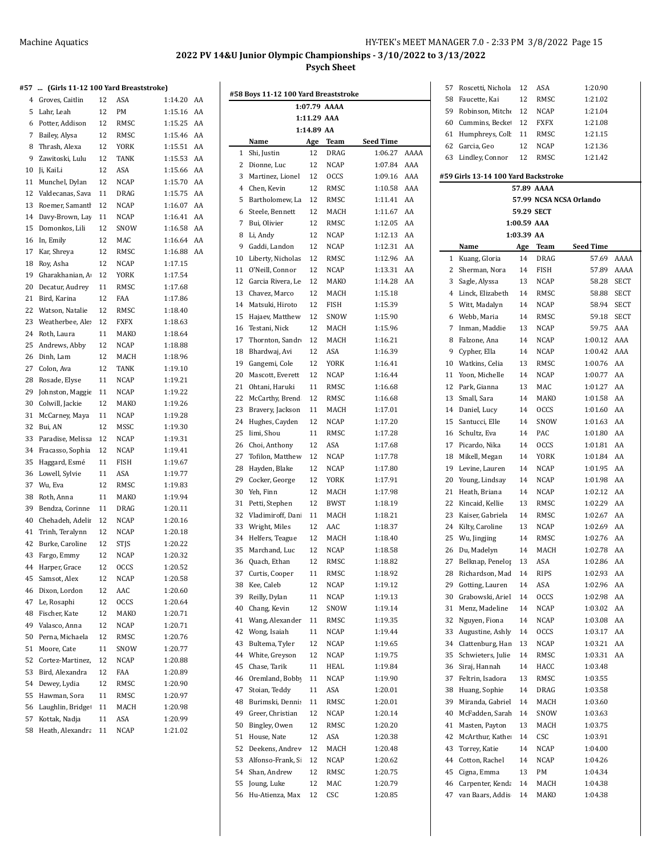## **#57 ... (Girls 11-12 100 Yard Breaststroke)**

| 75 T | <br>(Girls 11-12 100 Yard Breaststroke) |    |             |         |    |
|------|-----------------------------------------|----|-------------|---------|----|
| 4    | Groves, Caitlin                         | 12 | ASA         | 1:14.20 | AA |
| 5    | Lahr, Leah                              | 12 | PM          | 1:15.16 | AA |
| 6    | Potter, Addison                         | 12 | RMSC        | 1:15.25 | AA |
| 7    | Bailey, Alysa                           | 12 | RMSC        | 1:15.46 | AA |
| 8    | Thrash, Alexa                           | 12 | <b>YORK</b> | 1:15.51 | AA |
| 9    | Zawitoski, Lulu                         | 12 | <b>TANK</b> | 1:15.53 | AA |
| 10   | Ji, KaiLi                               | 12 | ASA         | 1:15.66 | AA |
| 11   | Munchel, Dylan                          | 12 | NCAP        | 1:15.70 | AA |
| 12   | Valdecanas, Sava                        | 11 | <b>DRAG</b> | 1:15.75 | AA |
| 13   | Roemer, Samantl                         | 12 | <b>NCAP</b> | 1:16.07 | AA |
| 14   | Davy-Brown, Lay                         | 11 | NCAP        | 1:16.41 | AA |
| 15   | Domonkos, Lili                          | 12 | SNOW        | 1:16.58 | AA |
| 16   | In, Emily                               | 12 | MAC         | 1:16.64 | AA |
| 17   | Kar, Shreya                             | 12 | RMSC        | 1:16.88 | AA |
| 18   | Roy, Asha                               | 12 | <b>NCAP</b> | 1:17.15 |    |
| 19   | Gharakhanian, A                         | 12 | YORK        | 1:17.54 |    |
| 20   | Decatur, Audrey                         | 11 | RMSC        | 1:17.68 |    |
| 21   | Bird, Karina                            | 12 | <b>FAA</b>  | 1:17.86 |    |
| 22   | Watson, Natalie                         | 12 | RMSC        | 1:18.40 |    |
| 23   | Weatherbee, Ale:                        | 12 | <b>FXFX</b> | 1:18.63 |    |
| 24   | Roth, Laura                             | 11 | MAKO        | 1:18.64 |    |
| 25   | Andrews, Abby                           | 12 | <b>NCAP</b> | 1:18.88 |    |
| 26   | Dinh, Lam                               | 12 | MACH        | 1:18.96 |    |
| 27   | Colon, Ava                              | 12 | TANK        | 1:19.10 |    |
| 28   | Rosade, Elyse                           | 11 | <b>NCAP</b> | 1:19.21 |    |
| 29   | Johnston, Maggie                        | 11 | <b>NCAP</b> | 1:19.22 |    |
| 30   | Colwill, Jackie                         | 12 | MAKO        | 1:19.26 |    |
| 31   | McCarney, Maya                          | 11 | NCAP        | 1:19.28 |    |
| 32   | Bui, AN                                 | 12 | MSSC        | 1:19.30 |    |
| 33   | Paradise, Melissa                       | 12 | <b>NCAP</b> | 1:19.31 |    |
| 34   | Fracasso, Sophia                        | 12 | NCAP        | 1:19.41 |    |
| 35   | Haggard, Esmé                           | 11 | FISH        | 1:19.67 |    |
| 36   | Lowell, Sylvie                          | 11 | ASA         | 1:19.77 |    |
| 37   | Wu, Eva                                 | 12 | RMSC        | 1:19.83 |    |
| 38   | Roth, Anna                              | 11 | MAKO        | 1:19.94 |    |
| 39   | Bendza, Corinne                         | 11 | DRAG        | 1:20.11 |    |
| 40   | Chehadeh, Adelii                        | 12 | NCAP        | 1:20.16 |    |
| 41   | Trinh, Teralynn                         | 12 | NCAP        | 1:20.18 |    |
| 42   | Burke, Caroline                         | 12 | <b>STJS</b> | 1:20.22 |    |
| 43   | Fargo, Emmy                             | 12 | <b>NCAP</b> | 1:20.32 |    |
| 44   | Harper, Grace                           | 12 | <b>OCCS</b> | 1:20.52 |    |
| 45   | Samsot, Alex                            | 12 | NCAP        | 1:20.58 |    |
| 46   | Dixon, Lordon                           | 12 | AAC         | 1:20.60 |    |
| 47   | Le, Rosaphi                             | 12 | <b>OCCS</b> | 1:20.64 |    |
| 48   | Fischer, Kate                           | 12 | MAKO        | 1:20.71 |    |
| 49   | Valasco, Anna                           | 12 | <b>NCAP</b> | 1:20.71 |    |
| 50   | Perna, Michaela                         | 12 | RMSC        | 1:20.76 |    |
| 51   | Moore, Cate                             | 11 | SNOW        | 1:20.77 |    |
| 52   | Cortez-Martinez,                        | 12 | NCAP        | 1:20.88 |    |
| 53   | Bird, Alexandra                         | 12 | FAA         | 1:20.89 |    |
| 54   | Dewey, Lydia                            | 12 | RMSC        | 1:20.90 |    |
| 55   | Hawman, Sora                            | 11 | RMSC        | 1:20.97 |    |
| 56   | Laughlin, Bridge                        | 11 | MACH        | 1:20.98 |    |
| 57   | Kottak, Nadja                           | 11 | ASA         | 1:20.99 |    |
| 58   | Heath, Alexandra                        | 11 | <b>NCAP</b> | 1:21.02 |    |
|      |                                         |    |             |         |    |

|          |                                  |             | 1:07.79 AAAA |                    |            |
|----------|----------------------------------|-------------|--------------|--------------------|------------|
|          |                                  | 1:11.29 AAA |              |                    |            |
|          |                                  | 1:14.89 AA  |              |                    |            |
|          | Name                             | Age         | Team         | Seed Time          |            |
| 1        | Shi, Justin                      | 12          | DRAG         | 1:06.27            | AAAA       |
| 2        | Dionne, Luc                      | 12          | <b>NCAP</b>  | 1:07.84            | AAA<br>AAA |
| 3        | Martinez, Lionel                 | 12          | <b>OCCS</b>  | 1:09.16            |            |
| 4        | Chen, Kevin                      | 12          | RMSC         | 1:10.58            | AAA        |
| 5        | Bartholomew, La                  | 12          | RMSC<br>MACH | 1:11.41            | AA<br>AA   |
| 6        | Steele, Bennett                  | 12          |              | 1:11.67            |            |
| 7        | Bui, Olivier                     | 12<br>12    | RMSC         | 1:12.05            | AA<br>AA   |
| 8        | Li, Andy                         | 12          | NCAP         | 1:12.13<br>1:12.31 | AA         |
| 9        | Gaddi, Landon                    |             | NCAP         | 1:12.96            |            |
| 10<br>11 | Liberty, Nicholas                | 12<br>12    | RMSC<br>NCAP | 1:13.31            | AA<br>AA   |
| 12       | O'Neill, Connor                  | 12          | MAKO         | 1:14.28            | AA         |
| 13       | Garcia Rivera, Le                | 12          | MACH         | 1:15.18            |            |
| 14       | Chavez, Marco<br>Matsuki, Hiroto | 12          |              | 1:15.39            |            |
| 15       |                                  |             | FISH         |                    |            |
|          | Hajaev, Matthew                  | 12          | SNOW<br>MACH | 1:15.90            |            |
| 16       | Testani, Nick                    | 12          |              | 1:15.96<br>1:16.21 |            |
| 17       | Thornton, Sandr                  | 12          | MACH         | 1:16.39            |            |
| 18       | Bhardwaj, Avi                    | 12          | ASA          |                    |            |
| 19       | Gangemi, Cole                    | 12          | YORK         | 1:16.41            |            |
| 20       | Mascott, Everett                 | 12          | NCAP         | 1:16.44            |            |
| 21       | Ohtani, Haruki                   | 11          | RMSC         | 1:16.68            |            |
| 22       | McCarthy, Brend                  | 12          | RMSC         | 1:16.68            |            |
| 23       | Bravery, Jackson                 | 11          | MACH         | 1:17.01            |            |
| 24       | Hughes, Cayden                   | 12          | NCAP         | 1:17.20            |            |
| 25       | Iimi, Shou                       | 11          | RMSC         | 1:17.28            |            |
| 26       | Choi, Anthony                    | 12          | ASA          | 1:17.68            |            |
| 27       | Tofilon, Matthew                 | 12          | NCAP         | 1:17.78            |            |
| 28       | Hayden, Blake                    | 12          | NCAP         | 1:17.80            |            |
| 29       | Cocker, George                   | 12          | YORK         | 1:17.91            |            |
| 30       | Yeh, Finn                        | 12          | MACH         | 1:17.98            |            |
| 31       | Petti, Stephen                   | 12          | BWST         | 1:18.19            |            |
| 32       | Vladimiroff, Dani                | 11          | MACH         | 1:18.21            |            |
| 33       | Wright, Miles                    | 12          | AAC          | 1:18.37            |            |
| 34       | Helfers, Teague                  | 12          | MACH         | 1:18.40            |            |
| 35       | Marchand, Luc                    | 12          | NCAP         | 1:18.58            |            |
| 36       | Quach, Ethan                     | 12          | RMSC         | 1:18.82            |            |
| 37       | Curtis, Cooper                   | 11          | RMSC         | 1:18.92            |            |
| 38       | Kee, Caleb                       | 12          | NCAP         | 1:19.12            |            |
| 39       | Reilly, Dylan                    | 11          | NCAP         | 1:19.13            |            |
| 40       | Chang, Kevin                     | 12          | SNOW         | 1:19.14            |            |
| 41       | Wang, Alexander                  | 11          | RMSC         | 1:19.35            |            |
| 42       | Wong, Isaiah                     | 11          | NCAP         | 1:19.44            |            |
| 43       | Bultema, Tyler                   | 12          | NCAP         | 1:19.65            |            |
| 44       | White, Greyson                   | 12          | <b>NCAP</b>  | 1:19.75            |            |
| 45       | Chase, Tarik                     | 11          | HEAL         | 1:19.84            |            |
| 46       | Oremland, Bobby                  | 11          | NCAP         | 1:19.90            |            |
| 47       | Stoian, Teddy                    | 11          | ASA          | 1:20.01            |            |
| 48       | Burimski, Dennis                 | 11          | RMSC         | 1:20.01            |            |
| 49       | Greer, Christian                 | 12          | NCAP         | 1:20.14            |            |
| 50       | Bingley, Owen                    | 12          | RMSC         | 1:20.20            |            |
| 51       | House, Nate                      | 12          | ASA          | 1:20.38            |            |
| 52       | Deekens, Andrev                  | 12          | MACH         | 1:20.48            |            |
| 53       | Alfonso-Frank, Si                | 12          | NCAP         | 1:20.62            |            |
| 54       | Shan, Andrew                     | 12          | RMSC         | 1:20.75            |            |
| 55       | Joung, Luke                      | 12          | MAC          | 1:20.79            |            |
| 56       | Hu-Atienza, Max                  | 12          | CSC          | 1:20.85            |            |

| 57       | Roscetti, Nichola                   | 12                        | ASA                | 1:20.90                 |             |
|----------|-------------------------------------|---------------------------|--------------------|-------------------------|-------------|
| 58       | Faucette, Kai                       | 12                        | RMSC               | 1:21.02                 |             |
| 59       | Robinson, Mitche                    | 12                        | NCAP               | 1:21.04                 |             |
| 60       | Cummins, Becke                      | 12                        | FXFX               | 1:21.08                 |             |
| 61       | Humphreys, Coll                     | 11                        | RMSC               | 1:21.15                 |             |
| 62       | Garcia, Geo                         | 12                        | NCAP               | 1:21.36                 |             |
| 63       | Lindley, Connor                     | 12                        | RMSC               | 1:21.42                 |             |
|          |                                     |                           |                    |                         |             |
|          | #59 Girls 13-14 100 Yard Backstroke |                           |                    |                         |             |
|          |                                     |                           | 57.89 AAAA         |                         |             |
|          |                                     |                           |                    | 57.99 NCSA NCSA Orlando |             |
|          |                                     |                           | 59.29 SECT         |                         |             |
|          |                                     | 1:00.59 AAA<br>1:03.39 AA |                    |                         |             |
|          | Name                                | Age                       | Team               | Seed Time               |             |
| 1        | Kuang, Gloria                       | 14                        | DRAG               | 57.69                   | AAAA        |
| 2        | Sherman, Nora                       | 14                        | FISH               | 57.89                   | AAAA        |
| 3        | Sagle, Alyssa                       | 13                        | NCAP               | 58.28                   | <b>SECT</b> |
| 4        | Linck, Elizabeth                    | 14                        | RMSC               | 58.88                   | <b>SECT</b> |
| 5        | Witt, Madalyn                       | 14                        | NCAP               | 58.94                   | <b>SECT</b> |
| 6        | Webb, Maria                         | 14                        | RMSC               | 59.18                   | <b>SECT</b> |
| 7        | Inman, Maddie                       | 13                        | NCAP               | 59.75                   | AAA         |
| 8        | Falzone, Ana                        | 14                        | NCAP               | 1:00.12                 | AAA         |
| 9        | Cypher, Ella                        | 14                        | NCAP               | 1:00.42                 | AAA         |
| 10       | Watkins, Celia                      | 13                        | RMSC               | 1:00.76                 | AA          |
| 11       | Yoon, Michelle                      | 14                        | <b>NCAP</b>        | 1:00.77                 | AA          |
| 12       | Park, Gianna                        | 13                        | MAC                | 1:01.27                 | AA          |
| 13       | Small, Sara                         | 14                        | MAKO               | 1:01.58                 | AA          |
| 14       | Daniel, Lucy                        | 14                        | <b>OCCS</b>        | 1:01.60                 | AA          |
| 15       | Santucci, Elle                      | 14                        | SNOW               | 1:01.63                 | AA          |
| 16       | Schultz, Eva                        | 14                        | PAC                | 1:01.80                 | AA          |
| 17       | Picardo, Nika                       | 14                        | <b>OCCS</b>        | 1:01.81                 | AA          |
| 18       | Mikell, Megan                       | 14                        | YORK               | 1:01.84                 | AA          |
| 19       | Levine, Lauren                      | 14                        | NCAP               | 1:01.95                 | AA          |
| 20       | Young, Lindsay                      | 14                        | NCAP               | 1:01.98                 | AA          |
| 21       | Heath, Briana                       | 14                        | NCAP               | 1:02.12                 | AA          |
| 22       | Kincaid, Kellie                     | 13                        | RMSC               | 1:02.29                 | AA          |
| 23       | Kaiser, Gabriela                    | 14                        | <b>RMSC</b>        | 1:02.67                 | AA          |
| 24       | Kilty, Caroline                     | 13                        | NCAP               | 1:02.69                 | AA          |
| 25       | Wu, Jingjing                        | 14                        | <b>RMSC</b>        | 1:02.76                 | AA          |
| 26       | Du, Madelyn                         | 14                        | MACH               | 1:02.78                 | AA          |
| 27       | Belknap, Penelop                    | 13                        | ASA                | 1:02.86                 | AA          |
| 28       | Richardson, Mad                     | 14                        | RIPS               | 1:02.93                 | AA          |
| 29       | Gotting, Lauren<br>Grabowski, Ariel | 14<br>14                  | ASA<br><b>OCCS</b> | 1:02.96<br>1:02.98      | AA<br>AA    |
| 30<br>31 | Menz, Madeline                      | 14                        | NCAP               | 1:03.02                 | AA          |
| 32       | Nguyen, Fiona                       | 14                        | NCAP               | 1:03.08                 | AA          |
| 33       | Augustine, Ashly                    | 14                        | <b>OCCS</b>        | 1:03.17                 | AA          |
| 34       | Clattenburg, Han                    | 13                        | NCAP               | 1:03.21                 | AA          |
| 35       | Schwieters, Julie                   | 14                        | RMSC               | 1:03.31                 | AA          |
| 36       | Siraj, Hannah                       | 14                        | HACC               | 1:03.48                 |             |
| 37       | Feltrin, Isadora                    | 13                        | RMSC               | 1:03.55                 |             |
| 38       | Huang, Sophie                       | 14                        | DRAG               | 1:03.58                 |             |
| 39       | Miranda, Gabriel                    | 14                        | MACH               | 1:03.60                 |             |
| 40       | McFadden, Sarah                     | 14                        | SNOW               | 1:03.63                 |             |
| 41       | Masten, Payton                      | 13                        | MACH               | 1:03.75                 |             |
| 42       | McArthur, Kathe                     | 14                        | CSC                | 1:03.91                 |             |
| 43       | Torrey, Katie                       | 14                        | NCAP               | 1:04.00                 |             |
| 44       | Cotton, Rachel                      | 14                        | NCAP               | 1:04.26                 |             |
| 45       | Cigna, Emma                         | 13                        | PМ                 | 1:04.34                 |             |
| 46       | Carpenter, Kenda                    | 14                        | MACH               | 1:04.38                 |             |
| 47       | van Baars, Addis                    | 14                        | MAKO               | 1:04.38                 |             |
|          |                                     |                           |                    |                         |             |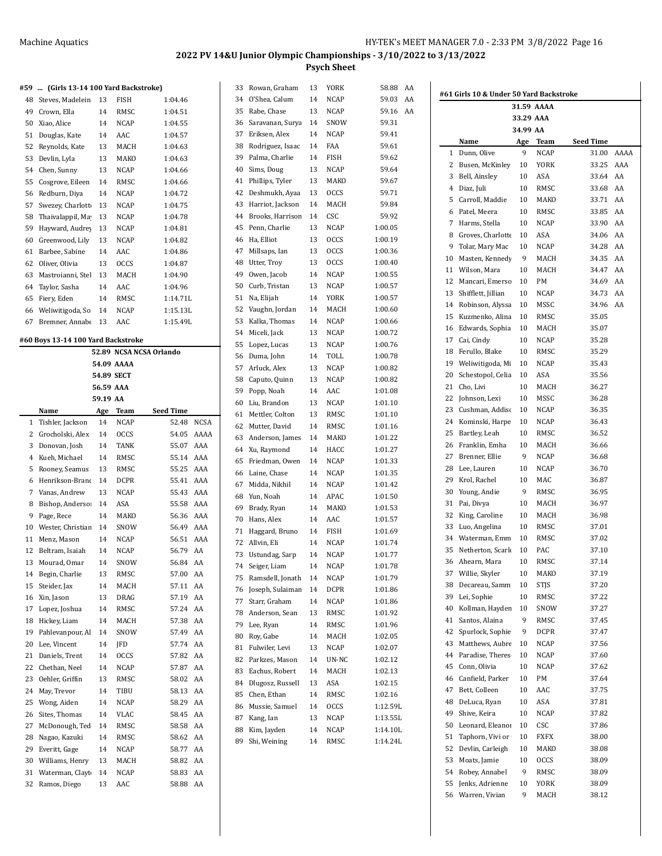#### **#59 ... (Girls 13-14 100 Yard Backstroke)**

| 48 | Steves, Madelein  | 13 | <b>FISH</b> | 1:04.46  |
|----|-------------------|----|-------------|----------|
| 49 | Crown, Ella       | 14 | RMSC        | 1:04.51  |
| 50 | Xiao, Alice       | 14 | <b>NCAP</b> | 1:04.55  |
| 51 | Douglas, Kate     | 14 | AAC         | 1:04.57  |
| 52 | Reynolds, Kate    | 13 | MACH        | 1:04.63  |
| 53 | Devlin, Lyla      | 13 | MAKO        | 1:04.63  |
| 54 | Chen, Sunny       | 13 | NCAP        | 1:04.66  |
| 55 | Cosgrove, Eileen  | 14 | RMSC        | 1:04.66  |
| 56 | Redburn, Diya     | 14 | <b>NCAP</b> | 1:04.72  |
| 57 | Swezey, Charlott  | 13 | <b>NCAP</b> | 1:04.75  |
| 58 | Thaivalappil, Ma  | 13 | NCAP        | 1:04.78  |
| 59 | Hayward, Audrey   | 13 | NCAP        | 1:04.81  |
| 60 | Greenwood, Lily   | 13 | <b>NCAP</b> | 1:04.82  |
| 61 | Barbee, Sabine    | 14 | AAC         | 1:04.86  |
| 62 | Oliver, Olivia    | 13 | <b>OCCS</b> | 1:04.87  |
| 63 | Mastroianni, Stel | 13 | MACH        | 1:04.90  |
| 64 | Taylor, Sasha     | 14 | AAC         | 1:04.96  |
| 65 | Fiery, Eden       | 14 | RMSC        | 1:14.71L |
| 66 | Weliwitigoda, So  | 14 | <b>NCAP</b> | 1:15.13L |
| 67 | Bremner, Annabe   | 13 | AAC         | 1:15.49L |
|    |                   |    |             |          |

#### **#60 Boys 13-14 100 Yard Backstroke**

|                |                   |            |             | 52.89 NCSA NCSA Orlando |             |
|----------------|-------------------|------------|-------------|-------------------------|-------------|
|                |                   |            | 54.09 AAAA  |                         |             |
|                |                   | 54.89 SECT |             |                         |             |
|                |                   | 56.59 AAA  |             |                         |             |
|                |                   | 59.19 AA   |             |                         |             |
|                | Name              | Age        | Team        | <b>Seed Time</b>        |             |
| 1              | Tishler, Jackson  | 14         | <b>NCAP</b> | 52.48                   | <b>NCSA</b> |
| 2              | Grocholski, Alex  | 14         | <b>OCCS</b> | 54.05                   | AAAA        |
| 3              | Donovan, Josh     | 14         | <b>TANK</b> | 55.07                   | AAA         |
| $\overline{4}$ | Kueh, Michael     | 14         | <b>RMSC</b> | 55.14                   | AAA         |
| 5              | Rooney, Seamus    | 13         | RMSC        | 55.25                   | AAA         |
| 6              | Henrikson-Brand   | 14         | <b>DCPR</b> | 55.41                   | AAA         |
| 7              | Vanas, Andrew     | 13         | <b>NCAP</b> | 55.43                   | AAA         |
| 8              | Bishop, Anderso:  | 14         | ASA         | 55.58                   | AAA         |
| 9              | Page, Rece        | 14         | <b>MAKO</b> | 56.36                   | AAA         |
| 10             | Wester, Christian | 14         | SNOW        | 56.49                   | AAA         |
| 11             | Menz, Mason       | 14         | <b>NCAP</b> | 56.51                   | AAA         |
| 12             | Beltram, Isaiah   | 14         | <b>NCAP</b> | 56.79                   | AA          |
| 13             | Mourad, Omar      | 14         | SNOW        | 56.84                   | AA          |
| 14             | Begin, Charlie    | 13         | RMSC        | 57.00                   | AA          |
| 15             | Steider, Jax      | 14         | <b>MACH</b> | 57.11                   | AA          |
| 16             | Xin, Jason        | 13         | DRAG        | 57.19                   | AA          |
| 17             | Lopez, Joshua     | 14         | RMSC        | 57.24                   | AA          |
| 18             | Hickey, Liam      | 14         | MACH        | 57.38                   | AA          |
| 19             | Pahlevanpour, Al  | 14         | SNOW        | 57.49                   | AA          |
| 20             | Lee, Vincent      | 14         | JFD         | 57.74                   | AA          |
| 21             | Daniels, Trent    | 14         | <b>OCCS</b> | 57.82                   | AA          |
| 22             | Chethan, Neel     | 14         | <b>NCAP</b> | 57.87                   | AA          |
| 23             | Oehler, Griffin   | 13         | RMSC        | 58.02                   | AA          |
| 24             | May, Trevor       | 14         | TIBU        | 58.13                   | AA          |
| 25             | Wong, Aiden       | 14         | <b>NCAP</b> | 58.29                   | AA          |
| 26             | Sites, Thomas     | 14         | VLAC        | 58.45                   | AA          |
| 27             | McDonough, Ted    | 14         | RMSC        | 58.58                   | AA          |
| 28             | Nagao, Kazuki     | 14         | RMSC        | 58.62                   | AA          |
| 29             | Everitt, Gage     | 14         | <b>NCAP</b> | 58.77                   | AA          |
| 30             | Williams, Henry   | 13         | MACH        | 58.82                   | AA          |
| 31             | Waterman, Clayt   | 14         | <b>NCAP</b> | 58.83                   | AA          |
| 32             | Ramos, Diego      | 13         | AAC         | 58.88                   | AA          |
|                |                   |            |             |                         |             |

| 33 | Rowan, Graham    | 13 | YORK        | 58.88<br>AA |  |
|----|------------------|----|-------------|-------------|--|
| 34 | O'Shea, Calum    | 14 | NCAP        | AA<br>59.03 |  |
| 35 | Rabe, Chase      | 13 | NCAP        | AA<br>59.16 |  |
| 36 | Saravanan, Surya | 14 | SNOW        | 59.31       |  |
| 37 | Eriksen, Alex    | 14 | NCAP        | 59.41       |  |
| 38 | Rodriguez, Isaac | 14 | FAA         | 59.61       |  |
| 39 | Palma, Charlie   | 14 | FISH        | 59.62       |  |
| 40 | Sims, Doug       | 13 | NCAP        | 59.64       |  |
| 41 | Phillips, Tyler  | 13 | MAKO        | 59.67       |  |
| 42 | Deshmukh, Ayaa   | 13 | <b>OCCS</b> | 59.71       |  |
| 43 | Harriot, Jackson | 14 | MACH        | 59.84       |  |
| 44 | Brooks, Harrison | 14 | CSC         | 59.92       |  |
| 45 | Penn, Charlie    | 13 | NCAP        | 1:00.05     |  |
| 46 | Ha, Elliot       | 13 | <b>OCCS</b> | 1:00.19     |  |
| 47 | Millsaps, Ian    | 13 | <b>OCCS</b> | 1:00.36     |  |
| 48 | Utter, Troy      | 13 | <b>OCCS</b> | 1:00.40     |  |
| 49 | Owen, Jacob      | 14 | NCAP        | 1:00.55     |  |
| 50 | Curb, Tristan    | 13 | NCAP        | 1:00.57     |  |
| 51 | Na, Elijah       | 14 | YORK        | 1:00.57     |  |
| 52 | Vaughn, Jordan   | 14 | MACH        | 1:00.60     |  |
| 53 | Kalka, Thomas    | 14 | NCAP        | 1:00.66     |  |
| 54 | Miceli, Jack     | 13 | NCAP        | 1:00.72     |  |
| 55 | Lopez, Lucas     | 13 | NCAP        | 1:00.76     |  |
| 56 | Duma, John       | 14 | TOLL        | 1:00.78     |  |
| 57 | Arluck, Alex     | 13 | <b>NCAP</b> | 1:00.82     |  |
| 58 | Caputo, Quinn    | 13 | NCAP        | 1:00.82     |  |
| 59 | Popp, Noah       | 14 | AAC         | 1:01.08     |  |
| 60 | Liu, Brandon     | 13 | NCAP        | 1:01.10     |  |
| 61 | Mettler, Colton  | 13 | RMSC        | 1:01.10     |  |
| 62 | Mutter, David    | 14 | RMSC        | 1:01.16     |  |
| 63 | Anderson, James  | 14 | MAKO        | 1:01.22     |  |
| 64 | Xu, Raymond      | 14 | HACC        | 1:01.27     |  |
| 65 | Friedman, Owen   | 14 | NCAP        | 1:01.33     |  |
| 66 | Laine, Chase     | 14 | NCAP        | 1:01.35     |  |
| 67 | Midda, Nikhil    | 14 | <b>NCAP</b> | 1:01.42     |  |
| 68 | Yun, Noah        | 14 | APAC        | 1:01.50     |  |
| 69 | Brady, Ryan      | 14 | MAKO        | 1:01.53     |  |
| 70 | Hans, Alex       | 14 | AAC         | 1:01.57     |  |
| 71 | Haggard, Bruno   | 14 | FISH        | 1:01.69     |  |
| 72 | Allvin, Eli      | 14 | <b>NCAP</b> | 1:01.74     |  |
| 73 | Ustundag, Sarp   | 14 | NCAP        | 1:01.77     |  |
|    | 74 Seiger, Liam  | 14 | <b>NCAP</b> | 1:01.78     |  |
| 75 | Ramsdell, Jonath | 14 | NCAP        | 1:01.79     |  |
| 76 | Joseph, Sulaiman | 14 | DCPR        | 1:01.86     |  |
| 77 | Starr, Graham    | 14 | NCAP        | 1:01.86     |  |
| 78 | Anderson, Sean   | 13 | RMSC        | 1:01.92     |  |
| 79 | Lee, Ryan        | 14 | RMSC        | 1:01.96     |  |
| 80 | Roy, Gabe        | 14 | MACH        | 1:02.05     |  |
| 81 | Fulwiler, Levi   | 13 | <b>NCAP</b> | 1:02.07     |  |
| 82 | Parkzes, Mason   | 14 | UN-NC       | 1:02.12     |  |
| 83 | Eachus, Robert   | 14 | MACH        | 1:02.13     |  |
| 84 | Dlugosz, Russell | 13 | ASA         | 1:02.15     |  |
| 85 | Chen, Ethan      | 14 | RMSC        | 1:02.16     |  |
| 86 | Mussie, Samuel   | 14 | <b>OCCS</b> | 1:12.59L    |  |
| 87 | Kang, Ian        | 13 | NCAP        | 1:13.55L    |  |
| 88 | Kim, Jayden      | 14 | NCAP        | 1:14.10L    |  |
| 89 | Shi, Weining     | 14 | RMSC        | 1:14.24L    |  |
|    |                  |    |             |             |  |

|    |                     | 31.59 AAAA |             |           |      |
|----|---------------------|------------|-------------|-----------|------|
|    |                     | 33.29 AAA  |             |           |      |
|    |                     | 34.99 AA   |             |           |      |
|    | Name                | Age        | Team        | Seed Time |      |
| 1  | Dunn, Olive         | 9          | <b>NCAP</b> | 31.00     | AAAA |
| 2  | Busen, McKinley     | 10         | YORK        | 33.25     | AAA  |
| 3  | Bell, Ainsley       | 10         | ASA         | 33.64     | AA   |
|    | 4 Diaz, Juli        | 10         | RMSC        | 33.68     | AA   |
|    | 5 Carroll, Maddie   | 10         | MAKO        | 33.71     | AA   |
| 6  | Patel, Meera        | 10         | RMSC        | 33.85     | AA   |
| 7  | Harms, Stella       | 10         | NCAP        | 33.90     | AA   |
| 8  | Groves, Charlotte   | 10         | ASA         | 34.06     | AA   |
| 9  | Tolar, Mary Mac     | 10         | <b>NCAP</b> | 34.28     | AA   |
| 10 | Masten, Kennedy     | 9          | MACH        | 34.35     | AA   |
| 11 | Wilson, Mara        | 10         | MACH        | 34.47     | AA   |
| 12 | Mancari, Emerso     | 10         | PM          | 34.69     | AA   |
| 13 | Shifflett, Jillian  | 10         | NCAP        | 34.73     | AA   |
|    | 14 Robinson, Alyssa | 10         | MSSC        | 34.96     | AA   |
| 15 | Kuzmenko, Alina     | 10         | RMSC        | 35.05     |      |
| 16 | Edwards, Sophia     | 10         | MACH        | 35.07     |      |
| 17 | Cai, Cindy          | 10         | NCAP        | 35.28     |      |
| 18 | Ferullo, Blake      | 10         | RMSC        | 35.29     |      |
| 19 | Weliwitigoda, Mi    | 10         | <b>NCAP</b> | 35.43     |      |
| 20 | Schestopol, Celia   | 10         | ASA         | 35.56     |      |
| 21 | Cho, Livi           | 10         | MACH        | 36.27     |      |
| 22 | Johnson, Lexi       | 10         | MSSC        | 36.28     |      |
| 23 | Cushman, Addisc     | 10         | NCAP        | 36.35     |      |
| 24 | Kominski, Harpe     | 10         | NCAP        | 36.43     |      |
| 25 | Bartley, Leah       | 10         | RMSC        | 36.52     |      |
| 26 | Franklin, Emha      | 10         | MACH        | 36.66     |      |
| 27 | Brenner, Ellie      | 9          | NCAP        | 36.68     |      |
| 28 | Lee, Lauren         | 10         | NCAP        | 36.70     |      |
| 29 | Krol, Rachel        | 10         | MAC         | 36.87     |      |
| 30 | Young, Andie        | 9          | RMSC        | 36.95     |      |
| 31 | Pai, Divya          | 10         | MACH        | 36.97     |      |
| 32 | King, Caroline      | 10         | MACH        | 36.98     |      |
| 33 | Luo, Angelina       | 10         | RMSC        | 37.01     |      |
|    | 34 Waterman, Emm    | 10         | RMSC        | 37.02     |      |
| 35 | Netherton, Scarlo   | 10         | PAC         | 37.10     |      |
| 36 | Ahearn, Mara        | 10         | <b>RMSC</b> | 37.14     |      |
| 37 | Willie, Skyler      | 10         | MAKO        | 37.19     |      |
| 38 | Decareau, Samm      | 10         | STJS        | 37.20     |      |
| 39 | Lei, Sophie         | 10         | RMSC        | 37.22     |      |
| 40 | Kollman, Hayden     | 10         | SNOW        | 37.27     |      |
| 41 | Santos, Alaina      | 9          | RMSC        | 37.45     |      |
| 42 | Spurlock, Sophie    | 9          | DCPR        | 37.47     |      |
| 43 | Matthews, Aubre     | 10         | NCAP        | 37.56     |      |
| 44 | Paradise, Theres    | 10         | NCAP        | 37.60     |      |
| 45 | Conn, Olivia        | 10         | NCAP        | 37.62     |      |
| 46 | Canfield, Parker    | 10         | PM          | 37.64     |      |
| 47 | Bett, Colleen       | 10         | AAC         | 37.75     |      |
| 48 | DeLuca, Ryan        | 10         | ASA         | 37.81     |      |
| 49 | Shive, Keira        | 10         | <b>NCAP</b> | 37.82     |      |
| 50 | Leonard, Eleanoi    | 10         | CSC         | 37.86     |      |
| 51 | Taphorn, Vivi or    | 10         | FXFX        | 38.00     |      |
| 52 | Devlin, Carleigh    | 10         | MAKO        | 38.08     |      |
| 53 | Moats, Jamie        | 10         | <b>OCCS</b> | 38.09     |      |
| 54 | Robey, Annabel      | 9          | RMSC        | 38.09     |      |
| 55 | Jenks, Adrienne     | 10         | YORK        | 38.09     |      |
| 56 | Warren, Vivian      | 9          | MACH        | 38.12     |      |
|    |                     |            |             |           |      |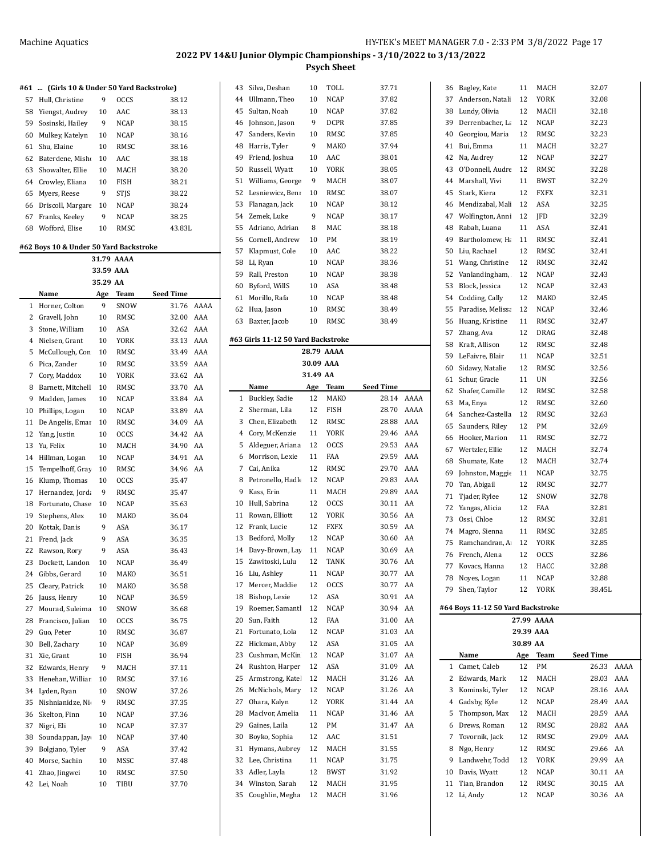| #61      | (Girls 10 & Under 50 Yard Backstroke)<br> |            |              |                  |      |
|----------|-------------------------------------------|------------|--------------|------------------|------|
| 57       | Hull, Christine                           | 9          | <b>OCCS</b>  | 38.12            |      |
| 58       | Yiengst, Audrey                           | 10         | AAC          | 38.13            |      |
| 59       | Sosinski, Hailey                          | 9          | <b>NCAP</b>  | 38.15            |      |
| 60       | Mulkey, Katelyn                           | 10         | <b>NCAP</b>  | 38.16            |      |
| 61       | Shu, Elaine                               | 10         | <b>RMSC</b>  | 38.16            |      |
| 62       | Baterdene, Misho                          | 10         | AAC          | 38.18            |      |
| 63       | Showalter, Ellie                          | 10         | MACH         | 38.20            |      |
| 64       | Crowley, Eliana                           | 10         | FISH         | 38.21            |      |
| 65       | Myers, Reese                              | 9          | <b>STIS</b>  | 38.22            |      |
| 66       | Driscoll, Margare                         | 10         | NCAP         | 38.24            |      |
| 67       | Franks, Keelev                            | 9          | <b>NCAP</b>  | 38.25            |      |
| 68       | Wofford, Elise                            | 10         | RMSC         | 43.83L           |      |
|          | #62 Boys 10 & Under 50 Yard Backstroke    |            |              |                  |      |
|          |                                           | 31.79 AAAA |              |                  |      |
|          |                                           | 33.59 AAA  |              |                  |      |
|          |                                           | 35.29 AA   |              |                  |      |
|          | Name                                      | Age        | <b>Team</b>  | <b>Seed Time</b> |      |
| 1        | Horner, Colton                            | 9          | SNOW         | 31.76            | AAAA |
| 2        | Gravell, John                             | 10         | RMSC         | 32.00            | AAA  |
| 3        | Stone, William                            | 10         | ASA          | 32.62            | AAA  |
| 4        | Nielsen, Grant                            | 10         | <b>YORK</b>  | 33.13            | AAA  |
| 5        | McCullough, Con                           | 10         | RMSC         | 33.49            | AAA  |
| 6        | Pica. Zander                              | 10         | <b>RMSC</b>  | 33.59            | AAA  |
| 7        | Cory, Maddox                              | 10         | <b>YORK</b>  | 33.62            | AA   |
| 8        | Barnett, Mitchell                         | 10         | RMSC         | 33.70            | AA   |
| 9        | Madden, James                             | 10         | <b>NCAP</b>  | 33.84            | AA   |
| 10       | Phillips, Logan                           | 10         | <b>NCAP</b>  | 33.89            | AA   |
| 11       | De Angelis, Emar                          | 10         | RMSC         | 34.09            | AA   |
| 12       | Yang, Justin                              | 10         | OCCS         | 34.42            | AA   |
| 13       | Yu, Felix                                 | 10         | MACH         | 34.90            | AA   |
| 14       | Hillman, Logan                            | 10         | NCAP         | 34.91            | AA   |
| 15       | Tempelhoff, Gray                          | 10         | RMSC         | 34.96            | AA   |
| 16       | Klump, Thomas                             | 10         | OCCS         | 35.47            |      |
| 17       | Hernandez, Jorda                          | 9          | RMSC         | 35.47            |      |
| 18       | Fortunato, Chase                          | 10         | <b>NCAP</b>  | 35.63            |      |
| 19       | Stephens, Alex                            | 10         | MAKO         | 36.04            |      |
| 20       | Kottak. Danis                             | 9          | ASA          | 36.17            |      |
| 21       | Frend, Jack                               | 9          | ASA          | 36.35            |      |
| 22       | Rawson, Rory                              | 9          | ASA          | 36.43            |      |
| 23       | Dockett, Landon                           | 10         | <b>NCAP</b>  | 36.49            |      |
| 24<br>25 | Gibbs, Gerard<br>Cleary, Patrick          | 10<br>10   | MAKO<br>MAKO | 36.51<br>36.58   |      |
| 26       | Jauss, Henry                              | 10         | NCAP         | 36.59            |      |
| 27       | Mourad, Suleima                           | 10         | SNOW         | 36.68            |      |
| 28       | Francisco, Julian                         | 10         | <b>OCCS</b>  | 36.75            |      |
| 29       | Guo, Peter                                | 10         | RMSC         | 36.87            |      |
| 30       | Bell, Zachary                             | 10         | NCAP         | 36.89            |      |
| 31       | Xie, Grant                                | 10         | FISH         | 36.94            |      |
| 32       | Edwards, Henry                            | 9          | MACH         | 37.11            |      |
| 33       | Henehan, Williar                          | 10         | RMSC         | 37.16            |      |
| 34       | Lyden, Ryan                               | 10         | SNOW         | 37.26            |      |
| 35       | Nishnianidze, Ni                          | 9          | RMSC         | 37.35            |      |
| 36       | Skelton, Finn                             | 10         | NCAP         | 37.36            |      |
| 37       | Nigri, Eli                                | 10         | NCAP         | 37.37            |      |
| 38       | Soundappan, Jay                           | 10         | NCAP         | 37.40            |      |
| 39       | Bolgiano, Tyler                           | 9          | ASA          | 37.42            |      |
| 40       | Morse, Sachin                             | 10         | MSSC         | 37.48            |      |
| 41       | Zhao, Jingwei                             | 10         | RMSC         | 37.50            |      |
| 42       | Lei, Noah                                 | 10         | TIBU         | 37.70            |      |
|          |                                           |            |              |                  |      |

| 43       | Silva, Deshan                      | 10        | TOLL         | 37.71            |      |
|----------|------------------------------------|-----------|--------------|------------------|------|
| 44       | Ullmann, Theo                      | 10        | <b>NCAP</b>  | 37.82            |      |
| 45       | Sultan, Noah                       | 10        | NCAP         | 37.82            |      |
| 46       | Johnson, Jason                     | 9         | DCPR         | 37.85            |      |
| 47       | Sanders, Kevin                     | 10        | RMSC         | 37.85            |      |
| 48       | Harris, Tyler                      | 9         | <b>MAKO</b>  | 37.94            |      |
| 49       | Friend, Joshua                     | 10        | AAC          | 38.01            |      |
| 50       | Russell, Wyatt                     | 10        | YORK         | 38.05            |      |
| 51       | Williams, George                   | 9         | MACH         | 38.07            |      |
| 52       | Lesniewicz, Benr                   | 10        | RMSC         | 38.07            |      |
| 53       | Flanagan, Jack                     | 10        | NCAP         | 38.12            |      |
| 54       | Zemek, Luke                        | 9         | <b>NCAP</b>  | 38.17            |      |
| 55       | Adriano, Adrian                    | 8         | MAC          | 38.18            |      |
| 56       | Cornell, Andrew                    | 10        | PM           | 38.19            |      |
| 57       | Klapmust, Cole                     | 10        | AAC          | 38.22            |      |
| 58       | Li, Ryan                           | 10        | <b>NCAP</b>  | 38.36            |      |
| 59       | Rall, Preston                      | 10        | <b>NCAP</b>  | 38.38            |      |
| 60       | Byford, WillS                      | 10        | ASA          | 38.48            |      |
| 61       | Morillo, Rafa                      | 10        | <b>NCAP</b>  | 38.48            |      |
|          |                                    |           |              |                  |      |
| 62       | Hua, Jason                         | 10        | RMSC         | 38.49            |      |
| 63       | Baxter, Jacob                      | 10        | RMSC         | 38.49            |      |
|          | #63 Girls 11-12 50 Yard Backstroke |           |              |                  |      |
|          |                                    |           | 28.79 AAAA   |                  |      |
|          |                                    | 30.09 AAA |              |                  |      |
|          |                                    | 31.49 AA  |              |                  |      |
|          | Name                               | Age       | Team         | <b>Seed Time</b> |      |
| 1        | Buckley, Sadie                     | 12        | MAKO         | 28.14            | AAAA |
| 2        | Sherman, Lila                      | 12        | FISH         | 28.70            | AAAA |
| 3        | Chen, Elizabeth                    | 12        | RMSC         | 28.88            | AAA  |
| 4        | Cory, McKenzie                     | 11        | YORK         | 29.46            | AAA  |
|          |                                    |           | <b>OCCS</b>  |                  | AAA  |
| 5        | Aldeguer, Ariana                   | 12        |              | 29.53            |      |
|          |                                    |           |              |                  |      |
| 6        | Morrison, Lexie                    | 11        | FAA          | 29.59            | AAA  |
| 7        | Cai, Anika                         | 12        | RMSC         | 29.70            | AAA  |
| 8        | Petronello, Hadle                  | 12        | NCAP         | 29.83            | AAA  |
| 9        | Kass, Erin                         | 11        | MACH         | 29.89            | AAA  |
| 10       | Hull, Sabrina                      | 12        | <b>OCCS</b>  | 30.11            | AA   |
| 11       | Rowan, Elliott                     | 12        | YORK         | 30.56            | AA   |
| 12       | Frank, Lucie                       | 12        | <b>FXFX</b>  | 30.59            | AA   |
| 13       | Bedford, Molly                     | 12        | NCAP         | 30.60            | AA   |
| 14       | Davy-Brown, Lay                    | 11        | <b>NCAP</b>  | 30.69            | AA   |
| 15       | Zawitoski, Lulu                    | 12        | TANK         | 30.76 AA         |      |
| 16       | Liu, Ashley                        | 11        | NCAP         | 30.77            | AA   |
| 17       | Mercer, Maddie                     | 12        | OCCS         | 30.77            | AA   |
| 18       | Bishop, Lexie                      | 12        | ASA          | 30.91            | AA   |
| 19       | Roemer, Samantl                    | 12        | <b>NCAP</b>  | 30.94            | AA   |
| 20       | Sun, Faith                         | 12        | FAA          | 31.00            | AA   |
| 21       | Fortunato, Lola                    | 12        | NCAP         | 31.03            | AA   |
| 22       | Hickman, Abby                      | 12        | ASA          |                  | AA   |
|          | Cushman, McKin                     |           |              | 31.05            |      |
| 23       |                                    | 12        | <b>NCAP</b>  | 31.07            | AA   |
| 24       | Rushton, Harper                    | 12        | ASA          | 31.09            | AA   |
| 25       | Armstrong, Katel                   | 12        | MACH         | 31.26            | AA   |
| 26       | McNichols, Mary                    | 12        | NCAP         | 31.26            | AA   |
| 27       | Ohara, Kalyn                       | 12        | YORK         | 31.44            | AA   |
| 28       | MacIvor, Amelia                    | 11        | <b>NCAP</b>  | 31.46            | AA   |
| 29       | Gaines, Laila                      | 12        | PM           | 31.47            | AA   |
| 30       | Boyko, Sophia                      | 12        | AAC          | 31.51            |      |
| 31       | Hymans, Aubrey                     | 12        | MACH         | 31.55            |      |
| 32       | Lee, Christina                     | 11        | NCAP         | 31.75            |      |
| 33       | Adler, Layla                       | 12        | BWST         | 31.92            |      |
| 34<br>35 | Winston, Sarah<br>Coughlin, Megha  | 12<br>12  | MACH<br>MACH | 31.95<br>31.96   |      |

| 36       | Bagley, Kate                      | 11        | MACH         | 32.07                      |  |
|----------|-----------------------------------|-----------|--------------|----------------------------|--|
| 37       | Anderson, Natali                  | 12        | YORK         | 32.08                      |  |
| 38       | Lundy, Olivia                     | 12        | MACH         | 32.18                      |  |
| 39       | Derrenbacher, La                  | 12        | NCAP         | 32.23                      |  |
| 40       | Georgiou, Maria                   | 12        | RMSC         | 32.23                      |  |
| 41       | Bui, Emma                         | 11        | MACH         | 32.27                      |  |
| 42       | Na, Audrey                        | 12        | NCAP         | 32.27                      |  |
| 43       | O'Donnell, Audre                  | 12        | RMSC         | 32.28                      |  |
| 44       | Marshall, Vivi                    | 11        | BWST         | 32.29                      |  |
| 45       | Stark, Kiera                      | 12        | FXFX         | 32.31                      |  |
| 46       | Mendizabal, Mali                  | 12        | ASA          | 32.35                      |  |
| 47       | Wolfington, Anni                  | 12        | JFD          | 32.39                      |  |
| 48       | Rabah, Luana                      | 11        | ASA          | 32.41                      |  |
| 49       | Bartholomew, Ha                   | 11        | RMSC         | 32.41                      |  |
| 50       | Liu, Rachael                      | 12        | RMSC         | 32.41                      |  |
| 51       | Wang, Christine                   | 12        | RMSC         | 32.42                      |  |
| 52       | Vanlandingham,                    | 12        | NCAP         | 32.43                      |  |
| 53       | Block, Jessica                    | 12        | NCAP         | 32.43                      |  |
| 54       | Codding, Cally                    | 12        | MAKO         | 32.45                      |  |
| 55       | Paradise, Melissa                 | 12        | NCAP         | 32.46                      |  |
| 56       | Huang, Kristine                   | 11        | RMSC         | 32.47                      |  |
| 57       | Zhang, Ava                        | 12        | DRAG         | 32.48                      |  |
| 58       | Kraft, Allison                    | 12        | RMSC         | 32.48                      |  |
| 59       | LeFaivre, Blair                   | 11        | NCAP         | 32.51                      |  |
| 60       | Sidawy, Natalie                   | 12        | RMSC         | 32.56                      |  |
| 61       | Schur, Gracie                     | 11        | UN           | 32.56                      |  |
| 62       | Shafer, Camille                   | 12        | RMSC         | 32.58                      |  |
| 63       | Ma, Enya                          | 12        | RMSC         | 32.60                      |  |
| 64       | Sanchez-Castella                  | 12        | RMSC         | 32.63                      |  |
| 65       | Saunders, Riley                   | 12        | PМ           | 32.69                      |  |
| 66       | Hooker, Marion                    | 11        | RMSC         | 32.72                      |  |
| 67       | Wertzler, Ellie                   | 12        | MACH         | 32.74                      |  |
| 68       | Shumate, Kate                     | 12        | MACH         | 32.74                      |  |
| 69       | Johnston, Maggie                  | 11        | NCAP         | 32.75                      |  |
| 70       | Tan, Abigail                      | 12        | RMSC<br>SNOW | 32.77                      |  |
| 71<br>72 | Tjader, Rylee<br>Yangas, Alicia   | 12<br>12  | FAA          | 32.78<br>32.81             |  |
| 73       | Ossi, Chloe                       | 12        | RMSC         | 32.81                      |  |
| 74       | Magro, Sienna                     | 11        | RMSC         | 32.85                      |  |
| 75       | Ramchandran, A                    | 12        | <b>YORK</b>  | 32.85                      |  |
| 76       | French, Alena                     | 12        | <b>OCCS</b>  | 32.86                      |  |
| 77       | Kovacs, Hanna                     | 12        | HACC         | 32.88                      |  |
| 78       | Noyes, Logan                      | 11        | NCAP         | 32.88                      |  |
| 79       | Shen, Taylor                      | 12        | YORK         | 38.45L                     |  |
|          |                                   |           |              |                            |  |
|          | #64 Boys 11-12 50 Yard Backstroke |           |              |                            |  |
|          |                                   |           | 27.99 AAAA   |                            |  |
|          |                                   | 29.39 AAA |              |                            |  |
|          | Name                              | 30.89 AA  |              |                            |  |
| 1        | Camet, Caleb                      | Age<br>12 | Team<br>PМ   | Seed Time<br>AAAA<br>26.33 |  |
| 2        | Edwards, Mark                     | 12        | MACH         | AAA<br>28.03               |  |
| 3        | Kominski, Tyler                   | 12        | NCAP         | AAA<br>28.16               |  |
| 4        | Gadsby, Kyle                      | 12        | NCAP         | AAA<br>28.49               |  |
| 5        | Thompson, Max                     | 12        | MACH         | AAA<br>28.59               |  |
| 6        | Drews, Roman                      | 12        | RMSC         | 28.82<br>AAA               |  |
| 7        | Tovornik, Jack                    | 12        | RMSC         | AAA<br>29.09               |  |
| 8        | Ngo, Henry                        | 12        | RMSC         | AA<br>29.66                |  |
| 9        | Landwehr, Todd                    | 12        | YORK         | AA<br>29.99                |  |
| 10       | Davis, Wyatt                      | 12        | NCAP         | AA<br>30.11                |  |
| 11       | Tian, Brandon                     | 12        | RMSC         | AA<br>30.15                |  |
|          |                                   |           |              |                            |  |
| 12       | Li, Andy                          | 12        | NCAP         | 30.36<br>AA                |  |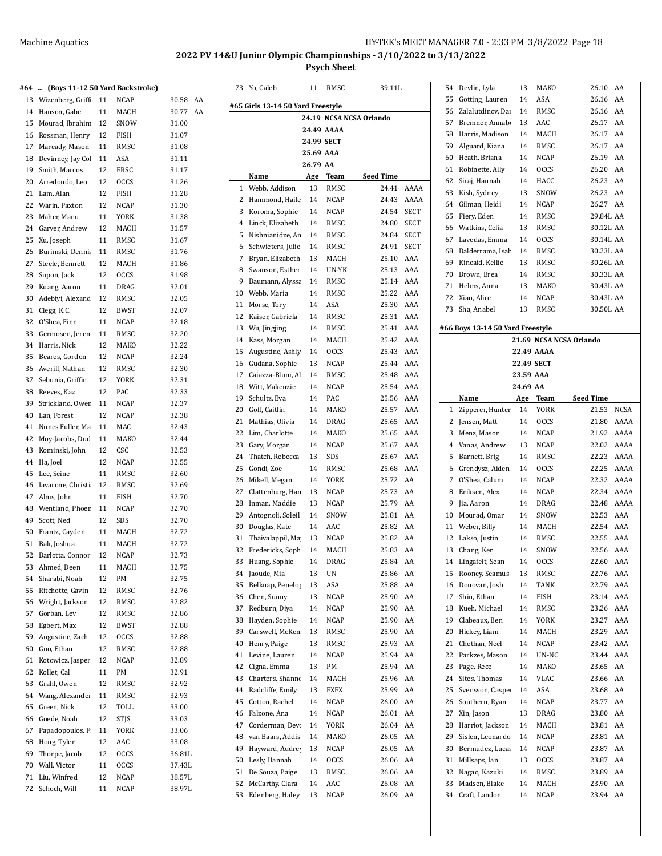# **2022 PV 14&U Junior Olympic Championships - 3/10/2022 to 3/13/2022**

**Psych Sheet**

|    | #64  (Boys 11-12 50 Yard Backstroke)    |          |              |                | 73 Yo, Caleb                      | 11        | RMSC        | 39.11L                  |             |    | 54 Devlin, Lyla                  | 13         | MAKO        | 26.10 AA                |      |
|----|-----------------------------------------|----------|--------------|----------------|-----------------------------------|-----------|-------------|-------------------------|-------------|----|----------------------------------|------------|-------------|-------------------------|------|
|    | 13 Wizenberg, Griff 11                  |          | NCAP         | 30.58 AA       |                                   |           |             |                         |             | 55 | Gotting, Lauren                  | 14         | ASA         | 26.16 AA                |      |
|    | 14 Hanson, Gabe                         | 11       | MACH         | 30.77 AA       | #65 Girls 13-14 50 Yard Freestyle |           |             |                         |             |    | 56 Zalalutdinov, Dar             | 14         | RMSC        | 26.16 AA                |      |
|    | 15 Mourad, Ibrahim                      | 12       | SNOW         | 31.00          |                                   |           |             | 24.19 NCSA NCSA Orlando |             | 57 | Bremner, Annabe                  | 13         | AAC         | 26.17 AA                |      |
|    | 16 Rossman, Henry                       | 12       | <b>FISH</b>  | 31.07          |                                   |           | 24.49 AAAA  |                         |             | 58 | Harris, Madison                  | 14         | MACH        | 26.17 AA                |      |
|    | 17 Maready, Mason                       | 11       | RMSC         | 31.08          |                                   |           | 24.99 SECT  |                         |             | 59 | Alguard, Kiana                   | 14         | RMSC        | 26.17                   | AA   |
| 18 | Devinney, Jay Col                       | 11       | ASA          | 31.11          |                                   | 25.69 AAA |             |                         |             | 60 | Heath, Briana                    | 14         | <b>NCAP</b> | 26.19                   | AA   |
|    | 19 Smith, Marcos                        | 12       | ERSC         | 31.17          |                                   | 26.79 AA  |             |                         |             |    | 61 Robinette, Ally               | 14         | <b>OCCS</b> | 26.20 AA                |      |
| 20 | Arredondo, Leo                          | 12       | <b>OCCS</b>  | 31.26          | Name                              | Age       | Team        | <b>Seed Time</b>        |             |    | 62 Siraj, Hannah                 | 14         | HACC        | 26.23 AA                |      |
|    | 21 Lam, Alan                            | 12       | <b>FISH</b>  | 31.28          | 1 Webb, Addison                   | 13        | RMSC        |                         | 24.41 AAAA  |    | 63 Kish, Sydney                  | 13         | SNOW        | 26.23 AA                |      |
|    |                                         | 12       |              |                | 2 Hammond, Haile                  | 14        | <b>NCAP</b> | 24.43                   | AAAA        | 64 | Gilman, Heidi                    | 14         | NCAP        | 26.27 AA                |      |
| 23 | 22 Warin, Paxton<br>Maher, Manu         | 11       | NCAP<br>YORK | 31.30<br>31.38 | 3<br>Koroma, Sophie               | 14        | <b>NCAP</b> | 24.54                   | <b>SECT</b> |    | 65 Fiery, Eden                   | 14         | RMSC        | 29.84L AA               |      |
|    | 24 Garver, Andrew                       | 12       | MACH         | 31.57          | Linck, Elizabeth<br>4             | 14        | RMSC        | 24.80                   | SECT        |    | 66 Watkins, Celia                | 13         | RMSC        | 30.12L AA               |      |
|    | 25 Xu, Joseph                           | 11       | RMSC         |                | Nishnianidze, An<br>5             | 14        | RMSC        | 24.84 SECT              |             |    | 67 Lavedas, Emma                 | 14         | <b>OCCS</b> | 30.14L AA               |      |
|    | 26 Burimski, Dennis                     | 11       | RMSC         | 31.67<br>31.76 | Schwieters, Julie<br>6            | 14        | RMSC        | 24.91                   | <b>SECT</b> | 68 | Balderrama, Isab                 | 14         | RMSC        | 30.23L AA               |      |
| 27 | Steele, Bennett                         | 12       | MACH         | 31.86          | Bryan, Elizabeth<br>7             | 13        | MACH        | 25.10 AAA               |             | 69 | Kincaid, Kellie                  | 13         | RMSC        | 30.26L AA               |      |
| 28 | Supon, Jack                             | 12       | <b>OCCS</b>  | 31.98          | 8<br>Swanson, Esther              | 14        | UN-YK       | 25.13 AAA               |             |    | 70 Brown, Brea                   | 14         | RMSC        | 30.33L AA               |      |
| 29 | Kuang, Aaron                            | 11       | DRAG         | 32.01          | Baumann, Alyssa<br>9              | 14        | RMSC        | 25.14 AAA               |             |    | 71 Helms, Anna                   | 13         | MAKO        | 30.43L AA               |      |
| 30 | Adebiyi, Alexand                        |          | RMSC         | 32.05          | Webb, Maria<br>10                 | 14        | <b>RMSC</b> | 25.22 AAA               |             |    | 72 Xiao, Alice                   | 14         | NCAP        | 30.43L AA               |      |
|    |                                         | 12<br>12 | <b>BWST</b>  | 32.07          | Morse, Tory<br>11                 | 14        | ASA         | 25.30 AAA               |             |    | 73 Sha, Anabel                   | 13         | RMSC        | 30.50L AA               |      |
|    | 31 Clegg, K.C.<br>32 O'Shea, Finn       |          |              |                | 12<br>Kaiser, Gabriela            | 14        | RMSC        | 25.31 AAA               |             |    |                                  |            |             |                         |      |
|    |                                         | 11       | NCAP         | 32.18          | 13<br>Wu, Jingjing                | 14        | RMSC        | 25.41 AAA               |             |    | #66 Boys 13-14 50 Yard Freestyle |            |             |                         |      |
| 33 | Germosen, Jerem                         | 11       | RMSC         | 32.20          | Kass, Morgan<br>14                | 14        | MACH        | 25.42 AAA               |             |    |                                  |            |             | 21.69 NCSA NCSA Orlando |      |
|    | 34 Harris, Nick                         | 12       | MAKO         | 32.22          | Augustine, Ashly<br>15            | 14        | <b>OCCS</b> | 25.43 AAA               |             |    |                                  |            | 22.49 AAAA  |                         |      |
|    | 35 Beares, Gordon                       | 12       | NCAP         | 32.24          | Gudana, Sophie<br>16              | 13        | <b>NCAP</b> | 25.44 AAA               |             |    |                                  | 22.49 SECT |             |                         |      |
|    | 36 Averill, Nathan                      | 12       | RMSC         | 32.30          | Caiazza-Blum, Al<br>17            | 14        | RMSC        | 25.48 AAA               |             |    |                                  | 23.59 AAA  |             |                         |      |
| 37 | Sebunia, Griffin                        | 12       | YORK         | 32.31          | Witt, Makenzie<br>18              | 14        | <b>NCAP</b> | 25.54 AAA               |             |    |                                  | 24.69 AA   |             |                         |      |
| 38 | Reeves, Kaz                             | 12<br>11 | PAC          | 32.33<br>32.37 | 19<br>Schultz, Eva                | 14        | PAC         | 25.56 AAA               |             |    | Name                             | Age        | Team        | <b>Seed Time</b>        |      |
| 39 | Strickland, Ower                        |          | NCAP         |                | Goff, Caitlin<br>20               | 14        | MAKO        | 25.57                   | AAA         |    | 1 Zipperer, Hunter               | 14         | <b>YORK</b> | 21.53                   | NCSA |
| 40 | Lan, Forest                             | 12       | NCAP<br>MAC  | 32.38<br>32.43 | Mathias, Olivia<br>21             | 14        | DRAG        | 25.65 AAA               |             |    | 2 Jensen, Matt                   | 14         | <b>OCCS</b> | 21.80                   | AAAA |
|    | 41 Nunes Fuller, Ma                     | 11       |              |                | 22<br>Lim, Charlotte              | 14        | MAKO        | 25.65 AAA               |             |    | 3 Menz, Mason                    | 14         | <b>NCAP</b> | 21.92                   | AAAA |
|    | 42 Moy-Jacobs, Dud<br>43 Kominski, John | 11<br>12 | MAKO<br>CSC  | 32.44<br>32.53 | 23<br>Gary, Morgan                | 14        | <b>NCAP</b> | 25.67                   | AAA         |    | 4 Vanas, Andrew                  | 13         | <b>NCAP</b> | 22.02                   | AAAA |
|    | 44 Ha, Joel                             | 12       | NCAP         | 32.55          | Thatch, Rebecca<br>24             | 13        | SDS         | 25.67                   | AAA         |    | 5 Barnett, Brig                  | 14         | RMSC        | 22.23                   | AAAA |
|    | 45 Lee, Seine                           | 11       | RMSC         | 32.60          | Gondi, Zoe<br>25                  | 14        | <b>RMSC</b> | 25.68 AAA               |             |    | 6 Grendysz, Aiden                | 14         | <b>OCCS</b> | 22.25                   | AAAA |
|    | 46 Iavarone, Christi                    | 12       | RMSC         | 32.69          | Mikell, Megan<br>26               | 14        | YORK        | 25.72 AA                |             |    | 7 O'Shea, Calum                  | 14         | <b>NCAP</b> | 22.32                   | AAAA |
| 47 | Alms, John                              | 11       | FISH         | 32.70          | 27<br>Clattenburg, Han            | 13        | <b>NCAP</b> | 25.73 AA                |             |    | 8 Eriksen, Alex                  | 14         | <b>NCAP</b> | 22.34                   | AAAA |
| 48 | Wentland, Phoer                         | 11       | <b>NCAP</b>  | 32.70          | Inman, Maddie<br>28               | 13        | <b>NCAP</b> | 25.79                   | AA          |    | 9 Jia, Aaron                     | 14         | DRAG        | 22.48                   | AAAA |
|    | 49 Scott, Ned                           | 12       | SDS          | 32.70          | Antognoli, Soleil<br>29           | 14        | SNOW        | 25.81                   | AA          | 10 | Mourad, Omar                     | 14         | SNOW        | 22.53                   | AAA  |
|    | 50 Frantz, Cayden                       | 11       | MACH         | 32.72          | Douglas, Kate<br>30               | 14        | AAC         | 25.82 AA                |             |    | 11 Weber, Billy                  | 14         | MACH        | 22.54 AAA               |      |
|    | 51 Bak, Joshua                          | 11       | MACH         | 32.72          | Thaivalappil, Ma<br>31            | 13        | <b>NCAP</b> | 25.82 AA                |             |    | 12 Lakso, Justin                 | 14         | RMSC        | 22.55                   | AAA  |
|    | 52 Barlotta, Connor 12                  |          | NCAP         | 32.73          | 32 Fredericks, Soph 14            |           | MACH        | 25.83 AA                |             |    | 13 Chang, Ken                    | 14         | SNOW        | 22.56 AAA               |      |
| 53 | Ahmed, Deen                             | 11       | MACH         | 32.75          | 33 Huang, Sophie                  | 14        | DRAG        | 25.84                   | AA          |    | 14 Lingafelt, Sean               | 14         | OCCS        | 22.60                   | AAA  |
|    | 54 Sharabi, Noah                        | 12       | PM           | 32.75          | 34<br>Jaoude, Mia                 | 13        | UN          | 25.86 AA                |             |    | 15 Rooney, Seamus                | 13         | RMSC        | 22.76 AAA               |      |
|    | 55 Ritchotte, Gavin                     | 12       | RMSC         | 32.76          | Belknap, Penelop<br>35            | 13        | ASA         | 25.88 AA                |             |    | 16 Donovan, Josh                 | 14         | TANK        | 22.79 AAA               |      |
|    | 56 Wright, Jackson                      | 12       | RMSC         | 32.82          | Chen, Sunny<br>36                 | 13        | <b>NCAP</b> | 25.90 AA                |             |    | 17 Shin, Ethan                   | 14         | FISH        | 23.14 AAA               |      |
|    | 57 Gorban, Lev                          | 12       | RMSC         | 32.86          | Redburn, Diya<br>37               | 14        | <b>NCAP</b> | 25.90 AA                |             | 18 | Kueh, Michael                    | 14         | RMSC        | 23.26 AAA               |      |
| 58 | Egbert, Max                             | 12       | <b>BWST</b>  | 32.88          | Hayden, Sophie<br>38              | 14        | NCAP        | 25.90 AA                |             |    | 19 Clabeaux, Ben                 | 14         | YORK        | 23.27 AAA               |      |
|    | 59 Augustine, Zach                      | 12       | <b>OCCS</b>  | 32.88          | Carswell, McKen<br>39             | 13        | RMSC        | 25.90 AA                |             |    | 20 Hickey, Liam                  | 14         | MACH        | 23.29                   | AAA  |
|    | 60 Guo, Ethan                           | 12       | RMSC         | 32.88          | Henry, Paige<br>40                | 13        | RMSC        | 25.93 AA                |             |    | 21 Chethan, Neel                 | 14         | <b>NCAP</b> | 23.42 AAA               |      |
|    | 61 Kotowicz, Jasper                     | 12       | NCAP         | 32.89          | Levine, Lauren<br>41              | 14        | <b>NCAP</b> | 25.94 AA                |             |    | 22 Parkzes, Mason                | 14         | UN-NC       | 23.44 AAA               |      |
|    | 62 Kollet, Cal                          | 11       | PM           | 32.91          | Cigna, Emma<br>42                 | 13        | PM          | 25.94 AA                |             |    | 23 Page, Rece                    | 14         | MAKO        | 23.65 AA                |      |
|    | 63 Grahl, Owen                          | 12       | RMSC         | 32.92          | Charters, Shannc<br>43            | 14        | MACH        | 25.96 AA                |             |    | 24 Sites, Thomas                 | 14         | VLAC        | 23.66 AA                |      |
|    | 64 Wang, Alexander                      | 11       | RMSC         | 32.93          | Radcliffe, Emily<br>44            | 13        | <b>FXFX</b> | 25.99 AA                |             | 25 | Svensson, Casper                 | 14         | ASA         | 23.68 AA                |      |
|    | 65 Green, Nick                          | 12       | TOLL         | 33.00          | Cotton, Rachel<br>45              | 14        | <b>NCAP</b> | 26.00 AA                |             |    | 26 Southern, Ryan                | 14         | NCAP        | 23.77 AA                |      |
|    | 66 Goede, Noah                          | 12       | <b>STJS</b>  | 33.03          | Falzone, Ana<br>46                | 14        | <b>NCAP</b> | 26.01 AA                |             |    | 27 Xin, Jason                    | 13         | DRAG        | 23.80 AA                |      |
|    | 67 Papadopoulos, F                      | 11       | YORK         | 33.06          | Corderman, Devo<br>47             | 14        | YORK        | 26.04 AA                |             | 28 | Harriot, Jackson                 | 14         | MACH        | 23.81 AA                |      |
|    | 68 Hong, Tyler                          | 12       | AAC          | 33.08          | van Baars, Addis<br>48            | 14        | MAKO        | 26.05 AA                |             | 29 | Sislen, Leonardo                 | 14         | <b>NCAP</b> | 23.81 AA                |      |
|    | 69 Thorpe, Jacob                        | 12       | <b>OCCS</b>  | 36.81L         | Hayward, Audrey<br>49             | 13        | <b>NCAP</b> | 26.05 AA                |             | 30 | Bermudez, Lucas                  | 14         | NCAP        | 23.87 AA                |      |
|    | 70 Wall, Victor                         | 11       | <b>OCCS</b>  | 37.43L         | Lesly, Hannah<br>50               | 14        | <b>OCCS</b> | 26.06 AA                |             |    | 31 Millsaps, Ian                 | 13         | <b>OCCS</b> | 23.87 AA                |      |
|    | 71 Liu, Winfred                         | 12       | NCAP         | 38.57L         | De Souza, Paige<br>51             | 13        | RMSC        | 26.06 AA                |             |    | 32 Nagao, Kazuki                 | 14         | RMSC        | 23.89 AA                |      |
|    | 72 Schoch, Will                         | 11       | NCAP         | 38.97L         | McCarthy, Clara<br>52             | 14        | AAC         | 26.08 AA                |             |    | 33 Madsen, Blake                 | 14         | MACH        | 23.90 AA                |      |
|    |                                         |          |              |                | 53 Edenberg, Haley                | 13        | <b>NCAP</b> | 26.09 AA                |             |    | 34 Craft, Landon                 | 14         | <b>NCAP</b> | 23.94 AA                |      |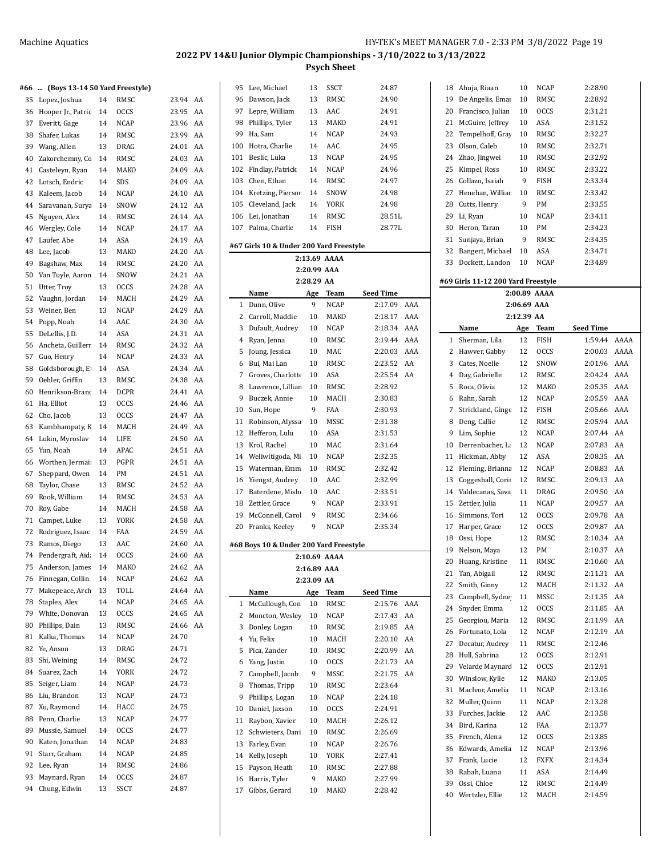#### **#66 ... (Boys 13-14 50 Yard Freestyle)**

| ۲UU | (DOYS 13-14 30 Talu Preestyle) |    |             |       |    |
|-----|--------------------------------|----|-------------|-------|----|
| 35  | Lopez, Joshua                  | 14 | RMSC        | 23.94 | AA |
| 36  | Hooper Jr., Patric             | 14 | <b>OCCS</b> | 23.95 | AA |
| 37  | Everitt, Gage                  | 14 | NCAP        | 23.96 | AA |
| 38  | Shafer, Lukas                  | 14 | RMSC        | 23.99 | AA |
| 39  | Wang, Allen                    | 13 | <b>DRAG</b> | 24.01 | AA |
| 40  | Zakorchemny, Cc                | 14 | RMSC        | 24.03 | AA |
| 41  | Casteleyn, Ryan                | 14 | MAKO        | 24.09 | AA |
| 42  | Lotsch, Endric                 | 14 | SDS         | 24.09 | AA |
| 43  | Kaleem, Jacob                  | 14 | NCAP        | 24.10 | AA |
| 44  |                                | 14 | SNOW        | 24.12 | AA |
|     | Saravanan, Surya               | 14 | RMSC        | 24.14 |    |
| 45  | Nguyen, Alex                   |    |             |       | AA |
| 46  | Wergley, Cole                  | 14 | <b>NCAP</b> | 24.17 | AA |
| 47  | Laufer, Abe                    | 14 | ASA         | 24.19 | AA |
| 48  | Lee, Jacob                     | 13 | MAKO        | 24.20 | AA |
| 49  | Bagshaw, Max                   | 14 | RMSC        | 24.20 | AA |
| 50  | Van Tuyle, Aaron               | 14 | SNOW        | 24.21 | AA |
| 51  | Utter, Troy                    | 13 | <b>OCCS</b> | 24.28 | AA |
| 52  | Vaughn, Jordan                 | 14 | MACH        | 24.29 | AA |
| 53  | Weiner, Ben                    | 13 | NCAP        | 24.29 | AA |
| 54  | Popp, Noah                     | 14 | AAC         | 24.30 | AA |
| 55  | DeLellis, J.D.                 | 14 | ASA         | 24.31 | AA |
| 56  | Ancheta, Guillerr              | 14 | RMSC        | 24.32 | AA |
| 57  | Guo, Henry                     | 14 | NCAP        | 24.33 | AA |
| 58  | Goldsborough, E                | 14 | <b>ASA</b>  | 24.34 | AA |
| 59  | Oehler, Griffin                | 13 | RMSC        | 24.38 | AA |
| 60  | Henrikson-Brand                | 14 | DCPR        | 24.41 | AA |
| 61  | Ha, Elliot                     | 13 | <b>OCCS</b> | 24.46 | AA |
| 62  | Cho, Jacob                     | 13 | <b>OCCS</b> | 24.47 | AA |
| 63  | Kambhampaty, K                 | 14 | MACH        | 24.49 | AA |
| 64  | Lukin, Myroslav                | 14 | LIFE        | 24.50 | AA |
| 65  | Yun, Noah                      | 14 | APAC        | 24.51 | AA |
| 66  | Worthen, Jermai                | 13 | PGPR        | 24.51 | AA |
| 67  |                                | 14 | PM          | 24.51 | AA |
|     | Sheppard, Owen                 |    |             |       | AA |
| 68  | Taylor, Chase                  | 13 | RMSC        | 24.52 |    |
| 69  | Rook, William                  | 14 | RMSC        | 24.53 | AA |
| 70  | Roy, Gabe                      | 14 | MACH        | 24.58 | AA |
| 71  | Campet, Luke                   | 13 | YORK        | 24.58 | AA |
| 72  | Rodriguez, Isaac               | 14 | FAA         | 24.59 | AA |
| 73  | Ramos, Diego                   | 13 | AAC         | 24.60 | AA |
| 74  | Pendergraft, Aid               | 14 | <b>OCCS</b> | 24.60 | AA |
| 75  | Anderson, James                | 14 | MAKO        | 24.62 | AA |
| 76  | Finnegan, Collin               | 14 | NCAP        | 24.62 | AA |
| 77  | Makepeace, Arch                | 13 | TOLL        | 24.64 | AA |
| 78  | Staples, Alex                  | 14 | <b>NCAP</b> | 24.65 | AA |
| 79  | White, Donovan                 | 13 | <b>OCCS</b> | 24.65 | AA |
| 80  | Phillips, Dain                 | 13 | RMSC        | 24.66 | AA |
| 81  | Kalka, Thomas                  | 14 | NCAP        | 24.70 |    |
| 82  | Ye, Anson                      | 13 | <b>DRAG</b> | 24.71 |    |
| 83  | Shi, Weining                   | 14 | RMSC        | 24.72 |    |
| 84  | Suarez, Zach                   | 14 | <b>YORK</b> | 24.72 |    |
| 85  | Seiger, Liam                   | 14 | NCAP        | 24.73 |    |
| 86  | Liu, Brandon                   | 13 | NCAP        | 24.73 |    |
| 87  | Xu, Raymond                    | 14 | HACC        | 24.75 |    |
| 88  | Penn, Charlie                  | 13 | <b>NCAP</b> | 24.77 |    |
| 89  | Mussie, Samuel                 | 14 | <b>OCCS</b> | 24.77 |    |
| 90  | Katen, Jonathan                | 14 | NCAP        | 24.83 |    |
|     |                                |    |             |       |    |
| 91  | Starr, Graham                  | 14 | NCAP        | 24.85 |    |
| 92  | Lee, Ryan                      | 14 | RMSC        | 24.86 |    |
| 93  | Maynard, Ryan                  | 14 | <b>OCCS</b> | 24.87 |    |
| 94  | Chung, Edwin                   | 13 | <b>SSCT</b> | 24.87 |    |

| 95                                                      | Lee, Michael                           | 13          | SSCT                | 24.87              |     |  |  |  |
|---------------------------------------------------------|----------------------------------------|-------------|---------------------|--------------------|-----|--|--|--|
| 96                                                      | Dawson, Jack                           | 13          | RMSC                | 24.90              |     |  |  |  |
| 97                                                      | Lepre, William                         | 13          | AAC                 | 24.91              |     |  |  |  |
| 98                                                      | Phillips, Tyler                        | 13          | MAKO                | 24.91              |     |  |  |  |
| 99                                                      | Ha, Sam                                | 14          | NCAP                | 24.93              |     |  |  |  |
| 100                                                     | Hotra, Charlie                         | 14          | AAC                 | 24.95              |     |  |  |  |
| 101                                                     | Beslic, Luka                           | 13          | NCAP                | 24.95              |     |  |  |  |
| 102                                                     |                                        |             |                     |                    |     |  |  |  |
|                                                         | Findlay, Patrick                       | 14          | NCAP                | 24.96              |     |  |  |  |
| 103                                                     | Chen, Ethan                            | 14          | RMSC                | 24.97              |     |  |  |  |
| 104                                                     | Kretzing, Piersor                      | 14          | SNOW                | 24.98              |     |  |  |  |
| 105                                                     | Cleveland, Jack                        | 14          | <b>YORK</b>         | 24.98              |     |  |  |  |
| 106                                                     | Lei, Jonathan                          | 14          | RMSC                | 28.51L             |     |  |  |  |
| 107                                                     | Palma, Charlie                         | 14          | FISH                | 28.77L             |     |  |  |  |
| #67 Girls 10 & Under 200 Yard Freestyle<br>2:13.69 AAAA |                                        |             |                     |                    |     |  |  |  |
|                                                         |                                        |             |                     |                    |     |  |  |  |
|                                                         |                                        | 2:20.99 AAA |                     |                    |     |  |  |  |
|                                                         |                                        | 2:28.29 AA  |                     |                    |     |  |  |  |
|                                                         | Name                                   | Age         | Team                | Seed Time          |     |  |  |  |
| 1                                                       | Dunn, Olive                            | 9           | NCAP                | 2:17.09            | AAA |  |  |  |
| 2                                                       | Carroll, Maddie                        | 10          | MAKO                | 2:18.17            | AAA |  |  |  |
| 3                                                       | Dufault, Audrey                        | 10          | NCAP                | 2:18.34            | AAA |  |  |  |
| 4                                                       | Ryan, Jenna                            | 10          | RMSC                | 2:19.44            | AAA |  |  |  |
| 5                                                       | Joung, Jessica                         | 10          | MAC                 | 2:20.03            | AAA |  |  |  |
| 6                                                       | Bui, Mai Lan                           | 10          | RMSC                | 2:23.52            | AA  |  |  |  |
| 7                                                       | Groves, Charlotte                      | 10          | ASA                 | 2:25.54            | AA  |  |  |  |
| 8                                                       | Lawrence, Lilliar                      | 10          | RMSC                | 2:28.92            |     |  |  |  |
| 9                                                       | Buczek, Annie                          | 10          | MACH                | 2:30.83            |     |  |  |  |
| 10                                                      | Sun, Hope                              | 9           | FAA                 | 2:30.93            |     |  |  |  |
| 11                                                      | Robinson, Alyssa                       | 10          | MSSC                | 2:31.38            |     |  |  |  |
| 12                                                      | Hefferon, Lulu                         | 10          | ASA                 | 2:31.53            |     |  |  |  |
| 13                                                      | Krol, Rachel                           | 10          | MAC                 | 2:31.64            |     |  |  |  |
| 14                                                      | Weliwitigoda, Mi                       | 10          | NCAP                | 2:32.35            |     |  |  |  |
| 15                                                      |                                        | 10          | RMSC                | 2:32.42            |     |  |  |  |
|                                                         | Waterman, Emm                          |             |                     |                    |     |  |  |  |
| 16                                                      | Yiengst, Audrey                        | 10          | AAC                 | 2:32.99            |     |  |  |  |
| 17                                                      | Baterdene, Mishe                       | 10          | AAC                 | 2:33.51            |     |  |  |  |
| 18                                                      | Zettler, Grace                         | 9           | NCAP                | 2:33.91            |     |  |  |  |
| 19                                                      | McConnell, Carol                       | 9           | RMSC                | 2:34.66            |     |  |  |  |
| 20                                                      | Franks, Keeley                         | 9           | <b>NCAP</b>         | 2:35.34            |     |  |  |  |
|                                                         | #68 Boys 10 & Under 200 Yard Freestyle |             |                     |                    |     |  |  |  |
|                                                         |                                        |             | 2:10.69 AAAA        |                    |     |  |  |  |
|                                                         |                                        | 2:16.89 AAA |                     |                    |     |  |  |  |
|                                                         |                                        | 2:23.09 AA  |                     |                    |     |  |  |  |
| 1                                                       | Name                                   | Age<br>10   | Team                | Seed Time          | AAA |  |  |  |
| 2                                                       | McCullough, Con<br>Moncton, Wesley     | 10          | RMSC<br><b>NCAP</b> | 2:15.76<br>2:17.43 | AA  |  |  |  |
|                                                         |                                        |             |                     |                    |     |  |  |  |
| 3                                                       | Donley, Logan                          | 10          | RMSC                | 2:19.85            | AA  |  |  |  |
| $\overline{4}$                                          | Yu, Felix                              | 10          | MACH                | 2:20.10            | AA  |  |  |  |
| 5                                                       | Pica, Zander                           | 10          | RMSC                | 2:20.99            | AA  |  |  |  |
| 6                                                       | Yang, Justin                           | 10          | OCCS                | 2:21.73            | AA  |  |  |  |
| 7                                                       | Campbell, Jacob                        | 9           | MSSC                | 2:21.75            | AA  |  |  |  |
| 8                                                       | Thomas, Tripp                          | 10          | RMSC                | 2:23.64            |     |  |  |  |
| 9                                                       | Phillips, Logan                        | 10          | NCAP                | 2:24.18            |     |  |  |  |
| 10                                                      | Daniel, Jaxson                         | 10          | <b>OCCS</b>         | 2:24.91            |     |  |  |  |
| 11                                                      | Raybon, Xavier                         | 10          | MACH                | 2:26.12            |     |  |  |  |
| 12                                                      | Schwieters, Dani                       | 10          | RMSC                | 2:26.69            |     |  |  |  |
| 13                                                      | Farley, Evan                           | 10          | NCAP                | 2:26.76            |     |  |  |  |
| 14                                                      | Kelly, Joseph                          | 10          | YORK                | 2:27.41            |     |  |  |  |
| 15                                                      | Payson, Heath                          | 10          | RMSC                | 2:27.88            |     |  |  |  |
| 16                                                      | Harris, Tyler                          | 9           | MAKO                | 2:27.99            |     |  |  |  |
| 17                                                      | Gibbs, Gerard                          | 10          | MAKO                | 2:28.42            |     |  |  |  |
|                                                         |                                        |             |                     |                    |     |  |  |  |

| 18 | Ahuja, Riaan                       | 10          | NCAP         | 2:28.90          |      |
|----|------------------------------------|-------------|--------------|------------------|------|
| 19 | De Angelis, Emar                   | 10          | RMSC         | 2:28.92          |      |
| 20 | Francisco, Julian                  | 10          | <b>OCCS</b>  | 2:31.21          |      |
| 21 | McGuire, Jeffrey                   | 10          | ASA          | 2:31.52          |      |
| 22 | Tempelhoff, Gray                   | 10          | RMSC         | 2:32.27          |      |
| 23 | Olson, Caleb                       | 10          | RMSC         | 2:32.71          |      |
| 24 | Zhao, Jingwei                      | 10          | RMSC         | 2:32.92          |      |
| 25 | Kimpel, Ross                       | 10          | RMSC         | 2:33.22          |      |
| 26 | Collazo, Isaiah                    | 9           | FISH         | 2:33.34          |      |
| 27 | Henehan, Williar                   | 10          | RMSC         | 2:33.42          |      |
|    |                                    |             |              |                  |      |
| 28 | Cutts, Henry                       | 9           | PМ           | 2:33.55          |      |
| 29 | Li, Ryan                           | 10          | <b>NCAP</b>  | 2:34.11          |      |
| 30 | Heron, Taran                       | 10          | PМ           | 2:34.23          |      |
| 31 | Sunjaya, Brian                     | 9           | RMSC         | 2:34.35          |      |
| 32 | Bangert, Michael                   | 10          | ASA          | 2:34.71          |      |
| 33 | Dockett, Landon                    | 10          | NCAP         | 2:34.89          |      |
|    | #69 Girls 11-12 200 Yard Freestyle |             |              |                  |      |
|    |                                    |             | 2:00.89 AAAA |                  |      |
|    |                                    | 2:06.69 AAA |              |                  |      |
|    |                                    | 2:12.39 AA  |              |                  |      |
|    | Name                               | Age         | Team         | <b>Seed Time</b> |      |
| 1  | Sherman, Lila                      | 12          | FISH         | 1:59.44          | AAAA |
| 2  | Hawver, Gabby                      | 12          | <b>OCCS</b>  | 2:00.03          | AAAA |
| 3  | Cates, Noelle                      | 12          | SNOW         | 2:01.96          | AAA  |
| 4  | Day, Gabrielle                     | 12          | RMSC         | 2:04.24          | AAA  |
| 5  | Roca, Olivia                       | 12          | MAKO         | 2:05.35          | AAA  |
| 6  | Rahn, Sarah                        | 12          | NCAP         | 2:05.59          | AAA  |
| 7  | Strickland, Ginge                  | 12          | FISH         | 2:05.66          | AAA  |
| 8  | Deng, Callie                       | 12          | RMSC         | 2:05.94          | AAA  |
| 9  | Lim, Sophie                        | 12          | NCAP         | 2:07.44          | AA   |
| 10 | Derrenbacher, La                   | 12          | NCAP         | 2:07.83          | AA   |
| 11 | Hickman, Abby                      | 12          | ASA          | 2:08.35          | AA   |
| 12 |                                    | 12          | <b>NCAP</b>  | 2:08.83          | AA   |
|    | Fleming, Brianna                   |             |              |                  |      |
| 13 | Coggeshall, Corir                  | 12          | RMSC         | 2:09.13          | AA   |
| 14 | Valdecanas, Sava                   | 11          | DRAG         | 2:09.50          | AA   |
| 15 | Zettler, Julia                     | 11          | <b>NCAP</b>  | 2:09.57          | AA   |
| 16 | Simmons, Tori                      | 12          | <b>OCCS</b>  | 2:09.78          | AA   |
| 17 | Harper, Grace                      | 12          | <b>OCCS</b>  | 2:09.87          | AA   |
| 18 | Ossi, Hope                         | 12          | RMSC         | 2:10.34          | AA   |
| 19 | Nelson, Maya                       | 12          | PМ           | 2:10.37          | AA   |
| 20 | Huang, Kristine                    | 11          | RMSC         | 2:10.60          | AA   |
| 21 | Tan, Abigail                       | 12          | RMSC         | 2:11.31          | AA   |
| 22 | Smith, Ginny                       | 12          | MACH         | 2:11.32          | AA   |
| 23 | Campbell, Sydne                    | 11          | MSSC         | 2:11.35          | AA   |
| 24 | Snyder, Emma                       | 12          | <b>OCCS</b>  | 2:11.85          | AA   |
| 25 | Georgiou, Maria                    | 12          | RMSC         | 2:11.99          | AA   |
| 26 | Fortunato, Lola                    | 12          | NCAP         | 2:12.19          | AA   |
| 27 | Decatur, Audrey                    | 11          | RMSC         | 2:12.46          |      |
| 28 | Hull, Sabrina                      | 12          | <b>OCCS</b>  | 2:12.91          |      |
| 29 | Velarde Maynard                    | 12          | <b>OCCS</b>  | 2:12.91          |      |
| 30 | Winslow, Kylie                     | 12          | MAKO         | 2:13.05          |      |
| 31 | MacIvor, Amelia                    | 11          | NCAP         | 2:13.16          |      |
| 32 | Muller, Quinn                      | 11          | NCAP         | 2:13.28          |      |
| 33 | Furches, Jackie                    | 12          | AAC          | 2:13.58          |      |
| 34 | Bird, Karina                       | 12          | FAA          | 2:13.77          |      |
| 35 | French, Alena                      | 12          | <b>OCCS</b>  | 2:13.85          |      |
| 36 | Edwards, Amelia                    | 12          | NCAP         | 2:13.96          |      |
| 37 | Frank, Lucie                       | 12          | FXFX         | 2:14.34          |      |
|    |                                    |             |              |                  |      |
| 38 | Rabah, Luana                       | 11          | ASA          | 2:14.49          |      |
| 39 | Ossi, Chloe                        | 12          | RMSC         | 2:14.49          |      |
| 40 | Wertzler, Ellie                    | 12          | MACH         | 2:14.59          |      |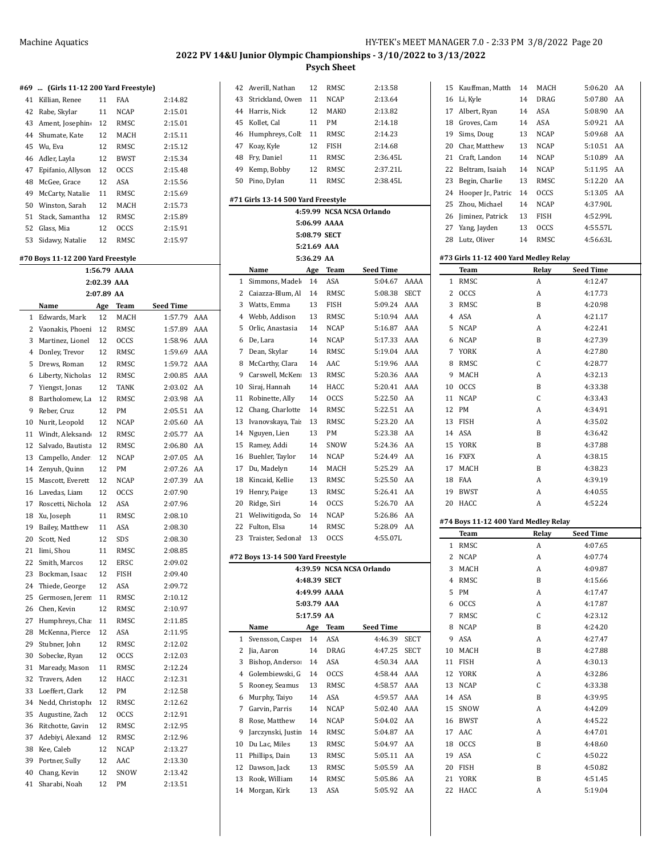$\overline{1}$ 

 $5:06.20$  AA 5:07.80 AA 5:08.90 AA 5:09.21 AA 5:09.68 AA  $5:10.51$  AA 5:10.89 AA 5:11.95 AA 5:12.20 AA 5:13.05 AA 4:37.90L 4:52.99L  $4:55.57L$  $4:56.63L$ 

**Seed Time**  $4:12.47$  $4:17.73$ 4:20.98  $4:21.17$  $4:22.41$ 4:27.39  $4:27.80$  $4:28.77$  $4:32.13$ 4:33.38  $4:33.43$ 4:34.91  $4:35.02$  $4:36.42$ 4:37.88 4:38.15 4:38.23 4:39.19  $4:40.55$  $4:52.24$ 

**Seed Time** 4:07.65 4:07.74 4:09.87  $4:15.66$  $4:17.47$  $4:17.87$  $4:23.12$  $4:24.20$  $4:27.47$ 4:27.88  $4:30.13$ 4:32.86 4:33.38 4:39.95 4:42.09 4:45.22  $4:47.01$  $4:48.60$  $4:50.22$  $4\mathrm{:}50.82$  $4:51.45$  $5:19.04$ 

# **2022 PV 14&U Junior Olympic Championships - 3/10/2022 to 3/13/2022**

**Psych Sheet**

|  |  |  | #69  (Girls 11-12 200 Yard Freestyle) |  |
|--|--|--|---------------------------------------|--|
|  |  |  |                                       |  |

| . . <i>.</i> | $\ldots$ requires the 12 200 rate increases. |    |             |         |
|--------------|----------------------------------------------|----|-------------|---------|
| 41           | Killian, Renee                               | 11 | FAA         | 2:14.82 |
| 42           | Rabe, Skylar                                 | 11 | <b>NCAP</b> | 2:15.01 |
| 43           | Ament, Josephin                              | 12 | RMSC        | 2:15.01 |
| 44           | Shumate, Kate                                | 12 | MACH        | 2:15.11 |
|              | 45 Wu. Eva                                   | 12 | RMSC        | 2:15.12 |
| 46           | Adler, Layla                                 | 12 | BWST        | 2:15.34 |
| 47           | Epifanio, Allyson                            | 12 | <b>OCCS</b> | 2:15.48 |
| 48           | McGee, Grace                                 | 12 | ASA         | 2:15.56 |
| 49           | McCarty, Natalie                             | 11 | RMSC        | 2:15.69 |
| 50           | Winston, Sarah                               | 12 | <b>MACH</b> | 2:15.73 |
| 51           | Stack. Samantha                              | 12 | RMSC        | 2:15.89 |
| 52           | Glass, Mia                                   | 12 | <b>OCCS</b> | 2:15.91 |
| 53           | Sidawy, Natalie                              | 12 | RMSC        | 2:15.97 |
|              | $\sqrt{70}$ Deve 11 12 200 Vand Expectede    |    |             |         |

#### **#70 Boys 11-12 200 Yard Freestyle 1:56.79 AAAA**

|                |                   |             | <b>BB</b>   |           |     |
|----------------|-------------------|-------------|-------------|-----------|-----|
|                |                   | 2:02.39 AAA |             |           |     |
|                |                   | 2:07.89 AA  |             |           |     |
|                | Name              | Age         | <b>Team</b> | Seed Time |     |
| $\mathbf 1$    | Edwards, Mark     | 12          | MACH        | 1:57.79   | AAA |
| $\overline{2}$ | Vaonakis, Phoeni  | 12          | RMSC        | 1:57.89   | AAA |
| 3              | Martinez, Lionel  | 12          | <b>OCCS</b> | 1:58.96   | AAA |
| $\overline{4}$ | Donley, Trevor    | 12          | RMSC        | 1:59.69   | AAA |
| 5              | Drews, Roman      | 12          | RMSC        | 1:59.72   | AAA |
| 6              | Liberty, Nicholas | 12          | RMSC        | 2:00.85   | AAA |
| 7              | Yiengst, Jonas    | 12          | <b>TANK</b> | 2:03.02   | AA  |
| 8              | Bartholomew, La   | 12          | RMSC        | 2:03.98   | AA  |
| 9              | Reber, Cruz       | 12          | PM          | 2:05.51   | AA  |
| 10             | Nurit, Leopold    | 12          | <b>NCAP</b> | 2:05.60   | AA  |
| 11             | Windt, Aleksand   | 12          | RMSC        | 2:05.77   | AA  |
| 12             | Salvado, Bautista | 12          | RMSC        | 2:06.80   | AA  |
| 13             | Campello, Ander   | 12          | <b>NCAP</b> | 2:07.05   | AA  |
| 14             | Zenyuh, Quinn     | 12          | PM          | 2:07.26   | AA  |
| 15             | Mascott, Everett  | 12          | <b>NCAP</b> | 2:07.39   | AA  |
| 16             | Lavedas, Liam     | 12          | <b>OCCS</b> | 2:07.90   |     |
| 17             | Roscetti, Nichola | 12          | ASA         | 2:07.96   |     |
| 18             | Xu, Joseph        | 11          | RMSC        | 2:08.10   |     |
| 19             | Bailey, Matthew   | 11          | ASA         | 2:08.30   |     |
| 20             | Scott, Ned        | 12          | SDS         | 2:08.30   |     |
| 21             | Iimi, Shou        | 11          | <b>RMSC</b> | 2:08.85   |     |
| 22             | Smith, Marcos     | 12          | <b>ERSC</b> | 2:09.02   |     |
| 23             | Bockman, Isaac    | 12          | <b>FISH</b> | 2:09.40   |     |
| 24             | Thiede, George    | 12          | ASA         | 2:09.72   |     |
| 25             | Germosen, Jeren   | 11          | RMSC        | 2:10.12   |     |
| 26             | Chen, Kevin       | 12          | RMSC        | 2:10.97   |     |
| 27             | Humphreys, Cha    | 11          | RMSC        | 2:11.85   |     |
| 28             | McKenna, Pierce   | 12          | ASA         | 2:11.95   |     |
| 29             | Stubner, John     | 12          | <b>RMSC</b> | 2:12.02   |     |
| 30             | Sobecke, Ryan     | 12          | <b>OCCS</b> | 2:12.03   |     |
| 31             | Maready, Mason    | 11          | RMSC        | 2:12.24   |     |
| 32             | Travers, Aden     | 12          | HACC        | 2:12.31   |     |
| 33             | Loeffert, Clark   | 12          | PM          | 2:12.58   |     |
| 34             | Nedd, Christophe  | 12          | RMSC        | 2:12.62   |     |
| 35             | Augustine, Zach   | 12          | <b>OCCS</b> | 2:12.91   |     |
| 36             | Ritchotte, Gavin  | 12          | RMSC        | 2:12.95   |     |
| 37             | Adebiyi, Alexand  | 12          | RMSC        | 2:12.96   |     |
| 38             | Kee, Caleb        | 12          | <b>NCAP</b> | 2:13.27   |     |
| 39             | Portner, Sully    | 12          | AAC         | 2:13.30   |     |
| 40             | Chang, Kevin      | 12          | SNOW        | 2:13.42   |     |
| 41             | Sharabi, Noah     | 12          | PM          | 2:13.51   |     |
|                |                   |             |             |           |     |

| 42           | Averill, Nathan                    | 12         | RMSC         | 2:13.58                   |             | 15 | Kauffman, Matth                       | 14 | MACH        |
|--------------|------------------------------------|------------|--------------|---------------------------|-------------|----|---------------------------------------|----|-------------|
| 43           | Strickland, Owen                   | 11         | <b>NCAP</b>  | 2:13.64                   |             | 16 | Li, Kyle                              | 14 | DRAG        |
| 44           | Harris, Nick                       | 12         | MAKO         | 2:13.82                   |             | 17 | Albert, Ryan                          | 14 | ASA         |
| 45           | Kollet, Cal                        | 11         | PM           | 2:14.18                   |             | 18 | Groves, Cam                           | 14 | ASA         |
| 46           | Humphreys, Coll                    | 11         | RMSC         | 2:14.23                   |             | 19 | Sims, Doug                            | 13 | <b>NCAP</b> |
| 47           |                                    | 12         | <b>FISH</b>  |                           |             | 20 | Char, Matthew                         | 13 | <b>NCAP</b> |
|              | Koay, Kyle                         |            |              | 2:14.68                   |             |    |                                       |    |             |
| 48           | Fry, Daniel                        | 11         | RMSC         | 2:36.45L                  |             | 21 | Craft, Landon                         | 14 | <b>NCAP</b> |
| 49           | Kemp, Bobby                        | 12         | RMSC         | 2:37.21L                  |             | 22 | Beltram, Isaiah                       | 14 | <b>NCAP</b> |
| 50           | Pino, Dylan                        | 11         | RMSC         | 2:38.45L                  |             | 23 | Begin, Charlie                        | 13 | RMSC        |
|              | #71 Girls 13-14 500 Yard Freestyle |            |              |                           |             | 24 | Hooper Jr., Patric                    | 14 | <b>OCCS</b> |
|              |                                    |            |              | 4:59.99 NCSA NCSA Orlando |             | 25 | Zhou, Michael                         | 14 | <b>NCAP</b> |
|              |                                    |            | 5:06.99 AAAA |                           |             | 26 | Jiminez, Patrick                      | 13 | FISH        |
|              |                                    |            |              |                           |             | 27 | Yang, Jayden                          | 13 | <b>OCCS</b> |
|              |                                    |            | 5:08.79 SECT |                           |             |    | 28 Lutz, Oliver                       | 14 | RMSC        |
|              |                                    |            | 5:21.69 AAA  |                           |             |    |                                       |    |             |
|              |                                    | 5:36.29 AA |              |                           |             |    | #73 Girls 11-12 400 Yard Medley Relay |    |             |
|              | Name                               | Age        | Team         | <b>Seed Time</b>          |             |    | Team                                  |    | Relay       |
| $\mathbf{1}$ | Simmons, Madel                     | 14         | ASA          | 5:04.67                   | AAAA        |    | 1 RMSC                                |    | A           |
| $\mathbf{2}$ | Caiazza-Blum, Al                   | 14         | RMSC         | 5:08.38                   | <b>SECT</b> |    | 2 OCCS                                |    | A           |
|              | 3 Watts. Emma                      | 13         | <b>FISH</b>  | 5:09.24                   | AAA         | 3  | RMSC                                  |    | B           |
| 4            | Webb, Addison                      | 13         | RMSC         | 5:10.94                   | AAA         |    | 4 ASA                                 |    | A           |
| 5            | Orlic, Anastasia                   | 14         | <b>NCAP</b>  | 5:16.87                   | AAA         |    | 5 NCAP                                |    | A           |
| 6            | De, Lara                           | 14         | <b>NCAP</b>  | 5:17.33                   | AAA         |    | 6 NCAP                                |    | B           |
| 7            | Dean, Skylar                       | 14         | RMSC         | 5:19.04                   | AAA         | 7  | YORK                                  |    | A           |
| 8            | McCarthy, Clara                    | 14         | AAC          | 5:19.96                   | AAA         | 8  | RMSC                                  |    | C           |
| 9            | Carswell, McKen                    | 13         | RMSC         | 5:20.36 AAA               |             | 9  | MACH                                  |    | A           |
| 10           | Siraj, Hannah                      | 14         | HACC         | 5:20.41                   | AAA         | 10 | <b>OCCS</b>                           |    | B           |
| 11           | Robinette, Ally                    | 14         | <b>OCCS</b>  | 5:22.50                   | AA          |    | 11 NCAP                               |    | C           |
| 12           |                                    |            | RMSC         |                           | AA          |    | 12 PM                                 |    | A           |
|              | Chang, Charlotte                   | 14         |              | 5:22.51                   |             |    |                                       |    |             |
| 13           | Ivanovskaya, Tai:                  | 13         | RMSC         | 5:23.20                   | AA          | 13 | FISH                                  |    | A           |
| 14           | Nguyen, Lien                       | 13         | PM           | 5:23.38                   | AA          |    | 14 ASA                                |    | B           |
| 15           | Ramey, Addi                        | 14         | SNOW         | 5:24.36                   | AA          |    | 15 YORK                               |    | B           |
| 16           | Buehler, Taylor                    | 14         | <b>NCAP</b>  | 5:24.49                   | AA          |    | 16 FXFX                               |    | A           |
| 17           | Du, Madelyn                        | 14         | MACH         | 5:25.29                   | AA          |    | 17 MACH                               |    | B           |
| 18           | Kincaid, Kellie                    | 13         | RMSC         | 5:25.50                   | AA          |    | 18 FAA                                |    | A           |
| 19           | Henry, Paige                       | 13         | RMSC         | 5:26.41                   | AA          |    | 19 BWST                               |    | A           |
| 20           | Ridge, Siri                        | 14         | <b>OCCS</b>  | 5:26.70                   | AA          |    | 20 HACC                               |    | A           |
| 21           | Weliwitigoda, So                   | 14         | <b>NCAP</b>  | 5:26.86                   | AA          |    |                                       |    |             |
| 22           | Fulton, Elsa                       | 14         | RMSC         | 5:28.09 AA                |             |    | #74 Boys 11-12 400 Yard Medley Relay  |    |             |
| 23           | Traister, Sedonal                  | 13         | <b>OCCS</b>  | 4:55.07L                  |             |    | Team                                  |    | Relay       |
|              |                                    |            |              |                           |             |    | 1 RMSC                                |    | A           |
|              | #72 Boys 13-14 500 Yard Freestyle  |            |              |                           |             |    | 2 NCAP                                |    | A           |
|              |                                    |            |              | 4:39.59 NCSA NCSA Orlando |             |    | 3 MACH                                |    | A           |
|              |                                    |            | 4:48.39 SECT |                           |             |    | 4 RMSC                                |    | B           |
|              |                                    |            | 4:49.99 AAAA |                           |             |    | 5 PM                                  |    | A           |
|              |                                    |            | 5:03.79 AAA  |                           |             |    | 6 OCCS                                |    | A           |
|              |                                    | 5:17.59 AA |              |                           |             |    | 7 RMSC                                |    | C           |
|              | Name                               | Age        | Team         | <b>Seed Time</b>          |             |    | 8 NCAP                                |    | B           |
| $\mathbf{1}$ | Svensson, Casper                   | 14         | ASA          | 4:46.39                   | <b>SECT</b> |    | 9 ASA                                 |    | A           |
|              | 2 Jia, Aaron                       | 14         | DRAG         | 4:47.25                   | <b>SECT</b> |    | 10 MACH                               |    | B           |
| 3            | Bishop, Anderso:                   | 14         | ASA          | 4:50.34 AAA               |             |    | 11 FISH                               |    | A           |
| 4            | Golembiewski, G                    | 14         | <b>OCCS</b>  | 4:58.44 AAA               |             |    | 12 YORK                               |    | A           |
| 5            | Rooney, Seamus                     | 13         | RMSC         | 4:58.57                   | AAA         |    | 13 NCAP                               |    | C           |
| 6            | Murphy, Taiyo                      | 14         | ASA          | 4:59.57                   | AAA         |    | 14 ASA                                |    | B           |
| 7            | Garvin, Parris                     | 14         | NCAP         | 5:02.40 AAA               |             |    | 15 SNOW                               |    | A           |
|              |                                    |            |              |                           |             |    |                                       |    |             |
| 8            | Rose, Matthew                      | 14         | NCAP         | 5:04.02 AA                |             |    | 16 BWST                               |    | A           |
| 9            | Jarczynski, Justin                 | 14         | RMSC         | 5:04.87                   | AA          |    | 17 AAC                                |    | A           |
| 10           | Du Lac, Miles                      | 13         | RMSC         | 5:04.97                   | AA          |    | 18 OCCS                               |    | B           |
| 11           | Phillips, Dain                     | 13         | RMSC         | 5:05.11                   | AA          |    | 19 ASA                                |    | C           |
| 12           | Dawson, Jack                       | 13         | RMSC         | 5:05.59 AA                |             |    | 20 FISH                               |    | B           |
| 13           | Rook, William                      | 14         | RMSC         | 5:05.86 AA                |             |    | 21 YORK                               |    | B           |
| 14           |                                    |            |              |                           |             |    | 22 HACC                               |    |             |
|              | Morgan, Kirk                       | 13         | ASA          | 5:05.92 AA                |             |    |                                       |    | A           |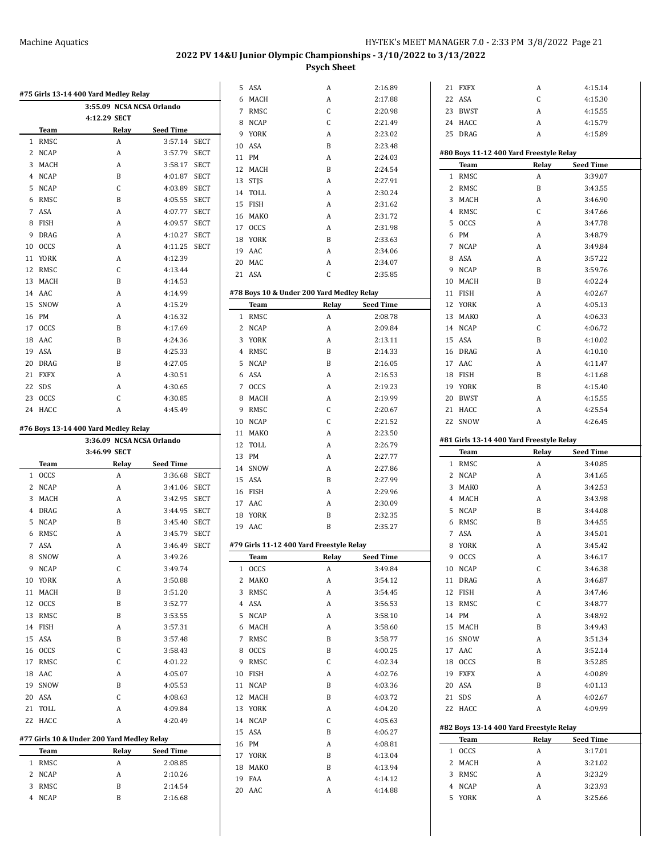|   |                  |                                            |                    |             | 5 ASA   | Α                                         | 2:16.89          |    | 21 FXFX          | A                                        | 4:15.14            |  |
|---|------------------|--------------------------------------------|--------------------|-------------|---------|-------------------------------------------|------------------|----|------------------|------------------------------------------|--------------------|--|
|   |                  | #75 Girls 13-14 400 Yard Medley Relay      |                    |             | 6 MACH  | Α                                         | 2:17.88          | 22 | ASA              | C                                        | 4:15.30            |  |
|   |                  | 3:55.09 NCSA NCSA Orlando                  |                    |             | 7 RMSC  | C                                         | 2:20.98          | 23 | BWST             | A                                        | 4:15.55            |  |
|   |                  | 4:12.29 SECT                               |                    |             | 8 NCAP  | C                                         | 2:21.49          |    | 24 HACC          | A                                        | 4:15.79            |  |
|   | <b>Team</b>      | Relay                                      | <b>Seed Time</b>   |             | 9 YORK  | A                                         | 2:23.02          |    | 25 DRAG          | A                                        | 4:15.89            |  |
|   | 1 RMSC           | A                                          | 3:57.14 SECT       |             | 10 ASA  | B                                         | 2:23.48          |    |                  |                                          |                    |  |
|   | 2 NCAP           | A                                          | 3:57.79 SECT       |             | 11 PM   | A                                         | 2:24.03          |    |                  | #80 Boys 11-12 400 Yard Freestyle Relay  |                    |  |
|   | 3 MACH           | А                                          | 3:58.17 SECT       |             | 12 MACH | B                                         | 2:24.54          |    | Team             | Relay                                    | <b>Seed Time</b>   |  |
|   | 4 NCAP           | B                                          | 4:01.87            | <b>SECT</b> | 13 STJS | A                                         | 2:27.91          |    | 1 RMSC           | A                                        | 3:39.07            |  |
|   | 5 NCAP           | C                                          | 4:03.89 SECT       |             | 14 TOLL | A                                         | 2:30.24          |    | 2 RMSC           | B                                        | 3:43.55            |  |
|   | 6 RMSC           | B                                          | 4:05.55 SECT       |             | 15 FISH | A                                         | 2:31.62          |    | 3 MACH           | A                                        | 3:46.90            |  |
|   | 7 ASA            | А                                          | 4:07.77            | <b>SECT</b> | 16 MAKO | A                                         | 2:31.72          |    | 4 RMSC           | C                                        | 3:47.66            |  |
|   | 8 FISH           | A                                          | 4:09.57            | <b>SECT</b> | 17 OCCS | A                                         | 2:31.98          |    | 5 OCCS           | Α                                        | 3:47.78            |  |
| 9 | DRAG             | A                                          | 4:10.27            | SECT        | 18 YORK | B                                         | 2:33.63          |    | 6 PM             | A                                        | 3:48.79            |  |
|   | 10 OCCS          | A                                          | 4:11.25 SECT       |             | 19 AAC  | A                                         | 2:34.06          |    | 7 NCAP           | A                                        | 3:49.84            |  |
|   | 11 YORK          | А                                          | 4:12.39            |             | 20 MAC  | A                                         | 2:34.07          |    | 8 ASA            | A                                        | 3:57.22            |  |
|   | 12 RMSC          | C                                          | 4:13.44            |             | 21 ASA  | C                                         | 2:35.85          |    | 9 NCAP           | B                                        | 3:59.76            |  |
|   | 13 MACH          | B                                          | 4:14.53            |             |         |                                           |                  |    | 10 MACH          | $\boldsymbol{B}$                         | 4:02.24            |  |
|   | 14 AAC           | A                                          | 4:14.99            |             |         | #78 Boys 10 & Under 200 Yard Medley Relay |                  |    | 11 FISH          | A                                        | 4:02.67            |  |
|   | 15 SNOW          | A                                          | 4:15.29            |             | Team    | Relay                                     | <b>Seed Time</b> |    | 12 YORK          | A                                        | 4:05.13            |  |
|   | 16 PM            | A                                          | 4:16.32            |             | 1 RMSC  | A                                         | 2:08.78          |    | 13 MAKO          | A                                        | 4:06.33            |  |
|   | 17 OCCS          | B                                          | 4:17.69            |             | 2 NCAP  | A                                         | 2:09.84          |    | 14 NCAP          | C                                        | 4:06.72            |  |
|   | 18 AAC           | B                                          | 4:24.36            |             | 3 YORK  | A                                         | 2:13.11          |    | 15 ASA           | $\boldsymbol{B}$                         | 4:10.02            |  |
|   | 19 ASA           | B                                          | 4:25.33            |             | 4 RMSC  | B                                         | 2:14.33          | 16 | DRAG             | A                                        | 4:10.10            |  |
|   | 20 DRAG          | B                                          | 4:27.05            |             | 5 NCAP  | B                                         | 2:16.05          |    | 17 AAC           | A                                        | 4:11.47            |  |
|   | 21 FXFX          | A                                          | 4:30.51            |             | 6 ASA   | A                                         | 2:16.53          |    | 18 FISH          | B                                        | 4:11.68            |  |
|   | 22 SDS           | A                                          | 4:30.65            |             | 7 OCCS  | A                                         | 2:19.23          |    | 19 YORK          | B                                        | 4:15.40            |  |
|   | 23 OCCS          | C                                          | 4:30.85            |             | 8 MACH  | A                                         | 2:19.99          | 20 | <b>BWST</b>      | Α                                        | 4:15.55            |  |
|   | 24 HACC          | A                                          | 4:45.49            |             | 9 RMSC  | C                                         | 2:20.67          |    | 21 HACC          | A                                        | 4:25.54            |  |
|   |                  |                                            |                    |             | 10 NCAP | C                                         | 2:21.52          |    | 22 SNOW          | A                                        | 4:26.45            |  |
|   |                  | #76 Boys 13-14 400 Yard Medley Relay       |                    |             | 11 MAKO | A                                         | 2:23.50          |    |                  |                                          |                    |  |
|   |                  | 3:36.09 NCSA NCSA Orlando                  |                    |             | 12 TOLL | A                                         | 2:26.79          |    |                  | #81 Girls 13-14 400 Yard Freestyle Relay |                    |  |
|   |                  |                                            |                    |             |         |                                           |                  |    |                  |                                          |                    |  |
|   |                  | 3:46.99 SECT                               |                    |             | 13 PM   | A                                         | 2:27.77          |    | Team             | Relay                                    | <b>Seed Time</b>   |  |
|   | Team             | Relay                                      | <b>Seed Time</b>   |             | 14 SNOW | A                                         | 2:27.86          |    | 1 RMSC           | A                                        | 3:40.85            |  |
|   | 1 OCCS           | A                                          | 3:36.68 SECT       |             | 15 ASA  | B                                         | 2:27.99          |    | 2 NCAP           | A                                        | 3:41.65            |  |
|   | 2 NCAP           | A                                          | 3:41.06 SECT       |             | 16 FISH | A                                         | 2:29.96          |    | 3 MAKO           | Α                                        | 3:42.53            |  |
|   | 3 MACH           | A                                          | 3:42.95 SECT       |             | 17 AAC  | A                                         | 2:30.09          |    | 4 MACH           | A                                        | 3:43.98            |  |
|   | 4 DRAG           | A                                          | 3:44.95 SECT       |             | 18 YORK | B                                         | 2:32.35          |    | 5 NCAP           | B                                        | 3:44.08            |  |
|   | 5 NCAP           | B                                          | 3:45.40 SECT       |             | 19 AAC  | B                                         | 2:35.27          |    | 6 RMSC           | B                                        | 3:44.55            |  |
|   | 6 RMSC           | Α                                          | 3:45.79            | <b>SECT</b> |         |                                           |                  |    | 7 ASA            | A                                        | 3:45.01            |  |
|   | 7 ASA            | A                                          | 3:46.49 SECT       |             |         | #79 Girls 11-12 400 Yard Freestyle Relay  |                  |    | 8 YORK           | A                                        | 3:45.42            |  |
|   | 8 SNOW           | A                                          | 3:49.26            |             | Team    | Relay                                     | <b>Seed Time</b> |    | 9 OCCS           | Α                                        | 3:46.17            |  |
|   | 9 NCAP           | С                                          | 3:49.74            |             | 1 OCCS  | A                                         | 3:49.84          |    | 10 NCAP          | C                                        | 3:46.38            |  |
|   | 10 YORK          | A                                          | 3:50.88            |             | 2 MAKO  | A                                         | 3:54.12          |    | 11 DRAG          | A                                        | 3:46.87            |  |
|   | 11 MACH          | B                                          | 3:51.20            |             | 3 RMSC  | A                                         | 3:54.45          |    | 12 FISH          | A                                        | 3:47.46            |  |
|   | 12 OCCS          | B                                          | 3:52.77            |             | 4 ASA   | A                                         | 3:56.53          |    | 13 RMSC          | C                                        | 3:48.77            |  |
|   | 13 RMSC          | B                                          | 3:53.55            |             | 5 NCAP  | A                                         | 3:58.10          |    | 14 PM            | A                                        | 3:48.92            |  |
|   | 14 FISH          | A                                          | 3:57.31            |             | 6 MACH  | A                                         | 3:58.60          |    | 15 MACH          | B                                        | 3:49.43            |  |
|   | 15 ASA           | B                                          | 3:57.48            |             | 7 RMSC  | B                                         | 3:58.77          |    | 16 SNOW          | A                                        | 3:51.34            |  |
|   | 16 OCCS          | C                                          | 3:58.43            |             | 8 OCCS  | B                                         | 4:00.25          |    | 17 AAC           | A                                        | 3:52.14            |  |
|   | 17 RMSC          | C                                          | 4:01.22            |             | 9 RMSC  | С                                         | 4:02.34          |    | 18 OCCS          | B                                        | 3:52.85            |  |
|   | 18 AAC           | A                                          | 4:05.07            |             | 10 FISH | A                                         | 4:02.76          |    | 19 FXFX          | A                                        | 4:00.89            |  |
|   | 19 SNOW          | B                                          | 4:05.53            |             | 11 NCAP | B                                         | 4:03.36          |    | 20 ASA           | B                                        | 4:01.13            |  |
|   | 20 ASA           | C                                          | 4:08.63            |             | 12 MACH | B                                         | 4:03.72          |    | 21 SDS           | A                                        | 4:02.67            |  |
|   | 21 TOLL          | A                                          | 4:09.84            |             | 13 YORK | A                                         | 4:04.20          |    | 22 HACC          | A                                        | 4:09.99            |  |
|   | 22 HACC          | A                                          | 4:20.49            |             | 14 NCAP | С                                         | 4:05.63          |    |                  |                                          |                    |  |
|   |                  |                                            |                    |             | 15 ASA  | B                                         | 4:06.27          |    |                  | #82 Boys 13-14 400 Yard Freestyle Relay  |                    |  |
|   |                  | #77 Girls 10 & Under 200 Yard Medley Relay |                    |             | 16 PM   | A                                         | 4:08.81          |    | Team             | Relay                                    | <b>Seed Time</b>   |  |
|   | Team             | Relay                                      | <b>Seed Time</b>   |             | 17 YORK | B                                         | 4:13.04          |    | 1 OCCS           | Α                                        | 3:17.01            |  |
|   | 1 RMSC           | A                                          | 2:08.85            |             | 18 MAKO | B                                         | 4:13.94          |    | 2 MACH           | A                                        | 3:21.02            |  |
|   | 2 NCAP           | A                                          | 2:10.26            |             | 19 FAA  | A                                         | 4:14.12          |    | 3 RMSC           | Α                                        | 3:23.29            |  |
|   | 3 RMSC<br>4 NCAP | B<br>B                                     | 2:14.54<br>2:16.68 |             | 20 AAC  | A                                         | 4:14.88          |    | 4 NCAP<br>5 YORK | A<br>A                                   | 3:23.93<br>3:25.66 |  |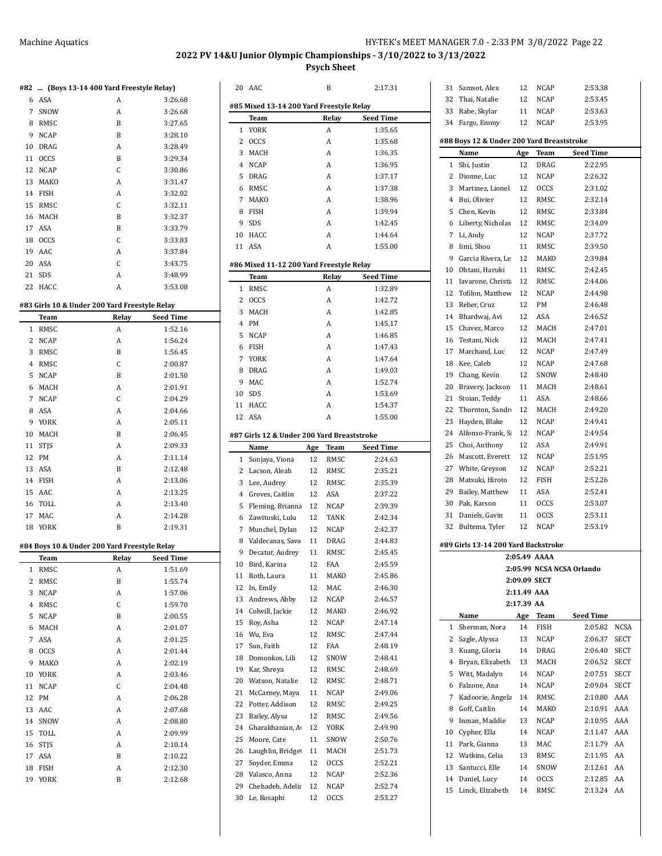## Machine Aquatics MEET MANAGER 7.0 - 2:33 PM 3/8/2022 Page 22

**2022 PV 14&U Junior Olympic Championships - 3/10/2022 to 3/13/2022**

**Psych Sheet**

AAC B 2:17.31

| #82            | (Boys 13-14 400 Yard Freestyle Relay)                       |       |                  |
|----------------|-------------------------------------------------------------|-------|------------------|
|                | 6 ASA                                                       | A     | 3:26.68          |
| $7^{\circ}$    | SNOW                                                        | A     | 3:26.68          |
| 8              | RMSC                                                        | B     | 3:27.65          |
|                | 9 NCAP                                                      | B     | 3:28.10          |
|                | 10 DRAG                                                     | A     | 3:28.49          |
| 11             | <b>OCCS</b>                                                 | B     | 3:29.34          |
|                | 12 NCAP                                                     | C     | 3:30.86          |
| 13             | MAKO                                                        | A     | 3:31.47          |
|                | 14 FISH                                                     | A     | 3:32.02          |
| 15             | RMSC                                                        | C     | 3:32.11          |
|                | 16 MACH                                                     | B     | 3:32.37          |
|                | 17 ASA                                                      | B     | 3:33.79          |
|                | 18 OCCS                                                     | C     | 3:33.83          |
|                | 19 AAC                                                      | A     | 3:37.84          |
|                | 20 ASA                                                      | C     | 3:43.75          |
|                | 21 SDS                                                      | A     | 3:48.99          |
| 22             | HACC                                                        | A     | 3:53.08          |
|                |                                                             |       |                  |
|                | #83 Girls 10 & Under 200 Yard Freestyle Relay<br>Team       | Relay | <b>Seed Time</b> |
| 1              | RMSC                                                        | A     | 1:52.16          |
| 2              | <b>NCAP</b>                                                 | A     | 1:56.24          |
| 3              | RMSC                                                        | B     | 1:56.45          |
|                | 4 RMSC                                                      | C     | 2:00.87          |
| 5              | NCAP                                                        | B     | 2:01.50          |
|                | 6 MACH                                                      | А     | 2:01.91          |
|                | 7 NCAP                                                      | C     | 2:04.29          |
| 8              | ASA                                                         | A     | 2:04.66          |
|                | 9 YORK                                                      | A     | 2:05.11          |
|                | 10 MACH                                                     | B     | 2:06.45          |
| 11             | STJS                                                        | A     | 2:09.33          |
|                | 12 PM                                                       | А     | 2:11.14          |
|                | 13 ASA                                                      | B     | 2:12.48          |
|                | 14 FISH                                                     | A     | 2:13.06          |
| 15             | AAC                                                         | A     | 2:13.25          |
|                | 16 TOLL                                                     | А     | 2:13.40          |
| 17             | MAC                                                         | А     | 2:14.28          |
| 18             | YORK                                                        | B     | 2:19.31          |
|                |                                                             |       |                  |
|                | #84 Boys 10 & Under 200 Yard Freestyle Relay<br><b>Team</b> | Relay | <b>Seed Time</b> |
| 1              | RMSC                                                        | A     | 1:51.69          |
| 2              | RMSC                                                        | B     | 1:55.74          |
| 3              | <b>NCAP</b>                                                 | A     | 1:57.06          |
| $\overline{4}$ | RMSC                                                        | C     | 1:59.70          |
| 5              | <b>NCAP</b>                                                 | B     | 2:00.55          |
| 6              | MACH                                                        | A     | 2:01.07          |
| 7              | ASA                                                         | A     | 2:01.25          |
| 8              | <b>OCCS</b>                                                 | A     | 2:01.44          |
| 9              | MAKO                                                        | A     | 2:02.19          |
| 10             | YORK                                                        | A     | 2:03.46          |
| 11             | <b>NCAP</b>                                                 | C     | 2:04.48          |
| 12             | PM                                                          | A     | 2:06.28          |
| 13             | AAC                                                         | A     | 2:07.68          |
| 14             | SNOW                                                        | A     | 2:08.80          |
| 15             | TOLL                                                        | A     | 2:09.99          |
| 16             | <b>STJS</b>                                                 | A     | 2:10.14          |
| 17             | ASA                                                         | B     | 2:10.22          |
| 18             | <b>FISH</b>                                                 | A     | 2:12.30          |
| 19             | YORK                                                        | B     | 2:12.68          |
|                |                                                             |       |                  |

|    | #85 Mixed 13-14 200 Yard Freestyle Relay   |     |             |                  |
|----|--------------------------------------------|-----|-------------|------------------|
|    | Team                                       |     | Relay       | <b>Seed Time</b> |
| 1  | <b>YORK</b>                                |     | A           | 1:35.65          |
| 2  | <b>OCCS</b>                                |     | A           | 1:35.68          |
| 3  | MACH                                       |     | A           | 1:36.35          |
| 4  | <b>NCAP</b>                                |     | A           | 1:36.95          |
| 5  | DRAG                                       |     | A           | 1:37.17          |
| 6  | RMSC                                       |     | A           | 1:37.38          |
| 7  | MAKO                                       |     | A           | 1:38.96          |
| 8  | <b>FISH</b>                                |     | A           | 1:39.94          |
| 9  | SDS                                        |     | A           | 1:42.45          |
| 10 | HACC                                       |     | A           | 1:44.64          |
| 11 | ASA                                        |     | A           | 1:55.00          |
|    | #86 Mixed 11-12 200 Yard Freestyle Relay   |     |             |                  |
|    | Team                                       |     | Relay       | <b>Seed Time</b> |
| 1  | RMSC                                       |     | A           | 1:32.89          |
| 2  | <b>OCCS</b>                                |     | A           | 1:42.72          |
| 3  | MACH                                       |     | A           | 1:42.85          |
| 4  | PM                                         |     | A           | 1:45.17          |
| 5  | <b>NCAP</b>                                |     | A           | 1:46.85          |
| 6  | <b>FISH</b>                                |     | A           | 1:47.43          |
| 7  | <b>YORK</b>                                |     | A           | 1:47.64          |
| 8  | <b>DRAG</b>                                |     | A           | 1:49.03          |
| 9  | MAC                                        |     | A           | 1:52.74          |
| 10 | SDS                                        |     | A           | 1:53.69          |
| 11 | HACC                                       |     | A           | 1:54.37          |
| 12 | ASA                                        |     | A           | 1:55.00          |
|    |                                            |     |             |                  |
|    | #87 Girls 12 & Under 200 Yard Breaststroke |     |             |                  |
|    | Name                                       | Age | Team        | Seed Time        |
| 1  | Sunjaya, Viona                             | 12  | RMSC        | 2:24.63          |
| 2  | Lacson, Aleah                              | 12  | RMSC        | 2:35.21          |
| 3  | Lee, Audrey                                | 12  | RMSC        | 2:35.39          |
| 4  | Groves, Caitlin                            | 12  | ASA         | 2:37.22          |
| 5  | Fleming, Brianna                           | 12  | <b>NCAP</b> | 2:39.39          |
| 6  | Zawitoski, Lulu                            | 12  | <b>TANK</b> | 2:42.34          |
| 7  | Munchel, Dylan                             | 12  | <b>NCAP</b> | 2:42.37          |
| 8  | Valdecanas, Sava                           | 11  | <b>DRAG</b> | 2:44.83          |
| 9  | Decatur, Audrey                            | 11  | RMSC        | 2:45.45          |
| 10 | Bird, Karina                               | 12  | <b>FAA</b>  | 2:45.59          |
| 11 | Roth, Laura                                | 11  | MAKO        | 2:45.86          |
| 12 | In, Emily                                  | 12  | MAC         | 2:46.30          |
| 13 | Andrews, Abby                              | 12  | NCAP        | 2:46.57          |
| 14 | Colwill, Jackie                            | 12  | MAKO        | 2:46.92          |
| 15 | Roy, Asha                                  | 12  | NCAP        | 2:47.14          |
| 16 | Wu, Eva                                    | 12  | RMSC        | 2:47.44          |
| 17 | Sun, Faith                                 | 12  | FAA         | 2:48.19          |
| 18 | Domonkos, Lili                             | 12  | SNOW        | 2:48.41          |
| 19 | Kar, Shreya                                | 12  | RMSC        | 2:48.69          |
| 20 | Watson, Natalie                            | 12  | RMSC        | 2:48.71          |
| 21 | McCarney, Maya                             | 11  | NCAP        | 2:49.06          |
| 22 | Potter, Addison                            | 12  | RMSC        | 2:49.25          |
| 23 | Bailey, Alysa                              | 12  | RMSC        | 2:49.56          |
| 24 | Gharakhanian, A                            | 12  | YORK        | 2:49.90          |
| 25 | Moore, Cate                                | 11  | SNOW        | 2:50.76          |
| 26 | Laughlin, Bridget                          | 11  | MACH        | 2:51.73          |
| 27 | Snyder, Emma                               | 12  | OCCS        | 2:52.21          |
| 28 | Valasco, Anna                              | 12  | NCAP        | 2:52.36          |
| 29 | Chehadeh, Adelir                           | 12  | NCAP        | 2:52.74          |
| 30 | Le, Rosaphi                                | 12  | OCCS        | 2:53.27          |

| 31             | Samsot, Alex                              | 12          | NCAP         | 2:53.38                   |
|----------------|-------------------------------------------|-------------|--------------|---------------------------|
| 32             | Thai, Natalie                             | 12          | <b>NCAP</b>  | 2:53.45                   |
|                | 33 Rabe, Skylar                           | 11          | NCAP         | 2:53.63                   |
|                | 34 Fargo, Emmy                            | 12          | NCAP         | 2:53.95                   |
|                |                                           |             |              |                           |
|                | #88 Boys 12 & Under 200 Yard Breaststroke |             |              |                           |
|                | Name                                      | Age         | Team         | <b>Seed Time</b>          |
| 1              | Shi, Justin                               | 12          | DRAG         | 2:22.95                   |
| 2              | Dionne, Luc                               | 12          | NCAP         | 2:26.32                   |
| 3              | Martinez, Lionel                          | 12          | <b>OCCS</b>  | 2:31.02                   |
| 4              | Bui, Olivier                              | 12          | RMSC         | 2:32.14                   |
| 5              | Chen, Kevin                               | 12          | RMSC         | 2:33.84                   |
| 6              | Liberty, Nicholas                         | 12          | RMSC         | 2:34.09                   |
| 7              | Li, Andy                                  | 12          | NCAP         | 2:37.72                   |
| 8              | Iimi, Shou                                | 11          | RMSC         | 2:39.50                   |
| 9              | Garcia Rivera, Le                         | 12          | MAKO         | 2:39.84                   |
| 10             | Ohtani, Haruki                            | 11          | RMSC         | 2:42.45                   |
| 11             | Iavarone, Christi                         | 12          | RMSC         | 2:44.06                   |
| 12             | Tofilon. Matthew                          | 12          | NCAP         | 2:44.98                   |
| 13             | Reber, Cruz                               | 12          | PM           | 2:46.48                   |
| 14             | Bhardwaj, Avi                             | 12          | ASA          | 2:46.52                   |
| 15             | Chavez, Marco                             | 12          | MACH         | 2:47.01                   |
| 16             | Testani, Nick                             | 12          | MACH         | 2:47.41                   |
| 17             | Marchand, Luc                             | 12          | NCAP         | 2:47.49                   |
| 18             | Kee, Caleb                                | 12          | NCAP         | 2:47.68                   |
| 19             | Chang, Kevin                              | 12          | SNOW         | 2:48.40                   |
| 20             | Bravery, Jackson                          | 11          | MACH         | 2:48.61                   |
| 21             | Stoian, Teddy                             | 11          | ASA          | 2:48.66                   |
| 22             | Thornton, Sandr                           | 12          | MACH         | 2:49.20                   |
| 23             | Hayden, Blake                             | 12          | NCAP         | 2:49.41                   |
| 24             | Alfonso-Frank, Si                         | 12          | NCAP         | 2:49.54                   |
| 25             |                                           | 12          | ASA          | 2:49.91                   |
| 26             | Choi, Anthony                             |             |              |                           |
|                | Mascott, Everett                          | 12          | NCAP         | 2:51.95                   |
| 27             | White, Greyson                            | 12          | NCAP         | 2:52.21                   |
| 28             | Matsuki, Hiroto                           | 12          | FISH         | 2:52.26                   |
| 29             | Bailey, Matthew                           | 11          | ASA          | 2:52.41                   |
| 30             | Pak, Karson                               | 11          | <b>OCCS</b>  | 2:53.07                   |
| 31             | Daniels, Gavin                            | 11          | <b>OCCS</b>  | 2:53.11                   |
| 32             | Bultema, Tyler                            | 12          | NCAP         | 2:53.19                   |
|                | #89 Girls 13-14 200 Yard Backstroke       |             |              |                           |
|                |                                           |             | 2:05.49 AAAA |                           |
|                |                                           |             |              | 2:05.99 NCSA NCSA Orlando |
|                |                                           |             | 2:09.09 SECT |                           |
|                |                                           | 2:11.49 AAA |              |                           |
|                |                                           | 2:17.39 AA  |              |                           |
|                | Name                                      | Age         | <b>Team</b>  | Seed Time                 |
| 1              | Sherman, Nora                             | 14          | FISH         | <b>NCSA</b><br>2:05.82    |
| $\overline{2}$ | Sagle, Alyssa                             | 13          | <b>NCAP</b>  | 2:06.37<br><b>SECT</b>    |
| 3              | Kuang, Gloria                             | 14          | DRAG         | 2:06.40<br>SECT           |
| 4              | Bryan, Elizabeth                          | 13          | MACH         | 2:06.52<br>SECT           |
| 5              | Witt, Madalyn                             | 14          | NCAP         | 2:07.51<br>SECT           |
| 6              | Falzone, Ana                              | 14          | NCAP         | 2:09.04<br>SECT           |
| 7              | Kadoorie, Angela                          | 14          | RMSC         | 2:10.80<br>AAA            |
| 8              | Goff, Caitlin                             | 14          | MAKO         | AAA<br>2:10.91            |
| 9              | Inman, Maddie                             | 13          | NCAP         | AAA<br>2:10.95            |
| 10             | Cypher, Ella                              | 14          | NCAP         | AAA<br>2:11.47            |
| 11             | Park, Gianna                              | 13          | MAC          | AA<br>2:11.79             |
| 12             | Watkins, Celia                            | 13          | RMSC         | AA<br>2:11.95             |
| 13             | Santucci, Elle                            | 14          | SNOW         | 2:12.61<br>AA             |
| 14             | Daniel, Lucy                              | 14          | OCCS         | AA<br>2:12.85             |
| 15             | Linck, Elizabeth                          | 14          | RMSC         | 2:13.24<br>AA             |
|                |                                           |             |              |                           |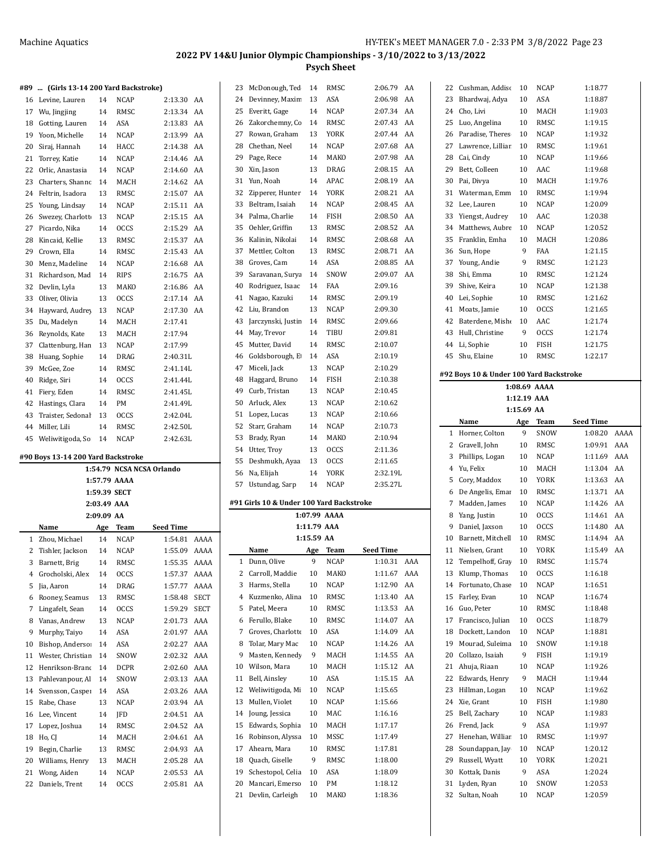23 McDonough, Ted 14 RMSC 2:06.79 AA

| #89            | (Girls 13-14 200 Yard Backstroke)  |             |              |                           |             |
|----------------|------------------------------------|-------------|--------------|---------------------------|-------------|
| 16             | Levine, Lauren                     | 14          | <b>NCAP</b>  | 2:13.30                   | AA          |
| 17             | Wu, Jingjing                       | 14          | <b>RMSC</b>  | 2:13.34                   | AA          |
| 18             | Gotting, Lauren                    | 14          | ASA          | 2:13.83                   | AA          |
| 19             | Yoon, Michelle                     | 14          | <b>NCAP</b>  | 2:13.99                   | AA          |
| 20             | Siraj, Hannah                      | 14          | HACC         | 2:14.38                   | AA          |
| 21             | Torrey, Katie                      | 14          | NCAP         | 2:14.46                   | AA          |
| 22             | Orlic, Anastasia                   | 14          | <b>NCAP</b>  | 2:14.60                   | AA          |
| 23             | Charters, Shanno                   | 14          | MACH         | 2:14.62                   | AA          |
| 24             | Feltrin, Isadora                   | 13          | RMSC         | 2:15.07                   | AA          |
| 25             | Young, Lindsay                     | 14          | <b>NCAP</b>  | 2:15.11                   | AA          |
| 26             | Swezey, Charlott                   | 13          | <b>NCAP</b>  | 2:15.15                   | AA          |
| 27             | Picardo, Nika                      | 14          | <b>OCCS</b>  | 2:15.29                   | AA          |
| 28             | Kincaid, Kellie                    | 13          | RMSC         | 2:15.37                   | AA          |
| 29             | Crown, Ella                        | 14          | RMSC         | 2:15.43                   | AA          |
| 30             | Menz, Madeline                     | 14          | <b>NCAP</b>  | 2:16.68                   | AA          |
| 31             | Richardson, Mad                    | 14          | <b>RIPS</b>  | 2:16.75                   | AA          |
| 32             | Devlin, Lyla                       | 13          | MAKO         | 2:16.86                   | AA          |
| 33             | Oliver, Olivia                     | 13          | <b>OCCS</b>  | 2:17.14                   | AA          |
| 34             | Hayward, Audrey                    | 13          | <b>NCAP</b>  | 2:17.30                   | AA          |
| 35             | Du, Madelyn                        | 14          | MACH         | 2:17.41                   |             |
| 36             | Reynolds, Kate                     | 13          | MACH         | 2:17.94                   |             |
| 37             | Clattenburg, Han                   | 13          | <b>NCAP</b>  | 2:17.99                   |             |
| 38             | Huang, Sophie                      | 14          | DRAG         | 2:40.31L                  |             |
| 39             | McGee, Zoe                         | 14          | <b>RMSC</b>  | 2:41.14L                  |             |
| 40             | Ridge, Siri                        | 14          | <b>OCCS</b>  | 2:41.44L                  |             |
| 41             | Fiery, Eden                        | 14          | RMSC         | 2:41.45L                  |             |
| 42             | Hastings, Clara                    | 14          | PM           | 2:41.49L                  |             |
| 43             | Traister, Sedonal                  | 13          | <b>OCCS</b>  | 2:42.04L                  |             |
| 44             | Miller, Lili                       | 14          | RMSC         | 2:42.50L                  |             |
| 45             | Weliwitigoda, So                   | 14          | <b>NCAP</b>  | 2:42.63L                  |             |
|                |                                    |             |              |                           |             |
|                | #90 Boys 13-14 200 Yard Backstroke |             |              | 1:54.79 NCSA NCSA Orlando |             |
|                |                                    |             | 1:57.79 AAAA |                           |             |
|                |                                    |             | 1:59.39 SECT |                           |             |
|                |                                    | 2:03.49 AAA |              |                           |             |
|                |                                    | 2:09.09 AA  |              |                           |             |
|                | Name                               | Age         | Team         | <b>Seed Time</b>          |             |
| $\mathbf{1}$   | Zhou, Michael                      | 14          | <b>NCAP</b>  | 1:54.81                   | AAAA        |
| $\overline{2}$ | Tishler, Jackson                   | 14          | NCAP         | 1:55.09                   | AAAA        |
| 3              | Barnett, Brig                      | 14          | RMSC         | 1:55.35                   | AAAA        |
| 4              | Grocholski, Alex                   | 14          | <b>OCCS</b>  | 1:57.37                   | AAAA        |
| 5              | Jia, Aaron                         | 14          | <b>DRAG</b>  | 1:57.77                   | AAAA        |
| 6              | Rooney, Seamus                     | 13          | <b>RMSC</b>  | 1:58.48                   | <b>SECT</b> |
| 7              | Lingafelt, Sean                    | 14          | <b>OCCS</b>  | 1:59.29                   | <b>SECT</b> |
| 8              | Vanas, Andrew                      | 13          | NCAP         | 2:01.73                   | AAA         |

 Murphy, Taiyo 14 ASA 2:01.97 AAA 10 Bishop, Anderson 14 ASA 2:02.27 AAA Wester, Christian 14 SNOW 2:02.32 AAA 12 Henrikson-Brand 14 DCPR 2:02.60 AAA 13 Pahlevanpour, Al 14 SNOW 2:03.13 AAA Svensson, Casper 14 ASA 2:03.26 AAA Rabe, Chase 13 NCAP 2:03.94 AA Lee, Vincent 14 JFD 2:04.51 AA Lopez, Joshua 14 RMSC 2:04.52 AA Ho, CJ 14 MACH 2:04.61 AA Begin, Charlie 13 RMSC 2:04.93 AA Williams, Henry 13 MACH 2:05.28 AA Wong, Aiden 14 NCAP 2:05.53 AA Daniels, Trent 14 OCCS 2:05.81 AA

| 24 | Devinney, Maxim                          | 13          | ASA                 | 2:06.98<br>AA               |  |
|----|------------------------------------------|-------------|---------------------|-----------------------------|--|
| 25 | Everitt, Gage                            | 14          | <b>NCAP</b>         | 2:07.34<br>AA               |  |
| 26 | Zakorchemny, Co                          | 14          | RMSC                | 2:07.43<br>AA               |  |
| 27 | Rowan, Graham                            | 13          | YORK                | 2:07.44<br>AA               |  |
| 28 | Chethan, Neel                            | 14          | <b>NCAP</b>         | 2:07.68<br>AA               |  |
| 29 | Page, Rece                               | 14          | MAKO                | 2:07.98<br>AA               |  |
| 30 | Xin, Jason                               | 13          | DRAG                | 2:08.15<br>AA               |  |
| 31 | Yun, Noah                                | 14          | APAC                | 2:08.19<br>AA               |  |
| 32 | Zipperer, Hunter                         | 14          | YORK                | AA<br>2:08.21               |  |
| 33 | Beltram, Isaiah                          | 14          | <b>NCAP</b>         | 2:08.45<br>AA               |  |
| 34 | Palma, Charlie                           | 14          | FISH                | AA<br>2:08.50               |  |
| 35 | Oehler, Griffin                          | 13          | RMSC                | 2:08.52<br>AA               |  |
| 36 | Kalinin, Nikolai                         | 14          | RMSC                | 2:08.68<br>AA               |  |
| 37 | Mettler, Colton                          | 13          | RMSC                | 2:08.71<br>AA               |  |
| 38 | Groves, Cam                              | 14          | ASA                 | 2:08.85<br>AA               |  |
| 39 | Saravanan, Surya                         | 14          | SNOW                | AA<br>2:09.07               |  |
| 40 | Rodriguez, Isaac                         | 14          | FAA                 | 2:09.16                     |  |
| 41 | Nagao, Kazuki                            | 14          | RMSC                | 2:09.19                     |  |
| 42 | Liu, Brandon                             | 13          | <b>NCAP</b>         | 2:09.30                     |  |
| 43 | Jarczynski, Justin                       | 14          | RMSC                | 2:09.66                     |  |
| 44 | May, Trevor                              | 14          | TIBU                | 2:09.81                     |  |
| 45 | Mutter, David                            | 14          | RMSC                | 2:10.07                     |  |
| 46 | Goldsborough, E                          | 14          | ASA                 | 2:10.19                     |  |
| 47 | Miceli, Jack                             | 13          | <b>NCAP</b>         | 2:10.29                     |  |
| 48 | Haggard, Bruno                           | 14          | FISH                | 2:10.38                     |  |
| 49 | Curb, Tristan                            | 13          | NCAP                | 2:10.45                     |  |
| 50 | Arluck, Alex                             | 13          | NCAP                | 2:10.62                     |  |
| 51 | Lopez, Lucas                             | 13          | NCAP                | 2:10.66                     |  |
| 52 | Starr, Graham                            | 14          | NCAP                | 2:10.73                     |  |
| 53 | Brady, Ryan                              | 14          | MAKO                | 2:10.94                     |  |
| 54 | Utter, Troy                              | 13          | <b>OCCS</b>         | 2:11.36                     |  |
|    |                                          |             |                     |                             |  |
| 55 | Deshmukh, Ayaa                           | 13          | <b>OCCS</b>         | 2:11.65                     |  |
| 56 | Na, Elijah                               | 14          | YORK                | 2:32.19L                    |  |
| 57 | Ustundag, Sarp                           | 14          | NCAP                | 2:35.27L                    |  |
|    |                                          |             |                     |                             |  |
|    | #91 Girls 10 & Under 100 Yard Backstroke |             |                     |                             |  |
|    |                                          |             | 1:07.99 AAAA        |                             |  |
|    |                                          | 1:11.79 AAA |                     |                             |  |
|    |                                          | 1:15.59 AA  |                     |                             |  |
| 1  | Name<br>Dunn, Olive                      | Age<br>9    | Team<br><b>NCAP</b> | Seed Time<br>1:10.31<br>AAA |  |
| 2  | Carroll, Maddie                          | 10          | MAKO                | AAA<br>1:11.67              |  |
| 3  | Harms, Stella                            | 10          | NCAP                | 1:12.90<br>AA               |  |
| 4  | Kuzmenko, Alina                          | 10          | RMSC                | 1:13.40<br>AA               |  |
| 5  | Patel, Meera                             | 10          | RMSC                | AA<br>1:13.53               |  |
| 6  | Ferullo, Blake                           | 10          | RMSC                | 1:14.07<br>AA               |  |
| 7  | Groves, Charlotte                        | 10          | ASA                 | 1:14.09<br>AA               |  |
| 8  | Tolar, Mary Mac                          | 10          | NCAP                | AA<br>1:14.26               |  |
| 9  | Masten, Kennedy                          | 9           | MACH                | 1:14.55<br>AA               |  |
| 10 | Wilson, Mara                             | 10          | MACH                | AA<br>1:15.12               |  |
| 11 | Bell, Ainsley                            | 10          | ASA                 | 1:15.15<br>AA               |  |
| 12 | Weliwitigoda, Mi                         | 10          | NCAP                | 1:15.65                     |  |
| 13 | Mullen, Violet                           | 10          | NCAP                | 1:15.66                     |  |
| 14 | Joung, Jessica                           | 10          | MAC                 | 1:16.16                     |  |
| 15 | Edwards, Sophia                          | 10          | MACH                | 1:17.17                     |  |
| 16 | Robinson, Alyssa                         | 10          | MSSC                | 1:17.49                     |  |
| 17 | Ahearn, Mara                             | 10          | RMSC                | 1:17.81                     |  |
| 18 | Quach, Giselle                           | 9           | RMSC                | 1:18.00                     |  |
| 19 | Schestopol, Celia                        | 10          | ASA                 | 1:18.09                     |  |
| 20 | Mancari, Emerso                          | 10          | PМ                  | 1:18.12                     |  |
| 21 | Devlin, Carleigh                         | 10          | MAKO                | 1:18.36                     |  |

| 22          | Cushman, Addisc                         | 10          | <b>NCAP</b>  | 1:18.77            |      |
|-------------|-----------------------------------------|-------------|--------------|--------------------|------|
| 23          | Bhardwaj, Adya                          | 10          | ASA          | 1:18.87            |      |
| 24          | Cho, Livi                               | 10          | MACH         | 1:19.03            |      |
| 25          | Luo, Angelina                           | 10          | RMSC         | 1:19.15            |      |
| 26          | Paradise, Theres                        | 10          | NCAP         | 1:19.32            |      |
| 27          | Lawrence, Lilliar                       | 10          | RMSC         | 1:19.61            |      |
| 28          | Cai, Cindy                              | 10          | NCAP         | 1:19.66            |      |
| 29          | Bett, Colleen                           | 10          | AAC          | 1:19.68            |      |
| 30          | Pai, Divya                              | 10          | MACH         | 1:19.76            |      |
| 31          | Waterman, Emm                           | 10          | RMSC         | 1:19.94            |      |
| 32          | Lee, Lauren                             | 10          | NCAP         | 1:20.09            |      |
| 33          | Yiengst, Audrey                         | 10          | AAC          | 1:20.38            |      |
| 34          | Matthews, Aubre                         | 10          | NCAP         | 1:20.52            |      |
| 35          | Franklin, Emha                          | 10          | MACH         | 1:20.86            |      |
| 36          | Sun, Hope                               | 9           | FAA          | 1:21.15            |      |
| 37          | Young, Andie                            | 9           | RMSC         | 1:21.23            |      |
| 38          | Shi, Emma                               | 10          | RMSC         | 1:21.24            |      |
| 39          | Shive, Keira                            | 10          | NCAP         | 1:21.38            |      |
| 40          | Lei, Sophie                             | 10          | RMSC         | 1:21.62            |      |
|             |                                         |             |              |                    |      |
| 41          | Moats, Jamie                            | 10          | <b>OCCS</b>  | 1:21.65            |      |
| 42          | Baterdene, Misho                        | 10          | AAC          | 1:21.74            |      |
| 43          | Hull, Christine                         | 9           | OCCS         | 1:21.74            |      |
| 44          | Li, Sophie                              | 10          | FISH         | 1:21.75            |      |
| 45          | Shu, Elaine                             | 10          | RMSC         | 1:22.17            |      |
|             | #92 Boys 10 & Under 100 Yard Backstroke |             |              |                    |      |
|             |                                         |             | 1:08.69 AAAA |                    |      |
|             |                                         | 1:12.19 AAA |              |                    |      |
|             |                                         | 1:15.69 AA  |              |                    |      |
|             | Name                                    |             | Age Team     | Seed Time          |      |
| $\mathbf 1$ | Horner, Colton                          | 9           | SNOW         | 1:08.20            | AAAA |
|             |                                         |             |              |                    |      |
|             | 2 Gravell, John                         | 10          | RMSC         | 1:09.91            | AAA  |
| 3           | Phillips, Logan                         | 10          | NCAP         | 1:11.69            | AAA  |
| 4           | Yu, Felix                               | 10          | MACH         | 1:13.04            | AA   |
| 5           | Cory, Maddox                            | 10          | YORK         | 1:13.63            | AA   |
| 6           | De Angelis, Emar                        | 10          | RMSC         | 1:13.71            | AA   |
| 7           | Madden, James                           | 10          | NCAP         | 1:14.26            | AA   |
| 8           | Yang, Justin                            | 10          | <b>OCCS</b>  | 1:14.61            | AA   |
| 9           | Daniel, Jaxson                          | 10          | <b>OCCS</b>  | 1:14.80            | AA   |
| 10          | Barnett, Mitchell                       | 10          | RMSC         | 1:14.94            | AA   |
| 11          | Nielsen, Grant                          | 10          | YORK         | 1:15.49            | AA   |
| 12          |                                         | 10          | RMSC         |                    |      |
| 13          | Tempelhoff, Gray                        |             | <b>OCCS</b>  | 1:15.74            |      |
|             | Klump, Thomas                           | 10<br>10    | <b>NCAP</b>  | 1:16.18<br>1:16.51 |      |
| 14          | Fortunato, Chase                        |             |              |                    |      |
| 15          | Farley, Evan                            | 10          | <b>NCAP</b>  | 1:16.74<br>1:18.48 |      |
| 16          | Guo, Peter                              | 10          | RMSC         |                    |      |
| 17          | Francisco, Julian                       | 10          | OCCS         | 1:18.79            |      |
| 18          | Dockett, Landon                         | 10          | NCAP         | 1:18.81            |      |
| 19          | Mourad, Suleima                         | 10          | SNOW         | 1:19.18            |      |
| 20          | Collazo, Isaiah                         | 9           | FISH         | 1:19.19            |      |
| 21          | Ahuja, Riaan                            | 10          | NCAP         | 1:19.26            |      |
| 22          | Edwards, Henry                          | 9           | MACH         | 1:19.44            |      |
| 23          | Hillman, Logan                          | 10          | NCAP         | 1:19.62            |      |
| 24          | Xie, Grant                              | 10          | FISH         | 1:19.80            |      |
| 25          | Bell, Zachary                           | 10          | NCAP         | 1:19.83            |      |
| 26          | Frend, Jack                             | 9           | ASA          | 1:19.97            |      |
| 27          | Henehan, Williar                        | 10          | RMSC         | 1:19.97            |      |
| 28          | Soundappan, Jay                         | 10          | NCAP         | 1:20.12            |      |
| 29          | Russell, Wyatt                          | 10          | YORK         | 1:20.21            |      |
| 30          | Kottak, Danis                           | 9           | ASA          | 1:20.24            |      |
| 31<br>32    | Lyden, Ryan<br>Sultan, Noah             | 10<br>10    | SNOW<br>NCAP | 1:20.53<br>1:20.59 |      |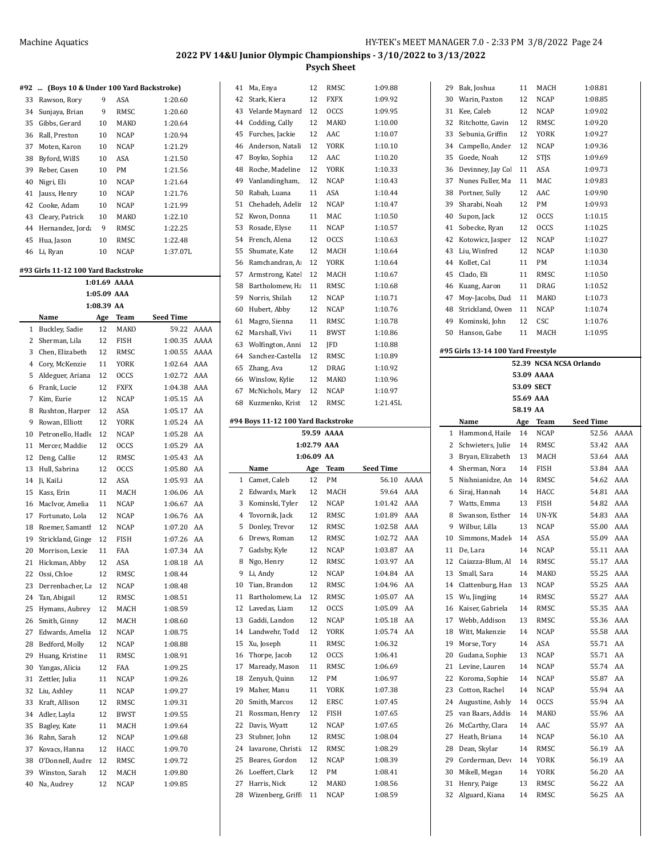| #92 | (Boys 10 & Under 100 Yard Backstroke)<br>$\cdots$ |                           |              |           |      |
|-----|---------------------------------------------------|---------------------------|--------------|-----------|------|
| 33  | Rawson, Rory                                      | 9                         | ASA          | 1:20.60   |      |
| 34  | Sunjaya, Brian                                    | 9                         | RMSC         | 1:20.60   |      |
| 35  | Gibbs, Gerard                                     | 10                        | MAKO         | 1:20.64   |      |
| 36  | Rall. Preston                                     | 10                        | NCAP         | 1:20.94   |      |
| 37  | Moten, Karon                                      | 10                        | <b>NCAP</b>  | 1:21.29   |      |
| 38  | Byford, WillS                                     | 10                        | ASA          | 1:21.50   |      |
| 39  | Reber, Casen                                      | 10                        | PM           | 1:21.56   |      |
| 40  | Nigri, Eli                                        | 10                        | <b>NCAP</b>  | 1:21.64   |      |
| 41  | Jauss, Henry                                      | 10                        | NCAP         | 1:21.76   |      |
| 42  | Cooke, Adam                                       | 10                        | NCAP         | 1:21.99   |      |
| 43  | Cleary, Patrick                                   | 10                        | MAKO         | 1:22.10   |      |
| 44  | Hernandez, Jorda                                  | 9                         | RMSC         | 1:22.25   |      |
| 45  | Hua, Jason                                        | 10                        | RMSC         | 1:22.48   |      |
| 46  | Li, Ryan                                          | 10                        | NCAP         | 1:37.07L  |      |
|     | #93 Girls 11-12 100 Yard Backstroke               |                           |              |           |      |
|     |                                                   |                           | 1:01.69 AAAA |           |      |
|     |                                                   | 1:05.09 AAA<br>1:08.39 AA |              |           |      |
|     | Name                                              | Age                       | <b>Team</b>  | Seed Time |      |
| 1   | Buckley, Sadie                                    | 12                        | MAKO         | 59.22     | AAAA |
| 2   | Sherman, Lila                                     | 12                        | FISH         | 1:00.35   | AAAA |
| 3   | Chen, Elizabeth                                   | 12                        | RMSC         | 1:00.55   | AAAA |
| 4   | Cory, McKenzie                                    | 11                        | YORK         | 1:02.64   | AAA  |
| 5   | Aldeguer, Ariana                                  | 12                        | <b>OCCS</b>  | 1:02.72   | AAA  |
| 6   | Frank, Lucie                                      | 12                        | <b>FXFX</b>  | 1:04.38   | AAA  |
| 7   | Kim, Eurie                                        | 12                        | <b>NCAP</b>  | 1:05.15   | AA   |
| 8   | Rushton, Harper                                   | 12                        | ASA          | 1:05.17   | AA   |
| 9   | Rowan, Elliott                                    | 12                        | <b>YORK</b>  | 1:05.24   | AA   |
| 10  | Petronello, Hadle                                 | 12                        | NCAP         | 1:05.28   | AA   |
| 11  | Mercer, Maddie                                    | 12                        | <b>OCCS</b>  | 1:05.29   | AA   |
| 12  | Deng, Callie                                      | 12                        | RMSC         | 1:05.43   | AA   |
| 13  | Hull, Sabrina                                     | 12                        | <b>OCCS</b>  | 1:05.80   | AA   |
| 14  | Ji, KaiLi                                         | 12                        | ASA          | 1:05.93   | AA   |
| 15  | Kass, Erin                                        | 11                        | MACH         | 1:06.06   | AA   |
| 16  | MacIvor, Amelia                                   | 11                        | <b>NCAP</b>  | 1:06.67   | AA   |
| 17  | Fortunato, Lola                                   | 12                        | <b>NCAP</b>  | 1:06.76   | AA   |
| 18  | Roemer, Samantl                                   | 12                        | NCAP         | 1:07.20   | AA   |
| 19  | Strickland, Ginge                                 | 12                        | FISH         | 1:07.26   | AA   |
| 20  | Morrison, Lexie                                   | 11                        | FAA          | 1:07.34   | AA   |
| 21  | Hickman, Abby                                     | 12                        | ASA          | 1:08.18   | AA   |
| 22  | Ossi, Chloe                                       | 12                        | RMSC         | 1:08.44   |      |
| 23  | Derrenbacher, La                                  | 12                        | <b>NCAP</b>  | 1:08.48   |      |
| 24  | Tan, Abigail                                      | 12                        | RMSC         | 1:08.51   |      |
| 25  | Hymans, Aubrey                                    | 12                        | MACH         | 1:08.59   |      |
| 26  | Smith, Ginny                                      | 12                        | MACH         | 1:08.60   |      |
| 27  | Edwards, Amelia                                   | 12                        | <b>NCAP</b>  | 1:08.75   |      |
| 28  | Bedford, Molly                                    | 12                        | <b>NCAP</b>  | 1:08.88   |      |
| 29  | Huang, Kristine                                   | 11                        | RMSC         | 1:08.91   |      |
| 30  | Yangas, Alicia                                    | 12                        | FAA          | 1:09.25   |      |
| 31  | Zettler, Julia                                    | 11                        | NCAP         | 1:09.26   |      |
| 32  | Liu, Ashley                                       | 11                        | <b>NCAP</b>  | 1:09.27   |      |
| 33  | Kraft, Allison                                    | 12                        | RMSC         | 1:09.31   |      |
| 34  | Adler, Layla                                      | 12                        | BWST         | 1:09.55   |      |
| 35  | Bagley, Kate                                      | 11                        | MACH         | 1:09.64   |      |
| 36  | Rahn, Sarah                                       | 12                        | NCAP         | 1:09.68   |      |
| 37  | Kovacs, Hanna                                     | 12                        | HACC         | 1:09.70   |      |
| 38  | O'Donnell, Audre                                  | 12                        | RMSC         | 1:09.72   |      |
| 39  | Winston, Sarah                                    | 12                        | MACH         | 1:09.80   |      |
| 40  | Na, Audrey                                        | 12                        | NCAP         | 1:09.85   |      |

| 41 | Ma, Enya                           | 12          | RMSC        | 1:09.88          |      |   |
|----|------------------------------------|-------------|-------------|------------------|------|---|
| 42 | Stark, Kiera                       | 12          | FXFX        | 1:09.92          |      |   |
| 43 | Velarde Maynard                    | 12          | <b>OCCS</b> | 1:09.95          |      |   |
| 44 | Codding, Cally                     | 12          | MAKO        | 1:10.00          |      |   |
| 45 | Furches, Jackie                    | 12          | AAC         | 1:10.07          |      |   |
| 46 | Anderson, Natali                   | 12          | YORK        | 1:10.10          |      |   |
| 47 | Boyko, Sophia                      | 12          | AAC         | 1:10.20          |      |   |
| 48 | Roche, Madeline                    | 12          | YORK        | 1:10.33          |      |   |
| 49 | Vanlandingham,                     | 12          | NCAP        | 1:10.43          |      |   |
| 50 | Rabah, Luana                       | 11          | ASA         | 1:10.44          |      |   |
| 51 | Chehadeh, Adelir                   | 12          | <b>NCAP</b> | 1:10.47          |      |   |
| 52 | Kwon, Donna                        | 11          | MAC         | 1:10.50          |      |   |
| 53 | Rosade, Elyse                      | 11          | <b>NCAP</b> | 1:10.57          |      |   |
|    |                                    |             |             |                  |      |   |
| 54 | French, Alena                      | 12          | <b>OCCS</b> | 1:10.63          |      |   |
| 55 | Shumate, Kate                      | 12          | MACH        | 1:10.64          |      |   |
| 56 | Ramchandran, A                     | 12          | YORK        | 1:10.64          |      |   |
| 57 | Armstrong, Katel                   | 12          | MACH        | 1:10.67          |      |   |
| 58 | Bartholomew, Ha                    | 11          | RMSC        | 1:10.68          |      |   |
| 59 | Norris, Shilah                     | 12          | NCAP        | 1:10.71          |      |   |
| 60 | Hubert, Abby                       | 12          | NCAP        | 1:10.76          |      |   |
| 61 | Magro, Sienna                      | 11          | RMSC        | 1:10.78          |      |   |
| 62 | Marshall, Vivi                     | 11          | <b>BWST</b> | 1:10.86          |      |   |
| 63 | Wolfington, Anni                   | 12          | JFD         | 1:10.88          |      | # |
| 64 | Sanchez-Castella                   | 12          | RMSC        | 1:10.89          |      |   |
| 65 | Zhang, Ava                         | 12          | DRAG        | 1:10.92          |      |   |
|    | 66 Winslow, Kylie                  | 12          | MAKO        | 1:10.96          |      |   |
| 67 | McNichols, Mary                    | 12          | NCAP        | 1:10.97          |      |   |
| 68 | Kuzmenko, Krist                    | 12          | RMSC        | 1:21.45L         |      |   |
|    |                                    |             |             |                  |      |   |
|    | #94 Boys 11-12 100 Yard Backstroke |             |             |                  |      |   |
|    |                                    |             |             |                  |      |   |
|    |                                    |             | 59.59 AAAA  |                  |      |   |
|    |                                    | 1:02.79 AAA |             |                  |      |   |
|    |                                    | 1:06.09 AA  |             |                  |      |   |
|    | Name                               | Age         | Team        | <b>Seed Time</b> |      |   |
| 1  | Camet, Caleb                       | 12          | PM          | 56.10            | AAAA |   |
| 2  | Edwards, Mark                      | 12          | MACH        | 59.64            | AAA  |   |
| 3  | Kominski, Tyler                    | 12          | NCAP        | 1:01.42          | AAA  |   |
| 4  | Tovornik, Jack                     | 12          | RMSC        | 1:01.89          | AAA  |   |
| 5  | Donley, Trevor                     | 12          | RMSC        | 1:02.58          | AAA  |   |
| 6  | Drews, Roman                       | 12          | RMSC        | 1:02.72          | AAA  |   |
| 7  | Gadsby, Kyle                       | 12          | NCAP        | 1:03.87          | AA   |   |
| 8  | Ngo, Henry                         | 12          | RMSC        | 1:03.97          | AA   |   |
| 9  | Li, Andy                           | 12          | NCAP        | 1:04.84          | AA   |   |
| 10 | Tian, Brandon                      | 12          | RMSC        | 1:04.96          | AA   |   |
| 11 | Bartholomew, La                    | 12          | RMSC        | 1:05.07          | AA   |   |
| 12 | Lavedas, Liam                      | 12          | OCCS        | 1:05.09          | AA   |   |
| 13 | Gaddi, Landon                      | 12          | NCAP        | 1:05.18          | AA   |   |
| 14 | Landwehr, Todd                     | 12          | <b>YORK</b> | 1:05.74          | AA   |   |
| 15 | Xu, Joseph                         | 11          | RMSC        | 1:06.32          |      |   |
| 16 | Thorpe, Jacob                      | 12          | <b>OCCS</b> | 1:06.41          |      |   |
| 17 | Maready, Mason                     | 11          | RMSC        | 1:06.69          |      |   |
| 18 | Zenyuh, Quinn                      | 12          | PM          | 1:06.97          |      |   |
| 19 | Maher, Manu                        | 11          | YORK        | 1:07.38          |      |   |
| 20 | Smith, Marcos                      | 12          | ERSC        | 1:07.45          |      |   |
| 21 | Rossman, Henry                     | 12          | FISH        | 1:07.65          |      |   |
| 22 |                                    | 12          |             |                  |      |   |
|    | Davis, Wyatt                       |             | NCAP        | 1:07.65          |      |   |
| 23 | Stubner, John                      | 12          | RMSC        | 1:08.04          |      |   |
| 24 | Iavarone, Christi                  | 12          | RMSC        | 1:08.29          |      |   |
| 25 | Beares, Gordon                     | 12          | NCAP        | 1:08.39          |      |   |
| 26 | Loeffert, Clark                    | 12          | PM          | 1:08.41          |      |   |
| 27 | Harris, Nick                       | 12          | MAKO        | 1:08.56          |      |   |
| 28 | Wizenberg, Griffi                  | 11          | NCAP        | 1:08.59          |      |   |

| 29       | Bak, Joshua                        | 11         | MACH        | 1:08.81                 |          |  |  |
|----------|------------------------------------|------------|-------------|-------------------------|----------|--|--|
| 30       | Warin, Paxton                      | 12         | NCAP        | 1:08.85                 |          |  |  |
| 31       | Kee, Caleb                         | 12         | NCAP        | 1:09.02                 |          |  |  |
| 32       | Ritchotte, Gavin                   | 12         | RMSC        | 1:09.20                 |          |  |  |
| 33       | Sebunia, Griffin                   | 12         | YORK        | 1:09.27                 |          |  |  |
| 34       | Campello, Ander                    | 12         | NCAP        | 1:09.36                 |          |  |  |
| 35       | Goede, Noah                        | 12         | <b>STJS</b> | 1:09.69                 |          |  |  |
| 36       | Devinney, Jay Col                  | 11         | ASA         | 1:09.73                 |          |  |  |
| 37       | Nunes Fuller, Ma                   | 11         | MAC         | 1:09.83                 |          |  |  |
| 38       | Portner, Sully                     | 12         | AAC         | 1:09.90                 |          |  |  |
| 39       | Sharabi, Noah                      | 12         | PМ          | 1:09.93                 |          |  |  |
| 40       | Supon, Jack                        | 12         | OCCS        | 1:10.15                 |          |  |  |
| 41       | Sobecke, Ryan                      | 12         | OCCS        | 1:10.25                 |          |  |  |
| 42       | Kotowicz, Jasper                   | 12         | NCAP        | 1:10.27                 |          |  |  |
| 43       | Liu, Winfred                       | 12         | <b>NCAP</b> | 1:10.30                 |          |  |  |
| 44       | Kollet, Cal                        | 11         | PM          | 1:10.34                 |          |  |  |
| 45       | Clado, Eli                         | 11         | RMSC        | 1:10.50                 |          |  |  |
| 46       | Kuang, Aaron                       | 11         | DRAG        | 1:10.52                 |          |  |  |
| 47       | Moy-Jacobs, Dud                    | 11         | MAKO        | 1:10.73                 |          |  |  |
|          |                                    |            |             | 1:10.74                 |          |  |  |
| 48       | Strickland, Ower                   | 11         | NCAP        |                         |          |  |  |
| 49       | Kominski, John                     | 12         | CSC         | 1:10.76                 |          |  |  |
| 50       | Hanson, Gabe                       | 11         | MACH        | 1:10.95                 |          |  |  |
|          | #95 Girls 13-14 100 Yard Freestyle |            |             |                         |          |  |  |
|          |                                    |            |             | 52.39 NCSA NCSA Orlando |          |  |  |
|          |                                    |            | 53.09 AAAA  |                         |          |  |  |
|          |                                    |            |             |                         |          |  |  |
|          |                                    | 53.09 SECT |             |                         |          |  |  |
|          |                                    | 55.69 AAA  |             |                         |          |  |  |
| 58.19 AA |                                    |            |             |                         |          |  |  |
|          | Name                               | Age        | Team        | Seed Time               |          |  |  |
| 1        | Hammond, Haile                     | 14         | NCAP        | 52.56                   | AAAA     |  |  |
|          |                                    |            |             |                         |          |  |  |
| 2        | Schwieters, Julie                  | 14         | RMSC        | 53.42                   | AAA      |  |  |
| 3        | Bryan, Elizabeth                   | 13         | MACH        | 53.64                   | AAA      |  |  |
| 4        | Sherman, Nora                      | 14         | FISH        | 53.84                   | AAA      |  |  |
| 5        | Nishnianidze, An                   | 14         | RMSC        | 54.62                   | AAA      |  |  |
| 6        | Siraj, Hannah                      | 14         | HACC        | 54.81                   | AAA      |  |  |
| 7        | Watts, Emma                        | 13         | FISH        | 54.82                   | AAA      |  |  |
| 8        | Swanson, Esther                    | 14         | UN-YK       | 54.83                   | AAA      |  |  |
| 9        | Wilbur, Lilla                      | 13         | NCAP        | 55.00                   | AAA      |  |  |
| 10       | Simmons, Madel                     | 14         | ASA         | 55.09                   | AAA      |  |  |
| 11       | De, Lara                           | 14         | NCAP        | 55.11                   | AAA      |  |  |
|          | 12 Caiazza-Blum, Al                | 14         | RMSC        | 55.17                   | AAA      |  |  |
| 13       | Small, Sara                        | 14         | MAKO        | 55.25                   | AAA      |  |  |
| 14       | Clattenburg, Han                   | 13         | NCAP        | 55.25                   | AAA      |  |  |
| 15       | Wu, Jingjing                       | 14         | RMSC        | 55.27                   | AAA      |  |  |
| 16       | Kaiser, Gabriela                   | 14         | RMSC        | 55.35                   | AAA      |  |  |
| 17       | Webb, Addison                      | 13         | RMSC        | 55.36                   | AAA      |  |  |
| 18       | Witt, Makenzie                     | 14         | NCAP        | 55.58                   | AAA      |  |  |
|          |                                    |            |             |                         |          |  |  |
| 19       | Morse, Tory                        | 14         | ASA         | 55.71                   | AA       |  |  |
| 20       | Gudana, Sophie                     | 13         | <b>NCAP</b> | 55.71                   | AA       |  |  |
| 21       | Levine, Lauren                     | 14         | NCAP        | 55.74                   | AA       |  |  |
| 22       | Koroma, Sophie                     | 14         | NCAP        | 55.87                   | AA       |  |  |
| 23       | Cotton, Rachel                     | 14         | NCAP        | 55.94                   | AA       |  |  |
| 24       | Augustine, Ashly                   | 14         | <b>OCCS</b> | 55.94                   | AA       |  |  |
| 25       | van Baars, Addis                   | 14         | MAKO        | 55.96                   | AA       |  |  |
| 26       | McCarthy, Clara                    | 14         | AAC         | 55.97                   | AA       |  |  |
| 27       | Heath, Briana                      | 14         | NCAP        | 56.10                   | AA       |  |  |
| 28       | Dean, Skylar                       | 14         | RMSC        | 56.19                   | AA       |  |  |
| 29       | Corderman, Devo                    | 14         | YORK        | 56.19                   | AA       |  |  |
| 30       | Mikell, Megan                      | 14         | YORK        | 56.20                   | AA       |  |  |
| 31       | Henry, Paige<br>Alguard, Kiana     | 13         | RMSC        | 56.22<br>56.25          | AA<br>AA |  |  |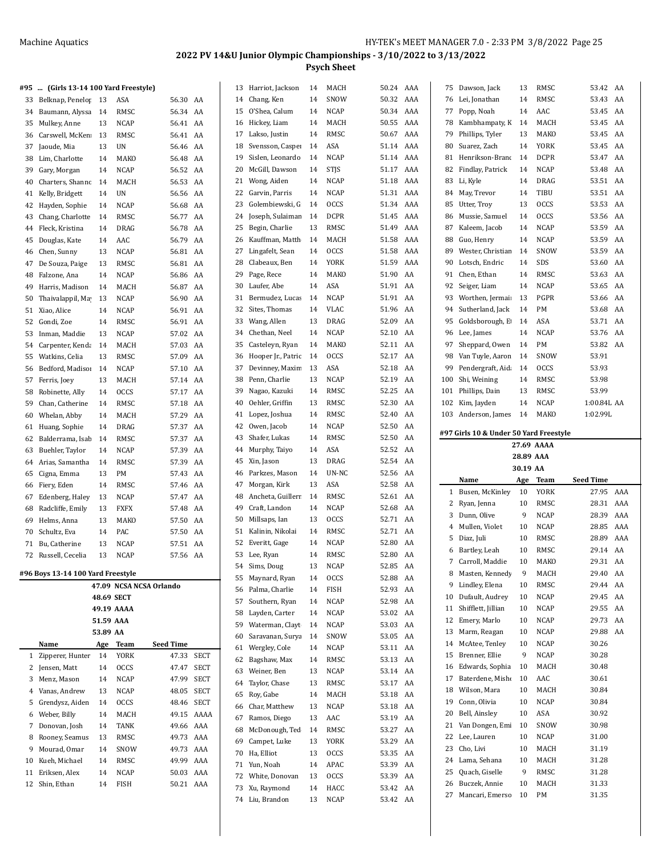|          | #95  (Girls 13-14 100 Yard Freestyle) |           |                            |                         |            |          | 13 Harriot, Jackson            | 14       | MACH         | 50.24 AAA         |     |     | 75 Dawson, Jack                        | 13        | RMSC        | 53.42 AA         |     |
|----------|---------------------------------------|-----------|----------------------------|-------------------------|------------|----------|--------------------------------|----------|--------------|-------------------|-----|-----|----------------------------------------|-----------|-------------|------------------|-----|
| 33       | Belknap, Penelop                      | 13        | ASA                        | 56.30 AA                |            | 14       | Chang, Ken                     | 14       | SNOW         | 50.32             | AAA | 76  | Lei, Jonathan                          | 14        | RMSC        | 53.43            | AA  |
| 34       | Baumann, Alyssa                       | 14        | RMSC                       | 56.34 AA                |            | 15       | O'Shea, Calum                  | 14       | <b>NCAP</b>  | 50.34 AAA         |     |     | 77 Popp, Noah                          | 14        | AAC         | 53.45 AA         |     |
|          | 35 Mulkey, Anne                       | 13        | NCAP                       | 56.41 AA                |            |          | 16 Hickey, Liam                | 14       | MACH         | 50.55             | AAA |     | 78 Kambhampaty, K                      | 14        | MACH        | 53.45 AA         |     |
|          | 36 Carswell, McKen                    | 13        | RMSC                       | 56.41 AA                |            | 17       | Lakso, Justin                  | 14       | RMSC         | 50.67             | AAA | 79  | Phillips, Tyler                        | 13        | MAKO        | 53.45 AA         |     |
| 37       | Jaoude, Mia                           | 13        | UN                         | 56.46 AA                |            | 18       | Svensson, Casper               | 14       | ASA          | 51.14             | AAA | 80  | Suarez, Zach                           | 14        | <b>YORK</b> | 53.45            | AA  |
| 38       | Lim, Charlotte                        | 14        | MAKO                       | 56.48 AA                |            | 19       | Sislen, Leonardo               | 14       | <b>NCAP</b>  | 51.14             | AAA | 81  | Henrikson-Brand                        | 14        | <b>DCPR</b> | 53.47 AA         |     |
| 39       | Gary, Morgan                          | 14        | NCAP                       | 56.52                   | AA         | 20       | McGill, Dawson                 | 14       | <b>STJS</b>  | 51.17             | AAA |     | 82 Findlay, Patrick                    | 14        | <b>NCAP</b> | 53.48 AA         |     |
| 40       | Charters, Shanno                      | 14        | MACH                       | 56.53                   | AA         |          | 21 Wong, Aiden                 | 14       | <b>NCAP</b>  | 51.18             | AAA |     | 83 Li, Kyle                            | 14        | DRAG        | 53.51 AA         |     |
|          | 41 Kelly, Bridgett                    | 14        | UN                         | 56.56 AA                |            | 22       | Garvin, Parris                 | 14       | <b>NCAP</b>  | 51.31             | AAA |     | 84 May, Trevor                         | 14        | TIBU        | 53.51 AA         |     |
| 42       | Hayden, Sophie                        | 14        | <b>NCAP</b>                | 56.68                   | AA         | 23       | Golembiewski, G                | 14       | <b>OCCS</b>  | 51.34             | AAA | 85  | Utter, Trov                            | 13        | <b>OCCS</b> | 53.53            | AA  |
| 43       | Chang, Charlotte                      | 14        | RMSC                       | 56.77 AA                |            | 24       | Joseph, Sulaiman               | 14       | <b>DCPR</b>  | 51.45             | AAA | 86  | Mussie, Samuel                         | 14        | <b>OCCS</b> | 53.56            | AA  |
|          | 44 Fleck, Kristina                    | 14        | DRAG                       | 56.78                   | AA         | 25       | Begin, Charlie                 | 13       | RMSC         | 51.49             | AAA | 87  | Kaleem, Jacob                          | 14        | <b>NCAP</b> | 53.59 AA         |     |
|          | 45 Douglas, Kate                      | 14        | AAC                        | 56.79                   | AA         | 26       | Kauffman, Matth                | 14       | MACH         | 51.58             | AAA | 88  | Guo, Henry                             | 14        | <b>NCAP</b> | 53.59 AA         |     |
|          | 46 Chen, Sunny                        | 13        | NCAP                       | 56.81 AA                |            | 27       | Lingafelt, Sean                | 14       | <b>OCCS</b>  | 51.58             | AAA | 89  | Wester, Christian                      | 14        | SNOW        | 53.59 AA         |     |
|          | 47 De Souza, Paige                    | 13        | RMSC                       | 56.81                   | AA         | 28       | Clabeaux, Ben                  | 14       | <b>YORK</b>  | 51.59             | AAA | 90  | Lotsch, Endric                         | 14        | SDS         | 53.60            | AA  |
| 48       | Falzone, Ana                          | 14        | <b>NCAP</b>                | 56.86 AA                |            | 29       | Page, Rece                     | 14       | MAKO         | 51.90             | AA  | 91  | Chen, Ethan                            | 14        | RMSC        | 53.63            | AA  |
| 49       | Harris, Madison                       | 14        | MACH                       | 56.87                   | AA         | 30       | Laufer, Abe                    | 14       | ASA          | 51.91             | AA  | 92  | Seiger, Liam                           | 14        | <b>NCAP</b> | 53.65 AA         |     |
| 50       | Thaivalappil, Ma                      | 13        | NCAP                       | 56.90                   | AA         | 31       | Bermudez, Lucas                | 14       | <b>NCAP</b>  | 51.91             | AA  | 93  | Worthen, Jermai:                       | -13       | PGPR        | 53.66 AA         |     |
|          | 51 Xiao, Alice                        | 14        | NCAP                       | 56.91 AA                |            | 32       | Sites, Thomas                  | 14       | <b>VLAC</b>  | 51.96             | AA  | 94  | Sutherland, Jack                       | 14        | PM          | 53.68 AA         |     |
| 52       | Gondi, Zoe                            | 14        | RMSC                       | 56.91                   | AA         | 33       | Wang, Allen                    | 13       | <b>DRAG</b>  | 52.09             | AA  | 95  | Goldsborough, E                        | 14        | ASA         | 53.71 AA         |     |
| 53       | Inman, Maddie                         | 13        | <b>NCAP</b>                | 57.02                   | AA         | 34       | Chethan, Neel                  | 14       | <b>NCAP</b>  | 52.10             | AA  | 96  | Lee, James                             | 14        | <b>NCAP</b> | 53.76            | AA  |
| 54       | Carpenter, Kenda                      | 14        | MACH                       | 57.03                   | AA         | 35       | Casteleyn, Ryan                | 14       | MAKO         | 52.11             | AA  | 97  | Sheppard, Owen                         | 14        | PM          | 53.82 AA         |     |
| 55       | Watkins, Celia                        | 13        | RMSC                       | 57.09                   | AA         | 36       | Hooper Jr., Patric             | 14       | <b>OCCS</b>  | 52.17 AA          |     | 98  | Van Tuyle, Aaron                       | 14        | SNOW        | 53.91            |     |
|          | 56 Bedford, Madiso                    | 14        | NCAP                       | 57.10 AA                |            | 37       | Devinney, Maxim                | 13       | ASA          | 52.18             | AA  | 99  | Pendergraft, Aid:                      | 14        | <b>OCCS</b> | 53.93            |     |
|          | 57 Ferris, Joey                       | 13        | MACH                       | 57.14 AA                |            | 38       | Penn, Charlie                  | 13       | <b>NCAP</b>  | 52.19             | AA  | 100 | Shi, Weining                           | 14        | RMSC        | 53.98            |     |
| 58       | Robinette, Ally                       | 14        | <b>OCCS</b>                | 57.17 AA                |            | 39       | Nagao, Kazuki                  | 14       | RMSC         | 52.25             | AA  | 101 | Phillips, Dain                         | 13        | RMSC        | 53.99            |     |
| 59       | Chan, Catherine                       | 14        | RMSC                       | 57.18                   | AA         | 40       | Oehler, Griffin                | 13       | RMSC         | 52.30             | AA  | 102 | Kim, Jayden                            | 14        | <b>NCAP</b> | 1:00.84L AA      |     |
| 60       | Whelan, Abby                          | 14        | MACH                       | 57.29                   | AA         | 41       | Lopez, Joshua                  | 14       | RMSC         | 52.40             | AA  |     | 103 Anderson, James                    | 14        | MAKO        | 1:02.99L         |     |
|          | 61 Huang, Sophie                      | 14        | DRAG                       | 57.37                   | AA         | 42       | Owen, Jacob                    | 14       | <b>NCAP</b>  | 52.50             | AA  |     | #97 Girls 10 & Under 50 Yard Freestyle |           |             |                  |     |
| 62       | Balderrama, Isab                      | 14        | RMSC                       | 57.37                   | AA         | 43       | Shafer, Lukas                  | 14       | RMSC         | 52.50             | AA  |     |                                        |           | 27.69 AAAA  |                  |     |
| 63       | Buehler, Taylor                       | 14        | <b>NCAP</b>                | 57.39                   | AA         | 44       | Murphy, Taiyo                  | 14       | ASA          | 52.52             | AA  |     |                                        | 28.89 AAA |             |                  |     |
| 64       | Arias, Samantha                       | 14        | RMSC                       | 57.39                   | AA         | 45       | Xin, Jason                     | 13       | DRAG         | 52.54 AA          |     |     |                                        | 30.19 AA  |             |                  |     |
| 65       | Cigna, Emma                           | 13        | PM                         | 57.43                   | AA         | 46<br>47 | Parkzes, Mason<br>Morgan, Kirk | 14<br>13 | UN-NC<br>ASA | 52.56 AA<br>52.58 | AA  |     | Name                                   | Age       | <b>Team</b> | <b>Seed Time</b> |     |
|          | 66 Fiery, Eden                        | 14        | RMSC                       | 57.46 AA                |            | 48       | Ancheta, Guillerr              | 14       | RMSC         | 52.61             | AA  |     | 1 Busen, McKinley                      | 10        | <b>YORK</b> | 27.95 AAA        |     |
| 67<br>68 | Edenberg, Haley<br>Radcliffe, Emily   | 13<br>13  | <b>NCAP</b><br><b>FXFX</b> | 57.47 AA<br>57.48 AA    |            | 49       | Craft, Landon                  | 14       | <b>NCAP</b>  | 52.68             | AA  |     | 2 Ryan, Jenna                          | 10        | RMSC        | 28.31 AAA        |     |
| 69       | Helms, Anna                           | 13        | MAKO                       | 57.50                   | AA         | 50       | Millsaps, Ian                  | 13       | <b>OCCS</b>  | 52.71             | AA  |     | 3 Dunn, Olive                          | 9         | <b>NCAP</b> | 28.39            | AAA |
|          | 70 Schultz, Eva                       | 14        | PAC                        | 57.50                   | AA         | 51       | Kalinin, Nikolai               | 14       | RMSC         | 52.71 AA          |     |     | 4 Mullen, Violet                       | 10        | <b>NCAP</b> | 28.85            | AAA |
|          | 71 Bu, Catherine                      | 13        | <b>NCAP</b>                | 57.51 AA                |            | 52       | Everitt, Gage                  | 14       | <b>NCAP</b>  | 52.80             | AA  |     | 5 Diaz, Juli                           | 10        | RMSC        | 28.89            | AAA |
|          | 72 Russell, Cecelia                   | 13        | <b>NCAP</b>                | 57.56 AA                |            |          | 53 Lee, Ryan                   | 14       | RMSC         | 52.80             | AA  |     | 6 Bartley, Leah                        | 10        | RMSC        | 29.14 AA         |     |
|          |                                       |           |                            |                         |            | 54       | Sims, Doug                     | 13       | <b>NCAP</b>  | 52.85             | AA  | 7   | Carroll, Maddie                        | 10        | MAKO        | 29.31            | AA  |
|          | #96 Boys 13-14 100 Yard Freestyle     |           |                            |                         |            | 55       | Maynard, Ryan                  | 14       | <b>OCCS</b>  | 52.88 AA          |     |     | 8 Masten, Kennedy                      | 9         | MACH        | 29.40 AA         |     |
|          |                                       |           |                            | 47.09 NCSA NCSA Orlando |            | 56       | Palma, Charlie                 | 14       | <b>FISH</b>  | 52.93 AA          |     |     | 9 Lindley, Elena                       | 10        | RMSC        | 29.44 AA         |     |
|          |                                       |           | 48.69 SECT                 |                         |            | 57       | Southern, Ryan                 | 14       | <b>NCAP</b>  | 52.98 AA          |     |     | 10 Dufault, Audrey                     | 10        | <b>NCAP</b> | 29.45 AA         |     |
|          |                                       |           | 49.19 AAAA                 |                         |            | 58       | Layden, Carter                 | 14       | <b>NCAP</b>  | 53.02 AA          |     |     | 11 Shifflett, Jillian                  | 10        | NCAP        | 29.55 AA         |     |
|          |                                       | 51.59 AAA |                            |                         |            | 59       | Waterman, Clayt                | 14       | <b>NCAP</b>  | 53.03 AA          |     |     | 12 Emery, Marlo                        | 10        | NCAP        | 29.73 AA         |     |
|          |                                       | 53.89 AA  |                            |                         |            | 60       | Saravanan, Surya               | 14       | SNOW         | 53.05 AA          |     |     | 13 Marm, Reagan                        | 10        | <b>NCAP</b> | 29.88 AA         |     |
|          |                                       | Age       | Team                       | <b>Seed Time</b>        |            | 61       | Wergley, Cole                  | 14       | NCAP         | 53.11 AA          |     | 14  | McAtee, Tenley                         | 10        | <b>NCAP</b> | 30.26            |     |
|          | Name                                  |           |                            |                         |            |          |                                |          |              |                   |     | 15  | Brenner, Ellie                         | 9         | <b>NCAP</b> | 30.28            |     |
|          | 1 Zipperer, Hunter                    | 14        | <b>YORK</b>                |                         | 47.33 SECT | 62       | Bagshaw, Max                   | 14       | RMSC         | 53.13 AA          |     |     |                                        |           |             |                  |     |
|          | 2 Jensen, Matt                        | 14        | <b>OCCS</b>                | 47.47                   | SECT       | 63       | Weiner, Ben                    | 13       | <b>NCAP</b>  | 53.14 AA          |     |     | 16 Edwards, Sophia                     | 10        | MACH        | 30.48            |     |
| 3        | Menz, Mason                           | 14        | NCAP                       | 47.99                   | SECT       | 64       | Taylor, Chase                  | 13       | RMSC         | 53.17 AA          |     | 17  | Baterdene, Misho                       | 10        | AAC         | 30.61            |     |
| 4        | Vanas, Andrew                         | 13        | NCAP                       | 48.05                   | SECT       | 65       | Roy, Gabe                      | 14       | MACH         | 53.18 AA          |     | 18  | Wilson, Mara                           | 10        | MACH        | 30.84            |     |
| 5        | Grendysz, Aiden                       | 14        | <b>OCCS</b>                |                         | 48.46 SECT | 66       | Char, Matthew                  | 13       | <b>NCAP</b>  | 53.18 AA          |     | 19  | Conn, Olivia                           | 10        | <b>NCAP</b> | 30.84            |     |
| 6        | Weber, Billy                          | 14        | MACH                       | 49.15                   | AAAA       | 67       | Ramos, Diego                   | 13       | AAC          | 53.19 AA          |     | 20  | Bell, Ainsley                          | 10        | ASA         | 30.92            |     |
|          | 7 Donovan, Josh                       | 14        | TANK                       | 49.66 AAA               |            | 68       | McDonough, Ted                 | 14       | RMSC         | 53.27 AA          |     |     | 21 Van Dongen, Emi                     | 10        | SNOW        | 30.98            |     |
| 8        | Rooney, Seamus                        | 13        | RMSC                       | 49.73 AAA               |            | 69       | Campet, Luke                   | 13       | YORK         | 53.29             | AA  |     | 22 Lee, Lauren                         | 10        | <b>NCAP</b> | 31.00            |     |
| 9        | Mourad, Omar                          | 14        | SNOW                       | 49.73                   | AAA        |          | 70 Ha, Elliot                  | 13       | <b>OCCS</b>  | 53.35 AA          |     | 23  | Cho, Livi                              | 10        | MACH        | 31.19            |     |
| 10       | Kueh, Michael                         | 14        | RMSC                       | 49.99                   | AAA        |          | 71 Yun, Noah                   | 14       | APAC         | 53.39 AA          |     | 24  | Lama, Sehana                           | 10        | MACH        | 31.28            |     |
| 11       | Eriksen, Alex                         | 14        | NCAP                       | 50.03                   | AAA        |          | 72 White, Donovan              | 13       | <b>OCCS</b>  | 53.39 AA          |     | 25  | Quach, Giselle                         | 9         | RMSC        | 31.28            |     |
|          | 12 Shin, Ethan                        | 14        | FISH                       | 50.21 AAA               |            |          | 73 Xu, Raymond                 | 14       | HACC         | 53.42 AA          |     |     | 26 Buczek, Annie<br>27 Mancari, Emerso | 10<br>10  | MACH<br>PM  | 31.33<br>31.35   |     |

Liu, Brandon 13 NCAP 53.42 AA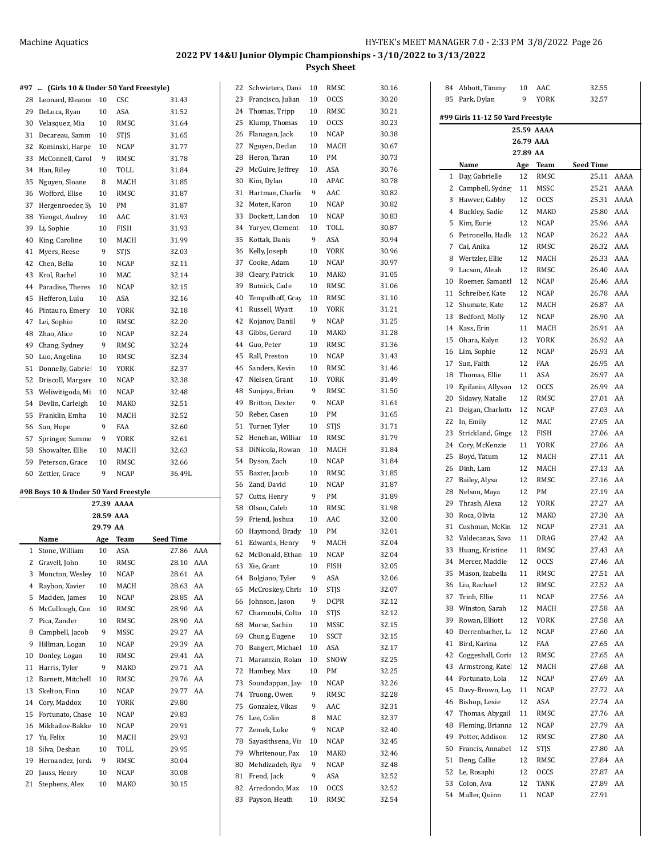#### **#97 ... (Girls 10 & Under 50 Yard Freestyle)**

| <b>***</b> | (GHTS TO & OHUEL 30 TATU Preestyle)   |    |             |        |
|------------|---------------------------------------|----|-------------|--------|
| 28         | Leonard, Eleanor                      | 10 | CSC         | 31.43  |
| 29         | DeLuca, Ryan                          | 10 | ASA         | 31.52  |
| 30         | Velasquez, Mia                        | 10 | RMSC        | 31.64  |
| 31         | Decareau. Samm                        | 10 | <b>STIS</b> | 31.65  |
| 32         | Kominski, Harpe                       | 10 | <b>NCAP</b> | 31.77  |
| 33         | McConnell, Carol                      | 9  | RMSC        | 31.78  |
| 34         | Han, Riley                            | 10 | TOLL        | 31.84  |
| 35         | Nguyen, Sloane                        | 8  | MACH        | 31.85  |
| 36         | Wofford, Elise                        | 10 | RMSC        | 31.87  |
| 37         | Hergenroeder, Sy                      | 10 | PM          | 31.87  |
| 38         | Yiengst, Audrey                       | 10 | AAC         | 31.93  |
| 39         | Li, Sophie                            | 10 | FISH        | 31.93  |
| 40         | King, Caroline                        | 10 | MACH        | 31.99  |
| 41         | Myers, Reese                          | 9  | STIS        | 32.03  |
| 42         | Chen, Bella                           | 10 | <b>NCAP</b> | 32.11  |
| 43         | Krol, Rachel                          | 10 | MAC         | 32.14  |
| 44         | Paradise, Theres                      | 10 | <b>NCAP</b> | 32.15  |
| 45         | Hefferon, Lulu                        | 10 | ASA         | 32.16  |
| 46         | Pintauro, Emery                       | 10 | <b>YORK</b> | 32.18  |
| 47         | Lei, Sophie                           | 10 | RMSC        | 32.20  |
| 48         | Zhao, Alice                           | 10 | <b>NCAP</b> | 32.24  |
| 49         | Chang, Sydney                         | 9  | RMSC        | 32.24  |
| 50         | Luo, Angelina                         | 10 | RMSC        | 32.34  |
| 51         | Donnelly, Gabrie                      | 10 | <b>YORK</b> | 32.37  |
| 52         | Driscoll, Margare                     | 10 | <b>NCAP</b> | 32.38  |
| 53         | Weliwitigoda, Mi                      | 10 | <b>NCAP</b> | 32.48  |
| 54         | Devlin, Carleigh                      | 10 | MAKO        | 32.51  |
| 55         | Franklin, Emha                        | 10 | MACH        | 32.52  |
| 56         | Sun, Hope                             | 9  | <b>FAA</b>  | 32.60  |
| 57         | Springer, Summe                       | 9  | YORK        | 32.61  |
| 58         | Showalter, Ellie                      | 10 | MACH        | 32.63  |
| 59         | Peterson, Grace                       | 10 | RMSC        | 32.66  |
| 60         | Zettler, Grace                        | 9  | NCAP        | 36.49L |
|            | #98 Boys 10 & Under 50 Yard Freestyle |    |             |        |
|            |                                       |    | 27.39 AAAA  |        |
|            |                                       |    |             |        |

|                | 28.59 AAA         |          |             |                  |     |  |  |  |
|----------------|-------------------|----------|-------------|------------------|-----|--|--|--|
|                |                   | 29.79 AA |             |                  |     |  |  |  |
|                | Name              | Age      | Team        | <b>Seed Time</b> |     |  |  |  |
| 1              | Stone, William    | 10       | ASA         | 27.86            | AAA |  |  |  |
| 2              | Gravell, John     | 10       | RMSC        | 28.10            | AAA |  |  |  |
| 3              | Moncton, Wesley   | 10       | <b>NCAP</b> | 28.61            | AA  |  |  |  |
| $\overline{4}$ | Raybon, Xavier    | 10       | MACH        | 28.63            | AA  |  |  |  |
| 5              | Madden, James     | 10       | <b>NCAP</b> | 28.85            | AA  |  |  |  |
| 6              | McCullough, Con   | 10       | RMSC        | 28.90            | AA  |  |  |  |
| 7              | Pica, Zander      | 10       | RMSC        | 28.90            | AA  |  |  |  |
| 8              | Campbell, Jacob   | 9        | <b>MSSC</b> | 29.27            | AA  |  |  |  |
| 9              | Hillman, Logan    | 10       | <b>NCAP</b> | 29.39            | AA  |  |  |  |
| 10             | Donley, Logan     | 10       | RMSC        | 29.41            | AA  |  |  |  |
| 11             | Harris, Tyler     | 9        | MAKO        | 29.71            | AA  |  |  |  |
| 12             | Barnett, Mitchell | 10       | RMSC        | 29.76            | AA  |  |  |  |
| 13             | Skelton, Finn     | 10       | <b>NCAP</b> | 29.77            | AA  |  |  |  |
| 14             | Cory, Maddox      | 10       | <b>YORK</b> | 29.80            |     |  |  |  |
| 15             | Fortunato, Chase  | 10       | <b>NCAP</b> | 29.83            |     |  |  |  |
| 16             | Mikhailov-Bakke   | 10       | NCAP        | 29.91            |     |  |  |  |
| 17             | Yu, Felix         | 10       | MACH        | 29.93            |     |  |  |  |
| 18             | Silva, Deshan     | 10       | TOLL        | 29.95            |     |  |  |  |
| 19             | Hernandez, Jorda  | 9        | RMSC        | 30.04            |     |  |  |  |
| 20             | Jauss, Henry      | 10       | <b>NCAP</b> | 30.08            |     |  |  |  |
| 21             | Stephens, Alex    | 10       | <b>MAKO</b> | 30.15            |     |  |  |  |
|                |                   |          |             |                  |     |  |  |  |

| 22 | Schwieters, Dani  | 10 | RMSC        | 30.16 |
|----|-------------------|----|-------------|-------|
| 23 | Francisco, Julian | 10 | OCCS        | 30.20 |
| 24 | Thomas, Tripp     | 10 | RMSC        | 30.21 |
| 25 | Klump, Thomas     | 10 | OCCS        | 30.23 |
| 26 | Flanagan, Jack    | 10 | NCAP        | 30.38 |
| 27 | Nguyen, Declan    | 10 | MACH        | 30.67 |
| 28 | Heron, Taran      | 10 | PМ          | 30.73 |
| 29 | McGuire, Jeffrey  | 10 | ASA         | 30.76 |
| 30 | Kim, Dylan        | 10 | APAC        | 30.78 |
| 31 | Hartman, Charlie  | 9  | AAC         | 30.82 |
| 32 | Moten, Karon      | 10 | <b>NCAP</b> | 30.82 |
| 33 | Dockett, Landon   | 10 | NCAP        | 30.83 |
| 34 | Yuryev, Clement   | 10 | TOLL        | 30.87 |
| 35 | Kottak, Danis     | 9  | ASA         | 30.94 |
| 36 | Kelly, Joseph     | 10 | YORK        | 30.96 |
| 37 | Cooke, Adam       | 10 | NCAP        | 30.97 |
| 38 | Cleary, Patrick   | 10 | MAKO        | 31.05 |
| 39 | Butnick, Cade     | 10 | RMSC        | 31.06 |
| 40 | Tempelhoff, Gray  | 10 | RMSC        | 31.10 |
| 41 | Russell, Wyatt    | 10 | YORK        | 31.21 |
| 42 | Kojanov, Daniil   | 9  | <b>NCAP</b> | 31.25 |
| 43 | Gibbs, Gerard     | 10 | MAKO        | 31.28 |
| 44 | Guo, Peter        | 10 | RMSC        | 31.36 |
| 45 | Rall, Preston     | 10 | NCAP        | 31.43 |
| 46 | Sanders, Kevin    | 10 | RMSC        | 31.46 |
| 47 | Nielsen, Grant    | 10 | YORK        | 31.49 |
| 48 | Sunjaya, Brian    | 9  | RMSC        | 31.50 |
| 49 | Britton, Dexter   | 9  | NCAP        | 31.61 |
| 50 | Reber, Casen      | 10 | PМ          | 31.65 |
| 51 | Turner, Tyler     | 10 | <b>STJS</b> | 31.71 |
| 52 | Henehan, Williar  | 10 | RMSC        | 31.79 |
| 53 | DiNicola, Rowan   | 10 | MACH        | 31.84 |
| 54 | Dyson, Zach       | 10 | NCAP        | 31.84 |
| 55 | Baxter, Jacob     | 10 | RMSC        | 31.85 |
| 56 | Zand, David       | 10 | <b>NCAP</b> | 31.87 |
| 57 | Cutts, Henry      | 9  | PМ          | 31.89 |
| 58 | Olson, Caleb      | 10 | RMSC        | 31.98 |
| 59 | Friend, Joshua    | 10 | AAC         | 32.00 |
| 60 | Haymond, Brady    | 10 | PМ          | 32.01 |
| 61 | Edwards, Henry    | 9  | MACH        | 32.04 |
| 62 | McDonald, Ethan   | 10 | NCAP        | 32.04 |
| 63 | Xie, Grant        | 10 | FISH        | 32.05 |
| 64 | Bolgiano, Tyler   | 9  | ASA         | 32.06 |
| 65 | McCroskey, Chris  | 10 | STJS        | 32.07 |
| 66 | Johnson, Jason    | 9  | DCPR        | 32.12 |
| 67 | Charnoubi, Colto  | 10 | STJS        | 32.12 |
| 68 | Morse, Sachin     | 10 | MSSC        | 32.15 |
| 69 | Chung, Eugene     | 10 | SSCT        | 32.15 |
| 70 | Bangert, Michael  | 10 | ASA         | 32.17 |
| 71 | Maramzin, Rolan   | 10 | SNOW        | 32.25 |
| 72 | Hambey, Max       | 10 | PМ          | 32.25 |
| 73 | Soundappan, Jay   | 10 | <b>NCAP</b> | 32.26 |
| 74 | Truong, Owen      | 9  | RMSC        | 32.28 |
| 75 | Gonzalez, Vikas   | 9  | AAC         | 32.31 |
| 76 | Lee, Colin        | 8  | MAC         | 32.37 |
| 77 | Zemek, Luke       | 9  | <b>NCAP</b> | 32.40 |
| 78 | Sayasithsena, Vir | 10 | NCAP        | 32.45 |
| 79 | Whritenour, Pax   | 10 | MAKO        | 32.46 |
| 80 | Mehdizadeh, Rya   | 9  | NCAP        | 32.48 |
| 81 | Frend, Jack       | 9  | ASA         | 32.52 |
| 82 | Arredondo, Max    | 10 | occs        | 32.52 |
| 83 | Payson, Heath     | 10 | RMSC        | 32.54 |
|    |                   |    |             |       |

| 84             | Abbott, Timmy                     | 10        | AAC         | 32.55     |      |  |  |  |  |
|----------------|-----------------------------------|-----------|-------------|-----------|------|--|--|--|--|
| 85             | Park, Dylan                       | 9         | YORK        | 32.57     |      |  |  |  |  |
|                |                                   |           |             |           |      |  |  |  |  |
|                | #99 Girls 11-12 50 Yard Freestyle |           |             |           |      |  |  |  |  |
|                |                                   |           | 25.59 AAAA  |           |      |  |  |  |  |
|                |                                   | 26.79 AAA |             |           |      |  |  |  |  |
|                | 27.89 AA                          |           |             |           |      |  |  |  |  |
|                | Name                              | Age       | Team        | Seed Time |      |  |  |  |  |
| 1              | Day, Gabrielle                    | 12        | RMSC        | 25.11     | AAAA |  |  |  |  |
| $\overline{2}$ | Campbell, Sydne                   | 11        | MSSC        | 25.21     | AAAA |  |  |  |  |
| 3              | Hawver, Gabby                     | 12        | <b>OCCS</b> | 25.31     | AAAA |  |  |  |  |
| 4              |                                   | 12        | MAKO        | 25.80     | AAA  |  |  |  |  |
|                | Buckley, Sadie                    |           |             |           |      |  |  |  |  |
| 5              | Kim, Eurie                        | 12        | <b>NCAP</b> | 25.96     | AAA  |  |  |  |  |
| 6              | Petronello, Hadle                 | 12        | NCAP        | 26.22     | AAA  |  |  |  |  |
| 7              | Cai, Anika                        | 12        | RMSC        | 26.32     | AAA  |  |  |  |  |
| 8              | Wertzler, Ellie                   | 12        | MACH        | 26.33     | AAA  |  |  |  |  |
| 9              | Lacson, Aleah                     | 12        | RMSC        | 26.40     | AAA  |  |  |  |  |
| 10             | Roemer, Samantl                   | 12        | NCAP        | 26.46     | AAA  |  |  |  |  |
| 11             | Schreiber, Kate                   | 12        | NCAP        | 26.78     | AAA  |  |  |  |  |
| 12             | Shumate, Kate                     | 12        | MACH        | 26.87     | AA   |  |  |  |  |
| 13             | Bedford, Molly                    | 12        | NCAP        | 26.90     | AA   |  |  |  |  |
| 14             | Kass, Erin                        | 11        | MACH        | 26.91     | AA   |  |  |  |  |
| 15             | Ohara, Kalyn                      | 12        | <b>YORK</b> | 26.92     | AA   |  |  |  |  |
| 16             | Lim, Sophie                       | 12        | <b>NCAP</b> | 26.93     | AA   |  |  |  |  |
| 17             | Sun, Faith                        | 12        | FAA         | 26.95     | AA   |  |  |  |  |
| 18             | Thomas, Ellie                     | 11        | ASA         | 26.97     | AA   |  |  |  |  |
|                |                                   |           |             |           | AA   |  |  |  |  |
| 19             | Epifanio, Allyson                 | 12        | OCCS        | 26.99     |      |  |  |  |  |
| 20             | Sidawy, Natalie                   | 12        | RMSC        | 27.01     | AA   |  |  |  |  |
| 21             | Deigan, Charlotte                 | 12        | NCAP        | 27.03     | AA   |  |  |  |  |
| 22             | In, Emily                         | 12        | MAC         | 27.05     | AA   |  |  |  |  |
| 23             | Strickland, Ginge                 | 12        | FISH        | 27.06     | AA   |  |  |  |  |
| 24             | Cory, McKenzie                    | 11        | YORK        | 27.06     | AA   |  |  |  |  |
| 25             | Boyd, Tatum                       | 12        | MACH        | 27.11     | AA   |  |  |  |  |
| 26             | Dinh, Lam                         | 12        | MACH        | 27.13     | AA   |  |  |  |  |
| 27             | Bailey, Alysa                     | 12        | RMSC        | 27.16     | AA   |  |  |  |  |
| 28             | Nelson, Maya                      | 12        | PM          | 27.19     | AA   |  |  |  |  |
| 29             | Thrash, Alexa                     | 12        | YORK        | 27.27     | AA   |  |  |  |  |
| 30             | Roca, Olivia                      | 12        | MAKO        | 27.30     | AA   |  |  |  |  |
| 31             | Cushman, McKin                    | 12        | <b>NCAP</b> | 27.31     | AA   |  |  |  |  |
| 32             | Valdecanas, Sava                  | 11        | DRAG        | 27.42     | AA   |  |  |  |  |
| 33             | Huang, Kristine                   | 11        | RMSC        | 27.43     | AA   |  |  |  |  |
| 34             | Mercer, Maddie                    | 12        | OCCS        | 27.46     | AA   |  |  |  |  |
| 35             | Mason, Izabella                   | 11        | RMSC        | 27.51     | AA   |  |  |  |  |
|                |                                   |           |             | 27.52     |      |  |  |  |  |
| 36             | Liu, Rachael                      | 12        | RMSC        |           | AA   |  |  |  |  |
| 37             | Trinh, Ellie                      | 11        | NCAP        | 27.56     | AA   |  |  |  |  |
| 38             | Winston, Sarah                    | 12        | MACH        | 27.58     | AA   |  |  |  |  |
| 39             | Rowan, Elliott                    | 12        | YORK        | 27.58     | AA   |  |  |  |  |
| 40             | Derrenbacher, La                  | 12        | NCAP        | 27.60     | AA   |  |  |  |  |
| 41             | Bird, Karina                      | 12        | FAA         | 27.65     | AA   |  |  |  |  |
| 42             | Coggeshall, Corir                 | 12        | RMSC        | 27.65     | AA   |  |  |  |  |
| 43             | Armstrong, Katel                  | 12        | MACH        | 27.68     | AA   |  |  |  |  |
| 44             | Fortunato, Lola                   | 12        | NCAP        | 27.69     | AA   |  |  |  |  |
| 45             | Davy-Brown, Lay                   | 11        | NCAP        | 27.72     | AA   |  |  |  |  |
| 46             | Bishop, Lexie                     | 12        | ASA         | 27.74     | AA   |  |  |  |  |
| 47             | Thomas, Abygail                   | 11        | RMSC        | 27.76     | AA   |  |  |  |  |
| 48             | Fleming, Brianna                  | 12        | NCAP        | 27.79     | AA   |  |  |  |  |
| 49             | Potter, Addison                   | 12        | RMSC        | 27.80     | AA   |  |  |  |  |
| 50             | Francis, Annabel                  | 12        | STJS        | 27.80     | AA   |  |  |  |  |
| 51             | Deng, Callie                      | 12        | RMSC        | 27.84     | AA   |  |  |  |  |
| 52             | Le, Rosaphi                       | 12        | <b>OCCS</b> | 27.87     | AA   |  |  |  |  |
| 53             | Colon, Ava                        | 12        | TANK        | 27.89     | AA   |  |  |  |  |
|                |                                   |           |             |           |      |  |  |  |  |
| 54             | Muller, Quinn                     | 11        | NCAP        | 27.91     |      |  |  |  |  |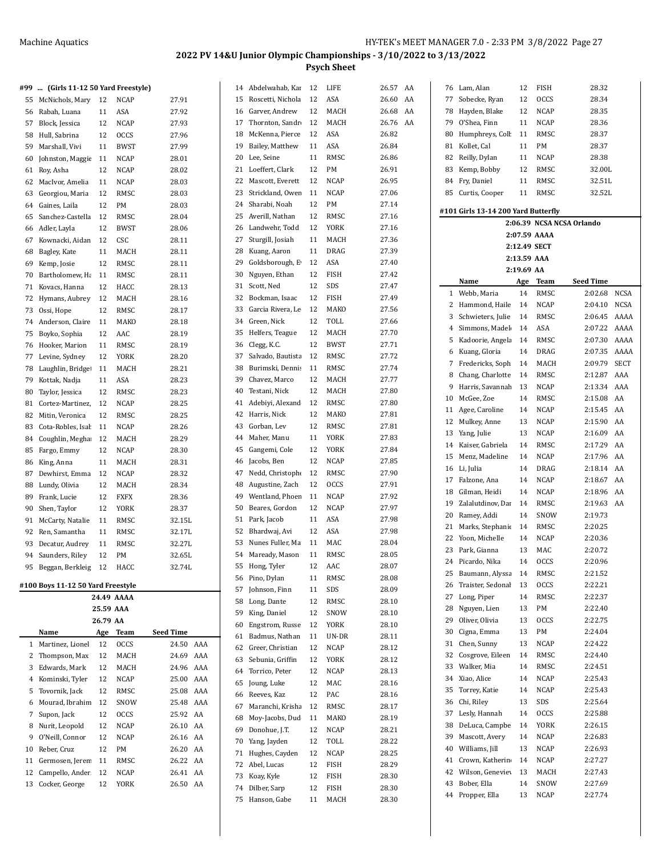14 Abdelwahab, Kar 12 LIFE 26.57 AA

#### **#99 ... (Girls 11-12 50 Yard Freestyle)**

| 55 | McNichols, Mary                   | 12                    | NCAP        | 27.91                     |     |
|----|-----------------------------------|-----------------------|-------------|---------------------------|-----|
| 56 | Rabah, Luana                      | 11                    | ASA         | 27.92                     |     |
| 57 | Block, Jessica                    | 12                    | <b>NCAP</b> | 27.93                     |     |
| 58 | Hull, Sabrina                     | 12                    | OCCS        | 27.96                     |     |
| 59 | Marshall, Vivi                    | 11                    | BWST        | 27.99                     |     |
| 60 | Johnston, Maggie                  | 11                    | <b>NCAP</b> | 28.01                     |     |
| 61 | Roy, Asha                         | 12                    | NCAP        | 28.02                     |     |
| 62 | MacIvor, Amelia                   | 11                    | NCAP        | 28.03                     |     |
| 63 | Georgiou, Maria                   | 12                    | RMSC        | 28.03                     |     |
| 64 | Gaines, Laila                     | 12                    | PM          | 28.03                     |     |
| 65 | Sanchez-Castella                  | 12                    | RMSC        | 28.04                     |     |
| 66 | Adler, Layla                      | 12                    | BWST        | 28.06                     |     |
| 67 | Kownacki, Aidan                   | 12                    | CSC         | 28.11                     |     |
| 68 | Bagley, Kate                      | 11                    | MACH        | 28.11                     |     |
| 69 | Kemp, Josie                       | 12                    | RMSC        | 28.11                     |     |
| 70 | Bartholomew, Ha                   | 11                    | RMSC        | 28.11                     |     |
| 71 | Kovacs, Hanna                     | 12                    | HACC        | 28.13                     |     |
| 72 | Hymans, Aubrey                    | 12                    | MACH        | 28.16                     |     |
| 73 | Ossi, Hope                        | 12                    | RMSC        | 28.17                     |     |
| 74 | Anderson, Claire                  | 11                    | MAKO        | 28.18                     |     |
| 75 | Boyko, Sophia                     | 12                    | AAC         | 28.19                     |     |
| 76 | Hooker, Marion                    | 11                    | RMSC        | 28.19                     |     |
| 77 | Levine, Sydney                    | 12                    | YORK        | 28.20                     |     |
| 78 | Laughlin, Bridge                  | 11                    | MACH        | 28.21                     |     |
| 79 | Kottak, Nadja                     | 11                    | ASA         | 28.23                     |     |
| 80 | Taylor, Jessica                   | 12                    | RMSC        | 28.23                     |     |
| 81 | Cortez-Martinez                   | 12                    | <b>NCAP</b> | 28.25                     |     |
| 82 | Mitin, Veronica                   | 12                    | RMSC        | 28.25                     |     |
| 83 | Cota-Robles, Isal                 | 11                    | <b>NCAP</b> | 28.26                     |     |
| 84 | Coughlin, Megha                   | 12                    | MACH        | 28.29                     |     |
| 85 | Fargo, Emmy                       | 12                    | NCAP        | 28.30                     |     |
| 86 | King, Anna                        | 11                    | MACH        | 28.31                     |     |
| 87 | Dewhirst, Emma                    | 12                    | NCAP        | 28.32                     |     |
| 88 | Lundy, Olivia                     | 12                    | MACH        | 28.34                     |     |
| 89 | Frank, Lucie                      | 12                    | <b>FXFX</b> | 28.36                     |     |
| 90 | Shen, Taylor                      | 12                    | YORK        | 28.37                     |     |
| 91 | McCarty, Natalie                  | 11                    | RMSC        | 32.15L                    |     |
| 92 | Ren, Samantha                     | 11                    | RMSC        | 32.17L                    |     |
| 93 | Decatur, Audrey                   | 11                    | RMSC        | 32.27L                    |     |
| 94 | Saunders, Riley                   | 12                    | PM          | 32.65L                    |     |
| 95 | Beggan, Berkleig                  | 12                    | HACC        | 32.74L                    |     |
|    |                                   |                       |             |                           |     |
|    | #100 Boys 11-12 50 Yard Freestyle |                       |             |                           |     |
|    |                                   |                       | 24.49 AAAA  |                           |     |
|    |                                   | 25.59 AAA<br>26.79 AA |             |                           |     |
|    |                                   |                       | <b>Team</b> |                           |     |
| 1  | Name<br>Martinez, Lionel          | Age<br>12             | <b>OCCS</b> | <b>Seed Time</b><br>24.50 | AAA |
| 2  | Thompson, Max                     | 12                    | MACH        | 24.69                     | AAA |
| 3  | Edwards, Mark                     | 12                    | MACH        | 24.96                     | AAA |
| 4  | Kominski, Tyler                   | 12                    | NCAP        | 25.00                     | AAA |
| 5  | Tovornik, Jack                    | 12                    | RMSC        | 25.08                     | AAA |
| 6  | Mourad, Ibrahim                   | 12                    | SNOW        | 25.48                     | AAA |
| 7  | Supon, Jack                       | 12                    | <b>OCCS</b> | 25.92                     | AA  |
| 8  | Nurit, Leopold                    | 12                    | NCAP        | 26.10                     | AA  |
| 9  | O'Neill, Connor                   | 12                    | NCAP        | 26.16                     | AA  |
| 10 | Reber, Cruz                       | 12                    | PM          | 26.20                     | AA  |
| 11 | Germosen, Jeren                   | 11                    | RMSC        | 26.22                     | AA  |
| 12 | Campello, Ander                   | 12                    | NCAP        | 26.41                     | AA  |
| 13 | Cocker, George                    | 12                    | YORK        | 26.50                     | AA  |
|    |                                   |                       |             |                           |     |

| 15       | Roscetti, Nichola | 12       | ASA          | 26.60 | AA |
|----------|-------------------|----------|--------------|-------|----|
| 16       | Garver, Andrew    | 12       | MACH         | 26.68 | AA |
| 17       | Thornton, Sandr   | 12       | MACH         | 26.76 | AA |
| 18       | McKenna, Pierce   | 12       | ASA          | 26.82 |    |
| 19       | Bailey, Matthew   | 11       | ASA          | 26.84 |    |
| 20       | Lee, Seine        | 11       | RMSC         | 26.86 |    |
| 21       | Loeffert, Clark   | 12       | PМ           | 26.91 |    |
| 22       | Mascott, Everett  | 12       | NCAP         | 26.95 |    |
|          |                   |          |              |       |    |
| 23       | Strickland, Owen  | 11       | <b>NCAP</b>  | 27.06 |    |
| 24       | Sharabi, Noah     | 12       | PМ           | 27.14 |    |
| 25       | Averill, Nathan   | 12       | RMSC         | 27.16 |    |
| 26       | Landwehr, Todd    | 12       | <b>YORK</b>  | 27.16 |    |
| 27       | Sturgill, Josiah  | 11       | MACH         | 27.36 |    |
| 28       | Kuang, Aaron      | 11       | DRAG         | 27.39 |    |
| 29       | Goldsborough, E   | 12       | ASA          | 27.40 |    |
| 30       | Nguyen, Ethan     | 12       | FISH         | 27.42 |    |
| 31       | Scott, Ned        | 12       | SDS          | 27.47 |    |
| 32       | Bockman, Isaac    | 12       | FISH         | 27.49 |    |
| 33       | Garcia Rivera, Le | 12       | MAKO         | 27.56 |    |
| 34       | Green, Nick       | 12       | TOLL         | 27.66 |    |
| 35       | Helfers, Teague   | 12       | MACH         | 27.70 |    |
| 36       | Clegg, K.C.       | 12       | <b>BWST</b>  | 27.71 |    |
| 37       | Salvado, Bautista | 12       | RMSC         | 27.72 |    |
| 38       | Burimski, Dennis  | 11       | RMSC         | 27.74 |    |
| 39       | Chavez, Marco     | 12       | MACH         | 27.77 |    |
| 40       | Testani, Nick     | 12       | MACH         | 27.80 |    |
| 41       | Adebiyi, Alexand  | 12       | RMSC         | 27.80 |    |
| 42       | Harris, Nick      | 12       | MAKO         | 27.81 |    |
| 43       | Gorban, Lev       | 12       | RMSC         | 27.81 |    |
| 44       | Maher, Manu       | 11       | YORK         | 27.83 |    |
| 45       | Gangemi, Cole     | 12       | YORK         | 27.84 |    |
| 46       | Jacobs, Ben       | 12       | NCAP         | 27.85 |    |
| 47       | Nedd, Christophe  | 12       | RMSC         | 27.90 |    |
| 48       | Augustine, Zach   | 12       | <b>OCCS</b>  | 27.91 |    |
|          |                   |          |              | 27.92 |    |
| 49<br>50 | Wentland, Phoen   | 11<br>12 | NCAP<br>NCAP | 27.97 |    |
|          | Beares, Gordon    | 11       |              |       |    |
| 51       | Park, Jacob       |          | ASA          | 27.98 |    |
| 52       | Bhardwaj, Avi     | 12       | ASA          | 27.98 |    |
| 53       | Nunes Fuller, Ma  | 11       | MAC          | 28.04 |    |
| 54       | Maready, Mason    | 11       | RMSC         | 28.05 |    |
| 55       | Hong, Tyler       | 12       | AAC          | 28.07 |    |
| 56       | Pino, Dylan       | 11       | RMSC         | 28.08 |    |
| 57       | Johnson, Finn     | 11       | SDS          | 28.09 |    |
| 58       | Long, Dante       | 12       | RMSC         | 28.10 |    |
| 59       | King, Daniel      | 12       | SNOW         | 28.10 |    |
| 60       | Engstrom, Russe   | 12       | YORK         | 28.10 |    |
| 61       | Badmus, Nathan    | 11       | UN-DR        | 28.11 |    |
| 62       | Greer, Christian  | 12       | <b>NCAP</b>  | 28.12 |    |
| 63       | Sebunia, Griffin  | 12       | YORK         | 28.12 |    |
| 64       | Torrico, Peter    | 12       | NCAP         | 28.13 |    |
| 65       | Joung, Luke       | 12       | MAC          | 28.16 |    |
| 66       | Reeves, Kaz       | 12       | PAC          | 28.16 |    |
| 67       | Maranchi, Krisha  | 12       | RMSC         | 28.17 |    |
| 68       | Moy-Jacobs, Dud   | 11       | MAKO         | 28.19 |    |
| 69       | Donohue, J.T.     | 12       | NCAP         | 28.21 |    |
| 70       | Yang, Jayden      | 12       | TOLL         | 28.22 |    |
| 71       | Hughes, Cayden    | 12       | NCAP         | 28.25 |    |
| 72       | Abel, Lucas       | 12       | FISH         | 28.29 |    |
| 73       | Koay, Kyle        | 12       | FISH         | 28.30 |    |
| 74       | Dilber, Sarp      | 12       | FISH         | 28.30 |    |
| 75       | Hanson, Gabe      | 11       | MACH         | 28.30 |    |
|          |                   |          |              |       |    |

| 76                                  | Lam, Alan         | 12           | FISH         | 28.32                     |  |  |  |
|-------------------------------------|-------------------|--------------|--------------|---------------------------|--|--|--|
| 77                                  | Sobecke, Ryan     | 12           | <b>OCCS</b>  | 28.34                     |  |  |  |
| 78                                  | Hayden, Blake     | 12           | NCAP         | 28.35                     |  |  |  |
| 79                                  | O'Shea, Finn      | 11           | NCAP         | 28.36                     |  |  |  |
| 80                                  | Humphreys, Coll   | 11           | <b>RMSC</b>  | 28.37                     |  |  |  |
|                                     |                   |              |              |                           |  |  |  |
| 81                                  | Kollet, Cal       | 11           | PМ           | 28.37                     |  |  |  |
| 82                                  | Reilly, Dylan     | 11           | NCAP         | 28.38                     |  |  |  |
| 83                                  | Kemp, Bobby       | 12           | RMSC         | 32.00L                    |  |  |  |
| 84                                  | Fry, Daniel       | 11           | RMSC         | 32.51L                    |  |  |  |
| 85                                  | Curtis, Cooper    | 11           | RMSC         | 32.52L                    |  |  |  |
|                                     |                   |              |              |                           |  |  |  |
| #101 Girls 13-14 200 Yard Butterfly |                   |              |              |                           |  |  |  |
|                                     |                   |              |              | 2:06.39 NCSA NCSA Orlando |  |  |  |
|                                     |                   |              | 2:07.59 AAAA |                           |  |  |  |
|                                     |                   | 2:12.49 SECT |              |                           |  |  |  |
|                                     |                   | 2:13.59 AAA  |              |                           |  |  |  |
|                                     |                   | 2:19.69 AA   |              |                           |  |  |  |
|                                     |                   |              |              |                           |  |  |  |
|                                     | Name              | Age          | Team         | Seed Time                 |  |  |  |
| 1                                   | Webb, Maria       | 14           | RMSC         | 2:02.68<br><b>NCSA</b>    |  |  |  |
| 2                                   | Hammond, Haile    | 14           | NCAP         | 2:04.10<br><b>NCSA</b>    |  |  |  |
| 3                                   | Schwieters, Julie | 14           | RMSC         | 2:06.45<br>AAAA           |  |  |  |
| 4                                   | Simmons, Madel    | 14           | ASA          | 2:07.22<br>AAAA           |  |  |  |
| 5                                   | Kadoorie, Angela  | 14           | RMSC         | 2:07.30<br>AAAA           |  |  |  |
| 6                                   | Kuang, Gloria     | 14           | DRAG         | 2:07.35<br>AAAA           |  |  |  |
| 7                                   | Fredericks, Soph  | 14           | MACH         | 2:09.79<br><b>SECT</b>    |  |  |  |
| 8                                   |                   | 14           | RMSC         | 2:12.87<br>AAA            |  |  |  |
|                                     | Chang, Charlotte  |              |              |                           |  |  |  |
| 9                                   | Harris, Savannah  | 13           | <b>NCAP</b>  | 2:13.34<br>AAA            |  |  |  |
| 10                                  | McGee, Zoe        | 14           | RMSC         | 2:15.08<br>AA             |  |  |  |
| 11                                  | Agee, Caroline    | 14           | NCAP         | 2:15.45<br>AA             |  |  |  |
| 12                                  | Mulkey, Anne      | 13           | NCAP         | 2:15.90<br>AA             |  |  |  |
| 13                                  | Yang, Julie       | 13           | NCAP         | 2:16.09<br>AA             |  |  |  |
| 14                                  | Kaiser, Gabriela  | 14           | RMSC         | 2:17.29<br>AA             |  |  |  |
| 15                                  | Menz, Madeline    | 14           | NCAP         | 2:17.96<br>AA             |  |  |  |
| 16                                  | Li, Julia         | 14           | DRAG         | 2:18.14<br>AA             |  |  |  |
|                                     |                   |              |              | AA                        |  |  |  |
| 17                                  | Falzone, Ana      | 14           | NCAP         | 2:18.67                   |  |  |  |
| 18                                  | Gilman, Heidi     | 14           | NCAP         | 2:18.96<br>AA             |  |  |  |
| 19                                  | Zalalutdinov, Dar | 14           | RMSC         | 2:19.63<br>AA             |  |  |  |
| 20                                  | Ramey, Addi       | 14           | SNOW         | 2:19.73                   |  |  |  |
| 21                                  | Marks, Stephanie  | 14           | RMSC         | 2:20.25                   |  |  |  |
| 22                                  | Yoon, Michelle    | 14           | NCAP         | 2:20.36                   |  |  |  |
| 23                                  | Park, Gianna      | 13           | MAC          | 2:20.72                   |  |  |  |
|                                     | 24 Picardo, Nika  | 14           | <b>OCCS</b>  | 2:20.96                   |  |  |  |
| 25                                  | Baumann, Alyssa   | 14           | RMSC         | 2:21.52                   |  |  |  |
| 26                                  | Traister, Sedonal | 13           | <b>OCCS</b>  | 2:22.21                   |  |  |  |
| 27                                  | Long, Piper       | 14           | RMSC         | 2:22.37                   |  |  |  |
|                                     |                   |              |              |                           |  |  |  |
| 28                                  | Nguyen, Lien      | 13           | PM           | 2:22.40                   |  |  |  |
| 29                                  | Oliver, Olivia    | 13           | OCCS         | 2:22.75                   |  |  |  |
| 30                                  | Cigna, Emma       | 13           | PM           | 2:24.04                   |  |  |  |
| 31                                  | Chen, Sunny       | 13           | NCAP         | 2:24.22                   |  |  |  |
| 32                                  | Cosgrove, Eileen  | 14           | RMSC         | 2:24.40                   |  |  |  |
| 33                                  | Walker, Mia       | 14           | RMSC         | 2:24.51                   |  |  |  |
| 34                                  | Xiao, Alice       | 14           | NCAP         | 2:25.43                   |  |  |  |
| 35                                  | Torrey, Katie     | 14           | NCAP         | 2:25.43                   |  |  |  |
| 36                                  | Chi, Riley        | 13           | SDS          | 2:25.64                   |  |  |  |
|                                     |                   |              |              |                           |  |  |  |
| 37                                  | Lesly, Hannah     | 14           | <b>OCCS</b>  | 2:25.88                   |  |  |  |
| 38                                  | DeLuca, Campbe    | 14           | YORK         | 2:26.15                   |  |  |  |
| 39                                  | Mascott, Avery    | 14           | NCAP         | 2:26.83                   |  |  |  |
| 40                                  | Williams, Jill    | 13           | NCAP         | 2:26.93                   |  |  |  |
| 41                                  | Crown, Katherin   | 14           | NCAP         | 2:27.27                   |  |  |  |
| 42                                  | Wilson, Geneviey  | 13           | MACH         | 2:27.43                   |  |  |  |
| 43                                  | Bober, Ella       | 14           | SNOW         | 2:27.69                   |  |  |  |
| 44                                  | Propper, Ella     | 13           | NCAP         | 2:27.74                   |  |  |  |
|                                     |                   |              |              |                           |  |  |  |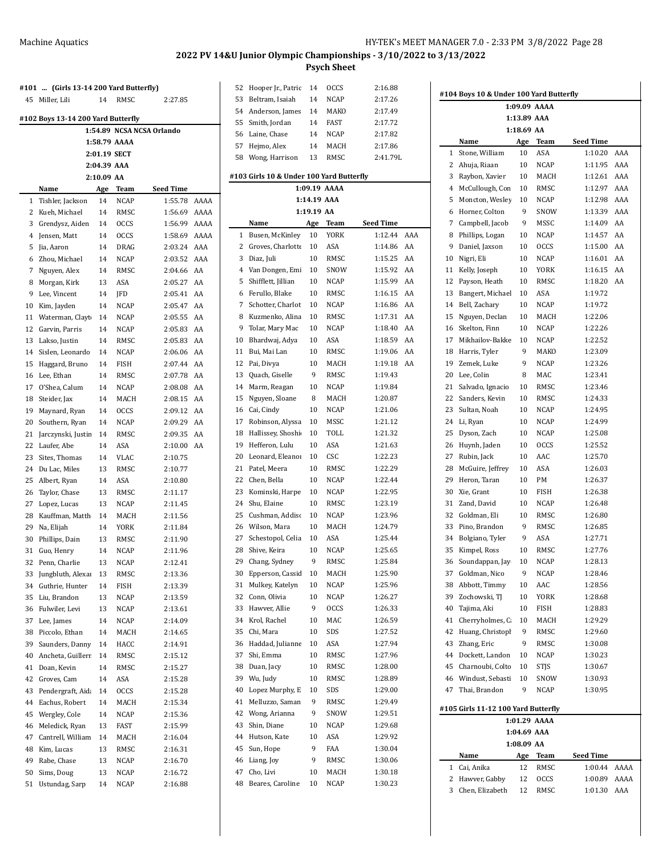J.

|                                                                 | #101  (Girls 13-14 200 Yard Butterfly) |          |                            |                             |              |  |  |
|-----------------------------------------------------------------|----------------------------------------|----------|----------------------------|-----------------------------|--------------|--|--|
| 45                                                              | Miller, Lili                           | 14       | RMSC                       | 2:27.85                     |              |  |  |
| #102 Boys 13-14 200 Yard Butterfly<br>1:54.89 NCSA NCSA Orlando |                                        |          |                            |                             |              |  |  |
|                                                                 |                                        |          |                            |                             |              |  |  |
|                                                                 |                                        |          | 1:58.79 AAAA               |                             |              |  |  |
|                                                                 |                                        |          | 2:01.19 SECT               |                             |              |  |  |
|                                                                 |                                        |          | 2:04.39 AAA                |                             |              |  |  |
| 2:10.09 AA                                                      |                                        |          |                            |                             |              |  |  |
|                                                                 | Name                                   | Age      | <b>Team</b><br><b>NCAP</b> | <b>Seed Time</b><br>1:55.78 | AAAA         |  |  |
| 1<br>2                                                          | Tishler, Jackson                       | 14       | RMSC                       |                             |              |  |  |
| 3                                                               | Kueh, Michael                          | 14       |                            | 1:56.69<br>1:56.99          | AAAA<br>AAAA |  |  |
| 4                                                               | Grendysz, Aiden<br>Jensen, Matt        | 14<br>14 | <b>OCCS</b><br><b>OCCS</b> | 1:58.69                     | AAAA         |  |  |
| 5                                                               | Jia, Aaron                             | 14       | DRAG                       | 2:03.24                     | AAA          |  |  |
| 6                                                               | Zhou, Michael                          | 14       | NCAP                       | 2:03.52                     | AAA          |  |  |
| 7                                                               | Nguyen, Alex                           | 14       | RMSC                       | 2:04.66                     | AA           |  |  |
| 8                                                               | Morgan, Kirk                           | 13       | ASA                        | 2:05.27                     | AA           |  |  |
| 9                                                               | Lee, Vincent                           | 14       | <b>IFD</b>                 | 2:05.41                     | AA           |  |  |
| 10                                                              | Kim, Jayden                            | 14       | <b>NCAP</b>                | 2:05.47                     | AA           |  |  |
| 11                                                              | Waterman, Clayt                        | 14       | NCAP                       | 2:05.55                     | AA           |  |  |
| 12                                                              | Garvin, Parris                         | 14       | NCAP                       | 2:05.83                     | AA           |  |  |
| 13                                                              | Lakso, Justin                          | 14       | RMSC                       | 2:05.83                     | AA           |  |  |
| 14                                                              | Sislen, Leonardo                       | 14       | <b>NCAP</b>                | 2:06.06                     | AA           |  |  |
| 15                                                              | Haggard, Bruno                         | 14       | FISH                       | 2:07.44                     | AA           |  |  |
| 16                                                              | Lee, Ethan                             | 14       | RMSC                       | 2:07.78                     | AA           |  |  |
| 17                                                              | O'Shea, Calum                          | 14       | NCAP                       | 2:08.08                     | AA           |  |  |
| 18                                                              | Steider, Jax                           | 14       | MACH                       | 2:08.15                     | AA           |  |  |
| 19                                                              | Maynard, Ryan                          | 14       | <b>OCCS</b>                | 2:09.12                     | AA           |  |  |
| 20                                                              | Southern, Ryan                         | 14       | NCAP                       | 2:09.29                     | AA           |  |  |
| 21                                                              | Jarczynski, Justir                     | 14       | RMSC                       | 2:09.35                     | AA           |  |  |
| 22                                                              | Laufer, Abe                            | 14       | ASA                        | 2:10.00                     | AA           |  |  |
| 23                                                              | Sites, Thomas                          | 14       | VLAC                       | 2:10.75                     |              |  |  |
| 24                                                              | Du Lac, Miles                          | 13       | RMSC                       | 2:10.77                     |              |  |  |
| 25                                                              | Albert, Ryan                           | 14       | ASA                        | 2:10.80                     |              |  |  |
| 26                                                              | Taylor, Chase                          | 13       | RMSC                       | 2:11.17                     |              |  |  |
| 27                                                              | Lopez, Lucas                           | 13       | NCAP                       | 2:11.45                     |              |  |  |
| 28                                                              | Kauffman, Matth                        | 14       | MACH                       | 2:11.56                     |              |  |  |
| 29                                                              | Na, Elijah                             | 14       | YORK                       | 2:11.84                     |              |  |  |
| 30                                                              | Phillips, Dain                         | 13       | RMSC                       | 2:11.90                     |              |  |  |
| 31                                                              | Guo, Henry                             | 14       | <b>NCAP</b>                | 2:11.96                     |              |  |  |
| 32                                                              | Penn, Charlie                          | 13       | NCAP                       | 2:12.41                     |              |  |  |
| 33                                                              | Jungbluth, Alexar                      | 13       | RMSC                       | 2:13.36                     |              |  |  |
| 34                                                              | Guthrie, Hunter                        | 14       | <b>FISH</b>                | 2:13.39                     |              |  |  |
| 35                                                              | Liu. Brandon                           | 13       | <b>NCAP</b>                | 2:13.59                     |              |  |  |
| 36                                                              | Fulwiler, Levi                         | 13       | NCAP                       | 2:13.61                     |              |  |  |
| 37                                                              | Lee, James                             | 14       | NCAP                       | 2:14.09                     |              |  |  |
| 38                                                              | Piccolo, Ethan                         | 14       | MACH                       | 2:14.65                     |              |  |  |
| 39                                                              | Saunders, Danny                        | 14       | HACC                       | 2:14.91                     |              |  |  |
| 40                                                              | Ancheta, Guillerr                      | 14       | RMSC                       | 2:15.12                     |              |  |  |
| 41                                                              | Doan, Kevin                            | 14       | RMSC                       | 2:15.27                     |              |  |  |
| 42                                                              | Groves, Cam                            | 14       | ASA                        | 2:15.28                     |              |  |  |
| 43                                                              | Pendergraft, Aid.                      | 14       | <b>OCCS</b>                | 2:15.28                     |              |  |  |
| 44                                                              | Eachus, Robert                         | 14       | MACH                       | 2:15.34                     |              |  |  |
| 45                                                              | Wergley, Cole                          | 14       | <b>NCAP</b>                | 2:15.36                     |              |  |  |
| 46                                                              | Meledick, Ryan                         | 13       | FAST                       | 2:15.99                     |              |  |  |
| 47                                                              | Cantrell, William                      | 14       | MACH                       | 2:16.04                     |              |  |  |
| 48                                                              | Kim, Lucas                             | 13       | RMSC                       | 2:16.31                     |              |  |  |
| 49                                                              | Rabe, Chase                            | 13       | NCAP                       | 2:16.70                     |              |  |  |
| 50                                                              | Sims, Doug                             | 13       | NCAP                       | 2:16.72                     |              |  |  |
| 51                                                              | Ustundag, Sarp                         | 14       | NCAP                       | 2:16.88                     |              |  |  |

| 52 | Hooper Jr., Patric                       | 14          | <b>OCCS</b>  | 2:16.88   |     |
|----|------------------------------------------|-------------|--------------|-----------|-----|
| 53 | Beltram, Isaiah                          | 14          | <b>NCAP</b>  | 2:17.26   |     |
| 54 |                                          | 14          | MAKO         | 2:17.49   |     |
|    | Anderson, James                          |             |              |           |     |
| 55 | Smith, Jordan                            | 14          | <b>FAST</b>  | 2:17.72   |     |
| 56 | Laine, Chase                             | 14          | NCAP         | 2:17.82   |     |
| 57 | Hejmo, Alex                              | 14          | MACH         | 2:17.86   |     |
| 58 | Wong, Harrison                           | 13          | RMSC         | 2:41.79L  |     |
|    |                                          |             |              |           |     |
|    | #103 Girls 10 & Under 100 Yard Butterfly |             |              |           |     |
|    |                                          |             | 1:09.19 AAAA |           |     |
|    |                                          | 1:14.19 AAA |              |           |     |
|    |                                          | 1:19.19 AA  |              |           |     |
|    | Name                                     | Age         | <b>Team</b>  | Seed Time |     |
| 1  | Busen, McKinley                          | 10          | YORK         | 1:12.44   | AAA |
| 2  | Groves, Charlotte                        | 10          | ASA          | 1:14.86   | AA  |
| 3  | Diaz, Juli                               | 10          | RMSC         | 1:15.25   | AA  |
| 4  | Van Dongen, Emi                          | 10          | SNOW         | 1:15.92   | AA  |
| 5  | Shifflett, Jillian                       | 10          | NCAP         | 1:15.99   | AA  |
| 6  | Ferullo, Blake                           | 10          | RMSC         | 1:16.15   | AA  |
|    |                                          |             |              | 1:16.86   |     |
| 7  | Schotter, Charlot                        | 10          | NCAP         |           | AA  |
| 8  | Kuzmenko, Alina                          | 10          | RMSC         | 1:17.31   | AA  |
| 9  | Tolar, Mary Mac                          | 10          | NCAP         | 1:18.40   | AA  |
| 10 | Bhardwaj, Adya                           | 10          | ASA          | 1:18.59   | AA  |
| 11 | Bui, Mai Lan                             | 10          | RMSC         | 1:19.06   | AA  |
| 12 | Pai, Divya                               | 10          | MACH         | 1:19.18   | AA  |
| 13 | Quach, Giselle                           | 9           | RMSC         | 1:19.43   |     |
| 14 | Marm, Reagan                             | 10          | NCAP         | 1:19.84   |     |
| 15 | Nguyen, Sloane                           | 8           | MACH         | 1:20.87   |     |
| 16 | Cai, Cindy                               | 10          | NCAP         | 1:21.06   |     |
| 17 | Robinson, Alyssa                         | 10          | MSSC         | 1:21.12   |     |
| 18 | Hallissey, Shoshi                        | 10          | TOLL         | 1:21.32   |     |
|    |                                          |             |              |           |     |
| 19 | Hefferon, Lulu                           | 10          | ASA          | 1:21.63   |     |
| 20 | Leonard, Eleanor                         | 10          | CSC          | 1:22.23   |     |
| 21 | Patel, Meera                             | 10          | RMSC         | 1:22.29   |     |
| 22 | Chen, Bella                              | 10          | NCAP         | 1:22.44   |     |
| 23 | Kominski, Harpe                          | 10          | NCAP         | 1:22.95   |     |
| 24 | Shu, Elaine                              | 10          | RMSC         | 1:23.19   |     |
| 25 | Cushman, Addisc                          | 10          | NCAP         | 1:23.96   |     |
| 26 | Wilson, Mara                             | 10          | MACH         | 1:24.79   |     |
| 27 | Schestopol, Celia                        | 10          | ASA          | 1:25.44   |     |
| 28 | Shive, Keira                             | 10          | NCAP         | 1:25.65   |     |
| 29 | Chang, Sydney                            | 9           | RMSC         | 1:25.84   |     |
| 30 | Epperson, Cassid                         | 10          | MACH         | 1:25.90   |     |
| 31 | Mulkey, Katelyn                          | 10          | NCAP         | 1:25.96   |     |
| 32 | Conn, Olivia                             | 10          | NCAP         | 1:26.27   |     |
|    |                                          |             |              |           |     |
| 33 | Hawver, Allie                            | 9           | OCCS         | 1:26.33   |     |
| 34 | Krol, Rachel                             | 10          | MAC          | 1:26.59   |     |
| 35 | Chi, Mara                                | 10          | SDS          | 1:27.52   |     |
| 36 | Haddad, Julianne                         | 10          | ASA          | 1:27.94   |     |
| 37 | Shi, Emma                                | 10          | RMSC         | 1:27.96   |     |
| 38 | Duan, Jacy                               | 10          | RMSC         | 1:28.00   |     |
| 39 | Wu, Judy                                 | 10          | RMSC         | 1:28.89   |     |
| 40 | Lopez Murphy, E                          | 10          | SDS          | 1:29.00   |     |
| 41 | Melluzzo, Saman                          | 9           | RMSC         | 1:29.49   |     |
| 42 | Wong, Arianna                            | 9           | SNOW         | 1:29.51   |     |
| 43 | Shin, Diane                              | 10          | NCAP         | 1:29.68   |     |
| 44 | Hutson, Kate                             | 10          | ASA          | 1:29.92   |     |
|    |                                          |             |              |           |     |
| 45 | Sun, Hope                                | 9           | FAA          | 1:30.04   |     |
| 46 | Liang, Joy                               | 9           | RMSC         | 1:30.06   |     |
| 47 | Cho, Livi                                | 10          | MACH         | 1:30.18   |     |
| 48 | Beares, Caroline                         | 10          | NCAP         | 1:30.23   |     |
|    |                                          |             |              |           |     |

| #104 Boys 10 & Under 100 Yard Butterfly |                                     |              |             |                  |      |  |  |  |
|-----------------------------------------|-------------------------------------|--------------|-------------|------------------|------|--|--|--|
| 1:09.09 AAAA                            |                                     |              |             |                  |      |  |  |  |
| 1:13.89 AAA                             |                                     |              |             |                  |      |  |  |  |
|                                         |                                     | 1:18.69 AA   |             |                  |      |  |  |  |
|                                         | Name                                | Age          | Team        | <b>Seed Time</b> |      |  |  |  |
| 1                                       | Stone, William                      | 10           | ASA         | 1:10.20          | AAA  |  |  |  |
| 2                                       | Ahuja, Riaan                        | 10           | <b>NCAP</b> | 1:11.95          | AAA  |  |  |  |
| 3                                       | Raybon, Xavier                      | 10           | MACH        | 1:12.61          | AAA  |  |  |  |
| 4                                       | McCullough, Con                     | 10           | RMSC        | 1:12.97          | AAA  |  |  |  |
| 5                                       | Moncton, Wesley                     | 10           | <b>NCAP</b> | 1:12.98          | AAA  |  |  |  |
| 6                                       | Horner, Colton                      | 9            | SNOW        | 1:13.39          | AAA  |  |  |  |
| 7                                       | Campbell, Jacob                     | 9            | <b>MSSC</b> | 1:14.09          | AA   |  |  |  |
| 8                                       | Phillips, Logan                     | 10           | <b>NCAP</b> | 1:14.57          | AA   |  |  |  |
| 9                                       | Daniel, Jaxson                      | 10           | <b>OCCS</b> | 1:15.00          | AA   |  |  |  |
| 10                                      | Nigri, Eli                          | 10           | <b>NCAP</b> | 1:16.01          | AA   |  |  |  |
|                                         |                                     |              |             |                  | AA   |  |  |  |
| 11                                      | Kelly, Joseph                       | 10           | YORK        | 1:16.15          |      |  |  |  |
| 12                                      | Payson, Heath                       | 10           | RMSC        | 1:18.20          | AA   |  |  |  |
| 13                                      | Bangert, Michael                    | 10           | ASA         | 1:19.72          |      |  |  |  |
| 14                                      | Bell, Zachary                       | 10           | <b>NCAP</b> | 1:19.72          |      |  |  |  |
| 15                                      | Nguyen, Declan                      | 10           | MACH        | 1:22.06          |      |  |  |  |
| 16                                      | Skelton, Finn                       | 10           | <b>NCAP</b> | 1:22.26          |      |  |  |  |
| 17                                      | Mikhailov-Bakke                     | 10           | <b>NCAP</b> | 1:22.52          |      |  |  |  |
| 18                                      | Harris, Tyler                       | 9            | <b>MAKO</b> | 1:23.09          |      |  |  |  |
| 19                                      | Zemek, Luke                         | 9            | <b>NCAP</b> | 1:23.26          |      |  |  |  |
| 20                                      | Lee, Colin                          | 8            | MAC         | 1:23.41          |      |  |  |  |
| 21                                      | Salvado, Ignacio                    | 10           | RMSC        | 1:23.46          |      |  |  |  |
| 22                                      | Sanders, Kevin                      | 10           | RMSC        | 1:24.33          |      |  |  |  |
| 23                                      | Sultan, Noah                        | 10           | NCAP        | 1:24.95          |      |  |  |  |
| 24                                      | Li, Ryan                            | 10           | <b>NCAP</b> | 1:24.99          |      |  |  |  |
| 25                                      | Dyson, Zach                         | 10           | <b>NCAP</b> | 1:25.08          |      |  |  |  |
| 26                                      | Huynh, Jaden                        | 10           | <b>OCCS</b> | 1:25.52          |      |  |  |  |
| 27                                      | Rubin, Jack                         | 10           | AAC         | 1:25.70          |      |  |  |  |
| 28                                      | McGuire, Jeffrey                    | 10           | ASA         | 1:26.03          |      |  |  |  |
| 29                                      | Heron, Taran                        | 10           | PM          | 1:26.37          |      |  |  |  |
| 30                                      | Xie, Grant                          | 10           | <b>FISH</b> | 1:26.38          |      |  |  |  |
| 31                                      | Zand, David                         | 10           | <b>NCAP</b> | 1:26.48          |      |  |  |  |
| 32                                      |                                     | 10           | <b>RMSC</b> | 1:26.80          |      |  |  |  |
|                                         | Goldman, Eli                        |              |             |                  |      |  |  |  |
| 33                                      | Pino, Brandon                       | 9            | RMSC        | 1:26.85          |      |  |  |  |
| 34                                      | Bolgiano, Tyler                     | 9            | <b>ASA</b>  | 1:27.71          |      |  |  |  |
| 35                                      | Kimpel, Ross                        | 10           | RMSC        | 1:27.76          |      |  |  |  |
| 36                                      | Soundappan, Jay                     | 10           | <b>NCAP</b> | 1:28.13          |      |  |  |  |
| 37                                      | Goldman, Nico                       | 9            | NCAP        | 1:28.46          |      |  |  |  |
| 38                                      | Abbott, Timmy                       | 10           | AAC         | 1:28.56          |      |  |  |  |
| 39                                      | Zochowski, TJ                       | 10           | YORK        | 1:28.68          |      |  |  |  |
| 40                                      | Tajima, Aki                         | 10           | FISH        | 1:28.83          |      |  |  |  |
| 41                                      | Cherryholmes, C                     | 10           | MACH        | 1:29.29          |      |  |  |  |
| 42                                      | Huang, Christopl                    | 9            | RMSC        | 1:29.60          |      |  |  |  |
| 43                                      | Zhang, Eric                         | 9            | RMSC        | 1:30.08          |      |  |  |  |
| 44                                      | Dockett, Landon                     | 10           | <b>NCAP</b> | 1:30.23          |      |  |  |  |
| 45                                      | Charnoubi, Colto                    | 10           | <b>STIS</b> | 1:30.67          |      |  |  |  |
| 46                                      | Windust, Sebasti                    | 10           | SNOW        | 1:30.93          |      |  |  |  |
| 47                                      | Thai, Brandon                       | 9            | NCAP        | 1:30.95          |      |  |  |  |
|                                         | #105 Girls 11-12 100 Yard Butterfly |              |             |                  |      |  |  |  |
|                                         |                                     | 1:01.29 AAAA |             |                  |      |  |  |  |
|                                         |                                     | 1:04.69 AAA  |             |                  |      |  |  |  |
|                                         |                                     | 1:08.09 AA   |             |                  |      |  |  |  |
|                                         | Name                                | Age          | Team        | Seed Time        |      |  |  |  |
| 1                                       | Cai, Anika                          | 12           | RMSC        | 1:00.44          | AAAA |  |  |  |
| 2                                       | Hawver, Gabby                       | 12           | <b>OCCS</b> | 1:00.89          | AAAA |  |  |  |
| 3                                       | Chen, Elizabeth                     | 12           | RMSC        | 1:01.30          | AAA  |  |  |  |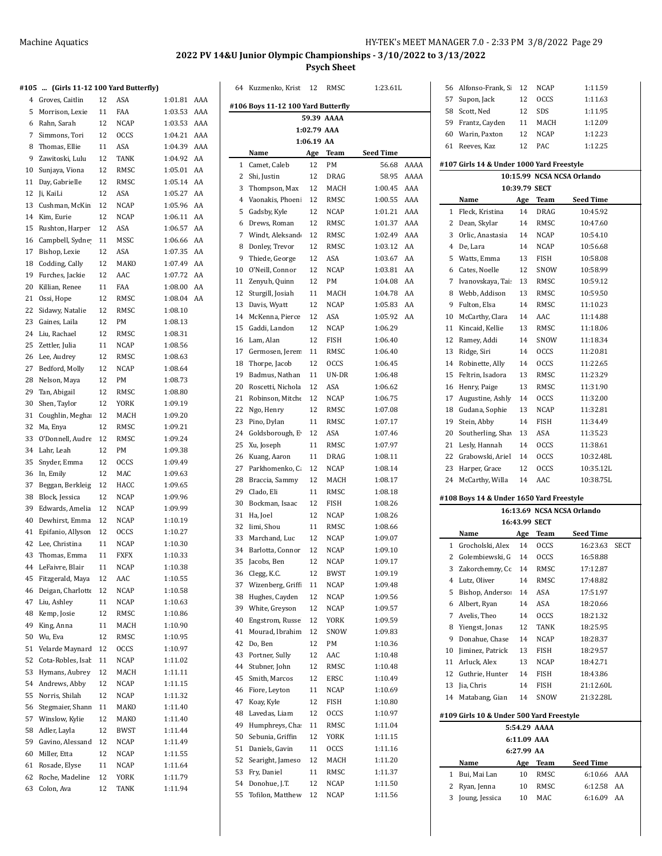Kuzmenko, Kristina 12 RMSC 1:23.61L

#### **#105 ... (Girls 11-12 100 Yard Butterfly)**

| 105            | (Girls 11-12 100 Yard Butterfly) |    |             |         |     |  |
|----------------|----------------------------------|----|-------------|---------|-----|--|
| $\overline{4}$ | Groves, Caitlin                  | 12 | ASA         | 1:01.81 | AAA |  |
| 5              | Morrison, Lexie                  | 11 | FAA         | 1:03.53 | AAA |  |
| 6              | Rahn, Sarah                      | 12 | <b>NCAP</b> | 1:03.53 | AAA |  |
| 7              | Simmons, Tori                    | 12 | <b>OCCS</b> | 1:04.21 | AAA |  |
| 8              | Thomas, Ellie                    | 11 | ASA         | 1:04.39 | AAA |  |
| 9              | Zawitoski, Lulu                  | 12 | <b>TANK</b> | 1:04.92 | AA  |  |
| 10             | Sunjaya, Viona                   | 12 | RMSC        | 1:05.01 | AA  |  |
| 11             | Day, Gabrielle                   | 12 | RMSC        | 1:05.14 | AA  |  |
| 12             | Ji, KaiLi                        | 12 | ASA         | 1:05.27 | AA  |  |
| 13             | Cushman, McKin                   | 12 | <b>NCAP</b> | 1:05.96 | AA  |  |
| 14             | Kim, Eurie                       | 12 | <b>NCAP</b> | 1:06.11 | AA  |  |
| 15             | Rushton, Harper                  | 12 | <b>ASA</b>  | 1:06.57 | AA  |  |
| 16             | Campbell, Sydne                  | 11 | MSSC        | 1:06.66 | AA  |  |
| 17             | Bishop, Lexie                    | 12 | ASA         | 1:07.35 | AA  |  |
| 18             | Codding, Cally                   | 12 | MAKO        | 1:07.49 | AA  |  |
| 19             | Furches, Jackie                  | 12 | AAC         | 1:07.72 | AA  |  |
| 20             | Killian, Renee                   | 11 | FAA         | 1:08.00 | AA  |  |
| 21             | Ossi, Hope                       | 12 | RMSC        | 1:08.04 | AA  |  |
| 22             | Sidawy, Natalie                  | 12 | RMSC        | 1:08.10 |     |  |
| 23             | Gaines, Laila                    | 12 | PM          | 1:08.13 |     |  |
| 24             | Liu, Rachael                     | 12 | RMSC        | 1:08.31 |     |  |
| 25             | Zettler, Julia                   | 11 | <b>NCAP</b> | 1:08.56 |     |  |
|                |                                  |    |             | 1:08.63 |     |  |
| 26             | Lee, Audrey                      | 12 | RMSC        |         |     |  |
| 27             | Bedford, Molly                   | 12 | <b>NCAP</b> | 1:08.64 |     |  |
| 28             | Nelson, Maya                     | 12 | PM          | 1:08.73 |     |  |
| 29             | Tan, Abigail                     | 12 | RMSC        | 1:08.80 |     |  |
| 30             | Shen, Taylor                     | 12 | YORK        | 1:09.19 |     |  |
| 31             | Coughlin, Megha                  | 12 | MACH        | 1:09.20 |     |  |
| 32             | Ma, Enya                         | 12 | RMSC        | 1:09.21 |     |  |
| 33             | O'Donnell, Audre                 | 12 | RMSC        | 1:09.24 |     |  |
| 34             | Lahr, Leah                       | 12 | PM          | 1:09.38 |     |  |
| 35             | Snyder, Emma                     | 12 | <b>OCCS</b> | 1:09.49 |     |  |
| 36             | In, Emily                        | 12 | MAC         | 1:09.63 |     |  |
| 37             | Beggan, Berkleig                 | 12 | HACC        | 1:09.65 |     |  |
| 38             | Block, Jessica                   | 12 | NCAP        | 1:09.96 |     |  |
| 39             | Edwards, Amelia                  | 12 | NCAP        | 1:09.99 |     |  |
| 40             | Dewhirst, Emma                   | 12 | <b>NCAP</b> | 1:10.19 |     |  |
| 41             | Epifanio, Allyson                | 12 | <b>OCCS</b> | 1:10.27 |     |  |
| 42             | Lee, Christina                   | 11 | NCAP        | 1:10.30 |     |  |
| 43             | Thomas, Emma                     | 11 | <b>FXFX</b> | 1:10.33 |     |  |
|                | 44 LeFaivre, Blair               | 11 | <b>NCAP</b> | 1:10.38 |     |  |
| 45             | Fitzgerald, Maya                 | 12 | AAC         | 1:10.55 |     |  |
| 46             | Deigan, Charlotte                | 12 | NCAP        | 1:10.58 |     |  |
| 47             | Liu, Ashley                      | 11 | NCAP        | 1:10.63 |     |  |
| 48             | Kemp, Josie                      | 12 | RMSC        | 1:10.86 |     |  |
| 49             | King, Anna                       | 11 | MACH        | 1:10.90 |     |  |
| 50             | Wu, Eva                          | 12 | RMSC        | 1:10.95 |     |  |
| 51             | Velarde Maynard                  | 12 | OCCS        | 1:10.97 |     |  |
| 52             | Cota-Robles, Isal                | 11 | NCAP        | 1:11.02 |     |  |
| 53             | Hymans, Aubrey                   | 12 | MACH        | 1:11.11 |     |  |
| 54             | Andrews, Abby                    | 12 | <b>NCAP</b> | 1:11.15 |     |  |
| 55             | Norris, Shilah                   | 12 | NCAP        | 1:11.32 |     |  |
| 56             | Stegmaier, Shanr                 | 11 | MAKO        | 1:11.40 |     |  |
| 57             | Winslow, Kylie                   | 12 | MAKO        | 1:11.40 |     |  |
| 58             | Adler, Layla                     | 12 | BWST        | 1:11.44 |     |  |
| 59             | Gavino, Alessand                 | 12 | NCAP        | 1:11.49 |     |  |
| 60             | Miller, Etta                     | 12 | NCAP        | 1:11.55 |     |  |
| 61             | Rosade, Elyse                    | 11 | NCAP        | 1:11.64 |     |  |
| 62             | Roche, Madeline                  | 12 | YORK        | 1:11.79 |     |  |
| 63             | Colon, Ava                       | 12 | TANK        | 1:11.94 |     |  |

|             |                                   |            | 59.39 AAAA   |                    |            |
|-------------|-----------------------------------|------------|--------------|--------------------|------------|
| 1:02.79 AAA |                                   |            |              |                    |            |
|             |                                   | 1:06.19 AA |              |                    |            |
|             | Name                              | Age        | Team         | Seed Time          |            |
| 1           | Camet, Caleb                      | 12         | PM           | 56.68              | AAAA       |
| 2<br>3      | Shi, Justin                       | 12         | DRAG         | 58.95              | AAAA       |
| 4           | Thompson, Max<br>Vaonakis, Phoeni | 12<br>12   | MACH<br>RMSC | 1:00.45<br>1:00.55 | AAA<br>AAA |
| 5           |                                   | 12         |              | 1:01.21            | AAA        |
| 6           | Gadsby, Kyle                      | 12         | NCAP         | 1:01.37            | AAA        |
| 7           | Drews, Roman<br>Windt, Aleksand   | 12         | RMSC<br>RMSC | 1:02.49            | AAA        |
| 8           | Donley, Trevor                    | 12         | RMSC         | 1:03.12            | AA         |
| 9           | Thiede, George                    | 12         | ASA          | 1:03.67            | AA         |
| 10          | O'Neill, Connor                   | 12         | <b>NCAP</b>  | 1:03.81            | AA         |
| 11          | Zenyuh, Quinn                     | 12         | PM           | 1:04.08            | AA         |
| 12          | Sturgill, Josiah                  | 11         | MACH         | 1:04.78            | AA         |
| 13          | Davis, Wyatt                      | 12         | NCAP         | 1:05.83            | AA         |
| 14          | McKenna, Pierce                   | 12         | ASA          | 1:05.92            | AA         |
| 15          | Gaddi, Landon                     | 12         | <b>NCAP</b>  | 1:06.29            |            |
| 16          | Lam, Alan                         | 12         | FISH         | 1:06.40            |            |
| 17          | Germosen, Jerem                   | 11         | RMSC         | 1:06.40            |            |
| 18          | Thorpe, Jacob                     | 12         | <b>OCCS</b>  | 1:06.45            |            |
| 19          | Badmus, Nathan                    | 11         | UN-DR        | 1:06.48            |            |
| 20          | Roscetti, Nichola                 | 12         | ASA          | 1:06.62            |            |
| 21          | Robinson, Mitche                  | 12         | NCAP         | 1:06.75            |            |
| 22          | Ngo, Henry                        | 12         | RMSC         | 1:07.08            |            |
| 23          | Pino, Dylan                       | 11         | RMSC         | 1:07.17            |            |
| 24          | Goldsborough, E                   | 12         | ASA          | 1:07.46            |            |
| 25          | Xu, Joseph                        | 11         | RMSC         | 1:07.97            |            |
| 26          | Kuang, Aaron                      | 11         | DRAG         | 1:08.11            |            |
| 27          | Parkhomenko, C.                   | 12         | NCAP         | 1:08.14            |            |
| 28          | Braccia, Sammy                    | 12         | MACH         | 1:08.17            |            |
| 29          | Clado, Eli                        | 11         | RMSC         | 1:08.18            |            |
| 30          | Bockman, Isaac                    | 12         | FISH         | 1:08.26            |            |
| 31          | Ha, Joel                          | 12         | NCAP         | 1:08.26            |            |
| 32          | Iimi, Shou                        | 11         | RMSC         | 1:08.66            |            |
| 33          | Marchand, Luc                     | 12         | <b>NCAP</b>  | 1:09.07            |            |
| 34          | Barlotta, Connor                  | 12         | NCAP         | 1:09.10            |            |
| 35          | Jacobs, Ben                       | 12         | <b>NCAP</b>  | 1:09.17            |            |
| 36          | Clegg, K.C.                       | 12         | <b>BWST</b>  | 1:09.19            |            |
| 37          | Wizenberg, Griffi                 | 11         | <b>NCAP</b>  | 1:09.48            |            |
| 38          | Hughes, Cayden                    | 12         | NCAP         | 1:09.56            |            |
| 39          | White, Greyson                    | 12         | NCAP         | 1:09.57            |            |
| 40          | Engstrom, Russe                   | 12         | YORK         | 1:09.59            |            |
| 41          | Mourad, Ibrahim                   | 12         | SNOW         | 1:09.83            |            |
| 42          | Do, Ben                           | 12         | PM           | 1:10.36            |            |
| 43          | Portner, Sully                    | 12         | AAC          | 1:10.48            |            |
| 44          | Stubner, John                     | 12         | RMSC         | 1:10.48            |            |
| 45          | Smith, Marcos                     | 12         | ERSC         | 1:10.49            |            |
| 46          | Fiore, Leyton                     | 11         | NCAP         | 1:10.69            |            |
| 47          | Koay, Kyle                        | 12         | FISH         | 1:10.80            |            |
| 48          | Lavedas, Liam                     | 12         | <b>OCCS</b>  | 1:10.97            |            |
| 49          | Humphreys, Cha                    | 11         | RMSC         | 1:11.04            |            |
| 50          | Sebunia, Griffin                  | 12         | YORK         | 1:11.15            |            |
| 51          | Daniels, Gavin                    | 11         | <b>OCCS</b>  | 1:11.16            |            |
| 52          | Searight, Jameso                  | 12         | MACH         | 1:11.20            |            |
| 53          | Fry, Daniel                       | 11         | RMSC         | 1:11.37            |            |
| 54          | Donohue, J.T.                     | 12         | NCAP         | 1:11.50            |            |
| 55          | Tofilon, Matthew                  | 12         | NCAP         | 1:11.56            |            |

| 56     | Alfonso-Frank, Si                         | 12         | <b>NCAP</b>   | 1:11.59                        |
|--------|-------------------------------------------|------------|---------------|--------------------------------|
| 57     | Supon, Jack                               | 12         | <b>OCCS</b>   | 1:11.63                        |
| 58     | Scott, Ned                                | 12         | SDS           | 1:11.95                        |
| 59     | Frantz, Cayden                            | 11         | MACH          | 1:12.09                        |
| 60     | Warin, Paxton                             | 12         | NCAP          | 1:12.23                        |
| 61     | Reeves, Kaz                               | 12         | PAC           | 1:12.25                        |
|        |                                           |            |               |                                |
|        | #107 Girls 14 & Under 1000 Yard Freestyle |            |               |                                |
|        |                                           |            |               | 10:15.99 NCSA NCSA Orlando     |
|        |                                           |            | 10:39.79 SECT |                                |
|        | Name                                      | Age        | Team          | Seed Time                      |
| 1      | Fleck, Kristina                           | 14         | <b>DRAG</b>   | 10:45.92                       |
| 2      | Dean, Skylar                              | 14         | RMSC          | 10:47.60                       |
| 3      | Orlic, Anastasia                          | 14         | NCAP          | 10:54.10                       |
| 4      | De, Lara                                  | 14         | NCAP          | 10:56.68                       |
| 5      | Watts, Emma                               | 13         | FISH          | 10:58.08                       |
| 6      | Cates, Noelle                             | 12         | SNOW          | 10:58.99                       |
| 7      | Ivanovskaya, Tai:                         | 13         | RMSC          | 10:59.12                       |
| 8      | Webb, Addison                             | 13         | RMSC          | 10:59.50                       |
| 9      | Fulton, Elsa                              | 14         | RMSC          | 11:10.23                       |
| 10     | McCarthy, Clara                           | 14         | AAC           | 11:14.88                       |
| 11     | Kincaid, Kellie                           | 13         | RMSC          | 11:18.06                       |
| 12     | Ramey, Addi                               | 14         | SNOW          | 11:18.34                       |
| 13     | Ridge, Siri                               | 14         | <b>OCCS</b>   | 11:20.81                       |
| 14     | Robinette, Ally                           | 14         | <b>OCCS</b>   | 11:22.65                       |
| 15     | Feltrin, Isadora                          | 13         | RMSC          | 11:23.29                       |
| 16     | Henry, Paige                              | 13         | RMSC          | 11:31.90                       |
| 17     | Augustine, Ashly                          | 14         | <b>OCCS</b>   | 11:32.00                       |
| 18     | Gudana, Sophie                            | 13         | NCAP          | 11:32.81                       |
| 19     | Stein, Abby                               | 14         | FISH          | 11:34.49                       |
| 20     | Southerling, Sha                          | 13         | ASA           | 11:35.23                       |
| 21     | Lesly, Hannah                             | 14         | <b>OCCS</b>   | 11:38.61                       |
| 22     | Grabowski, Ariel                          | 14         | <b>OCCS</b>   | 10:32.48L                      |
|        |                                           |            |               |                                |
| 23     | Harper, Grace                             | 12         | <b>OCCS</b>   | 10:35.12L                      |
| 24     | McCarthy, Willa                           | 14         | AAC           | 10:38.75L                      |
|        | #108 Boys 14 & Under 1650 Yard Freestyle  |            |               |                                |
|        |                                           |            |               | 16:13.69 NCSA NCSA Orlando     |
|        |                                           |            | 16:43.99 SECT |                                |
|        | Name                                      | Age        | <b>Team</b>   | Seed Time                      |
| 1      | Grocholski, Alex                          | 14         | OCCS          | 16:23.63<br>SECT               |
| 2      | Golembiewski, G                           | 14         | <b>OCCS</b>   | 16:58.88                       |
| 3      |                                           | 14         | RMSC          | 17:12.87                       |
| 4      | Zakorchemny, Cc<br>Lutz, Oliver           | 14         | RMSC          | 17:48.82                       |
| 5      | Bishop, Anderso:                          | 14         | ASA           | 17:51.97                       |
| 6      | Albert, Ryan                              | 14         | ASA           | 18:20.66                       |
| 7      | Avelis, Theo                              | 14         | <b>OCCS</b>   | 18:21.32                       |
| 8      | Yiengst, Jonas                            | 12         | TANK          | 18:25.95                       |
| 9      | Donahue, Chase                            | 14         | <b>NCAP</b>   | 18:28.37                       |
| 10     | Jiminez, Patrick                          | 13         | FISH          | 18:29.57                       |
| 11     | Arluck, Alex                              | 13         | NCAP          | 18:42.71                       |
| 12     | Guthrie, Hunter                           | 14         | FISH          | 18:43.86                       |
| 13     | Jia, Chris                                | 14         | FISH          | 21:12.60L                      |
| 14     | Matabang, Gian                            | 14         | SNOW          | 21:32.28L                      |
|        |                                           |            |               |                                |
|        | #109 Girls 10 & Under 500 Yard Freestyle  |            |               |                                |
|        |                                           |            | 5:54.29 AAAA  |                                |
|        |                                           |            | 6:11.09 AAA   |                                |
|        |                                           | 6:27.99 AA |               |                                |
|        | Name                                      | Age        | Team          | Seed Time                      |
| 1      | Bui, Mai Lan                              | 10         | RMSC          | AAA<br>6:10.66                 |
| 2<br>3 | Ryan, Jenna<br>Joung, Jessica             | 10<br>10   | RMSC<br>MAC   | 6:12.58<br>AA<br>AA<br>6:16.09 |